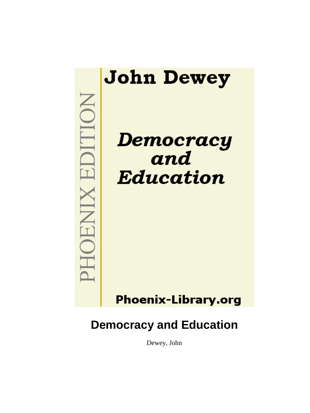

Dewey, John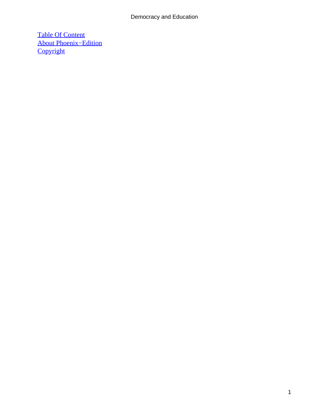[Table Of Content](#page-248-0) [About Phoenix−Edition](#page-250-0) **[Copyright](#page-251-0)**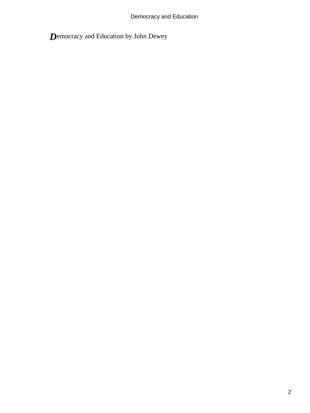*D*emocracy and Education by John Dewey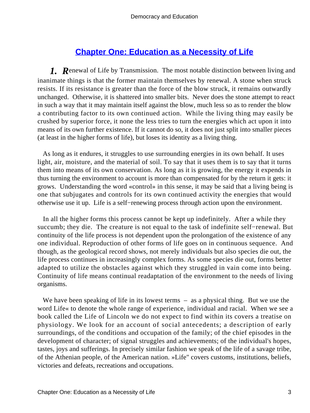# **[Chapter One: Education as a Necessity of Life](#page-248-0)**

*1. R*enewal of Life by Transmission. The most notable distinction between living and inanimate things is that the former maintain themselves by renewal. A stone when struck resists. If its resistance is greater than the force of the blow struck, it remains outwardly unchanged. Otherwise, it is shattered into smaller bits. Never does the stone attempt to react in such a way that it may maintain itself against the blow, much less so as to render the blow a contributing factor to its own continued action. While the living thing may easily be crushed by superior force, it none the less tries to turn the energies which act upon it into means of its own further existence. If it cannot do so, it does not just split into smaller pieces (at least in the higher forms of life), but loses its identity as a living thing.

 As long as it endures, it struggles to use surrounding energies in its own behalf. It uses light, air, moisture, and the material of soil. To say that it uses them is to say that it turns them into means of its own conservation. As long as it is growing, the energy it expends in thus turning the environment to account is more than compensated for by the return it gets: it grows. Understanding the word «control» in this sense, it may be said that a living being is one that subjugates and controls for its own continued activity the energies that would otherwise use it up. Life is a self−renewing process through action upon the environment.

 In all the higher forms this process cannot be kept up indefinitely. After a while they succumb; they die. The creature is not equal to the task of indefinite self−renewal. But continuity of the life process is not dependent upon the prolongation of the existence of any one individual. Reproduction of other forms of life goes on in continuous sequence. And though, as the geological record shows, not merely individuals but also species die out, the life process continues in increasingly complex forms. As some species die out, forms better adapted to utilize the obstacles against which they struggled in vain come into being. Continuity of life means continual readaptation of the environment to the needs of living organisms.

We have been speaking of life in its lowest terms – as a physical thing. But we use the word Life« to denote the whole range of experience, individual and racial. When we see a book called the Life of Lincoln we do not expect to find within its covers a treatise on physiology. We look for an account of social antecedents; a description of early surroundings, of the conditions and occupation of the family; of the chief episodes in the development of character; of signal struggles and achievements; of the individual's hopes, tastes, joys and sufferings. In precisely similar fashion we speak of the life of a savage tribe, of the Athenian people, of the American nation. »Life" covers customs, institutions, beliefs, victories and defeats, recreations and occupations.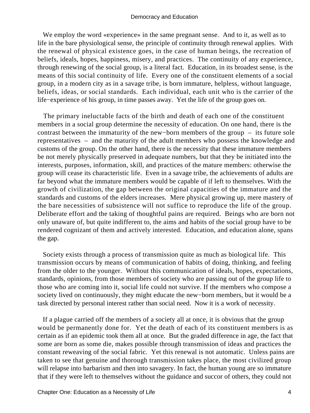We employ the word «experience» in the same pregnant sense. And to it, as well as to life in the bare physiological sense, the principle of continuity through renewal applies. With the renewal of physical existence goes, in the case of human beings, the recreation of beliefs, ideals, hopes, happiness, misery, and practices. The continuity of any experience, through renewing of the social group, is a literal fact. Education, in its broadest sense, is the means of this social continuity of life. Every one of the constituent elements of a social group, in a modern city as in a savage tribe, is born immature, helpless, without language, beliefs, ideas, or social standards. Each individual, each unit who is the carrier of the life−experience of his group, in time passes away. Yet the life of the group goes on.

 The primary ineluctable facts of the birth and death of each one of the constituent members in a social group determine the necessity of education. On one hand, there is the contrast between the immaturity of the new−born members of the group – its future sole representatives – and the maturity of the adult members who possess the knowledge and customs of the group. On the other hand, there is the necessity that these immature members be not merely physically preserved in adequate numbers, but that they be initiated into the interests, purposes, information, skill, and practices of the mature members: otherwise the group will cease its characteristic life. Even in a savage tribe, the achievements of adults are far beyond what the immature members would be capable of if left to themselves. With the growth of civilization, the gap between the original capacities of the immature and the standards and customs of the elders increases. Mere physical growing up, mere mastery of the bare necessities of subsistence will not suffice to reproduce the life of the group. Deliberate effort and the taking of thoughtful pains are required. Beings who are born not only unaware of, but quite indifferent to, the aims and habits of the social group have to be rendered cognizant of them and actively interested. Education, and education alone, spans the gap.

 Society exists through a process of transmission quite as much as biological life. This transmission occurs by means of communication of habits of doing, thinking, and feeling from the older to the younger. Without this communication of ideals, hopes, expectations, standards, opinions, from those members of society who are passing out of the group life to those who are coming into it, social life could not survive. If the members who compose a society lived on continuously, they might educate the new−born members, but it would be a task directed by personal interest rather than social need. Now it is a work of necessity.

 If a plague carried off the members of a society all at once, it is obvious that the group would be permanently done for. Yet the death of each of its constituent members is as certain as if an epidemic took them all at once. But the graded difference in age, the fact that some are born as some die, makes possible through transmission of ideas and practices the constant reweaving of the social fabric. Yet this renewal is not automatic. Unless pains are taken to see that genuine and thorough transmission takes place, the most civilized group will relapse into barbarism and then into savagery. In fact, the human young are so immature that if they were left to themselves without the guidance and succor of others, they could not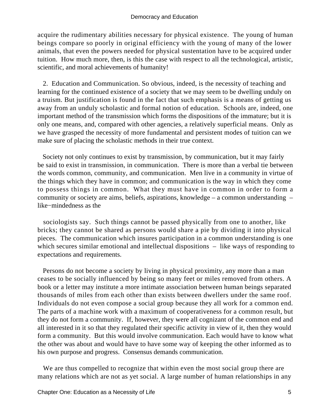acquire the rudimentary abilities necessary for physical existence. The young of human beings compare so poorly in original efficiency with the young of many of the lower animals, that even the powers needed for physical sustentation have to be acquired under tuition. How much more, then, is this the case with respect to all the technological, artistic, scientific, and moral achievements of humanity!

 2. Education and Communication. So obvious, indeed, is the necessity of teaching and learning for the continued existence of a society that we may seem to be dwelling unduly on a truism. But justification is found in the fact that such emphasis is a means of getting us away from an unduly scholastic and formal notion of education. Schools are, indeed, one important method of the transmission which forms the dispositions of the immature; but it is only one means, and, compared with other agencies, a relatively superficial means. Only as we have grasped the necessity of more fundamental and persistent modes of tuition can we make sure of placing the scholastic methods in their true context.

 Society not only continues to exist by transmission, by communication, but it may fairly be said to exist in transmission, in communication. There is more than a verbal tie between the words common, community, and communication. Men live in a community in virtue of the things which they have in common; and communication is the way in which they come to possess things in common. What they must have in common in order to form a community or society are aims, beliefs, aspirations, knowledge – a common understanding – like−mindedness as the

 sociologists say. Such things cannot be passed physically from one to another, like bricks; they cannot be shared as persons would share a pie by dividing it into physical pieces. The communication which insures participation in a common understanding is one which secures similar emotional and intellectual dispositions – like ways of responding to expectations and requirements.

 Persons do not become a society by living in physical proximity, any more than a man ceases to be socially influenced by being so many feet or miles removed from others. A book or a letter may institute a more intimate association between human beings separated thousands of miles from each other than exists between dwellers under the same roof. Individuals do not even compose a social group because they all work for a common end. The parts of a machine work with a maximum of cooperativeness for a common result, but they do not form a community. If, however, they were all cognizant of the common end and all interested in it so that they regulated their specific activity in view of it, then they would form a community. But this would involve communication. Each would have to know what the other was about and would have to have some way of keeping the other informed as to his own purpose and progress. Consensus demands communication.

 We are thus compelled to recognize that within even the most social group there are many relations which are not as yet social. A large number of human relationships in any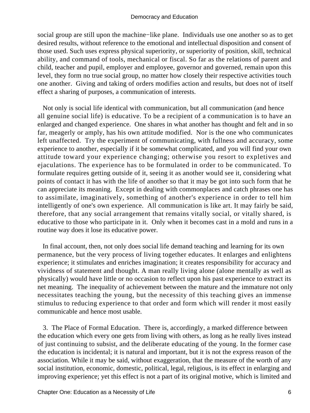social group are still upon the machine−like plane. Individuals use one another so as to get desired results, without reference to the emotional and intellectual disposition and consent of those used. Such uses express physical superiority, or superiority of position, skill, technical ability, and command of tools, mechanical or fiscal. So far as the relations of parent and child, teacher and pupil, employer and employee, governor and governed, remain upon this level, they form no true social group, no matter how closely their respective activities touch one another. Giving and taking of orders modifies action and results, but does not of itself effect a sharing of purposes, a communication of interests.

 Not only is social life identical with communication, but all communication (and hence all genuine social life) is educative. To be a recipient of a communication is to have an enlarged and changed experience. One shares in what another has thought and felt and in so far, meagerly or amply, has his own attitude modified. Nor is the one who communicates left unaffected. Try the experiment of communicating, with fullness and accuracy, some experience to another, especially if it be somewhat complicated, and you will find your own attitude toward your experience changing; otherwise you resort to expletives and ejaculations. The experience has to be formulated in order to be communicated. To formulate requires getting outside of it, seeing it as another would see it, considering what points of contact it has with the life of another so that it may be got into such form that he can appreciate its meaning. Except in dealing with commonplaces and catch phrases one has to assimilate, imaginatively, something of another's experience in order to tell him intelligently of one's own experience. All communication is like art. It may fairly be said, therefore, that any social arrangement that remains vitally social, or vitally shared, is educative to those who participate in it. Only when it becomes cast in a mold and runs in a routine way does it lose its educative power.

 In final account, then, not only does social life demand teaching and learning for its own permanence, but the very process of living together educates. It enlarges and enlightens experience; it stimulates and enriches imagination; it creates responsibility for accuracy and vividness of statement and thought. A man really living alone (alone mentally as well as physically) would have little or no occasion to reflect upon his past experience to extract its net meaning. The inequality of achievement between the mature and the immature not only necessitates teaching the young, but the necessity of this teaching gives an immense stimulus to reducing experience to that order and form which will render it most easily communicable and hence most usable.

 3. The Place of Formal Education. There is, accordingly, a marked difference between the education which every one gets from living with others, as long as he really lives instead of just continuing to subsist, and the deliberate educating of the young. In the former case the education is incidental; it is natural and important, but it is not the express reason of the association. While it may be said, without exaggeration, that the measure of the worth of any social institution, economic, domestic, political, legal, religious, is its effect in enlarging and improving experience; yet this effect is not a part of its original motive, which is limited and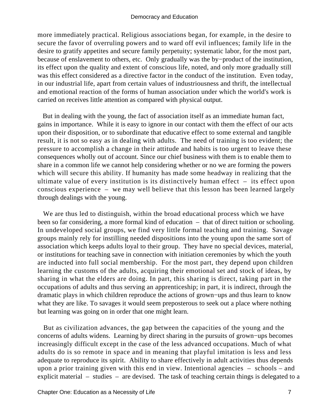more immediately practical. Religious associations began, for example, in the desire to secure the favor of overruling powers and to ward off evil influences; family life in the desire to gratify appetites and secure family perpetuity; systematic labor, for the most part, because of enslavement to others, etc. Only gradually was the by−product of the institution, its effect upon the quality and extent of conscious life, noted, and only more gradually still was this effect considered as a directive factor in the conduct of the institution. Even today, in our industrial life, apart from certain values of industriousness and thrift, the intellectual and emotional reaction of the forms of human association under which the world's work is carried on receives little attention as compared with physical output.

 But in dealing with the young, the fact of association itself as an immediate human fact, gains in importance. While it is easy to ignore in our contact with them the effect of our acts upon their disposition, or to subordinate that educative effect to some external and tangible result, it is not so easy as in dealing with adults. The need of training is too evident; the pressure to accomplish a change in their attitude and habits is too urgent to leave these consequences wholly out of account. Since our chief business with them is to enable them to share in a common life we cannot help considering whether or no we are forming the powers which will secure this ability. If humanity has made some headway in realizing that the ultimate value of every institution is its distinctively human effect – its effect upon conscious experience – we may well believe that this lesson has been learned largely through dealings with the young.

 We are thus led to distinguish, within the broad educational process which we have been so far considering, a more formal kind of education – that of direct tuition or schooling. In undeveloped social groups, we find very little formal teaching and training. Savage groups mainly rely for instilling needed dispositions into the young upon the same sort of association which keeps adults loyal to their group. They have no special devices, material, or institutions for teaching save in connection with initiation ceremonies by which the youth are inducted into full social membership. For the most part, they depend upon children learning the customs of the adults, acquiring their emotional set and stock of ideas, by sharing in what the elders are doing. In part, this sharing is direct, taking part in the occupations of adults and thus serving an apprenticeship; in part, it is indirect, through the dramatic plays in which children reproduce the actions of grown−ups and thus learn to know what they are like. To savages it would seem preposterous to seek out a place where nothing but learning was going on in order that one might learn.

 But as civilization advances, the gap between the capacities of the young and the concerns of adults widens. Learning by direct sharing in the pursuits of grown−ups becomes increasingly difficult except in the case of the less advanced occupations. Much of what adults do is so remote in space and in meaning that playful imitation is less and less adequate to reproduce its spirit. Ability to share effectively in adult activities thus depends upon a prior training given with this end in view. Intentional agencies – schools – and explicit material – studies – are devised. The task of teaching certain things is delegated to a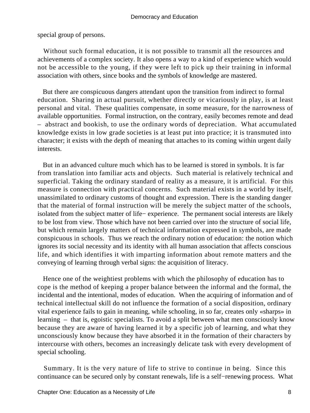special group of persons.

 Without such formal education, it is not possible to transmit all the resources and achievements of a complex society. It also opens a way to a kind of experience which would not be accessible to the young, if they were left to pick up their training in informal association with others, since books and the symbols of knowledge are mastered.

 But there are conspicuous dangers attendant upon the transition from indirect to formal education. Sharing in actual pursuit, whether directly or vicariously in play, is at least personal and vital. These qualities compensate, in some measure, for the narrowness of available opportunities. Formal instruction, on the contrary, easily becomes remote and dead – abstract and bookish, to use the ordinary words of depreciation. What accumulated knowledge exists in low grade societies is at least put into practice; it is transmuted into character; it exists with the depth of meaning that attaches to its coming within urgent daily interests.

 But in an advanced culture much which has to be learned is stored in symbols. It is far from translation into familiar acts and objects. Such material is relatively technical and superficial. Taking the ordinary standard of reality as a measure, it is artificial. For this measure is connection with practical concerns. Such material exists in a world by itself, unassimilated to ordinary customs of thought and expression. There is the standing danger that the material of formal instruction will be merely the subject matter of the schools, isolated from the subject matter of life− experience. The permanent social interests are likely to be lost from view. Those which have not been carried over into the structure of social life, but which remain largely matters of technical information expressed in symbols, are made conspicuous in schools. Thus we reach the ordinary notion of education: the notion which ignores its social necessity and its identity with all human association that affects conscious life, and which identifies it with imparting information about remote matters and the conveying of learning through verbal signs: the acquisition of literacy.

 Hence one of the weightiest problems with which the philosophy of education has to cope is the method of keeping a proper balance between the informal and the formal, the incidental and the intentional, modes of education. When the acquiring of information and of technical intellectual skill do not influence the formation of a social disposition, ordinary vital experience fails to gain in meaning, while schooling, in so far, creates only «sharps» in learning – that is, egoistic specialists. To avoid a split between what men consciously know because they are aware of having learned it by a specific job of learning, and what they unconsciously know because they have absorbed it in the formation of their characters by intercourse with others, becomes an increasingly delicate task with every development of special schooling.

 Summary. It is the very nature of life to strive to continue in being. Since this continuance can be secured only by constant renewals, life is a self−renewing process. What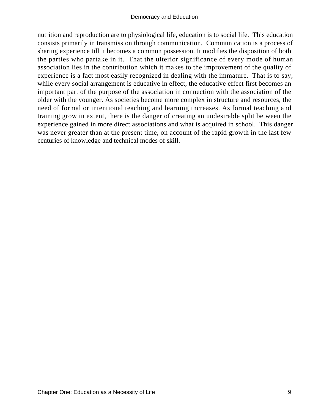nutrition and reproduction are to physiological life, education is to social life. This education consists primarily in transmission through communication. Communication is a process of sharing experience till it becomes a common possession. It modifies the disposition of both the parties who partake in it. That the ulterior significance of every mode of human association lies in the contribution which it makes to the improvement of the quality of experience is a fact most easily recognized in dealing with the immature. That is to say, while every social arrangement is educative in effect, the educative effect first becomes an important part of the purpose of the association in connection with the association of the older with the younger. As societies become more complex in structure and resources, the need of formal or intentional teaching and learning increases. As formal teaching and training grow in extent, there is the danger of creating an undesirable split between the experience gained in more direct associations and what is acquired in school. This danger was never greater than at the present time, on account of the rapid growth in the last few centuries of knowledge and technical modes of skill.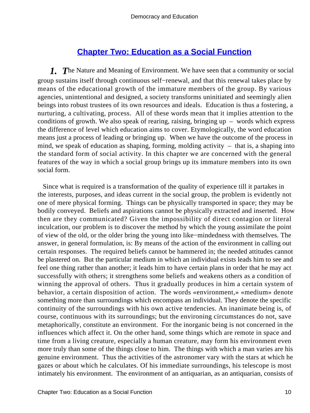# **[Chapter Two: Education as a Social Function](#page-248-0)**

*1. T*he Nature and Meaning of Environment. We have seen that a community or social group sustains itself through continuous self−renewal, and that this renewal takes place by means of the educational growth of the immature members of the group. By various agencies, unintentional and designed, a society transforms uninitiated and seemingly alien beings into robust trustees of its own resources and ideals. Education is thus a fostering, a nurturing, a cultivating, process. All of these words mean that it implies attention to the conditions of growth. We also speak of rearing, raising, bringing  $up -$  words which express the difference of level which education aims to cover. Etymologically, the word education means just a process of leading or bringing up. When we have the outcome of the process in mind, we speak of education as shaping, forming, molding activity – that is, a shaping into the standard form of social activity. In this chapter we are concerned with the general features of the way in which a social group brings up its immature members into its own social form.

 Since what is required is a transformation of the quality of experience till it partakes in the interests, purposes, and ideas current in the social group, the problem is evidently not one of mere physical forming. Things can be physically transported in space; they may be bodily conveyed. Beliefs and aspirations cannot be physically extracted and inserted. How then are they communicated? Given the impossibility of direct contagion or literal inculcation, our problem is to discover the method by which the young assimilate the point of view of the old, or the older bring the young into like−mindedness with themselves. The answer, in general formulation, is: By means of the action of the environment in calling out certain responses. The required beliefs cannot be hammered in; the needed attitudes cannot be plastered on. But the particular medium in which an individual exists leads him to see and feel one thing rather than another; it leads him to have certain plans in order that he may act successfully with others; it strengthens some beliefs and weakens others as a condition of winning the approval of others. Thus it gradually produces in him a certain system of behavior, a certain disposition of action. The words «environment,» «medium» denote something more than surroundings which encompass an individual. They denote the specific continuity of the surroundings with his own active tendencies. An inanimate being is, of course, continuous with its surroundings; but the environing circumstances do not, save metaphorically, constitute an environment. For the inorganic being is not concerned in the influences which affect it. On the other hand, some things which are remote in space and time from a living creature, especially a human creature, may form his environment even more truly than some of the things close to him. The things with which a man varies are his genuine environment. Thus the activities of the astronomer vary with the stars at which he gazes or about which he calculates. Of his immediate surroundings, his telescope is most intimately his environment. The environment of an antiquarian, as an antiquarian, consists of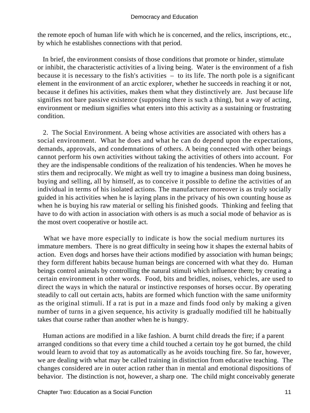the remote epoch of human life with which he is concerned, and the relics, inscriptions, etc., by which he establishes connections with that period.

 In brief, the environment consists of those conditions that promote or hinder, stimulate or inhibit, the characteristic activities of a living being. Water is the environment of a fish because it is necessary to the fish's activities – to its life. The north pole is a significant element in the environment of an arctic explorer, whether he succeeds in reaching it or not, because it defines his activities, makes them what they distinctively are. Just because life signifies not bare passive existence (supposing there is such a thing), but a way of acting, environment or medium signifies what enters into this activity as a sustaining or frustrating condition.

 2. The Social Environment. A being whose activities are associated with others has a social environment. What he does and what he can do depend upon the expectations, demands, approvals, and condemnations of others. A being connected with other beings cannot perform his own activities without taking the activities of others into account. For they are the indispensable conditions of the realization of his tendencies. When he moves he stirs them and reciprocally. We might as well try to imagine a business man doing business, buying and selling, all by himself, as to conceive it possible to define the activities of an individual in terms of his isolated actions. The manufacturer moreover is as truly socially guided in his activities when he is laying plans in the privacy of his own counting house as when he is buying his raw material or selling his finished goods. Thinking and feeling that have to do with action in association with others is as much a social mode of behavior as is the most overt cooperative or hostile act.

 What we have more especially to indicate is how the social medium nurtures its immature members. There is no great difficulty in seeing how it shapes the external habits of action. Even dogs and horses have their actions modified by association with human beings; they form different habits because human beings are concerned with what they do. Human beings control animals by controlling the natural stimuli which influence them; by creating a certain environment in other words. Food, bits and bridles, noises, vehicles, are used to direct the ways in which the natural or instinctive responses of horses occur. By operating steadily to call out certain acts, habits are formed which function with the same uniformity as the original stimuli. If a rat is put in a maze and finds food only by making a given number of turns in a given sequence, his activity is gradually modified till he habitually takes that course rather than another when he is hungry.

 Human actions are modified in a like fashion. A burnt child dreads the fire; if a parent arranged conditions so that every time a child touched a certain toy he got burned, the child would learn to avoid that toy as automatically as he avoids touching fire. So far, however, we are dealing with what may be called training in distinction from educative teaching. The changes considered are in outer action rather than in mental and emotional dispositions of behavior. The distinction is not, however, a sharp one. The child might conceivably generate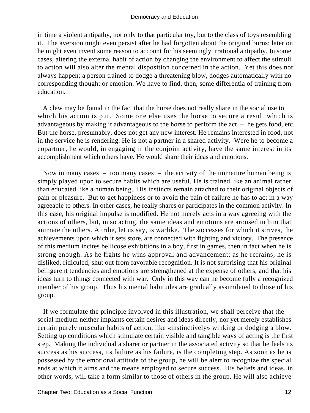in time a violent antipathy, not only to that particular toy, but to the class of toys resembling it. The aversion might even persist after he had forgotten about the original burns; later on he might even invent some reason to account for his seemingly irrational antipathy. In some cases, altering the external habit of action by changing the environment to affect the stimuli to action will also alter the mental disposition concerned in the action. Yet this does not always happen; a person trained to dodge a threatening blow, dodges automatically with no corresponding thought or emotion. We have to find, then, some differentia of training from education.

 A clew may be found in the fact that the horse does not really share in the social use to which his action is put. Some one else uses the horse to secure a result which is advantageous by making it advantageous to the horse to perform the  $act - he$  gets food, etc. But the horse, presumably, does not get any new interest. He remains interested in food, not in the service he is rendering. He is not a partner in a shared activity. Were he to become a copartner, he would, in engaging in the conjoint activity, have the same interest in its accomplishment which others have. He would share their ideas and emotions.

 Now in many cases – too many cases – the activity of the immature human being is simply played upon to secure habits which are useful. He is trained like an animal rather than educated like a human being. His instincts remain attached to their original objects of pain or pleasure. But to get happiness or to avoid the pain of failure he has to act in a way agreeable to others. In other cases, he really shares or participates in the common activity. In this case, his original impulse is modified. He not merely acts in a way agreeing with the actions of others, but, in so acting, the same ideas and emotions are aroused in him that animate the others. A tribe, let us say, is warlike. The successes for which it strives, the achievements upon which it sets store, are connected with fighting and victory. The presence of this medium incites bellicose exhibitions in a boy, first in games, then in fact when he is strong enough. As he fights he wins approval and advancement; as he refrains, he is disliked, ridiculed, shut out from favorable recognition. It is not surprising that his original belligerent tendencies and emotions are strengthened at the expense of others, and that his ideas turn to things connected with war. Only in this way can he become fully a recognized member of his group. Thus his mental habitudes are gradually assimilated to those of his group.

 If we formulate the principle involved in this illustration, we shall perceive that the social medium neither implants certain desires and ideas directly, nor yet merely establishes certain purely muscular habits of action, like «instinctively» winking or dodging a blow. Setting up conditions which stimulate certain visible and tangible ways of acting is the first step. Making the individual a sharer or partner in the associated activity so that he feels its success as his success, its failure as his failure, is the completing step. As soon as he is possessed by the emotional attitude of the group, he will be alert to recognize the special ends at which it aims and the means employed to secure success. His beliefs and ideas, in other words, will take a form similar to those of others in the group. He will also achieve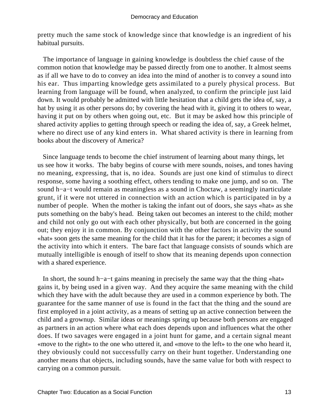pretty much the same stock of knowledge since that knowledge is an ingredient of his habitual pursuits.

 The importance of language in gaining knowledge is doubtless the chief cause of the common notion that knowledge may be passed directly from one to another. It almost seems as if all we have to do to convey an idea into the mind of another is to convey a sound into his ear. Thus imparting knowledge gets assimilated to a purely physical process. But learning from language will be found, when analyzed, to confirm the principle just laid down. It would probably be admitted with little hesitation that a child gets the idea of, say, a hat by using it as other persons do; by covering the head with it, giving it to others to wear, having it put on by others when going out, etc. But it may be asked how this principle of shared activity applies to getting through speech or reading the idea of, say, a Greek helmet, where no direct use of any kind enters in. What shared activity is there in learning from books about the discovery of America?

 Since language tends to become the chief instrument of learning about many things, let us see how it works. The baby begins of course with mere sounds, noises, and tones having no meaning, expressing, that is, no idea. Sounds are just one kind of stimulus to direct response, some having a soothing effect, others tending to make one jump, and so on. The sound h−a−t would remain as meaningless as a sound in Choctaw, a seemingly inarticulate grunt, if it were not uttered in connection with an action which is participated in by a number of people. When the mother is taking the infant out of doors, she says «hat» as she puts something on the baby's head. Being taken out becomes an interest to the child; mother and child not only go out with each other physically, but both are concerned in the going out; they enjoy it in common. By conjunction with the other factors in activity the sound «hat» soon gets the same meaning for the child that it has for the parent; it becomes a sign of the activity into which it enters. The bare fact that language consists of sounds which are mutually intelligible is enough of itself to show that its meaning depends upon connection with a shared experience.

 In short, the sound h−a−t gains meaning in precisely the same way that the thing «hat» gains it, by being used in a given way. And they acquire the same meaning with the child which they have with the adult because they are used in a common experience by both. The guarantee for the same manner of use is found in the fact that the thing and the sound are first employed in a joint activity, as a means of setting up an active connection between the child and a grownup. Similar ideas or meanings spring up because both persons are engaged as partners in an action where what each does depends upon and influences what the other does. If two savages were engaged in a joint hunt for game, and a certain signal meant «move to the right» to the one who uttered it, and «move to the left» to the one who heard it, they obviously could not successfully carry on their hunt together. Understanding one another means that objects, including sounds, have the same value for both with respect to carrying on a common pursuit.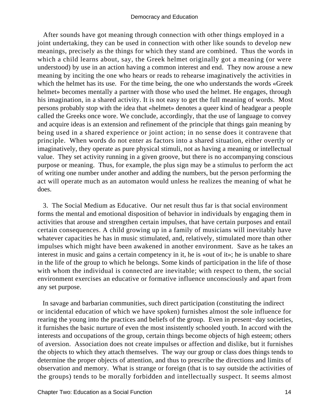After sounds have got meaning through connection with other things employed in a joint undertaking, they can be used in connection with other like sounds to develop new meanings, precisely as the things for which they stand are combined. Thus the words in which a child learns about, say, the Greek helmet originally got a meaning (or were understood) by use in an action having a common interest and end. They now arouse a new meaning by inciting the one who hears or reads to rehearse imaginatively the activities in which the helmet has its use. For the time being, the one who understands the words «Greek helmet» becomes mentally a partner with those who used the helmet. He engages, through his imagination, in a shared activity. It is not easy to get the full meaning of words. Most persons probably stop with the idea that «helmet» denotes a queer kind of headgear a people called the Greeks once wore. We conclude, accordingly, that the use of language to convey and acquire ideas is an extension and refinement of the principle that things gain meaning by being used in a shared experience or joint action; in no sense does it contravene that principle. When words do not enter as factors into a shared situation, either overtly or imaginatively, they operate as pure physical stimuli, not as having a meaning or intellectual value. They set activity running in a given groove, but there is no accompanying conscious purpose or meaning. Thus, for example, the plus sign may be a stimulus to perform the act of writing one number under another and adding the numbers, but the person performing the act will operate much as an automaton would unless he realizes the meaning of what he does.

 3. The Social Medium as Educative. Our net result thus far is that social environment forms the mental and emotional disposition of behavior in individuals by engaging them in activities that arouse and strengthen certain impulses, that have certain purposes and entail certain consequences. A child growing up in a family of musicians will inevitably have whatever capacities he has in music stimulated, and, relatively, stimulated more than other impulses which might have been awakened in another environment. Save as he takes an interest in music and gains a certain competency in it, he is «out of it»; he is unable to share in the life of the group to which he belongs. Some kinds of participation in the life of those with whom the individual is connected are inevitable; with respect to them, the social environment exercises an educative or formative influence unconsciously and apart from any set purpose.

 In savage and barbarian communities, such direct participation (constituting the indirect or incidental education of which we have spoken) furnishes almost the sole influence for rearing the young into the practices and beliefs of the group. Even in present−day societies, it furnishes the basic nurture of even the most insistently schooled youth. In accord with the interests and occupations of the group, certain things become objects of high esteem; others of aversion. Association does not create impulses or affection and dislike, but it furnishes the objects to which they attach themselves. The way our group or class does things tends to determine the proper objects of attention, and thus to prescribe the directions and limits of observation and memory. What is strange or foreign (that is to say outside the activities of the groups) tends to be morally forbidden and intellectually suspect. It seems almost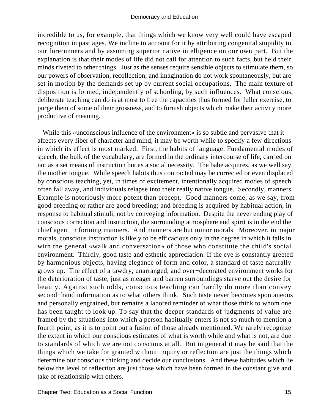incredible to us, for example, that things which we know very well could have escaped recognition in past ages. We incline to account for it by attributing congenital stupidity to our forerunners and by assuming superior native intelligence on our own part. But the explanation is that their modes of life did not call for attention to such facts, but held their minds riveted to other things. Just as the senses require sensible objects to stimulate them, so our powers of observation, recollection, and imagination do not work spontaneously, but are set in motion by the demands set up by current social occupations. The main texture of disposition is formed, independently of schooling, by such influences. What conscious, deliberate teaching can do is at most to free the capacities thus formed for fuller exercise, to purge them of some of their grossness, and to furnish objects which make their activity more productive of meaning.

While this «unconscious influence of the environment» is so subtle and pervasive that it affects every fiber of character and mind, it may be worth while to specify a few directions in which its effect is most marked. First, the habits of language. Fundamental modes of speech, the bulk of the vocabulary, are formed in the ordinary intercourse of life, carried on not as a set means of instruction but as a social necessity. The babe acquires, as we well say, the mother tongue. While speech habits thus contracted may be corrected or even displaced by conscious teaching, yet, in times of excitement, intentionally acquired modes of speech often fall away, and individuals relapse into their really native tongue. Secondly, manners. Example is notoriously more potent than precept. Good manners come, as we say, from good breeding or rather are good breeding; and breeding is acquired by habitual action, in response to habitual stimuli, not by conveying information. Despite the never ending play of conscious correction and instruction, the surrounding atmosphere and spirit is in the end the chief agent in forming manners. And manners are but minor morals. Moreover, in major morals, conscious instruction is likely to be efficacious only in the degree in which it falls in with the general «walk and conversation» of those who constitute the child's social environment. Thirdly, good taste and esthetic appreciation. If the eye is constantly greeted by harmonious objects, having elegance of form and color, a standard of taste naturally grows up. The effect of a tawdry, unarranged, and over−decorated environment works for the deterioration of taste, just as meager and barren surroundings starve out the desire for beauty. Against such odds, conscious teaching can hardly do more than convey second−hand information as to what others think. Such taste never becomes spontaneous and personally engrained, but remains a labored reminder of what those think to whom one has been taught to look up. To say that the deeper standards of judgments of value are framed by the situations into which a person habitually enters is not so much to mention a fourth point, as it is to point out a fusion of those already mentioned. We rarely recognize the extent in which our conscious estimates of what is worth while and what is not, are due to standards of which we are not conscious at all. But in general it may be said that the things which we take for granted without inquiry or reflection are just the things which determine our conscious thinking and decide our conclusions. And these habitudes which lie below the level of reflection are just those which have been formed in the constant give and take of relationship with others.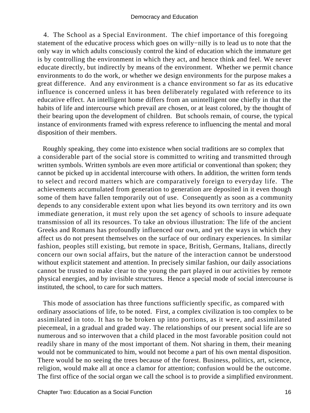4. The School as a Special Environment. The chief importance of this foregoing statement of the educative process which goes on willy−nilly is to lead us to note that the only way in which adults consciously control the kind of education which the immature get is by controlling the environment in which they act, and hence think and feel. We never educate directly, but indirectly by means of the environment. Whether we permit chance environments to do the work, or whether we design environments for the purpose makes a great difference. And any environment is a chance environment so far as its educative influence is concerned unless it has been deliberately regulated with reference to its educative effect. An intelligent home differs from an unintelligent one chiefly in that the habits of life and intercourse which prevail are chosen, or at least colored, by the thought of their bearing upon the development of children. But schools remain, of course, the typical instance of environments framed with express reference to influencing the mental and moral disposition of their members.

 Roughly speaking, they come into existence when social traditions are so complex that a considerable part of the social store is committed to writing and transmitted through written symbols. Written symbols are even more artificial or conventional than spoken; they cannot be picked up in accidental intercourse with others. In addition, the written form tends to select and record matters which are comparatively foreign to everyday life. The achievements accumulated from generation to generation are deposited in it even though some of them have fallen temporarily out of use. Consequently as soon as a community depends to any considerable extent upon what lies beyond its own territory and its own immediate generation, it must rely upon the set agency of schools to insure adequate transmission of all its resources. To take an obvious illustration: The life of the ancient Greeks and Romans has profoundly influenced our own, and yet the ways in which they affect us do not present themselves on the surface of our ordinary experiences. In similar fashion, peoples still existing, but remote in space, British, Germans, Italians, directly concern our own social affairs, but the nature of the interaction cannot be understood without explicit statement and attention. In precisely similar fashion, our daily associations cannot be trusted to make clear to the young the part played in our activities by remote physical energies, and by invisible structures. Hence a special mode of social intercourse is instituted, the school, to care for such matters.

 This mode of association has three functions sufficiently specific, as compared with ordinary associations of life, to be noted. First, a complex civilization is too complex to be assimilated in toto. It has to be broken up into portions, as it were, and assimilated piecemeal, in a gradual and graded way. The relationships of our present social life are so numerous and so interwoven that a child placed in the most favorable position could not readily share in many of the most important of them. Not sharing in them, their meaning would not be communicated to him, would not become a part of his own mental disposition. There would be no seeing the trees because of the forest. Business, politics, art, science, religion, would make all at once a clamor for attention; confusion would be the outcome. The first office of the social organ we call the school is to provide a simplified environment.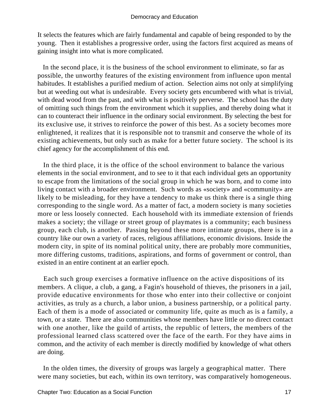It selects the features which are fairly fundamental and capable of being responded to by the young. Then it establishes a progressive order, using the factors first acquired as means of gaining insight into what is more complicated.

 In the second place, it is the business of the school environment to eliminate, so far as possible, the unworthy features of the existing environment from influence upon mental habitudes. It establishes a purified medium of action. Selection aims not only at simplifying but at weeding out what is undesirable. Every society gets encumbered with what is trivial, with dead wood from the past, and with what is positively perverse. The school has the duty of omitting such things from the environment which it supplies, and thereby doing what it can to counteract their influence in the ordinary social environment. By selecting the best for its exclusive use, it strives to reinforce the power of this best. As a society becomes more enlightened, it realizes that it is responsible not to transmit and conserve the whole of its existing achievements, but only such as make for a better future society. The school is its chief agency for the accomplishment of this end.

 In the third place, it is the office of the school environment to balance the various elements in the social environment, and to see to it that each individual gets an opportunity to escape from the limitations of the social group in which he was born, and to come into living contact with a broader environment. Such words as «society» and «community» are likely to be misleading, for they have a tendency to make us think there is a single thing corresponding to the single word. As a matter of fact, a modern society is many societies more or less loosely connected. Each household with its immediate extension of friends makes a society; the village or street group of playmates is a community; each business group, each club, is another. Passing beyond these more intimate groups, there is in a country like our own a variety of races, religious affiliations, economic divisions. Inside the modern city, in spite of its nominal political unity, there are probably more communities, more differing customs, traditions, aspirations, and forms of government or control, than existed in an entire continent at an earlier epoch.

 Each such group exercises a formative influence on the active dispositions of its members. A clique, a club, a gang, a Fagin's household of thieves, the prisoners in a jail, provide educative environments for those who enter into their collective or conjoint activities, as truly as a church, a labor union, a business partnership, or a political party. Each of them is a mode of associated or community life, quite as much as is a family, a town, or a state. There are also communities whose members have little or no direct contact with one another, like the guild of artists, the republic of letters, the members of the professional learned class scattered over the face of the earth. For they have aims in common, and the activity of each member is directly modified by knowledge of what others are doing.

 In the olden times, the diversity of groups was largely a geographical matter. There were many societies, but each, within its own territory, was comparatively homogeneous.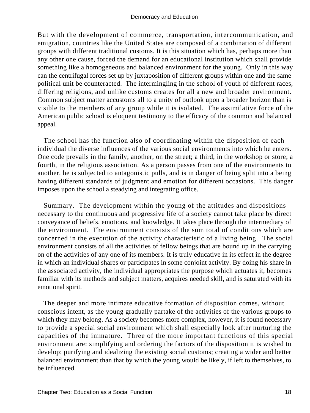But with the development of commerce, transportation, intercommunication, and emigration, countries like the United States are composed of a combination of different groups with different traditional customs. It is this situation which has, perhaps more than any other one cause, forced the demand for an educational institution which shall provide something like a homogeneous and balanced environment for the young. Only in this way can the centrifugal forces set up by juxtaposition of different groups within one and the same political unit be counteracted. The intermingling in the school of youth of different races, differing religions, and unlike customs creates for all a new and broader environment. Common subject matter accustoms all to a unity of outlook upon a broader horizon than is visible to the members of any group while it is isolated. The assimilative force of the American public school is eloquent testimony to the efficacy of the common and balanced appeal.

 The school has the function also of coordinating within the disposition of each individual the diverse influences of the various social environments into which he enters. One code prevails in the family; another, on the street; a third, in the workshop or store; a fourth, in the religious association. As a person passes from one of the environments to another, he is subjected to antagonistic pulls, and is in danger of being split into a being having different standards of judgment and emotion for different occasions. This danger imposes upon the school a steadying and integrating office.

 Summary. The development within the young of the attitudes and dispositions necessary to the continuous and progressive life of a society cannot take place by direct conveyance of beliefs, emotions, and knowledge. It takes place through the intermediary of the environment. The environment consists of the sum total of conditions which are concerned in the execution of the activity characteristic of a living being. The social environment consists of all the activities of fellow beings that are bound up in the carrying on of the activities of any one of its members. It is truly educative in its effect in the degree in which an individual shares or participates in some conjoint activity. By doing his share in the associated activity, the individual appropriates the purpose which actuates it, becomes familiar with its methods and subject matters, acquires needed skill, and is saturated with its emotional spirit.

 The deeper and more intimate educative formation of disposition comes, without conscious intent, as the young gradually partake of the activities of the various groups to which they may belong. As a society becomes more complex, however, it is found necessary to provide a special social environment which shall especially look after nurturing the capacities of the immature. Three of the more important functions of this special environment are: simplifying and ordering the factors of the disposition it is wished to develop; purifying and idealizing the existing social customs; creating a wider and better balanced environment than that by which the young would be likely, if left to themselves, to be influenced.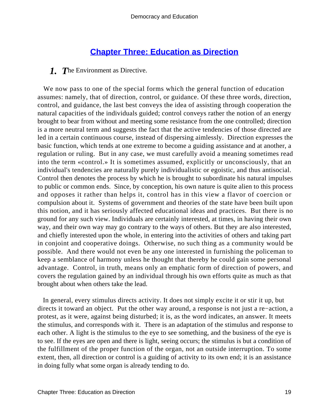# **[Chapter Three: Education as Direction](#page-248-0)**

#### *1. T*he Environment as Directive.

 We now pass to one of the special forms which the general function of education assumes: namely, that of direction, control, or guidance. Of these three words, direction, control, and guidance, the last best conveys the idea of assisting through cooperation the natural capacities of the individuals guided; control conveys rather the notion of an energy brought to bear from without and meeting some resistance from the one controlled; direction is a more neutral term and suggests the fact that the active tendencies of those directed are led in a certain continuous course, instead of dispersing aimlessly. Direction expresses the basic function, which tends at one extreme to become a guiding assistance and at another, a regulation or ruling. But in any case, we must carefully avoid a meaning sometimes read into the term «control.» It is sometimes assumed, explicitly or unconsciously, that an individual's tendencies are naturally purely individualistic or egoistic, and thus antisocial. Control then denotes the process by which he is brought to subordinate his natural impulses to public or common ends. Since, by conception, his own nature is quite alien to this process and opposes it rather than helps it, control has in this view a flavor of coercion or compulsion about it. Systems of government and theories of the state have been built upon this notion, and it has seriously affected educational ideas and practices. But there is no ground for any such view. Individuals are certainly interested, at times, in having their own way, and their own way may go contrary to the ways of others. But they are also interested, and chiefly interested upon the whole, in entering into the activities of others and taking part in conjoint and cooperative doings. Otherwise, no such thing as a community would be possible. And there would not even be any one interested in furnishing the policeman to keep a semblance of harmony unless he thought that thereby he could gain some personal advantage. Control, in truth, means only an emphatic form of direction of powers, and covers the regulation gained by an individual through his own efforts quite as much as that brought about when others take the lead.

 In general, every stimulus directs activity. It does not simply excite it or stir it up, but directs it toward an object. Put the other way around, a response is not just a re−action, a protest, as it were, against being disturbed; it is, as the word indicates, an answer. It meets the stimulus, and corresponds with it. There is an adaptation of the stimulus and response to each other. A light is the stimulus to the eye to see something, and the business of the eye is to see. If the eyes are open and there is light, seeing occurs; the stimulus is but a condition of the fulfillment of the proper function of the organ, not an outside interruption. To some extent, then, all direction or control is a guiding of activity to its own end; it is an assistance in doing fully what some organ is already tending to do.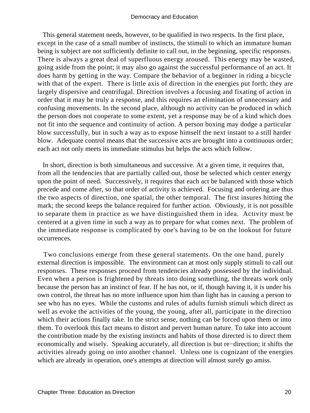This general statement needs, however, to be qualified in two respects. In the first place, except in the case of a small number of instincts, the stimuli to which an immature human being is subject are not sufficiently definite to call out, in the beginning, specific responses. There is always a great deal of superfluous energy aroused. This energy may be wasted, going aside from the point; it may also go against the successful performance of an act. It does harm by getting in the way. Compare the behavior of a beginner in riding a bicycle with that of the expert. There is little axis of direction in the energies put forth; they are largely dispersive and centrifugal. Direction involves a focusing and fixating of action in order that it may be truly a response, and this requires an elimination of unnecessary and confusing movements. In the second place, although no activity can be produced in which the person does not cooperate to some extent, yet a response may be of a kind which does not fit into the sequence and continuity of action. A person boxing may dodge a particular blow successfully, but in such a way as to expose himself the next instant to a still harder blow. Adequate control means that the successive acts are brought into a continuous order; each act not only meets its immediate stimulus but helps the acts which follow.

 In short, direction is both simultaneous and successive. At a given time, it requires that, from all the tendencies that are partially called out, those be selected which center energy upon the point of need. Successively, it requires that each act be balanced with those which precede and come after, so that order of activity is achieved. Focusing and ordering are thus the two aspects of direction, one spatial, the other temporal. The first insures hitting the mark; the second keeps the balance required for further action. Obviously, it is not possible to separate them in practice as we have distinguished them in idea. Activity must be centered at a given time in such a way as to prepare for what comes next. The problem of the immediate response is complicated by one's having to be on the lookout for future occurrences.

 Two conclusions emerge from these general statements. On the one hand, purely external direction is impossible. The environment can at most only supply stimuli to call out responses. These responses proceed from tendencies already possessed by the individual. Even when a person is frightened by threats into doing something, the threats work only because the person has an instinct of fear. If he has not, or if, though having it, it is under his own control, the threat has no more influence upon him than light has in causing a person to see who has no eyes. While the customs and rules of adults furnish stimuli which direct as well as evoke the activities of the young, the young, after all, participate in the direction which their actions finally take. In the strict sense, nothing can be forced upon them or into them. To overlook this fact means to distort and pervert human nature. To take into account the contribution made by the existing instincts and habits of those directed is to direct them economically and wisely. Speaking accurately, all direction is but re−direction; it shifts the activities already going on into another channel. Unless one is cognizant of the energies which are already in operation, one's attempts at direction will almost surely go amiss.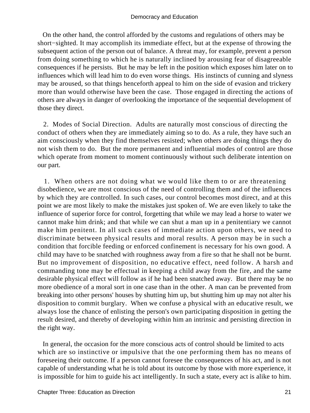On the other hand, the control afforded by the customs and regulations of others may be short−sighted. It may accomplish its immediate effect, but at the expense of throwing the subsequent action of the person out of balance. A threat may, for example, prevent a person from doing something to which he is naturally inclined by arousing fear of disagreeable consequences if he persists. But he may be left in the position which exposes him later on to influences which will lead him to do even worse things. His instincts of cunning and slyness may be aroused, so that things henceforth appeal to him on the side of evasion and trickery more than would otherwise have been the case. Those engaged in directing the actions of others are always in danger of overlooking the importance of the sequential development of those they direct.

 2. Modes of Social Direction. Adults are naturally most conscious of directing the conduct of others when they are immediately aiming so to do. As a rule, they have such an aim consciously when they find themselves resisted; when others are doing things they do not wish them to do. But the more permanent and influential modes of control are those which operate from moment to moment continuously without such deliberate intention on our part.

 1. When others are not doing what we would like them to or are threatening disobedience, we are most conscious of the need of controlling them and of the influences by which they are controlled. In such cases, our control becomes most direct, and at this point we are most likely to make the mistakes just spoken of. We are even likely to take the influence of superior force for control, forgetting that while we may lead a horse to water we cannot make him drink; and that while we can shut a man up in a penitentiary we cannot make him penitent. In all such cases of immediate action upon others, we need to discriminate between physical results and moral results. A person may be in such a condition that forcible feeding or enforced confinement is necessary for his own good. A child may have to be snatched with roughness away from a fire so that he shall not be burnt. But no improvement of disposition, no educative effect, need follow. A harsh and commanding tone may be effectual in keeping a child away from the fire, and the same desirable physical effect will follow as if he had been snatched away. But there may be no more obedience of a moral sort in one case than in the other. A man can be prevented from breaking into other persons' houses by shutting him up, but shutting him up may not alter his disposition to commit burglary. When we confuse a physical with an educative result, we always lose the chance of enlisting the person's own participating disposition in getting the result desired, and thereby of developing within him an intrinsic and persisting direction in the right way.

 In general, the occasion for the more conscious acts of control should be limited to acts which are so instinctive or impulsive that the one performing them has no means of foreseeing their outcome. If a person cannot foresee the consequences of his act, and is not capable of understanding what he is told about its outcome by those with more experience, it is impossible for him to guide his act intelligently. In such a state, every act is alike to him.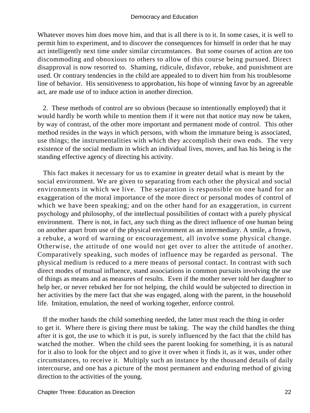Whatever moves him does move him, and that is all there is to it. In some cases, it is well to permit him to experiment, and to discover the consequences for himself in order that he may act intelligently next time under similar circumstances. But some courses of action are too discommoding and obnoxious to others to allow of this course being pursued. Direct disapproval is now resorted to. Shaming, ridicule, disfavor, rebuke, and punishment are used. Or contrary tendencies in the child are appealed to to divert him from his troublesome line of behavior. His sensitiveness to approbation, his hope of winning favor by an agreeable act, are made use of to induce action in another direction.

 2. These methods of control are so obvious (because so intentionally employed) that it would hardly be worth while to mention them if it were not that notice may now be taken, by way of contrast, of the other more important and permanent mode of control. This other method resides in the ways in which persons, with whom the immature being is associated, use things; the instrumentalities with which they accomplish their own ends. The very existence of the social medium in which an individual lives, moves, and has his being is the standing effective agency of directing his activity.

 This fact makes it necessary for us to examine in greater detail what is meant by the social environment. We are given to separating from each other the physical and social environments in which we live. The separation is responsible on one hand for an exaggeration of the moral importance of the more direct or personal modes of control of which we have been speaking; and on the other hand for an exaggeration, in current psychology and philosophy, of the intellectual possibilities of contact with a purely physical environment. There is not, in fact, any such thing as the direct influence of one human being on another apart from use of the physical environment as an intermediary. A smile, a frown, a rebuke, a word of warning or encouragement, all involve some physical change. Otherwise, the attitude of one would not get over to alter the attitude of another. Comparatively speaking, such modes of influence may be regarded as personal. The physical medium is reduced to a mere means of personal contact. In contrast with such direct modes of mutual influence, stand associations in common pursuits involving the use of things as means and as measures of results. Even if the mother never told her daughter to help her, or never rebuked her for not helping, the child would be subjected to direction in her activities by the mere fact that she was engaged, along with the parent, in the household life. Imitation, emulation, the need of working together, enforce control.

 If the mother hands the child something needed, the latter must reach the thing in order to get it. Where there is giving there must be taking. The way the child handles the thing after it is got, the use to which it is put, is surely influenced by the fact that the child has watched the mother. When the child sees the parent looking for something, it is as natural for it also to look for the object and to give it over when it finds it, as it was, under other circumstances, to receive it. Multiply such an instance by the thousand details of daily intercourse, and one has a picture of the most permanent and enduring method of giving direction to the activities of the young.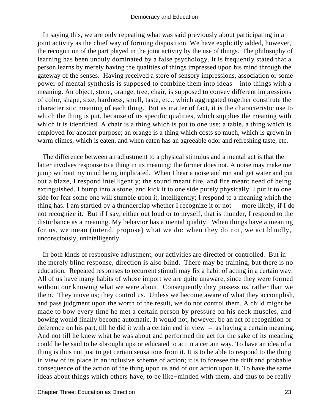In saying this, we are only repeating what was said previously about participating in a joint activity as the chief way of forming disposition. We have explicitly added, however, the recognition of the part played in the joint activity by the use of things. The philosophy of learning has been unduly dominated by a false psychology. It is frequently stated that a person learns by merely having the qualities of things impressed upon his mind through the gateway of the senses. Having received a store of sensory impressions, association or some power of mental synthesis is supposed to combine them into ideas – into things with a meaning. An object, stone, orange, tree, chair, is supposed to convey different impressions of color, shape, size, hardness, smell, taste, etc., which aggregated together constitute the characteristic meaning of each thing. But as matter of fact, it is the characteristic use to which the thing is put, because of its specific qualities, which supplies the meaning with which it is identified. A chair is a thing which is put to one use; a table, a thing which is employed for another purpose; an orange is a thing which costs so much, which is grown in warm climes, which is eaten, and when eaten has an agreeable odor and refreshing taste, etc.

 The difference between an adjustment to a physical stimulus and a mental act is that the latter involves response to a thing in its meaning; the former does not. A noise may make me jump without my mind being implicated. When I hear a noise and run and get water and put out a blaze, I respond intelligently; the sound meant fire, and fire meant need of being extinguished. I bump into a stone, and kick it to one side purely physically. I put it to one side for fear some one will stumble upon it, intelligently; I respond to a meaning which the thing has. I am startled by a thunderclap whether I recognize it or not – more likely, if I do not recognize it. But if I say, either out loud or to myself, that is thunder, I respond to the disturbance as a meaning. My behavior has a mental quality. When things have a meaning for us, we mean (intend, propose) what we do: when they do not, we act blindly, unconsciously, unintelligently.

 In both kinds of responsive adjustment, our activities are directed or controlled. But in the merely blind response, direction is also blind. There may be training, but there is no education. Repeated responses to recurrent stimuli may fix a habit of acting in a certain way. All of us have many habits of whose import we are quite unaware, since they were formed without our knowing what we were about. Consequently they possess us, rather than we them. They move us; they control us. Unless we become aware of what they accomplish, and pass judgment upon the worth of the result, we do not control them. A child might be made to bow every time he met a certain person by pressure on his neck muscles, and bowing would finally become automatic. It would not, however, be an act of recognition or deference on his part, till he did it with a certain end in view – as having a certain meaning. And not till he knew what he was about and performed the act for the sake of its meaning could he be said to be «brought up» or educated to act in a certain way. To have an idea of a thing is thus not just to get certain sensations from it. It is to be able to respond to the thing in view of its place in an inclusive scheme of action; it is to foresee the drift and probable consequence of the action of the thing upon us and of our action upon it. To have the same ideas about things which others have, to be like−minded with them, and thus to be really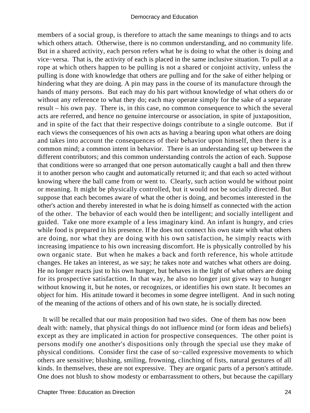members of a social group, is therefore to attach the same meanings to things and to acts which others attach. Otherwise, there is no common understanding, and no community life. But in a shared activity, each person refers what he is doing to what the other is doing and vice−versa. That is, the activity of each is placed in the same inclusive situation. To pull at a rope at which others happen to be pulling is not a shared or conjoint activity, unless the pulling is done with knowledge that others are pulling and for the sake of either helping or hindering what they are doing. A pin may pass in the course of its manufacture through the hands of many persons. But each may do his part without knowledge of what others do or without any reference to what they do; each may operate simply for the sake of a separate result – his own pay. There is, in this case, no common consequence to which the several acts are referred, and hence no genuine intercourse or association, in spite of juxtaposition, and in spite of the fact that their respective doings contribute to a single outcome. But if each views the consequences of his own acts as having a bearing upon what others are doing and takes into account the consequences of their behavior upon himself, then there is a common mind; a common intent in behavior. There is an understanding set up between the different contributors; and this common understanding controls the action of each. Suppose that conditions were so arranged that one person automatically caught a ball and then threw it to another person who caught and automatically returned it; and that each so acted without knowing where the ball came from or went to. Clearly, such action would be without point or meaning. It might be physically controlled, but it would not be socially directed. But suppose that each becomes aware of what the other is doing, and becomes interested in the other's action and thereby interested in what he is doing himself as connected with the action of the other. The behavior of each would then be intelligent; and socially intelligent and guided. Take one more example of a less imaginary kind. An infant is hungry, and cries while food is prepared in his presence. If he does not connect his own state with what others are doing, nor what they are doing with his own satisfaction, he simply reacts with increasing impatience to his own increasing discomfort. He is physically controlled by his own organic state. But when he makes a back and forth reference, his whole attitude changes. He takes an interest, as we say; he takes note and watches what others are doing. He no longer reacts just to his own hunger, but behaves in the light of what others are doing for its prospective satisfaction. In that way, he also no longer just gives way to hunger without knowing it, but he notes, or recognizes, or identifies his own state. It becomes an object for him. His attitude toward it becomes in some degree intelligent. And in such noting of the meaning of the actions of others and of his own state, he is socially directed.

 It will be recalled that our main proposition had two sides. One of them has now been dealt with: namely, that physical things do not influence mind (or form ideas and beliefs) except as they are implicated in action for prospective consequences. The other point is persons modify one another's dispositions only through the special use they make of physical conditions. Consider first the case of so−called expressive movements to which others are sensitive; blushing, smiling, frowning, clinching of fists, natural gestures of all kinds. In themselves, these are not expressive. They are organic parts of a person's attitude. One does not blush to show modesty or embarrassment to others, but because the capillary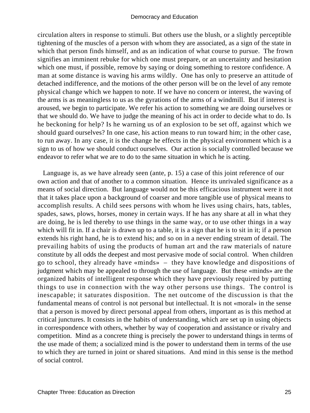circulation alters in response to stimuli. But others use the blush, or a slightly perceptible tightening of the muscles of a person with whom they are associated, as a sign of the state in which that person finds himself, and as an indication of what course to pursue. The frown signifies an imminent rebuke for which one must prepare, or an uncertainty and hesitation which one must, if possible, remove by saying or doing something to restore confidence. A man at some distance is waving his arms wildly. One has only to preserve an attitude of detached indifference, and the motions of the other person will be on the level of any remote physical change which we happen to note. If we have no concern or interest, the waving of the arms is as meaningless to us as the gyrations of the arms of a windmill. But if interest is aroused, we begin to participate. We refer his action to something we are doing ourselves or that we should do. We have to judge the meaning of his act in order to decide what to do. Is he beckoning for help? Is he warning us of an explosion to be set off, against which we should guard ourselves? In one case, his action means to run toward him; in the other case, to run away. In any case, it is the change he effects in the physical environment which is a sign to us of how we should conduct ourselves. Our action is socially controlled because we endeavor to refer what we are to do to the same situation in which he is acting.

 Language is, as we have already seen (ante, p. 15) a case of this joint reference of our own action and that of another to a common situation. Hence its unrivaled significance as a means of social direction. But language would not be this efficacious instrument were it not that it takes place upon a background of coarser and more tangible use of physical means to accomplish results. A child sees persons with whom he lives using chairs, hats, tables, spades, saws, plows, horses, money in certain ways. If he has any share at all in what they are doing, he is led thereby to use things in the same way, or to use other things in a way which will fit in. If a chair is drawn up to a table, it is a sign that he is to sit in it; if a person extends his right hand, he is to extend his; and so on in a never ending stream of detail. The prevailing habits of using the products of human art and the raw materials of nature constitute by all odds the deepest and most pervasive mode of social control. When children go to school, they already have «minds» – they have knowledge and dispositions of judgment which may be appealed to through the use of language. But these «minds» are the organized habits of intelligent response which they have previously required by putting things to use in connection with the way other persons use things. The control is inescapable; it saturates disposition. The net outcome of the discussion is that the fundamental means of control is not personal but intellectual. It is not «moral» in the sense that a person is moved by direct personal appeal from others, important as is this method at critical junctures. It consists in the habits of understanding, which are set up in using objects in correspondence with others, whether by way of cooperation and assistance or rivalry and competition. Mind as a concrete thing is precisely the power to understand things in terms of the use made of them; a socialized mind is the power to understand them in terms of the use to which they are turned in joint or shared situations. And mind in this sense is the method of social control.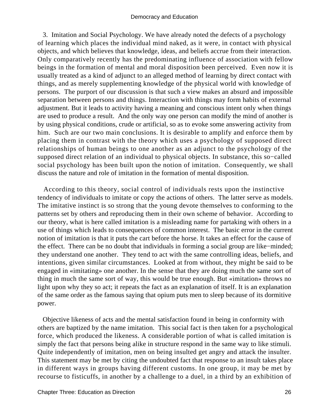3. Imitation and Social Psychology. We have already noted the defects of a psychology of learning which places the individual mind naked, as it were, in contact with physical objects, and which believes that knowledge, ideas, and beliefs accrue from their interaction. Only comparatively recently has the predominating influence of association with fellow beings in the formation of mental and moral disposition been perceived. Even now it is usually treated as a kind of adjunct to an alleged method of learning by direct contact with things, and as merely supplementing knowledge of the physical world with knowledge of persons. The purport of our discussion is that such a view makes an absurd and impossible separation between persons and things. Interaction with things may form habits of external adjustment. But it leads to activity having a meaning and conscious intent only when things are used to produce a result. And the only way one person can modify the mind of another is by using physical conditions, crude or artificial, so as to evoke some answering activity from him. Such are our two main conclusions. It is desirable to amplify and enforce them by placing them in contrast with the theory which uses a psychology of supposed direct relationships of human beings to one another as an adjunct to the psychology of the supposed direct relation of an individual to physical objects. In substance, this so−called social psychology has been built upon the notion of imitation. Consequently, we shall discuss the nature and role of imitation in the formation of mental disposition.

 According to this theory, social control of individuals rests upon the instinctive tendency of individuals to imitate or copy the actions of others. The latter serve as models. The imitative instinct is so strong that the young devote themselves to conforming to the patterns set by others and reproducing them in their own scheme of behavior. According to our theory, what is here called imitation is a misleading name for partaking with others in a use of things which leads to consequences of common interest. The basic error in the current notion of imitation is that it puts the cart before the horse. It takes an effect for the cause of the effect. There can be no doubt that individuals in forming a social group are like−minded; they understand one another. They tend to act with the same controlling ideas, beliefs, and intentions, given similar circumstances. Looked at from without, they might be said to be engaged in «imitating» one another. In the sense that they are doing much the same sort of thing in much the same sort of way, this would be true enough. But «imitation» throws no light upon why they so act; it repeats the fact as an explanation of itself. It is an explanation of the same order as the famous saying that opium puts men to sleep because of its dormitive power.

 Objective likeness of acts and the mental satisfaction found in being in conformity with others are baptized by the name imitation. This social fact is then taken for a psychological force, which produced the likeness. A considerable portion of what is called imitation is simply the fact that persons being alike in structure respond in the same way to like stimuli. Quite independently of imitation, men on being insulted get angry and attack the insulter. This statement may be met by citing the undoubted fact that response to an insult takes place in different ways in groups having different customs. In one group, it may be met by recourse to fisticuffs, in another by a challenge to a duel, in a third by an exhibition of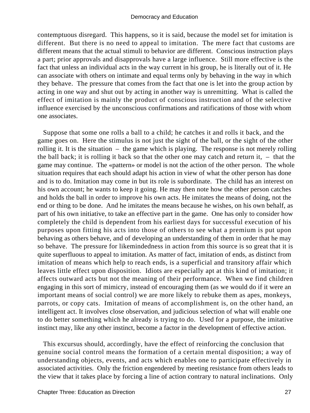contemptuous disregard. This happens, so it is said, because the model set for imitation is different. But there is no need to appeal to imitation. The mere fact that customs are different means that the actual stimuli to behavior are different. Conscious instruction plays a part; prior approvals and disapprovals have a large influence. Still more effective is the fact that unless an individual acts in the way current in his group, he is literally out of it. He can associate with others on intimate and equal terms only by behaving in the way in which they behave. The pressure that comes from the fact that one is let into the group action by acting in one way and shut out by acting in another way is unremitting. What is called the effect of imitation is mainly the product of conscious instruction and of the selective influence exercised by the unconscious confirmations and ratifications of those with whom one associates.

 Suppose that some one rolls a ball to a child; he catches it and rolls it back, and the game goes on. Here the stimulus is not just the sight of the ball, or the sight of the other rolling it. It is the situation – the game which is playing. The response is not merely rolling the ball back; it is rolling it back so that the other one may catch and return it,  $-$  that the game may continue. The «pattern» or model is not the action of the other person. The whole situation requires that each should adapt his action in view of what the other person has done and is to do. Imitation may come in but its role is subordinate. The child has an interest on his own account; he wants to keep it going. He may then note how the other person catches and holds the ball in order to improve his own acts. He imitates the means of doing, not the end or thing to be done. And he imitates the means because he wishes, on his own behalf, as part of his own initiative, to take an effective part in the game. One has only to consider how completely the child is dependent from his earliest days for successful execution of his purposes upon fitting his acts into those of others to see what a premium is put upon behaving as others behave, and of developing an understanding of them in order that he may so behave. The pressure for likemindedness in action from this source is so great that it is quite superfluous to appeal to imitation. As matter of fact, imitation of ends, as distinct from imitation of means which help to reach ends, is a superficial and transitory affair which leaves little effect upon disposition. Idiots are especially apt at this kind of imitation; it affects outward acts but not the meaning of their performance. When we find children engaging in this sort of mimicry, instead of encouraging them (as we would do if it were an important means of social control) we are more likely to rebuke them as apes, monkeys, parrots, or copy cats. Imitation of means of accomplishment is, on the other hand, an intelligent act. It involves close observation, and judicious selection of what will enable one to do better something which he already is trying to do. Used for a purpose, the imitative instinct may, like any other instinct, become a factor in the development of effective action.

 This excursus should, accordingly, have the effect of reinforcing the conclusion that genuine social control means the formation of a certain mental disposition; a way of understanding objects, events, and acts which enables one to participate effectively in associated activities. Only the friction engendered by meeting resistance from others leads to the view that it takes place by forcing a line of action contrary to natural inclinations. Only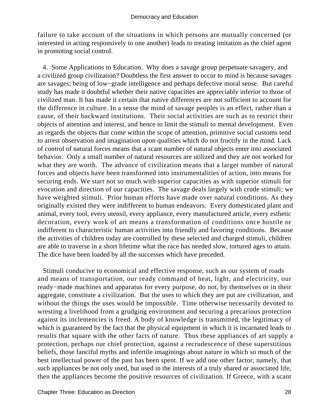failure to take account of the situations in which persons are mutually concerned (or interested in acting responsively to one another) leads to treating imitation as the chief agent in promoting social control.

 4. Some Applications to Education. Why does a savage group perpetuate savagery, and a civilized group civilization? Doubtless the first answer to occur to mind is because savages are savages; being of low−grade intelligence and perhaps defective moral sense. But careful study has made it doubtful whether their native capacities are appreciably inferior to those of civilized man. It has made it certain that native differences are not sufficient to account for the difference in culture. In a sense the mind of savage peoples is an effect, rather than a cause, of their backward institutions. Their social activities are such as to restrict their objects of attention and interest, and hence to limit the stimuli to mental development. Even as regards the objects that come within the scope of attention, primitive social customs tend to arrest observation and imagination upon qualities which do not fructify in the mind. Lack of control of natural forces means that a scant number of natural objects enter into associated behavior. Only a small number of natural resources are utilized and they are not worked for what they are worth. The advance of civilization means that a larger number of natural forces and objects have been transformed into instrumentalities of action, into means for securing ends. We start not so much with superior capacities as with superior stimuli for evocation and direction of our capacities. The savage deals largely with crude stimuli; we have weighted stimuli. Prior human efforts have made over natural conditions. As they originally existed they were indifferent to human endeavors. Every domesticated plant and animal, every tool, every utensil, every appliance, every manufactured article, every esthetic decoration, every work of art means a transformation of conditions once hostile or indifferent to characteristic human activities into friendly and favoring conditions. Because the activities of children today are controlled by these selected and charged stimuli, children are able to traverse in a short lifetime what the race has needed slow, tortured ages to attain. The dice have been loaded by all the successes which have preceded.

 Stimuli conducive to economical and effective response, such as our system of roads and means of transportation, our ready command of heat, light, and electricity, our ready−made machines and apparatus for every purpose, do not, by themselves or in their aggregate, constitute a civilization. But the uses to which they are put are civilization, and without the things the uses would be impossible. Time otherwise necessarily devoted to wresting a livelihood from a grudging environment and securing a precarious protection against its inclemencies is freed. A body of knowledge is transmitted, the legitimacy of which is guaranteed by the fact that the physical equipment in which it is incarnated leads to results that square with the other facts of nature. Thus these appliances of art supply a protection, perhaps our chief protection, against a recrudescence of these superstitious beliefs, those fanciful myths and infertile imaginings about nature in which so much of the best intellectual power of the past has been spent. If we add one other factor, namely, that such appliances be not only used, but used in the interests of a truly shared or associated life, then the appliances become the positive resources of civilization. If Greece, with a scant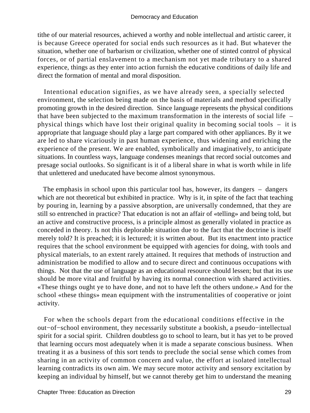tithe of our material resources, achieved a worthy and noble intellectual and artistic career, it is because Greece operated for social ends such resources as it had. But whatever the situation, whether one of barbarism or civilization, whether one of stinted control of physical forces, or of partial enslavement to a mechanism not yet made tributary to a shared experience, things as they enter into action furnish the educative conditions of daily life and direct the formation of mental and moral disposition.

 Intentional education signifies, as we have already seen, a specially selected environment, the selection being made on the basis of materials and method specifically promoting growth in the desired direction. Since language represents the physical conditions that have been subjected to the maximum transformation in the interests of social life – physical things which have lost their original quality in becoming social tools – it is appropriate that language should play a large part compared with other appliances. By it we are led to share vicariously in past human experience, thus widening and enriching the experience of the present. We are enabled, symbolically and imaginatively, to anticipate situations. In countless ways, language condenses meanings that record social outcomes and presage social outlooks. So significant is it of a liberal share in what is worth while in life that unlettered and uneducated have become almost synonymous.

 The emphasis in school upon this particular tool has, however, its dangers – dangers which are not theoretical but exhibited in practice. Why is it, in spite of the fact that teaching by pouring in, learning by a passive absorption, are universally condemned, that they are still so entrenched in practice? That education is not an affair of «telling» and being told, but an active and constructive process, is a principle almost as generally violated in practice as conceded in theory. Is not this deplorable situation due to the fact that the doctrine is itself merely told? It is preached; it is lectured; it is written about. But its enactment into practice requires that the school environment be equipped with agencies for doing, with tools and physical materials, to an extent rarely attained. It requires that methods of instruction and administration be modified to allow and to secure direct and continuous occupations with things. Not that the use of language as an educational resource should lessen; but that its use should be more vital and fruitful by having its normal connection with shared activities. «These things ought ye to have done, and not to have left the others undone.» And for the school «these things» mean equipment with the instrumentalities of cooperative or joint activity.

 For when the schools depart from the educational conditions effective in the out−of−school environment, they necessarily substitute a bookish, a pseudo−intellectual spirit for a social spirit. Children doubtless go to school to learn, but it has yet to be proved that learning occurs most adequately when it is made a separate conscious business. When treating it as a business of this sort tends to preclude the social sense which comes from sharing in an activity of common concern and value, the effort at isolated intellectual learning contradicts its own aim. We may secure motor activity and sensory excitation by keeping an individual by himself, but we cannot thereby get him to understand the meaning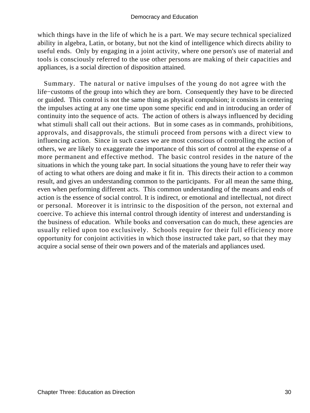which things have in the life of which he is a part. We may secure technical specialized ability in algebra, Latin, or botany, but not the kind of intelligence which directs ability to useful ends. Only by engaging in a joint activity, where one person's use of material and tools is consciously referred to the use other persons are making of their capacities and appliances, is a social direction of disposition attained.

 Summary. The natural or native impulses of the young do not agree with the life−customs of the group into which they are born. Consequently they have to be directed or guided. This control is not the same thing as physical compulsion; it consists in centering the impulses acting at any one time upon some specific end and in introducing an order of continuity into the sequence of acts. The action of others is always influenced by deciding what stimuli shall call out their actions. But in some cases as in commands, prohibitions, approvals, and disapprovals, the stimuli proceed from persons with a direct view to influencing action. Since in such cases we are most conscious of controlling the action of others, we are likely to exaggerate the importance of this sort of control at the expense of a more permanent and effective method. The basic control resides in the nature of the situations in which the young take part. In social situations the young have to refer their way of acting to what others are doing and make it fit in. This directs their action to a common result, and gives an understanding common to the participants. For all mean the same thing, even when performing different acts. This common understanding of the means and ends of action is the essence of social control. It is indirect, or emotional and intellectual, not direct or personal. Moreover it is intrinsic to the disposition of the person, not external and coercive. To achieve this internal control through identity of interest and understanding is the business of education. While books and conversation can do much, these agencies are usually relied upon too exclusively. Schools require for their full efficiency more opportunity for conjoint activities in which those instructed take part, so that they may acquire a social sense of their own powers and of the materials and appliances used.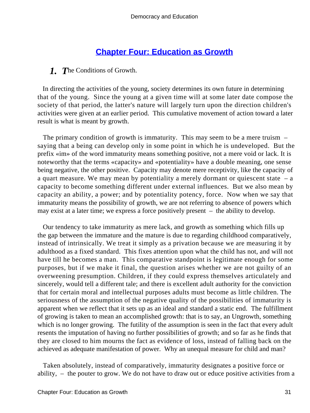# **[Chapter Four: Education as Growth](#page-248-0)**

#### *1. T*he Conditions of Growth.

 In directing the activities of the young, society determines its own future in determining that of the young. Since the young at a given time will at some later date compose the society of that period, the latter's nature will largely turn upon the direction children's activities were given at an earlier period. This cumulative movement of action toward a later result is what is meant by growth.

 The primary condition of growth is immaturity. This may seem to be a mere truism – saying that a being can develop only in some point in which he is undeveloped. But the prefix «im» of the word immaturity means something positive, not a mere void or lack. It is noteworthy that the terms «capacity» and «potentiality» have a double meaning, one sense being negative, the other positive. Capacity may denote mere receptivity, like the capacity of a quart measure. We may mean by potentiality a merely dormant or quiescent state  $-$  a capacity to become something different under external influences. But we also mean by capacity an ability, a power; and by potentiality potency, force. Now when we say that immaturity means the possibility of growth, we are not referring to absence of powers which may exist at a later time; we express a force positively present – the ability to develop.

 Our tendency to take immaturity as mere lack, and growth as something which fills up the gap between the immature and the mature is due to regarding childhood comparatively, instead of intrinsically. We treat it simply as a privation because we are measuring it by adulthood as a fixed standard. This fixes attention upon what the child has not, and will not have till he becomes a man. This comparative standpoint is legitimate enough for some purposes, but if we make it final, the question arises whether we are not guilty of an overweening presumption. Children, if they could express themselves articulately and sincerely, would tell a different tale; and there is excellent adult authority for the conviction that for certain moral and intellectual purposes adults must become as little children. The seriousness of the assumption of the negative quality of the possibilities of immaturity is apparent when we reflect that it sets up as an ideal and standard a static end. The fulfillment of growing is taken to mean an accomplished growth: that is to say, an Ungrowth, something which is no longer growing. The futility of the assumption is seen in the fact that every adult resents the imputation of having no further possibilities of growth; and so far as he finds that they are closed to him mourns the fact as evidence of loss, instead of falling back on the achieved as adequate manifestation of power. Why an unequal measure for child and man?

 Taken absolutely, instead of comparatively, immaturity designates a positive force or ability, – the pouter to grow. We do not have to draw out or educe positive activities from a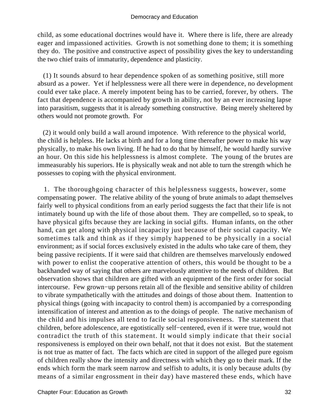child, as some educational doctrines would have it. Where there is life, there are already eager and impassioned activities. Growth is not something done to them; it is something they do. The positive and constructive aspect of possibility gives the key to understanding the two chief traits of immaturity, dependence and plasticity.

 (1) It sounds absurd to hear dependence spoken of as something positive, still more absurd as a power. Yet if helplessness were all there were in dependence, no development could ever take place. A merely impotent being has to be carried, forever, by others. The fact that dependence is accompanied by growth in ability, not by an ever increasing lapse into parasitism, suggests that it is already something constructive. Being merely sheltered by others would not promote growth. For

 (2) it would only build a wall around impotence. With reference to the physical world, the child is helpless. He lacks at birth and for a long time thereafter power to make his way physically, to make his own living. If he had to do that by himself, he would hardly survive an hour. On this side his helplessness is almost complete. The young of the brutes are immeasurably his superiors. He is physically weak and not able to turn the strength which he possesses to coping with the physical environment.

 1. The thoroughgoing character of this helplessness suggests, however, some compensating power. The relative ability of the young of brute animals to adapt themselves fairly well to physical conditions from an early period suggests the fact that their life is not intimately bound up with the life of those about them. They are compelled, so to speak, to have physical gifts because they are lacking in social gifts. Human infants, on the other hand, can get along with physical incapacity just because of their social capacity. We sometimes talk and think as if they simply happened to be physically in a social environment; as if social forces exclusively existed in the adults who take care of them, they being passive recipients. If it were said that children are themselves marvelously endowed with power to enlist the cooperative attention of others, this would be thought to be a backhanded way of saying that others are marvelously attentive to the needs of children. But observation shows that children are gifted with an equipment of the first order for social intercourse. Few grown−up persons retain all of the flexible and sensitive ability of children to vibrate sympathetically with the attitudes and doings of those about them. Inattention to physical things (going with incapacity to control them) is accompanied by a corresponding intensification of interest and attention as to the doings of people. The native mechanism of the child and his impulses all tend to facile social responsiveness. The statement that children, before adolescence, are egotistically self−centered, even if it were true, would not contradict the truth of this statement. It would simply indicate that their social responsiveness is employed on their own behalf, not that it does not exist. But the statement is not true as matter of fact. The facts which are cited in support of the alleged pure egoism of children really show the intensity and directness with which they go to their mark. If the ends which form the mark seem narrow and selfish to adults, it is only because adults (by means of a similar engrossment in their day) have mastered these ends, which have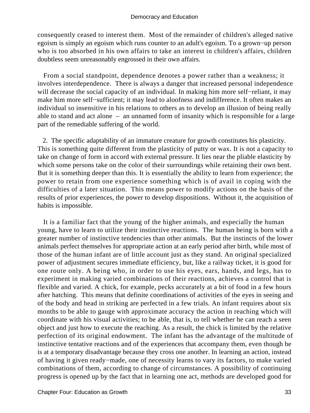consequently ceased to interest them. Most of the remainder of children's alleged native egoism is simply an egoism which runs counter to an adult's egoism. To a grown−up person who is too absorbed in his own affairs to take an interest in children's affairs, children doubtless seem unreasonably engrossed in their own affairs.

 From a social standpoint, dependence denotes a power rather than a weakness; it involves interdependence. There is always a danger that increased personal independence will decrease the social capacity of an individual. In making him more self−reliant, it may make him more self−sufficient; it may lead to aloofness and indifference. It often makes an individual so insensitive in his relations to others as to develop an illusion of being really able to stand and act alone – an unnamed form of insanity which is responsible for a large part of the remediable suffering of the world.

 2. The specific adaptability of an immature creature for growth constitutes his plasticity. This is something quite different from the plasticity of putty or wax. It is not a capacity to take on change of form in accord with external pressure. It lies near the pliable elasticity by which some persons take on the color of their surroundings while retaining their own bent. But it is something deeper than this. It is essentially the ability to learn from experience; the power to retain from one experience something which is of avail in coping with the difficulties of a later situation. This means power to modify actions on the basis of the results of prior experiences, the power to develop dispositions. Without it, the acquisition of habits is impossible.

 It is a familiar fact that the young of the higher animals, and especially the human young, have to learn to utilize their instinctive reactions. The human being is born with a greater number of instinctive tendencies than other animals. But the instincts of the lower animals perfect themselves for appropriate action at an early period after birth, while most of those of the human infant are of little account just as they stand. An original specialized power of adjustment secures immediate efficiency, but, like a railway ticket, it is good for one route only. A being who, in order to use his eyes, ears, hands, and legs, has to experiment in making varied combinations of their reactions, achieves a control that is flexible and varied. A chick, for example, pecks accurately at a bit of food in a few hours after hatching. This means that definite coordinations of activities of the eyes in seeing and of the body and head in striking are perfected in a few trials. An infant requires about six months to be able to gauge with approximate accuracy the action in reaching which will coordinate with his visual activities; to be able, that is, to tell whether he can reach a seen object and just how to execute the reaching. As a result, the chick is limited by the relative perfection of its original endowment. The infant has the advantage of the multitude of instinctive tentative reactions and of the experiences that accompany them, even though he is at a temporary disadvantage because they cross one another. In learning an action, instead of having it given ready−made, one of necessity learns to vary its factors, to make varied combinations of them, according to change of circumstances. A possibility of continuing progress is opened up by the fact that in learning one act, methods are developed good for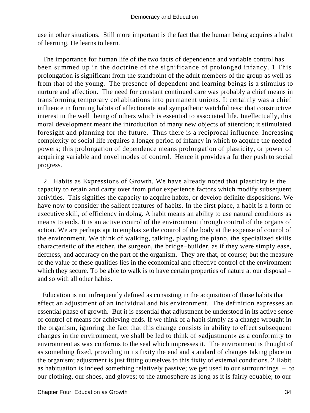use in other situations. Still more important is the fact that the human being acquires a habit of learning. He learns to learn.

 The importance for human life of the two facts of dependence and variable control has been summed up in the doctrine of the significance of prolonged infancy. 1 This prolongation is significant from the standpoint of the adult members of the group as well as from that of the young. The presence of dependent and learning beings is a stimulus to nurture and affection. The need for constant continued care was probably a chief means in transforming temporary cohabitations into permanent unions. It certainly was a chief influence in forming habits of affectionate and sympathetic watchfulness; that constructive interest in the well−being of others which is essential to associated life. Intellectually, this moral development meant the introduction of many new objects of attention; it stimulated foresight and planning for the future. Thus there is a reciprocal influence. Increasing complexity of social life requires a longer period of infancy in which to acquire the needed powers; this prolongation of dependence means prolongation of plasticity, or power of acquiring variable and novel modes of control. Hence it provides a further push to social progress.

 2. Habits as Expressions of Growth. We have already noted that plasticity is the capacity to retain and carry over from prior experience factors which modify subsequent activities. This signifies the capacity to acquire habits, or develop definite dispositions. We have now to consider the salient features of habits. In the first place, a habit is a form of executive skill, of efficiency in doing. A habit means an ability to use natural conditions as means to ends. It is an active control of the environment through control of the organs of action. We are perhaps apt to emphasize the control of the body at the expense of control of the environment. We think of walking, talking, playing the piano, the specialized skills characteristic of the etcher, the surgeon, the bridge−builder, as if they were simply ease, deftness, and accuracy on the part of the organism. They are that, of course; but the measure of the value of these qualities lies in the economical and effective control of the environment which they secure. To be able to walk is to have certain properties of nature at our disposal – and so with all other habits.

 Education is not infrequently defined as consisting in the acquisition of those habits that effect an adjustment of an individual and his environment. The definition expresses an essential phase of growth. But it is essential that adjustment be understood in its active sense of control of means for achieving ends. If we think of a habit simply as a change wrought in the organism, ignoring the fact that this change consists in ability to effect subsequent changes in the environment, we shall be led to think of «adjustment» as a conformity to environment as wax conforms to the seal which impresses it. The environment is thought of as something fixed, providing in its fixity the end and standard of changes taking place in the organism; adjustment is just fitting ourselves to this fixity of external conditions. 2 Habit as habituation is indeed something relatively passive; we get used to our surroundings – to our clothing, our shoes, and gloves; to the atmosphere as long as it is fairly equable; to our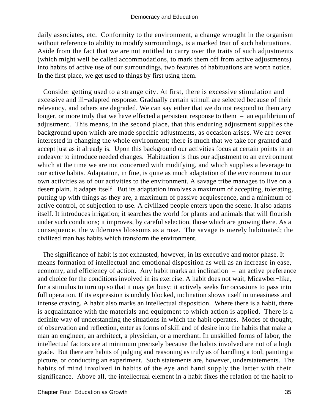daily associates, etc. Conformity to the environment, a change wrought in the organism without reference to ability to modify surroundings, is a marked trait of such habituations. Aside from the fact that we are not entitled to carry over the traits of such adjustments (which might well be called accommodations, to mark them off from active adjustments) into habits of active use of our surroundings, two features of habituations are worth notice. In the first place, we get used to things by first using them.

 Consider getting used to a strange city. At first, there is excessive stimulation and excessive and ill−adapted response. Gradually certain stimuli are selected because of their relevancy, and others are degraded. We can say either that we do not respond to them any longer, or more truly that we have effected a persistent response to them – an equilibrium of adjustment. This means, in the second place, that this enduring adjustment supplies the background upon which are made specific adjustments, as occasion arises. We are never interested in changing the whole environment; there is much that we take for granted and accept just as it already is. Upon this background our activities focus at certain points in an endeavor to introduce needed changes. Habituation is thus our adjustment to an environment which at the time we are not concerned with modifying, and which supplies a leverage to our active habits. Adaptation, in fine, is quite as much adaptation of the environment to our own activities as of our activities to the environment. A savage tribe manages to live on a desert plain. It adapts itself. But its adaptation involves a maximum of accepting, tolerating, putting up with things as they are, a maximum of passive acquiescence, and a minimum of active control, of subjection to use. A civilized people enters upon the scene. It also adapts itself. It introduces irrigation; it searches the world for plants and animals that will flourish under such conditions; it improves, by careful selection, those which are growing there. As a consequence, the wilderness blossoms as a rose. The savage is merely habituated; the civilized man has habits which transform the environment.

 The significance of habit is not exhausted, however, in its executive and motor phase. It means formation of intellectual and emotional disposition as well as an increase in ease, economy, and efficiency of action. Any habit marks an inclination – an active preference and choice for the conditions involved in its exercise. A habit does not wait, Micawber−like, for a stimulus to turn up so that it may get busy; it actively seeks for occasions to pass into full operation. If its expression is unduly blocked, inclination shows itself in uneasiness and intense craving. A habit also marks an intellectual disposition. Where there is a habit, there is acquaintance with the materials and equipment to which action is applied. There is a definite way of understanding the situations in which the habit operates. Modes of thought, of observation and reflection, enter as forms of skill and of desire into the habits that make a man an engineer, an architect, a physician, or a merchant. In unskilled forms of labor, the intellectual factors are at minimum precisely because the habits involved are not of a high grade. But there are habits of judging and reasoning as truly as of handling a tool, painting a picture, or conducting an experiment. Such statements are, however, understatements. The habits of mind involved in habits of the eye and hand supply the latter with their significance. Above all, the intellectual element in a habit fixes the relation of the habit to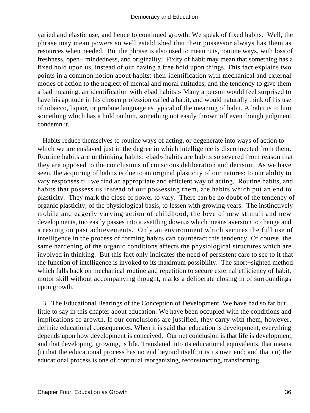varied and elastic use, and hence to continued growth. We speak of fixed habits. Well, the phrase may mean powers so well established that their possessor always has them as resources when needed. But the phrase is also used to mean ruts, routine ways, with loss of freshness, open− mindedness, and originality. Fixity of habit may mean that something has a fixed hold upon us, instead of our having a free hold upon things. This fact explains two points in a common notion about habits: their identification with mechanical and external modes of action to the neglect of mental and moral attitudes, and the tendency to give them a bad meaning, an identification with «bad habits.» Many a person would feel surprised to have his aptitude in his chosen profession called a habit, and would naturally think of his use of tobacco, liquor, or profane language as typical of the meaning of habit. A habit is to him something which has a hold on him, something not easily thrown off even though judgment condemn it.

 Habits reduce themselves to routine ways of acting, or degenerate into ways of action to which we are enslaved just in the degree in which intelligence is disconnected from them. Routine habits are unthinking habits: «bad» habits are habits so severed from reason that they are opposed to the conclusions of conscious deliberation and decision. As we have seen, the acquiring of habits is due to an original plasticity of our natures: to our ability to vary responses till we find an appropriate and efficient way of acting. Routine habits, and habits that possess us instead of our possessing them, are habits which put an end to plasticity. They mark the close of power to vary. There can be no doubt of the tendency of organic plasticity, of the physiological basis, to lessen with growing years. The instinctively mobile and eagerly varying action of childhood, the love of new stimuli and new developments, too easily passes into a «settling down,» which means aversion to change and a resting on past achievements. Only an environment which secures the full use of intelligence in the process of forming habits can counteract this tendency. Of course, the same hardening of the organic conditions affects the physiological structures which are involved in thinking. But this fact only indicates the need of persistent care to see to it that the function of intelligence is invoked to its maximum possibility. The short−sighted method which falls back on mechanical routine and repetition to secure external efficiency of habit, motor skill without accompanying thought, marks a deliberate closing in of surroundings upon growth.

 3. The Educational Bearings of the Conception of Development. We have had so far but little to say in this chapter about education. We have been occupied with the conditions and implications of growth. If our conclusions are justified, they carry with them, however, definite educational consequences. When it is said that education is development, everything depends upon how development is conceived. Our net conclusion is that life is development, and that developing, growing, is life. Translated into its educational equivalents, that means (i) that the educational process has no end beyond itself; it is its own end; and that (ii) the educational process is one of continual reorganizing, reconstructing, transforming.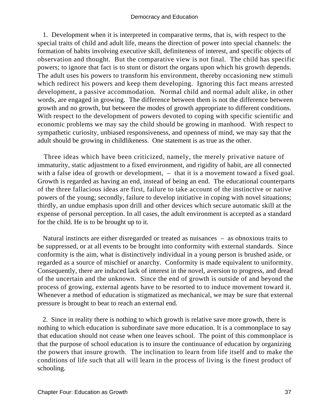1. Development when it is interpreted in comparative terms, that is, with respect to the special traits of child and adult life, means the direction of power into special channels: the formation of habits involving executive skill, definiteness of interest, and specific objects of observation and thought. But the comparative view is not final. The child has specific powers; to ignore that fact is to stunt or distort the organs upon which his growth depends. The adult uses his powers to transform his environment, thereby occasioning new stimuli which redirect his powers and keep them developing. Ignoring this fact means arrested development, a passive accommodation. Normal child and normal adult alike, in other words, are engaged in growing. The difference between them is not the difference between growth and no growth, but between the modes of growth appropriate to different conditions. With respect to the development of powers devoted to coping with specific scientific and economic problems we may say the child should be growing in manhood. With respect to sympathetic curiosity, unbiased responsiveness, and openness of mind, we may say that the adult should be growing in childlikeness. One statement is as true as the other.

 Three ideas which have been criticized, namely, the merely privative nature of immaturity, static adjustment to a fixed environment, and rigidity of habit, are all connected with a false idea of growth or development,  $-$  that it is a movement toward a fixed goal. Growth is regarded as having an end, instead of being an end. The educational counterparts of the three fallacious ideas are first, failure to take account of the instinctive or native powers of the young; secondly, failure to develop initiative in coping with novel situations; thirdly, an undue emphasis upon drill and other devices which secure automatic skill at the expense of personal perception. In all cases, the adult environment is accepted as a standard for the child. He is to be brought up to it.

 Natural instincts are either disregarded or treated as nuisances – as obnoxious traits to be suppressed, or at all events to be brought into conformity with external standards. Since conformity is the aim, what is distinctively individual in a young person is brushed aside, or regarded as a source of mischief or anarchy. Conformity is made equivalent to uniformity. Consequently, there are induced lack of interest in the novel, aversion to progress, and dread of the uncertain and the unknown. Since the end of growth is outside of and beyond the process of growing, external agents have to be resorted to to induce movement toward it. Whenever a method of education is stigmatized as mechanical, we may be sure that external pressure is brought to bear to reach an external end.

 2. Since in reality there is nothing to which growth is relative save more growth, there is nothing to which education is subordinate save more education. It is a commonplace to say that education should not cease when one leaves school. The point of this commonplace is that the purpose of school education is to insure the continuance of education by organizing the powers that insure growth. The inclination to learn from life itself and to make the conditions of life such that all will learn in the process of living is the finest product of schooling.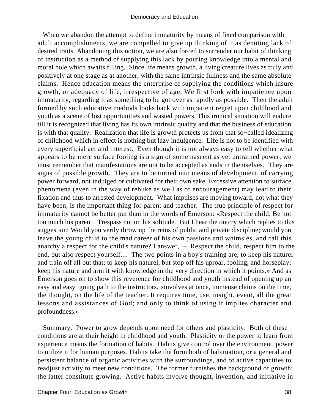When we abandon the attempt to define immaturity by means of fixed comparison with adult accomplishments, we are compelled to give up thinking of it as denoting lack of desired traits. Abandoning this notion, we are also forced to surrender our habit of thinking of instruction as a method of supplying this lack by pouring knowledge into a mental and moral hole which awaits filling. Since life means growth, a living creature lives as truly and positively at one stage as at another, with the same intrinsic fullness and the same absolute claims. Hence education means the enterprise of supplying the conditions which insure growth, or adequacy of life, irrespective of age. We first look with impatience upon immaturity, regarding it as something to be got over as rapidly as possible. Then the adult formed by such educative methods looks back with impatient regret upon childhood and youth as a scene of lost opportunities and wasted powers. This ironical situation will endure till it is recognized that living has its own intrinsic quality and that the business of education is with that quality. Realization that life is growth protects us from that so−called idealizing of childhood which in effect is nothing but lazy indulgence. Life is not to be identified with every superficial act and interest. Even though it is not always easy to tell whether what appears to be mere surface fooling is a sign of some nascent as yet untrained power, we must remember that manifestations are not to be accepted as ends in themselves. They are signs of possible growth. They are to be turned into means of development, of carrying power forward, not indulged or cultivated for their own sake. Excessive attention to surface phenomena (even in the way of rebuke as well as of encouragement) may lead to their fixation and thus to arrested development. What impulses are moving toward, not what they have been, is the important thing for parent and teacher. The true principle of respect for immaturity cannot be better put than in the words of Emerson: «Respect the child. Be not too much his parent. Trespass not on his solitude. But I hear the outcry which replies to this suggestion: Would you verily throw up the reins of public and private discipline; would you leave the young child to the mad career of his own passions and whimsies, and call this anarchy a respect for the child's nature? I answer, – Respect the child, respect him to the end, but also respect yourself.... The two points in a boy's training are, to keep his naturel and train off all but that; to keep his naturel, but stop off his uproar, fooling, and horseplay; keep his nature and arm it with knowledge in the very direction in which it points.» And as Emerson goes on to show this reverence for childhood and youth instead of opening up an easy and easy−going path to the instructors, «involves at once, immense claims on the time, the thought, on the life of the teacher. It requires time, use, insight, event, all the great lessons and assistances of God; and only to think of using it implies character and profoundness.»

 Summary. Power to grow depends upon need for others and plasticity. Both of these conditions are at their height in childhood and youth. Plasticity or the power to learn from experience means the formation of habits. Habits give control over the environment, power to utilize it for human purposes. Habits take the form both of habituation, or a general and persistent balance of organic activities with the surroundings, and of active capacities to readjust activity to meet new conditions. The former furnishes the background of growth; the latter constitute growing. Active habits involve thought, invention, and initiative in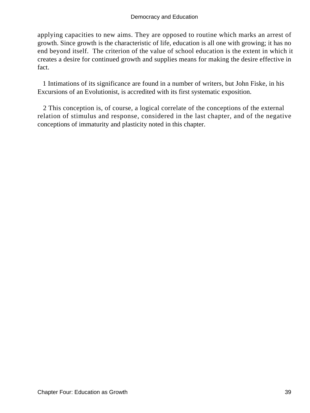applying capacities to new aims. They are opposed to routine which marks an arrest of growth. Since growth is the characteristic of life, education is all one with growing; it has no end beyond itself. The criterion of the value of school education is the extent in which it creates a desire for continued growth and supplies means for making the desire effective in fact.

 1 Intimations of its significance are found in a number of writers, but John Fiske, in his Excursions of an Evolutionist, is accredited with its first systematic exposition.

 2 This conception is, of course, a logical correlate of the conceptions of the external relation of stimulus and response, considered in the last chapter, and of the negative conceptions of immaturity and plasticity noted in this chapter.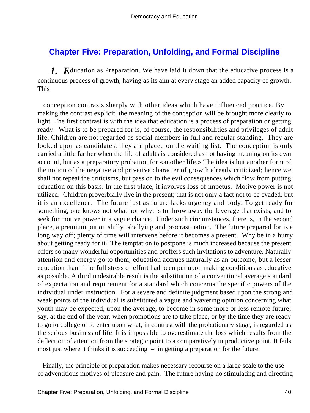# **[Chapter Five: Preparation, Unfolding, and Formal Discipline](#page-248-0)**

*1. E*ducation as Preparation. We have laid it down that the educative process is a continuous process of growth, having as its aim at every stage an added capacity of growth. This

 conception contrasts sharply with other ideas which have influenced practice. By making the contrast explicit, the meaning of the conception will be brought more clearly to light. The first contrast is with the idea that education is a process of preparation or getting ready. What is to be prepared for is, of course, the responsibilities and privileges of adult life. Children are not regarded as social members in full and regular standing. They are looked upon as candidates; they are placed on the waiting list. The conception is only carried a little farther when the life of adults is considered as not having meaning on its own account, but as a preparatory probation for «another life.» The idea is but another form of the notion of the negative and privative character of growth already criticized; hence we shall not repeat the criticisms, but pass on to the evil consequences which flow from putting education on this basis. In the first place, it involves loss of impetus. Motive power is not utilized. Children proverbially live in the present; that is not only a fact not to be evaded, but it is an excellence. The future just as future lacks urgency and body. To get ready for something, one knows not what nor why, is to throw away the leverage that exists, and to seek for motive power in a vague chance. Under such circumstances, there is, in the second place, a premium put on shilly−shallying and procrastination. The future prepared for is a long way off; plenty of time will intervene before it becomes a present. Why be in a hurry about getting ready for it? The temptation to postpone is much increased because the present offers so many wonderful opportunities and proffers such invitations to adventure. Naturally attention and energy go to them; education accrues naturally as an outcome, but a lesser education than if the full stress of effort had been put upon making conditions as educative as possible. A third undesirable result is the substitution of a conventional average standard of expectation and requirement for a standard which concerns the specific powers of the individual under instruction. For a severe and definite judgment based upon the strong and weak points of the individual is substituted a vague and wavering opinion concerning what youth may be expected, upon the average, to become in some more or less remote future; say, at the end of the year, when promotions are to take place, or by the time they are ready to go to college or to enter upon what, in contrast with the probationary stage, is regarded as the serious business of life. It is impossible to overestimate the loss which results from the deflection of attention from the strategic point to a comparatively unproductive point. It fails most just where it thinks it is succeeding – in getting a preparation for the future.

 Finally, the principle of preparation makes necessary recourse on a large scale to the use of adventitious motives of pleasure and pain. The future having no stimulating and directing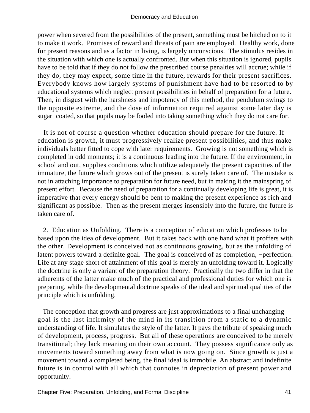power when severed from the possibilities of the present, something must be hitched on to it to make it work. Promises of reward and threats of pain are employed. Healthy work, done for present reasons and as a factor in living, is largely unconscious. The stimulus resides in the situation with which one is actually confronted. But when this situation is ignored, pupils have to be told that if they do not follow the prescribed course penalties will accrue; while if they do, they may expect, some time in the future, rewards for their present sacrifices. Everybody knows how largely systems of punishment have had to be resorted to by educational systems which neglect present possibilities in behalf of preparation for a future. Then, in disgust with the harshness and impotency of this method, the pendulum swings to the opposite extreme, and the dose of information required against some later day is sugar−coated, so that pupils may be fooled into taking something which they do not care for.

 It is not of course a question whether education should prepare for the future. If education is growth, it must progressively realize present possibilities, and thus make individuals better fitted to cope with later requirements. Growing is not something which is completed in odd moments; it is a continuous leading into the future. If the environment, in school and out, supplies conditions which utilize adequately the present capacities of the immature, the future which grows out of the present is surely taken care of. The mistake is not in attaching importance to preparation for future need, but in making it the mainspring of present effort. Because the need of preparation for a continually developing life is great, it is imperative that every energy should be bent to making the present experience as rich and significant as possible. Then as the present merges insensibly into the future, the future is taken care of.

 2. Education as Unfolding. There is a conception of education which professes to be based upon the idea of development. But it takes back with one hand what it proffers with the other. Development is conceived not as continuous growing, but as the unfolding of latent powers toward a definite goal. The goal is conceived of as completion, −perfection. Life at any stage short of attainment of this goal is merely an unfolding toward it. Logically the doctrine is only a variant of the preparation theory. Practically the two differ in that the adherents of the latter make much of the practical and professional duties for which one is preparing, while the developmental doctrine speaks of the ideal and spiritual qualities of the principle which is unfolding.

 The conception that growth and progress are just approximations to a final unchanging goal is the last infirmity of the mind in its transition from a static to a dynamic understanding of life. It simulates the style of the latter. It pays the tribute of speaking much of development, process, progress. But all of these operations are conceived to be merely transitional; they lack meaning on their own account. They possess significance only as movements toward something away from what is now going on. Since growth is just a movement toward a completed being, the final ideal is immobile. An abstract and indefinite future is in control with all which that connotes in depreciation of present power and opportunity.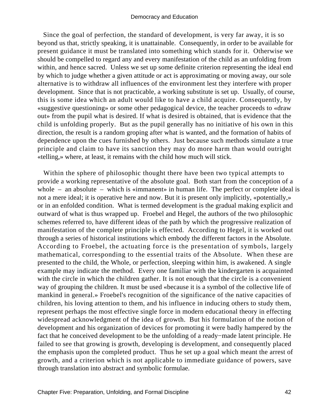Since the goal of perfection, the standard of development, is very far away, it is so beyond us that, strictly speaking, it is unattainable. Consequently, in order to be available for present guidance it must be translated into something which stands for it. Otherwise we should be compelled to regard any and every manifestation of the child as an unfolding from within, and hence sacred. Unless we set up some definite criterion representing the ideal end by which to judge whether a given attitude or act is approximating or moving away, our sole alternative is to withdraw all influences of the environment lest they interfere with proper development. Since that is not practicable, a working substitute is set up. Usually, of course, this is some idea which an adult would like to have a child acquire. Consequently, by «suggestive questioning» or some other pedagogical device, the teacher proceeds to «draw out» from the pupil what is desired. If what is desired is obtained, that is evidence that the child is unfolding properly. But as the pupil generally has no initiative of his own in this direction, the result is a random groping after what is wanted, and the formation of habits of dependence upon the cues furnished by others. Just because such methods simulate a true principle and claim to have its sanction they may do more harm than would outright «telling,» where, at least, it remains with the child how much will stick.

 Within the sphere of philosophic thought there have been two typical attempts to provide a working representative of the absolute goal. Both start from the conception of a whole – an absolute – which is «immanent» in human life. The perfect or complete ideal is not a mere ideal; it is operative here and now. But it is present only implicitly, «potentially,» or in an enfolded condition. What is termed development is the gradual making explicit and outward of what is thus wrapped up. Froebel and Hegel, the authors of the two philosophic schemes referred to, have different ideas of the path by which the progressive realization of manifestation of the complete principle is effected. According to Hegel, it is worked out through a series of historical institutions which embody the different factors in the Absolute. According to Froebel, the actuating force is the presentation of symbols, largely mathematical, corresponding to the essential traits of the Absolute. When these are presented to the child, the Whole, or perfection, sleeping within him, is awakened. A single example may indicate the method. Every one familiar with the kindergarten is acquainted with the circle in which the children gather. It is not enough that the circle is a convenient way of grouping the children. It must be used «because it is a symbol of the collective life of mankind in general.» Froebel's recognition of the significance of the native capacities of children, his loving attention to them, and his influence in inducing others to study them, represent perhaps the most effective single force in modern educational theory in effecting widespread acknowledgment of the idea of growth. But his formulation of the notion of development and his organization of devices for promoting it were badly hampered by the fact that he conceived development to be the unfolding of a ready−made latent principle. He failed to see that growing is growth, developing is development, and consequently placed the emphasis upon the completed product. Thus he set up a goal which meant the arrest of growth, and a criterion which is not applicable to immediate guidance of powers, save through translation into abstract and symbolic formulae.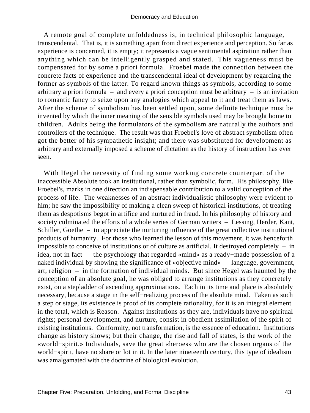A remote goal of complete unfoldedness is, in technical philosophic language, transcendental. That is, it is something apart from direct experience and perception. So far as experience is concerned, it is empty; it represents a vague sentimental aspiration rather than anything which can be intelligently grasped and stated. This vagueness must be compensated for by some a priori formula. Froebel made the connection between the concrete facts of experience and the transcendental ideal of development by regarding the former as symbols of the latter. To regard known things as symbols, according to some arbitrary a priori formula – and every a priori conception must be arbitrary – is an invitation to romantic fancy to seize upon any analogies which appeal to it and treat them as laws. After the scheme of symbolism has been settled upon, some definite technique must be invented by which the inner meaning of the sensible symbols used may be brought home to children. Adults being the formulators of the symbolism are naturally the authors and controllers of the technique. The result was that Froebel's love of abstract symbolism often got the better of his sympathetic insight; and there was substituted for development as arbitrary and externally imposed a scheme of dictation as the history of instruction has ever seen.

 With Hegel the necessity of finding some working concrete counterpart of the inaccessible Absolute took an institutional, rather than symbolic, form. His philosophy, like Froebel's, marks in one direction an indispensable contribution to a valid conception of the process of life. The weaknesses of an abstract individualistic philosophy were evident to him; he saw the impossibility of making a clean sweep of historical institutions, of treating them as despotisms begot in artifice and nurtured in fraud. In his philosophy of history and society culminated the efforts of a whole series of German writers – Lessing, Herder, Kant, Schiller, Goethe – to appreciate the nurturing influence of the great collective institutional products of humanity. For those who learned the lesson of this movement, it was henceforth impossible to conceive of institutions or of culture as artificial. It destroyed completely  $-$  in idea, not in fact – the psychology that regarded «mind» as a ready−made possession of a naked individual by showing the significance of «objective mind» – language, government, art, religion – in the formation of individual minds. But since Hegel was haunted by the conception of an absolute goal, he was obliged to arrange institutions as they concretely exist, on a stepladder of ascending approximations. Each in its time and place is absolutely necessary, because a stage in the self−realizing process of the absolute mind. Taken as such a step or stage, its existence is proof of its complete rationality, for it is an integral element in the total, which is Reason. Against institutions as they are, individuals have no spiritual rights; personal development, and nurture, consist in obedient assimilation of the spirit of existing institutions. Conformity, not transformation, is the essence of education. Institutions change as history shows; but their change, the rise and fall of states, is the work of the «world−spirit.» Individuals, save the great «heroes» who are the chosen organs of the world−spirit, have no share or lot in it. In the later nineteenth century, this type of idealism was amalgamated with the doctrine of biological evolution.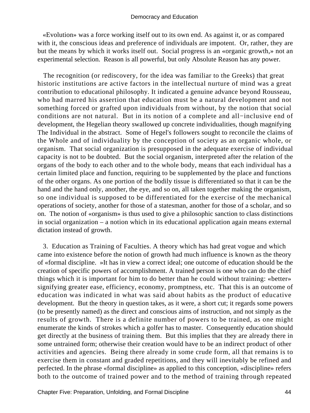«Evolution» was a force working itself out to its own end. As against it, or as compared with it, the conscious ideas and preference of individuals are impotent. Or, rather, they are but the means by which it works itself out. Social progress is an «organic growth,» not an experimental selection. Reason is all powerful, but only Absolute Reason has any power.

 The recognition (or rediscovery, for the idea was familiar to the Greeks) that great historic institutions are active factors in the intellectual nurture of mind was a great contribution to educational philosophy. It indicated a genuine advance beyond Rousseau, who had marred his assertion that education must be a natural development and not something forced or grafted upon individuals from without, by the notion that social conditions are not natural. But in its notion of a complete and all−inclusive end of development, the Hegelian theory swallowed up concrete individualities, though magnifying The Individual in the abstract. Some of Hegel's followers sought to reconcile the claims of the Whole and of individuality by the conception of society as an organic whole, or organism. That social organization is presupposed in the adequate exercise of individual capacity is not to be doubted. But the social organism, interpreted after the relation of the organs of the body to each other and to the whole body, means that each individual has a certain limited place and function, requiring to be supplemented by the place and functions of the other organs. As one portion of the bodily tissue is differentiated so that it can be the hand and the hand only, another, the eye, and so on, all taken together making the organism, so one individual is supposed to be differentiated for the exercise of the mechanical operations of society, another for those of a statesman, another for those of a scholar, and so on. The notion of «organism» is thus used to give a philosophic sanction to class distinctions in social organization – a notion which in its educational application again means external dictation instead of growth.

 3. Education as Training of Faculties. A theory which has had great vogue and which came into existence before the notion of growth had much influence is known as the theory of «formal discipline. »It has in view a correct ideal; one outcome of education should be the creation of specific powers of accomplishment. A trained person is one who can do the chief things which it is important for him to do better than he could without training: «better» signifying greater ease, efficiency, economy, promptness, etc. That this is an outcome of education was indicated in what was said about habits as the product of educative development. But the theory in question takes, as it were, a short cut; it regards some powers (to be presently named) as the direct and conscious aims of instruction, and not simply as the results of growth. There is a definite number of powers to be trained, as one might enumerate the kinds of strokes which a golfer has to master. Consequently education should get directly at the business of training them. But this implies that they are already there in some untrained form; otherwise their creation would have to be an indirect product of other activities and agencies. Being there already in some crude form, all that remains is to exercise them in constant and graded repetitions, and they will inevitably be refined and perfected. In the phrase «formal discipline» as applied to this conception, «discipline» refers both to the outcome of trained power and to the method of training through repeated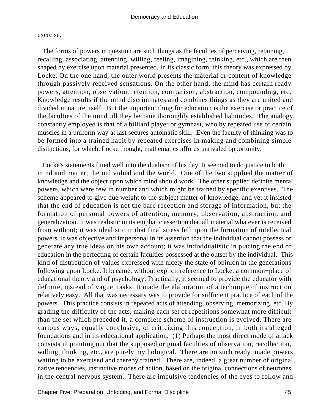### exercise.

 The forms of powers in question are such things as the faculties of perceiving, retaining, recalling, associating, attending, willing, feeling, imagining, thinking, etc., which are then shaped by exercise upon material presented. In its classic form, this theory was expressed by Locke. On the one hand, the outer world presents the material or content of knowledge through passively received sensations. On the other hand, the mind has certain ready powers, attention, observation, retention, comparison, abstraction, compounding, etc. Knowledge results if the mind discriminates and combines things as they are united and divided in nature itself. But the important thing for education is the exercise or practice of the faculties of the mind till they become thoroughly established habitudes. The analogy constantly employed is that of a billiard player or gymnast, who by repeated use of certain muscles in a uniform way at last secures automatic skill. Even the faculty of thinking was to be formed into a trained habit by repeated exercises in making and combining simple distinctions, for which, Locke thought, mathematics affords unrivaled opportunity.

 Locke's statements fitted well into the dualism of his day. It seemed to do justice to both mind and matter, the individual and the world. One of the two supplied the matter of knowledge and the object upon which mind should work. The other supplied definite mental powers, which were few in number and which might be trained by specific exercises. The scheme appeared to give due weight to the subject matter of knowledge, and yet it insisted that the end of education is not the bare reception and storage of information, but the formation of personal powers of attention, memory, observation, abstraction, and generalization. It was realistic in its emphatic assertion that all material whatever is received from without; it was idealistic in that final stress fell upon the formation of intellectual powers. It was objective and impersonal in its assertion that the individual cannot possess or generate any true ideas on his own account; it was individualistic in placing the end of education in the perfecting of certain faculties possessed at the outset by the individual. This kind of distribution of values expressed with nicety the state of opinion in the generations following upon Locke. It became, without explicit reference to Locke, a common−place of educational theory and of psychology. Practically, it seemed to provide the educator with definite, instead of vague, tasks. It made the elaboration of a technique of instruction relatively easy. All that was necessary was to provide for sufficient practice of each of the powers. This practice consists in repeated acts of attending, observing, memorizing, etc. By grading the difficulty of the acts, making each set of repetitions somewhat more difficult than the set which preceded it, a complete scheme of instruction is evolved. There are various ways, equally conclusive, of criticizing this conception, in both its alleged foundations and in its educational application. (1) Perhaps the most direct mode of attack consists in pointing out that the supposed original faculties of observation, recollection, willing, thinking, etc., are purely mythological. There are no such ready−made powers waiting to be exercised and thereby trained. There are, indeed, a great number of original native tendencies, instinctive modes of action, based on the original connections of neurones in the central nervous system. There are impulsive tendencies of the eyes to follow and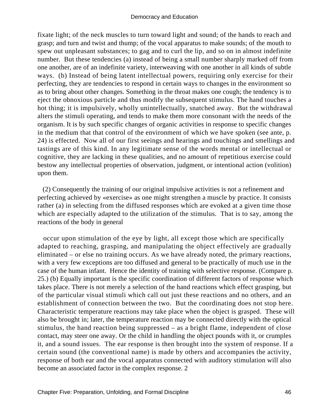fixate light; of the neck muscles to turn toward light and sound; of the hands to reach and grasp; and turn and twist and thump; of the vocal apparatus to make sounds; of the mouth to spew out unpleasant substances; to gag and to curl the lip, and so on in almost indefinite number. But these tendencies (a) instead of being a small number sharply marked off from one another, are of an indefinite variety, interweaving with one another in all kinds of subtle ways. (b) Instead of being latent intellectual powers, requiring only exercise for their perfecting, they are tendencies to respond in certain ways to changes in the environment so as to bring about other changes. Something in the throat makes one cough; the tendency is to eject the obnoxious particle and thus modify the subsequent stimulus. The hand touches a hot thing; it is impulsively, wholly unintellectually, snatched away. But the withdrawal alters the stimuli operating, and tends to make them more consonant with the needs of the organism. It is by such specific changes of organic activities in response to specific changes in the medium that that control of the environment of which we have spoken (see ante, p. 24) is effected. Now all of our first seeings and hearings and touchings and smellings and tastings are of this kind. In any legitimate sense of the words mental or intellectual or cognitive, they are lacking in these qualities, and no amount of repetitious exercise could bestow any intellectual properties of observation, judgment, or intentional action (volition) upon them.

 (2) Consequently the training of our original impulsive activities is not a refinement and perfecting achieved by «exercise» as one might strengthen a muscle by practice. It consists rather (a) in selecting from the diffused responses which are evoked at a given time those which are especially adapted to the utilization of the stimulus. That is to say, among the reactions of the body in general

 occur upon stimulation of the eye by light, all except those which are specifically adapted to reaching, grasping, and manipulating the object effectively are gradually eliminated – or else no training occurs. As we have already noted, the primary reactions, with a very few exceptions are too diffused and general to be practically of much use in the case of the human infant. Hence the identity of training with selective response. (Compare p. 25.) (b) Equally important is the specific coordination of different factors of response which takes place. There is not merely a selection of the hand reactions which effect grasping, but of the particular visual stimuli which call out just these reactions and no others, and an establishment of connection between the two. But the coordinating does not stop here. Characteristic temperature reactions may take place when the object is grasped. These will also be brought in; later, the temperature reaction may be connected directly with the optical stimulus, the hand reaction being suppressed – as a bright flame, independent of close contact, may steer one away. Or the child in handling the object pounds with it, or crumples it, and a sound issues. The ear response is then brought into the system of response. If a certain sound (the conventional name) is made by others and accompanies the activity, response of both ear and the vocal apparatus connected with auditory stimulation will also become an associated factor in the complex response. 2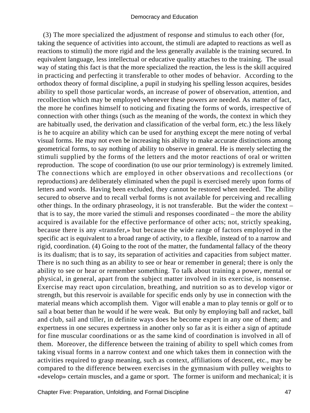(3) The more specialized the adjustment of response and stimulus to each other (for, taking the sequence of activities into account, the stimuli are adapted to reactions as well as reactions to stimuli) the more rigid and the less generally available is the training secured. In equivalent language, less intellectual or educative quality attaches to the training. The usual way of stating this fact is that the more specialized the reaction, the less is the skill acquired in practicing and perfecting it transferable to other modes of behavior. According to the orthodox theory of formal discipline, a pupil in studying his spelling lesson acquires, besides ability to spell those particular words, an increase of power of observation, attention, and recollection which may be employed whenever these powers are needed. As matter of fact, the more he confines himself to noticing and fixating the forms of words, irrespective of connection with other things (such as the meaning of the words, the context in which they are habitually used, the derivation and classification of the verbal form, etc.) the less likely is he to acquire an ability which can be used for anything except the mere noting of verbal visual forms. He may not even be increasing his ability to make accurate distinctions among geometrical forms, to say nothing of ability to observe in general. He is merely selecting the stimuli supplied by the forms of the letters and the motor reactions of oral or written reproduction. The scope of coordination (to use our prior terminology) is extremely limited. The connections which are employed in other observations and recollections (or reproductions) are deliberately eliminated when the pupil is exercised merely upon forms of letters and words. Having been excluded, they cannot be restored when needed. The ability secured to observe and to recall verbal forms is not available for perceiving and recalling other things. In the ordinary phraseology, it is not transferable. But the wider the context – that is to say, the more varied the stimuli and responses coordinated – the more the ability acquired is available for the effective performance of other acts; not, strictly speaking, because there is any «transfer,» but because the wide range of factors employed in the specific act is equivalent to a broad range of activity, to a flexible, instead of to a narrow and rigid, coordination. (4) Going to the root of the matter, the fundamental fallacy of the theory is its dualism; that is to say, its separation of activities and capacities from subject matter. There is no such thing as an ability to see or hear or remember in general; there is only the ability to see or hear or remember something. To talk about training a power, mental or physical, in general, apart from the subject matter involved in its exercise, is nonsense. Exercise may react upon circulation, breathing, and nutrition so as to develop vigor or strength, but this reservoir is available for specific ends only by use in connection with the material means which accomplish them. Vigor will enable a man to play tennis or golf or to sail a boat better than he would if he were weak. But only by employing ball and racket, ball and club, sail and tiller, in definite ways does he become expert in any one of them; and expertness in one secures expertness in another only so far as it is either a sign of aptitude for fine muscular coordinations or as the same kind of coordination is involved in all of them. Moreover, the difference between the training of ability to spell which comes from taking visual forms in a narrow context and one which takes them in connection with the activities required to grasp meaning, such as context, affiliations of descent, etc., may be compared to the difference between exercises in the gymnasium with pulley weights to «develop» certain muscles, and a game or sport. The former is uniform and mechanical; it is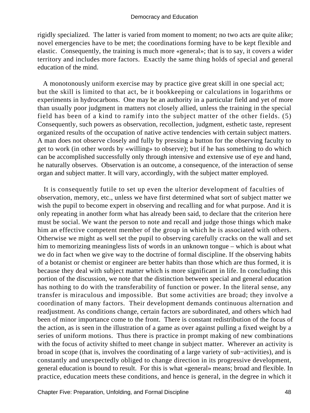rigidly specialized. The latter is varied from moment to moment; no two acts are quite alike; novel emergencies have to be met; the coordinations forming have to be kept flexible and elastic. Consequently, the training is much more «general»; that is to say, it covers a wider territory and includes more factors. Exactly the same thing holds of special and general education of the mind.

 A monotonously uniform exercise may by practice give great skill in one special act; but the skill is limited to that act, be it bookkeeping or calculations in logarithms or experiments in hydrocarbons. One may be an authority in a particular field and yet of more than usually poor judgment in matters not closely allied, unless the training in the special field has been of a kind to ramify into the subject matter of the other fields. (5) Consequently, such powers as observation, recollection, judgment, esthetic taste, represent organized results of the occupation of native active tendencies with certain subject matters. A man does not observe closely and fully by pressing a button for the observing faculty to get to work (in other words by «willing» to observe); but if he has something to do which can be accomplished successfully only through intensive and extensive use of eye and hand, he naturally observes. Observation is an outcome, a consequence, of the interaction of sense organ and subject matter. It will vary, accordingly, with the subject matter employed.

 It is consequently futile to set up even the ulterior development of faculties of observation, memory, etc., unless we have first determined what sort of subject matter we wish the pupil to become expert in observing and recalling and for what purpose. And it is only repeating in another form what has already been said, to declare that the criterion here must be social. We want the person to note and recall and judge those things which make him an effective competent member of the group in which he is associated with others. Otherwise we might as well set the pupil to observing carefully cracks on the wall and set him to memorizing meaningless lists of words in an unknown tongue – which is about what we do in fact when we give way to the doctrine of formal discipline. If the observing habits of a botanist or chemist or engineer are better habits than those which are thus formed, it is because they deal with subject matter which is more significant in life. In concluding this portion of the discussion, we note that the distinction between special and general education has nothing to do with the transferability of function or power. In the literal sense, any transfer is miraculous and impossible. But some activities are broad; they involve a coordination of many factors. Their development demands continuous alternation and readjustment. As conditions change, certain factors are subordinated, and others which had been of minor importance come to the front. There is constant redistribution of the focus of the action, as is seen in the illustration of a game as over against pulling a fixed weight by a series of uniform motions. Thus there is practice in prompt making of new combinations with the focus of activity shifted to meet change in subject matter. Wherever an activity is broad in scope (that is, involves the coordinating of a large variety of sub−activities), and is constantly and unexpectedly obliged to change direction in its progressive development, general education is bound to result. For this is what «general» means; broad and flexible. In practice, education meets these conditions, and hence is general, in the degree in which it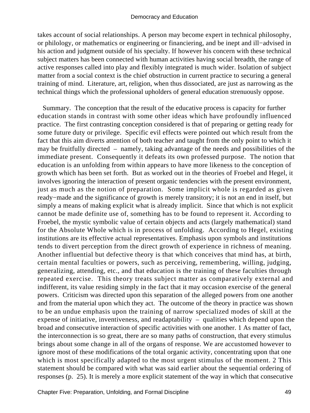takes account of social relationships. A person may become expert in technical philosophy, or philology, or mathematics or engineering or financiering, and be inept and ill−advised in his action and judgment outside of his specialty. If however his concern with these technical subject matters has been connected with human activities having social breadth, the range of active responses called into play and flexibly integrated is much wider. Isolation of subject matter from a social context is the chief obstruction in current practice to securing a general training of mind. Literature, art, religion, when thus dissociated, are just as narrowing as the technical things which the professional upholders of general education strenuously oppose.

 Summary. The conception that the result of the educative process is capacity for further education stands in contrast with some other ideas which have profoundly influenced practice. The first contrasting conception considered is that of preparing or getting ready for some future duty or privilege. Specific evil effects were pointed out which result from the fact that this aim diverts attention of both teacher and taught from the only point to which it may be fruitfully directed – namely, taking advantage of the needs and possibilities of the immediate present. Consequently it defeats its own professed purpose. The notion that education is an unfolding from within appears to have more likeness to the conception of growth which has been set forth. But as worked out in the theories of Froebel and Hegel, it involves ignoring the interaction of present organic tendencies with the present environment, just as much as the notion of preparation. Some implicit whole is regarded as given ready−made and the significance of growth is merely transitory; it is not an end in itself, but simply a means of making explicit what is already implicit. Since that which is not explicit cannot be made definite use of, something has to be found to represent it. According to Froebel, the mystic symbolic value of certain objects and acts (largely mathematical) stand for the Absolute Whole which is in process of unfolding. According to Hegel, existing institutions are its effective actual representatives. Emphasis upon symbols and institutions tends to divert perception from the direct growth of experience in richness of meaning. Another influential but defective theory is that which conceives that mind has, at birth, certain mental faculties or powers, such as perceiving, remembering, willing, judging, generalizing, attending, etc., and that education is the training of these faculties through repeated exercise. This theory treats subject matter as comparatively external and indifferent, its value residing simply in the fact that it may occasion exercise of the general powers. Criticism was directed upon this separation of the alleged powers from one another and from the material upon which they act. The outcome of the theory in practice was shown to be an undue emphasis upon the training of narrow specialized modes of skill at the expense of initiative, inventiveness, and readaptability – qualities which depend upon the broad and consecutive interaction of specific activities with one another. 1 As matter of fact, the interconnection is so great, there are so many paths of construction, that every stimulus brings about some change in all of the organs of response. We are accustomed however to ignore most of these modifications of the total organic activity, concentrating upon that one which is most specifically adapted to the most urgent stimulus of the moment. 2 This statement should be compared with what was said earlier about the sequential ordering of responses (p. 25). It is merely a more explicit statement of the way in which that consecutive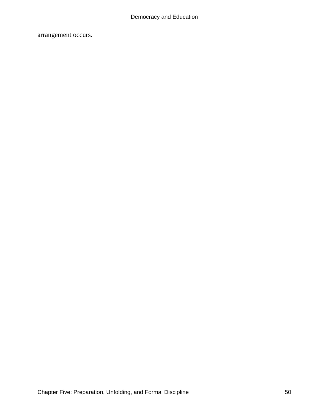arrangement occurs.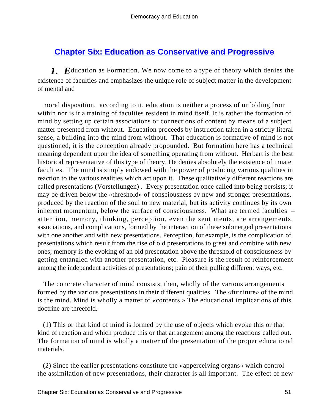# **[Chapter Six: Education as Conservative and Progressive](#page-248-0)**

*1. E*ducation as Formation. We now come to a type of theory which denies the existence of faculties and emphasizes the unique role of subject matter in the development of mental and

 moral disposition. according to it, education is neither a process of unfolding from within nor is it a training of faculties resident in mind itself. It is rather the formation of mind by setting up certain associations or connections of content by means of a subject matter presented from without. Education proceeds by instruction taken in a strictly literal sense, a building into the mind from without. That education is formative of mind is not questioned; it is the conception already propounded. But formation here has a technical meaning dependent upon the idea of something operating from without. Herbart is the best historical representative of this type of theory. He denies absolutely the existence of innate faculties. The mind is simply endowed with the power of producing various qualities in reaction to the various realities which act upon it. These qualitatively different reactions are called presentations (Vorstellungen) . Every presentation once called into being persists; it may be driven below the «threshold» of consciousness by new and stronger presentations, produced by the reaction of the soul to new material, but its activity continues by its own inherent momentum, below the surface of consciousness. What are termed faculties – attention, memory, thinking, perception, even the sentiments, are arrangements, associations, and complications, formed by the interaction of these submerged presentations with one another and with new presentations. Perception, for example, is the complication of presentations which result from the rise of old presentations to greet and combine with new ones; memory is the evoking of an old presentation above the threshold of consciousness by getting entangled with another presentation, etc. Pleasure is the result of reinforcement among the independent activities of presentations; pain of their pulling different ways, etc.

 The concrete character of mind consists, then, wholly of the various arrangements formed by the various presentations in their different qualities. The «furniture» of the mind is the mind. Mind is wholly a matter of «contents.» The educational implications of this doctrine are threefold.

 (1) This or that kind of mind is formed by the use of objects which evoke this or that kind of reaction and which produce this or that arrangement among the reactions called out. The formation of mind is wholly a matter of the presentation of the proper educational materials.

 (2) Since the earlier presentations constitute the «apperceiving organs» which control the assimilation of new presentations, their character is all important. The effect of new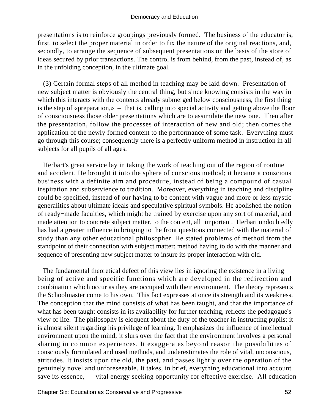presentations is to reinforce groupings previously formed. The business of the educator is, first, to select the proper material in order to fix the nature of the original reactions, and, secondly, to arrange the sequence of subsequent presentations on the basis of the store of ideas secured by prior transactions. The control is from behind, from the past, instead of, as in the unfolding conception, in the ultimate goal.

 (3) Certain formal steps of all method in teaching may be laid down. Presentation of new subject matter is obviously the central thing, but since knowing consists in the way in which this interacts with the contents already submerged below consciousness, the first thing is the step of «preparation,» – that is, calling into special activity and getting above the floor of consciousness those older presentations which are to assimilate the new one. Then after the presentation, follow the processes of interaction of new and old; then comes the application of the newly formed content to the performance of some task. Everything must go through this course; consequently there is a perfectly uniform method in instruction in all subjects for all pupils of all ages.

 Herbart's great service lay in taking the work of teaching out of the region of routine and accident. He brought it into the sphere of conscious method; it became a conscious business with a definite aim and procedure, instead of being a compound of casual inspiration and subservience to tradition. Moreover, everything in teaching and discipline could be specified, instead of our having to be content with vague and more or less mystic generalities about ultimate ideals and speculative spiritual symbols. He abolished the notion of ready−made faculties, which might be trained by exercise upon any sort of material, and made attention to concrete subject matter, to the content, all−important. Herbart undoubtedly has had a greater influence in bringing to the front questions connected with the material of study than any other educational philosopher. He stated problems of method from the standpoint of their connection with subject matter: method having to do with the manner and sequence of presenting new subject matter to insure its proper interaction with old.

 The fundamental theoretical defect of this view lies in ignoring the existence in a living being of active and specific functions which are developed in the redirection and combination which occur as they are occupied with their environment. The theory represents the Schoolmaster come to his own. This fact expresses at once its strength and its weakness. The conception that the mind consists of what has been taught, and that the importance of what has been taught consists in its availability for further teaching, reflects the pedagogue's view of life. The philosophy is eloquent about the duty of the teacher in instructing pupils; it is almost silent regarding his privilege of learning. It emphasizes the influence of intellectual environment upon the mind; it slurs over the fact that the environment involves a personal sharing in common experiences. It exaggerates beyond reason the possibilities of consciously formulated and used methods, and underestimates the role of vital, unconscious, attitudes. It insists upon the old, the past, and passes lightly over the operation of the genuinely novel and unforeseeable. It takes, in brief, everything educational into account save its essence, – vital energy seeking opportunity for effective exercise. All education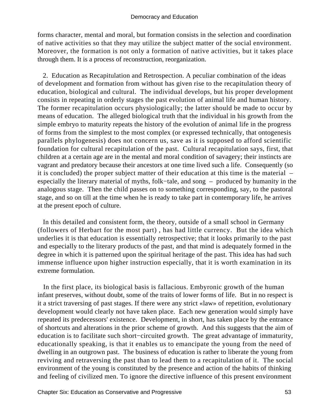forms character, mental and moral, but formation consists in the selection and coordination of native activities so that they may utilize the subject matter of the social environment. Moreover, the formation is not only a formation of native activities, but it takes place through them. It is a process of reconstruction, reorganization.

 2. Education as Recapitulation and Retrospection. A peculiar combination of the ideas of development and formation from without has given rise to the recapitulation theory of education, biological and cultural. The individual develops, but his proper development consists in repeating in orderly stages the past evolution of animal life and human history. The former recapitulation occurs physiologically; the latter should be made to occur by means of education. The alleged biological truth that the individual in his growth from the simple embryo to maturity repeats the history of the evolution of animal life in the progress of forms from the simplest to the most complex (or expressed technically, that ontogenesis parallels phylogenesis) does not concern us, save as it is supposed to afford scientific foundation for cultural recapitulation of the past. Cultural recapitulation says, first, that children at a certain age are in the mental and moral condition of savagery; their instincts are vagrant and predatory because their ancestors at one time lived such a life. Consequently (so it is concluded) the proper subject matter of their education at this time is the material – especially the literary material of myths, folk−tale, and song – produced by humanity in the analogous stage. Then the child passes on to something corresponding, say, to the pastoral stage, and so on till at the time when he is ready to take part in contemporary life, he arrives at the present epoch of culture.

 In this detailed and consistent form, the theory, outside of a small school in Germany (followers of Herbart for the most part) , has had little currency. But the idea which underlies it is that education is essentially retrospective; that it looks primarily to the past and especially to the literary products of the past, and that mind is adequately formed in the degree in which it is patterned upon the spiritual heritage of the past. This idea has had such immense influence upon higher instruction especially, that it is worth examination in its extreme formulation.

 In the first place, its biological basis is fallacious. Embyronic growth of the human infant preserves, without doubt, some of the traits of lower forms of life. But in no respect is it a strict traversing of past stages. If there were any strict «law» of repetition, evolutionary development would clearly not have taken place. Each new generation would simply have repeated its predecessors' existence. Development, in short, has taken place by the entrance of shortcuts and alterations in the prior scheme of growth. And this suggests that the aim of education is to facilitate such short−circuited growth. The great advantage of immaturity, educationally speaking, is that it enables us to emancipate the young from the need of dwelling in an outgrown past. The business of education is rather to liberate the young from reviving and retraversing the past than to lead them to a recapitulation of it. The social environment of the young is constituted by the presence and action of the habits of thinking and feeling of civilized men. To ignore the directive influence of this present environment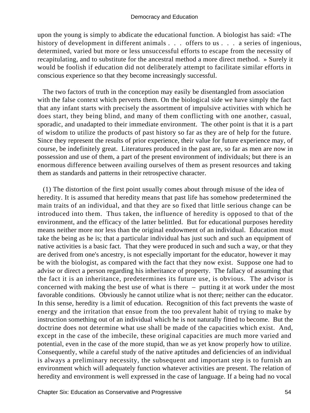upon the young is simply to abdicate the educational function. A biologist has said: «The history of development in different animals . . . offers to us . . . a series of ingenious, determined, varied but more or less unsuccessful efforts to escape from the necessity of recapitulating, and to substitute for the ancestral method a more direct method. » Surely it would be foolish if education did not deliberately attempt to facilitate similar efforts in conscious experience so that they become increasingly successful.

 The two factors of truth in the conception may easily be disentangled from association with the false context which perverts them. On the biological side we have simply the fact that any infant starts with precisely the assortment of impulsive activities with which he does start, they being blind, and many of them conflicting with one another, casual, sporadic, and unadapted to their immediate environment. The other point is that it is a part of wisdom to utilize the products of past history so far as they are of help for the future. Since they represent the results of prior experience, their value for future experience may, of course, be indefinitely great. Literatures produced in the past are, so far as men are now in possession and use of them, a part of the present environment of individuals; but there is an enormous difference between availing ourselves of them as present resources and taking them as standards and patterns in their retrospective character.

 (1) The distortion of the first point usually comes about through misuse of the idea of heredity. It is assumed that heredity means that past life has somehow predetermined the main traits of an individual, and that they are so fixed that little serious change can be introduced into them. Thus taken, the influence of heredity is opposed to that of the environment, and the efficacy of the latter belittled. But for educational purposes heredity means neither more nor less than the original endowment of an individual. Education must take the being as he is; that a particular individual has just such and such an equipment of native activities is a basic fact. That they were produced in such and such a way, or that they are derived from one's ancestry, is not especially important for the educator, however it may be with the biologist, as compared with the fact that they now exist. Suppose one had to advise or direct a person regarding his inheritance of property. The fallacy of assuming that the fact it is an inheritance, predetermines its future use, is obvious. The advisor is concerned with making the best use of what is there – putting it at work under the most favorable conditions. Obviously he cannot utilize what is not there; neither can the educator. In this sense, heredity is a limit of education. Recognition of this fact prevents the waste of energy and the irritation that ensue from the too prevalent habit of trying to make by instruction something out of an individual which he is not naturally fitted to become. But the doctrine does not determine what use shall be made of the capacities which exist. And, except in the case of the imbecile, these original capacities are much more varied and potential, even in the case of the more stupid, than we as yet know properly how to utilize. Consequently, while a careful study of the native aptitudes and deficiencies of an individual is always a preliminary necessity, the subsequent and important step is to furnish an environment which will adequately function whatever activities are present. The relation of heredity and environment is well expressed in the case of language. If a being had no vocal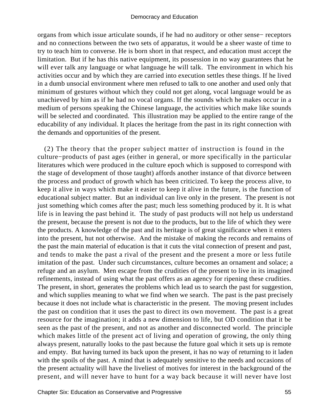organs from which issue articulate sounds, if he had no auditory or other sense− receptors and no connections between the two sets of apparatus, it would be a sheer waste of time to try to teach him to converse. He is born short in that respect, and education must accept the limitation. But if he has this native equipment, its possession in no way guarantees that he will ever talk any language or what language he will talk. The environment in which his activities occur and by which they are carried into execution settles these things. If he lived in a dumb unsocial environment where men refused to talk to one another and used only that minimum of gestures without which they could not get along, vocal language would be as unachieved by him as if he had no vocal organs. If the sounds which he makes occur in a medium of persons speaking the Chinese language, the activities which make like sounds will be selected and coordinated. This illustration may be applied to the entire range of the educability of any individual. It places the heritage from the past in its right connection with the demands and opportunities of the present.

 (2) The theory that the proper subject matter of instruction is found in the culture−products of past ages (either in general, or more specifically in the particular literatures which were produced in the culture epoch which is supposed to correspond with the stage of development of those taught) affords another instance of that divorce between the process and product of growth which has been criticized. To keep the process alive, to keep it alive in ways which make it easier to keep it alive in the future, is the function of educational subject matter. But an individual can live only in the present. The present is not just something which comes after the past; much less something produced by it. It is what life is in leaving the past behind it. The study of past products will not help us understand the present, because the present is not due to the products, but to the life of which they were the products. A knowledge of the past and its heritage is of great significance when it enters into the present, hut not otherwise. And the mistake of making the records and remains of the past the main material of education is that it cuts the vital connection of present and past, and tends to make the past a rival of the present and the present a more or less futile imitation of the past. Under such circumstances, culture becomes an ornament and solace; a refuge and an asylum. Men escape from the crudities of the present to live in its imagined refinements, instead of using what the past offers as an agency for ripening these crudities. The present, in short, generates the problems which lead us to search the past for suggestion, and which supplies meaning to what we find when we search. The past is the past precisely because it does not include what is characteristic in the present. The moving present includes the past on condition that it uses the past to direct its own movement. The past is a great resource for the imagination; it adds a new dimension to life, but OD condition that it be seen as the past of the present, and not as another and disconnected world. The principle which makes little of the present act of living and operation of growing, the only thing always present, naturally looks to the past because the future goal which it sets up is remote and empty. But having turned its back upon the present, it has no way of returning to it laden with the spoils of the past. A mind that is adequately sensitive to the needs and occasions of the present actuality will have the liveliest of motives for interest in the background of the present, and will never have to hunt for a way back because it will never have lost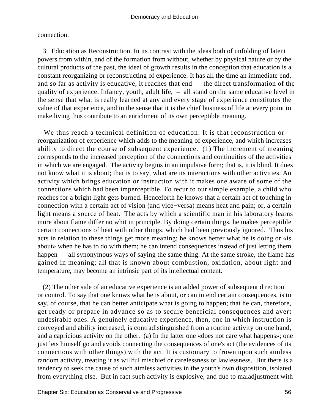connection.

 3. Education as Reconstruction. In its contrast with the ideas both of unfolding of latent powers from within, and of the formation from without, whether by physical nature or by the cultural products of the past, the ideal of growth results in the conception that education is a constant reorganizing or reconstructing of experience. It has all the time an immediate end, and so far as activity is educative, it reaches that end – the direct transformation of the quality of experience. Infancy, youth, adult life, – all stand on the same educative level in the sense that what is really learned at any and every stage of experience constitutes the value of that experience, and in the sense that it is the chief business of life at every point to make living thus contribute to an enrichment of its own perceptible meaning.

 We thus reach a technical definition of education: It is that reconstruction or reorganization of experience which adds to the meaning of experience, and which increases ability to direct the course of subsequent experience. (1) The increment of meaning corresponds to the increased perception of the connections and continuities of the activities in which we are engaged. The activity begins in an impulsive form; that is, it is blind. It does not know what it is about; that is to say, what are its interactions with other activities. An activity which brings education or instruction with it makes one aware of some of the connections which had been imperceptible. To recur to our simple example, a child who reaches for a bright light gets burned. Henceforth he knows that a certain act of touching in connection with a certain act of vision (and vice−versa) means heat and pain; or, a certain light means a source of heat. The acts by which a scientific man in his laboratory learns more about flame differ no whit in principle. By doing certain things, he makes perceptible certain connections of heat with other things, which had been previously ignored. Thus his acts in relation to these things get more meaning; he knows better what he is doing or «is about» when he has to do with them; he can intend consequences instead of just letting them happen – all synonymous ways of saying the same thing. At the same stroke, the flame has gained in meaning; all that is known about combustion, oxidation, about light and temperature, may become an intrinsic part of its intellectual content.

 (2) The other side of an educative experience is an added power of subsequent direction or control. To say that one knows what he is about, or can intend certain consequences, is to say, of course, that he can better anticipate what is going to happen; that he can, therefore, get ready or prepare in advance so as to secure beneficial consequences and avert undesirable ones. A genuinely educative experience, then, one in which instruction is conveyed and ability increased, is contradistinguished from a routine activity on one hand, and a capricious activity on the other. (a) In the latter one «does not care what happens»; one just lets himself go and avoids connecting the consequences of one's act (the evidences of its connections with other things) with the act. It is customary to frown upon such aimless random activity, treating it as willful mischief or carelessness or lawlessness. But there is a tendency to seek the cause of such aimless activities in the youth's own disposition, isolated from everything else. But in fact such activity is explosive, and due to maladjustment with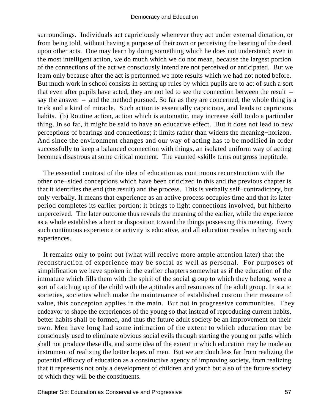surroundings. Individuals act capriciously whenever they act under external dictation, or from being told, without having a purpose of their own or perceiving the bearing of the deed upon other acts. One may learn by doing something which he does not understand; even in the most intelligent action, we do much which we do not mean, because the largest portion of the connections of the act we consciously intend are not perceived or anticipated. But we learn only because after the act is performed we note results which we had not noted before. But much work in school consists in setting up rules by which pupils are to act of such a sort that even after pupils have acted, they are not led to see the connection between the result – say the answer – and the method pursued. So far as they are concerned, the whole thing is a trick and a kind of miracle. Such action is essentially capricious, and leads to capricious habits. (b) Routine action, action which is automatic, may increase skill to do a particular thing. In so far, it might be said to have an educative effect. But it does not lead to new perceptions of bearings and connections; it limits rather than widens the meaning−horizon. And since the environment changes and our way of acting has to be modified in order successfully to keep a balanced connection with things, an isolated uniform way of acting becomes disastrous at some critical moment. The vaunted «skill» turns out gross ineptitude.

 The essential contrast of the idea of education as continuous reconstruction with the other one−sided conceptions which have been criticized in this and the previous chapter is that it identifies the end (the result) and the process. This is verbally self−contradictory, but only verbally. It means that experience as an active process occupies time and that its later period completes its earlier portion; it brings to light connections involved, but hitherto unperceived. The later outcome thus reveals the meaning of the earlier, while the experience as a whole establishes a bent or disposition toward the things possessing this meaning. Every such continuous experience or activity is educative, and all education resides in having such experiences.

 It remains only to point out (what will receive more ample attention later) that the reconstruction of experience may be social as well as personal. For purposes of simplification we have spoken in the earlier chapters somewhat as if the education of the immature which fills them with the spirit of the social group to which they belong, were a sort of catching up of the child with the aptitudes and resources of the adult group. In static societies, societies which make the maintenance of established custom their measure of value, this conception applies in the main. But not in progressive communities. They endeavor to shape the experiences of the young so that instead of reproducing current habits, better habits shall be formed, and thus the future adult society be an improvement on their own. Men have long had some intimation of the extent to which education may be consciously used to eliminate obvious social evils through starting the young on paths which shall not produce these ills, and some idea of the extent in which education may be made an instrument of realizing the better hopes of men. But we are doubtless far from realizing the potential efficacy of education as a constructive agency of improving society, from realizing that it represents not only a development of children and youth but also of the future society of which they will be the constituents.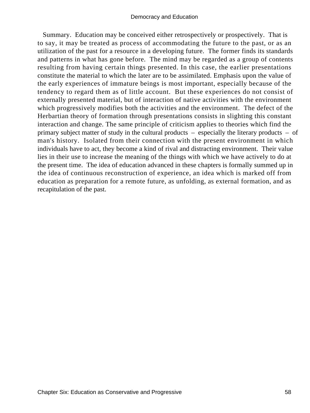Summary. Education may be conceived either retrospectively or prospectively. That is to say, it may be treated as process of accommodating the future to the past, or as an utilization of the past for a resource in a developing future. The former finds its standards and patterns in what has gone before. The mind may be regarded as a group of contents resulting from having certain things presented. In this case, the earlier presentations constitute the material to which the later are to be assimilated. Emphasis upon the value of the early experiences of immature beings is most important, especially because of the tendency to regard them as of little account. But these experiences do not consist of externally presented material, but of interaction of native activities with the environment which progressively modifies both the activities and the environment. The defect of the Herbartian theory of formation through presentations consists in slighting this constant interaction and change. The same principle of criticism applies to theories which find the primary subject matter of study in the cultural products – especially the literary products – of man's history. Isolated from their connection with the present environment in which individuals have to act, they become a kind of rival and distracting environment. Their value lies in their use to increase the meaning of the things with which we have actively to do at the present time. The idea of education advanced in these chapters is formally summed up in the idea of continuous reconstruction of experience, an idea which is marked off from education as preparation for a remote future, as unfolding, as external formation, and as recapitulation of the past.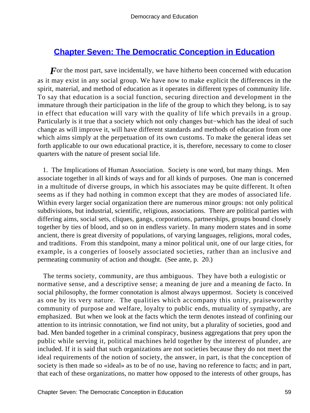## **[Chapter Seven: The Democratic Conception in Education](#page-248-0)**

For the most part, save incidentally, we have hitherto been concerned with education as it may exist in any social group. We have now to make explicit the differences in the spirit, material, and method of education as it operates in different types of community life. To say that education is a social function, securing direction and development in the immature through their participation in the life of the group to which they belong, is to say in effect that education will vary with the quality of life which prevails in a group. Particularly is it true that a society which not only changes but−which has the ideal of such change as will improve it, will have different standards and methods of education from one which aims simply at the perpetuation of its own customs. To make the general ideas set forth applicable to our own educational practice, it is, therefore, necessary to come to closer quarters with the nature of present social life.

 1. The Implications of Human Association. Society is one word, but many things. Men associate together in all kinds of ways and for all kinds of purposes. One man is concerned in a multitude of diverse groups, in which his associates may be quite different. It often seems as if they had nothing in common except that they are modes of associated life. Within every larger social organization there are numerous minor groups: not only political subdivisions, but industrial, scientific, religious, associations. There are political parties with differing aims, social sets, cliques, gangs, corporations, partnerships, groups bound closely together by ties of blood, and so on in endless variety. In many modern states and in some ancient, there is great diversity of populations, of varying languages, religions, moral codes, and traditions. From this standpoint, many a minor political unit, one of our large cities, for example, is a congeries of loosely associated societies, rather than an inclusive and permeating community of action and thought. (See ante, p. 20.)

 The terms society, community, are thus ambiguous. They have both a eulogistic or normative sense, and a descriptive sense; a meaning de jure and a meaning de facto. In social philosophy, the former connotation is almost always uppermost. Society is conceived as one by its very nature. The qualities which accompany this unity, praiseworthy community of purpose and welfare, loyalty to public ends, mutuality of sympathy, are emphasized. But when we look at the facts which the term denotes instead of confining our attention to its intrinsic connotation, we find not unity, but a plurality of societies, good and bad. Men banded together in a criminal conspiracy, business aggregations that prey upon the public while serving it, political machines held together by the interest of plunder, are included. If it is said that such organizations are not societies because they do not meet the ideal requirements of the notion of society, the answer, in part, is that the conception of society is then made so «ideal» as to be of no use, having no reference to facts; and in part, that each of these organizations, no matter how opposed to the interests of other groups, has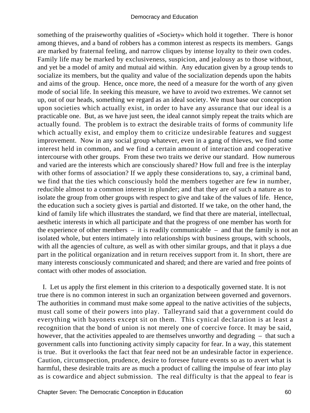something of the praiseworthy qualities of «Society» which hold it together. There is honor among thieves, and a band of robbers has a common interest as respects its members. Gangs are marked by fraternal feeling, and narrow cliques by intense loyalty to their own codes. Family life may be marked by exclusiveness, suspicion, and jealousy as to those without, and yet be a model of amity and mutual aid within. Any education given by a group tends to socialize its members, but the quality and value of the socialization depends upon the habits and aims of the group. Hence, once more, the need of a measure for the worth of any given mode of social life. In seeking this measure, we have to avoid two extremes. We cannot set up, out of our heads, something we regard as an ideal society. We must base our conception upon societies which actually exist, in order to have any assurance that our ideal is a practicable one. But, as we have just seen, the ideal cannot simply repeat the traits which are actually found. The problem is to extract the desirable traits of forms of community life which actually exist, and employ them to criticize undesirable features and suggest improvement. Now in any social group whatever, even in a gang of thieves, we find some interest held in common, and we find a certain amount of interaction and cooperative intercourse with other groups. From these two traits we derive our standard. How numerous and varied are the interests which are consciously shared? How full and free is the interplay with other forms of association? If we apply these considerations to, say, a criminal band, we find that the ties which consciously hold the members together are few in number, reducible almost to a common interest in plunder; and that they are of such a nature as to isolate the group from other groups with respect to give and take of the values of life. Hence, the education such a society gives is partial and distorted. If we take, on the other hand, the kind of family life which illustrates the standard, we find that there are material, intellectual, aesthetic interests in which all participate and that the progress of one member has worth for the experience of other members  $-$  it is readily communicable  $-$  and that the family is not an isolated whole, but enters intimately into relationships with business groups, with schools, with all the agencies of culture, as well as with other similar groups, and that it plays a due part in the political organization and in return receives support from it. In short, there are many interests consciously communicated and shared; and there are varied and free points of contact with other modes of association.

 I. Let us apply the first element in this criterion to a despotically governed state. It is not true there is no common interest in such an organization between governed and governors. The authorities in command must make some appeal to the native activities of the subjects, must call some of their powers into play. Talleyrand said that a government could do everything with bayonets except sit on them. This cynical declaration is at least a recognition that the bond of union is not merely one of coercive force. It may be said, however, that the activities appealed to are themselves unworthy and degrading – that such a government calls into functioning activity simply capacity for fear. In a way, this statement is true. But it overlooks the fact that fear need not be an undesirable factor in experience. Caution, circumspection, prudence, desire to foresee future events so as to avert what is harmful, these desirable traits are as much a product of calling the impulse of fear into play as is cowardice and abject submission. The real difficulty is that the appeal to fear is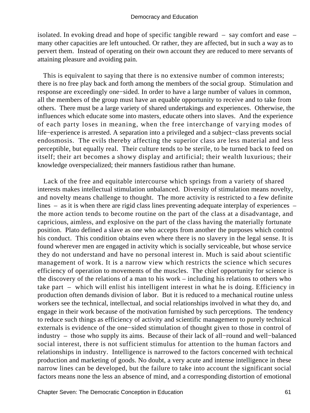isolated. In evoking dread and hope of specific tangible reward – say comfort and ease – many other capacities are left untouched. Or rather, they are affected, but in such a way as to pervert them. Instead of operating on their own account they are reduced to mere servants of attaining pleasure and avoiding pain.

 This is equivalent to saying that there is no extensive number of common interests; there is no free play back and forth among the members of the social group. Stimulation and response are exceedingly one−sided. In order to have a large number of values in common, all the members of the group must have an equable opportunity to receive and to take from others. There must be a large variety of shared undertakings and experiences. Otherwise, the influences which educate some into masters, educate others into slaves. And the experience of each party loses in meaning, when the free interchange of varying modes of life−experience is arrested. A separation into a privileged and a subject−class prevents social endosmosis. The evils thereby affecting the superior class are less material and less perceptible, but equally real. Their culture tends to be sterile, to be turned back to feed on itself; their art becomes a showy display and artificial; their wealth luxurious; their knowledge overspecialized; their manners fastidious rather than humane.

 Lack of the free and equitable intercourse which springs from a variety of shared interests makes intellectual stimulation unbalanced. Diversity of stimulation means novelty, and novelty means challenge to thought. The more activity is restricted to a few definite lines – as it is when there are rigid class lines preventing adequate interplay of experiences – the more action tends to become routine on the part of the class at a disadvantage, and capricious, aimless, and explosive on the part of the class having the materially fortunate position. Plato defined a slave as one who accepts from another the purposes which control his conduct. This condition obtains even where there is no slavery in the legal sense. It is found wherever men are engaged in activity which is socially serviceable, but whose service they do not understand and have no personal interest in. Much is said about scientific management of work. It is a narrow view which restricts the science which secures efficiency of operation to movements of the muscles. The chief opportunity for science is the discovery of the relations of a man to his work – including his relations to others who take part – which will enlist his intelligent interest in what he is doing. Efficiency in production often demands division of labor. But it is reduced to a mechanical routine unless workers see the technical, intellectual, and social relationships involved in what they do, and engage in their work because of the motivation furnished by such perceptions. The tendency to reduce such things as efficiency of activity and scientific management to purely technical externals is evidence of the one−sided stimulation of thought given to those in control of industry – those who supply its aims. Because of their lack of all−round and well−balanced social interest, there is not sufficient stimulus for attention to the human factors and relationships in industry. Intelligence is narrowed to the factors concerned with technical production and marketing of goods. No doubt, a very acute and intense intelligence in these narrow lines can be developed, but the failure to take into account the significant social factors means none the less an absence of mind, and a corresponding distortion of emotional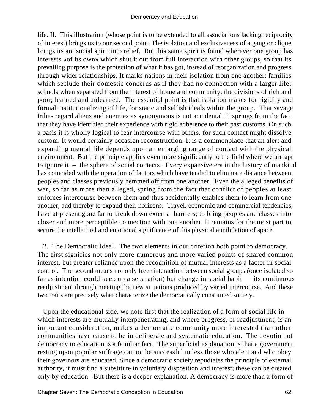life. II. This illustration (whose point is to be extended to all associations lacking reciprocity of interest) brings us to our second point. The isolation and exclusiveness of a gang or clique brings its antisocial spirit into relief. But this same spirit is found wherever one group has interests «of its own» which shut it out from full interaction with other groups, so that its prevailing purpose is the protection of what it has got, instead of reorganization and progress through wider relationships. It marks nations in their isolation from one another; families which seclude their domestic concerns as if they had no connection with a larger life; schools when separated from the interest of home and community; the divisions of rich and poor; learned and unlearned. The essential point is that isolation makes for rigidity and formal institutionalizing of life, for static and selfish ideals within the group. That savage tribes regard aliens and enemies as synonymous is not accidental. It springs from the fact that they have identified their experience with rigid adherence to their past customs. On such a basis it is wholly logical to fear intercourse with others, for such contact might dissolve custom. It would certainly occasion reconstruction. It is a commonplace that an alert and expanding mental life depends upon an enlarging range of contact with the physical environment. But the principle applies even more significantly to the field where we are apt to ignore it – the sphere of social contacts. Every expansive era in the history of mankind has coincided with the operation of factors which have tended to eliminate distance between peoples and classes previously hemmed off from one another. Even the alleged benefits of war, so far as more than alleged, spring from the fact that conflict of peoples at least enforces intercourse between them and thus accidentally enables them to learn from one another, and thereby to expand their horizons. Travel, economic and commercial tendencies, have at present gone far to break down external barriers; to bring peoples and classes into closer and more perceptible connection with one another. It remains for the most part to secure the intellectual and emotional significance of this physical annihilation of space.

 2. The Democratic Ideal. The two elements in our criterion both point to democracy. The first signifies not only more numerous and more varied points of shared common interest, but greater reliance upon the recognition of mutual interests as a factor in social control. The second means not only freer interaction between social groups (once isolated so far as intention could keep up a separation) but change in social habit  $-$  its continuous readjustment through meeting the new situations produced by varied intercourse. And these two traits are precisely what characterize the democratically constituted society.

 Upon the educational side, we note first that the realization of a form of social life in which interests are mutually interpenetrating, and where progress, or readjustment, is an important consideration, makes a democratic community more interested than other communities have cause to be in deliberate and systematic education. The devotion of democracy to education is a familiar fact. The superficial explanation is that a government resting upon popular suffrage cannot be successful unless those who elect and who obey their governors are educated. Since a democratic society repudiates the principle of external authority, it must find a substitute in voluntary disposition and interest; these can be created only by education. But there is a deeper explanation. A democracy is more than a form of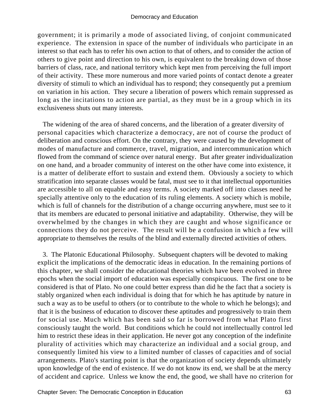government; it is primarily a mode of associated living, of conjoint communicated experience. The extension in space of the number of individuals who participate in an interest so that each has to refer his own action to that of others, and to consider the action of others to give point and direction to his own, is equivalent to the breaking down of those barriers of class, race, and national territory which kept men from perceiving the full import of their activity. These more numerous and more varied points of contact denote a greater diversity of stimuli to which an individual has to respond; they consequently put a premium on variation in his action. They secure a liberation of powers which remain suppressed as long as the incitations to action are partial, as they must be in a group which in its exclusiveness shuts out many interests.

 The widening of the area of shared concerns, and the liberation of a greater diversity of personal capacities which characterize a democracy, are not of course the product of deliberation and conscious effort. On the contrary, they were caused by the development of modes of manufacture and commerce, travel, migration, and intercommunication which flowed from the command of science over natural energy. But after greater individualization on one hand, and a broader community of interest on the other have come into existence, it is a matter of deliberate effort to sustain and extend them. Obviously a society to which stratification into separate classes would be fatal, must see to it that intellectual opportunities are accessible to all on equable and easy terms. A society marked off into classes need he specially attentive only to the education of its ruling elements. A society which is mobile, which is full of channels for the distribution of a change occurring anywhere, must see to it that its members are educated to personal initiative and adaptability. Otherwise, they will be overwhelmed by the changes in which they are caught and whose significance or connections they do not perceive. The result will be a confusion in which a few will appropriate to themselves the results of the blind and externally directed activities of others.

 3. The Platonic Educational Philosophy. Subsequent chapters will be devoted to making explicit the implications of the democratic ideas in education. In the remaining portions of this chapter, we shall consider the educational theories which have been evolved in three epochs when the social import of education was especially conspicuous. The first one to be considered is that of Plato. No one could better express than did he the fact that a society is stably organized when each individual is doing that for which he has aptitude by nature in such a way as to be useful to others (or to contribute to the whole to which he belongs); and that it is the business of education to discover these aptitudes and progressively to train them for social use. Much which has been said so far is borrowed from what Plato first consciously taught the world. But conditions which he could not intellectually control led him to restrict these ideas in their application. He never got any conception of the indefinite plurality of activities which may characterize an individual and a social group, and consequently limited his view to a limited number of classes of capacities and of social arrangements. Plato's starting point is that the organization of society depends ultimately upon knowledge of the end of existence. If we do not know its end, we shall be at the mercy of accident and caprice. Unless we know the end, the good, we shall have no criterion for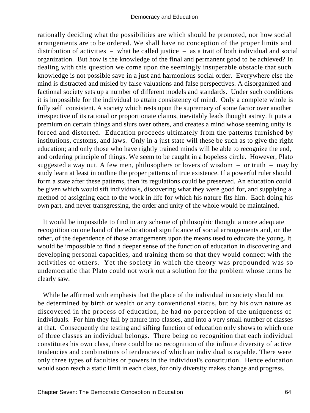rationally deciding what the possibilities are which should be promoted, nor how social arrangements are to be ordered. We shall have no conception of the proper limits and distribution of activities – what he called justice – as a trait of both individual and social organization. But how is the knowledge of the final and permanent good to be achieved? In dealing with this question we come upon the seemingly insuperable obstacle that such knowledge is not possible save in a just and harmonious social order. Everywhere else the mind is distracted and misled by false valuations and false perspectives. A disorganized and factional society sets up a number of different models and standards. Under such conditions it is impossible for the individual to attain consistency of mind. Only a complete whole is fully self–consistent. A society which rests upon the supremacy of some factor over another irrespective of its rational or proportionate claims, inevitably leads thought astray. It puts a premium on certain things and slurs over others, and creates a mind whose seeming unity is forced and distorted. Education proceeds ultimately from the patterns furnished by institutions, customs, and laws. Only in a just state will these be such as to give the right education; and only those who have rightly trained minds will be able to recognize the end, and ordering principle of things. We seem to be caught in a hopeless circle. However, Plato suggested a way out. A few men, philosophers or lovers of wisdom  $-$  or truth  $-$  may by study learn at least in outline the proper patterns of true existence. If a powerful ruler should form a state after these patterns, then its regulations could be preserved. An education could be given which would sift individuals, discovering what they were good for, and supplying a method of assigning each to the work in life for which his nature fits him. Each doing his own part, and never transgressing, the order and unity of the whole would be maintained.

 It would be impossible to find in any scheme of philosophic thought a more adequate recognition on one hand of the educational significance of social arrangements and, on the other, of the dependence of those arrangements upon the means used to educate the young. It would be impossible to find a deeper sense of the function of education in discovering and developing personal capacities, and training them so that they would connect with the activities of others. Yet the society in which the theory was propounded was so undemocratic that Plato could not work out a solution for the problem whose terms he clearly saw.

 While he affirmed with emphasis that the place of the individual in society should not be determined by birth or wealth or any conventional status, but by his own nature as discovered in the process of education, he had no perception of the uniqueness of individuals. For him they fall by nature into classes, and into a very small number of classes at that. Consequently the testing and sifting function of education only shows to which one of three classes an individual belongs. There being no recognition that each individual constitutes his own class, there could be no recognition of the infinite diversity of active tendencies and combinations of tendencies of which an individual is capable. There were only three types of faculties or powers in the individual's constitution. Hence education would soon reach a static limit in each class, for only diversity makes change and progress.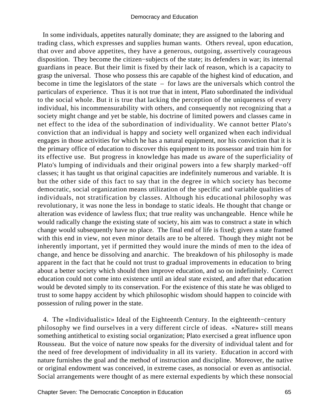In some individuals, appetites naturally dominate; they are assigned to the laboring and trading class, which expresses and supplies human wants. Others reveal, upon education, that over and above appetites, they have a generous, outgoing, assertively courageous disposition. They become the citizen−subjects of the state; its defenders in war; its internal guardians in peace. But their limit is fixed by their lack of reason, which is a capacity to grasp the universal. Those who possess this are capable of the highest kind of education, and become in time the legislators of the state – for laws are the universals which control the particulars of experience. Thus it is not true that in intent, Plato subordinated the individual to the social whole. But it is true that lacking the perception of the uniqueness of every individual, his incommensurability with others, and consequently not recognizing that a society might change and yet be stable, his doctrine of limited powers and classes came in net effect to the idea of the subordination of individuality. We cannot better Plato's conviction that an individual is happy and society well organized when each individual engages in those activities for which he has a natural equipment, nor his conviction that it is the primary office of education to discover this equipment to its possessor and train him for its effective use. But progress in knowledge has made us aware of the superficiality of Plato's lumping of individuals and their original powers into a few sharply marked−off classes; it has taught us that original capacities are indefinitely numerous and variable. It is but the other side of this fact to say that in the degree in which society has become democratic, social organization means utilization of the specific and variable qualities of individuals, not stratification by classes. Although his educational philosophy was revolutionary, it was none the less in bondage to static ideals. He thought that change or alteration was evidence of lawless flux; that true reality was unchangeable. Hence while he would radically change the existing state of society, his aim was to construct a state in which change would subsequently have no place. The final end of life is fixed; given a state framed with this end in view, not even minor details are to be altered. Though they might not be inherently important, yet if permitted they would inure the minds of men to the idea of change, and hence be dissolving and anarchic. The breakdown of his philosophy is made apparent in the fact that he could not trust to gradual improvements in education to bring about a better society which should then improve education, and so on indefinitely. Correct education could not come into existence until an ideal state existed, and after that education would be devoted simply to its conservation. For the existence of this state he was obliged to trust to some happy accident by which philosophic wisdom should happen to coincide with possession of ruling power in the state.

 4. The «Individualistic» Ideal of the Eighteenth Century. In the eighteenth−century philosophy we find ourselves in a very different circle of ideas. «Nature» still means something antithetical to existing social organization; Plato exercised a great influence upon Rousseau. But the voice of nature now speaks for the diversity of individual talent and for the need of free development of individuality in all its variety. Education in accord with nature furnishes the goal and the method of instruction and discipline. Moreover, the native or original endowment was conceived, in extreme cases, as nonsocial or even as antisocial. Social arrangements were thought of as mere external expedients by which these nonsocial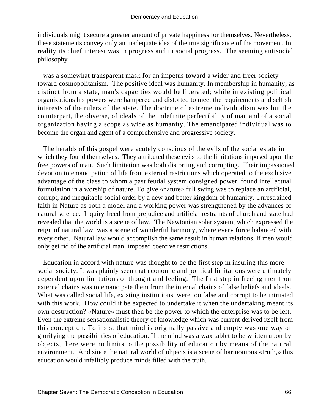individuals might secure a greater amount of private happiness for themselves. Nevertheless, these statements convey only an inadequate idea of the true significance of the movement. In reality its chief interest was in progress and in social progress. The seeming antisocial philosophy

was a somewhat transparent mask for an impetus toward a wider and freer society – toward cosmopolitanism. The positive ideal was humanity. In membership in humanity, as distinct from a state, man's capacities would be liberated; while in existing political organizations his powers were hampered and distorted to meet the requirements and selfish interests of the rulers of the state. The doctrine of extreme individualism was but the counterpart, the obverse, of ideals of the indefinite perfectibility of man and of a social organization having a scope as wide as humanity. The emancipated individual was to become the organ and agent of a comprehensive and progressive society.

 The heralds of this gospel were acutely conscious of the evils of the social estate in which they found themselves. They attributed these evils to the limitations imposed upon the free powers of man. Such limitation was both distorting and corrupting. Their impassioned devotion to emancipation of life from external restrictions which operated to the exclusive advantage of the class to whom a past feudal system consigned power, found intellectual formulation in a worship of nature. To give «nature» full swing was to replace an artificial, corrupt, and inequitable social order by a new and better kingdom of humanity. Unrestrained faith in Nature as both a model and a working power was strengthened by the advances of natural science. Inquiry freed from prejudice and artificial restraints of church and state had revealed that the world is a scene of law. The Newtonian solar system, which expressed the reign of natural law, was a scene of wonderful harmony, where every force balanced with every other. Natural law would accomplish the same result in human relations, if men would only get rid of the artificial man−imposed coercive restrictions.

 Education in accord with nature was thought to be the first step in insuring this more social society. It was plainly seen that economic and political limitations were ultimately dependent upon limitations of thought and feeling. The first step in freeing men from external chains was to emancipate them from the internal chains of false beliefs and ideals. What was called social life, existing institutions, were too false and corrupt to be intrusted with this work. How could it be expected to undertake it when the undertaking meant its own destruction? «Nature» must then be the power to which the enterprise was to be left. Even the extreme sensationalistic theory of knowledge which was current derived itself from this conception. To insist that mind is originally passive and empty was one way of glorifying the possibilities of education. If the mind was a wax tablet to be written upon by objects, there were no limits to the possibility of education by means of the natural environment. And since the natural world of objects is a scene of harmonious «truth,» this education would infallibly produce minds filled with the truth.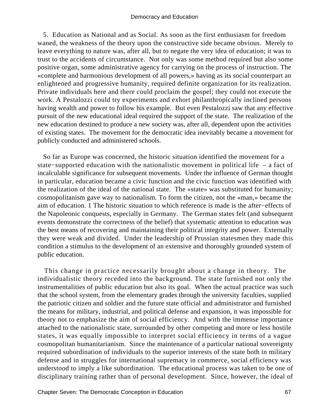5. Education as National and as Social. As soon as the first enthusiasm for freedom waned, the weakness of the theory upon the constructive side became obvious. Merely to leave everything to nature was, after all, but to negate the very idea of education; it was to trust to the accidents of circumstance. Not only was some method required but also some positive organ, some administrative agency for carrying on the process of instruction. The «complete and harmonious development of all powers,» having as its social counterpart an enlightened and progressive humanity, required definite organization for its realization. Private individuals here and there could proclaim the gospel; they could not execute the work. A Pestalozzi could try experiments and exhort philanthropically inclined persons having wealth and power to follow his example. But even Pestalozzi saw that any effective pursuit of the new educational ideal required the support of the state. The realization of the new education destined to produce a new society was, after all, dependent upon the activities of existing states. The movement for the democratic idea inevitably became a movement for publicly conducted and administered schools.

 So far as Europe was concerned, the historic situation identified the movement for a state−supported education with the nationalistic movement in political life – a fact of incalculable significance for subsequent movements. Under the influence of German thought in particular, education became a civic function and the civic function was identified with the realization of the ideal of the national state. The «state» was substituted for humanity; cosmopolitanism gave way to nationalism. To form the citizen, not the «man,» became the aim of education. 1 The historic situation to which reference is made is the after−effects of the Napoleonic conquests, especially in Germany. The German states felt (and subsequent events demonstrate the correctness of the belief) that systematic attention to education was the best means of recovering and maintaining their political integrity and power. Externally they were weak and divided. Under the leadership of Prussian statesmen they made this condition a stimulus to the development of an extensive and thoroughly grounded system of public education.

 This change in practice necessarily brought about a change in theory. The individualistic theory receded into the background. The state furnished not only the instrumentalities of public education but also its goal. When the actual practice was such that the school system, from the elementary grades through the university faculties, supplied the patriotic citizen and soldier and the future state official and administrator and furnished the means for military, industrial, and political defense and expansion, it was impossible for theory not to emphasize the aim of social efficiency. And with the immense importance attached to the nationalistic state, surrounded by other competing and more or less hostile states, it was equally impossible to interpret social efficiency in terms of a vague cosmopolitan humanitarianism. Since the maintenance of a particular national sovereignty required subordination of individuals to the superior interests of the state both in military defense and in struggles for international supremacy in commerce, social efficiency was understood to imply a like subordination. The educational process was taken to be one of disciplinary training rather than of personal development. Since, however, the ideal of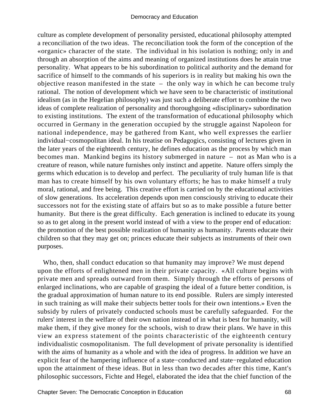culture as complete development of personality persisted, educational philosophy attempted a reconciliation of the two ideas. The reconciliation took the form of the conception of the «organic» character of the state. The individual in his isolation is nothing; only in and through an absorption of the aims and meaning of organized institutions does he attain true personality. What appears to be his subordination to political authority and the demand for sacrifice of himself to the commands of his superiors is in reality but making his own the objective reason manifested in the state – the only way in which he can become truly rational. The notion of development which we have seen to be characteristic of institutional idealism (as in the Hegelian philosophy) was just such a deliberate effort to combine the two ideas of complete realization of personality and thoroughgoing «disciplinary» subordination to existing institutions. The extent of the transformation of educational philosophy which occurred in Germany in the generation occupied by the struggle against Napoleon for national independence, may be gathered from Kant, who well expresses the earlier individual−cosmopolitan ideal. In his treatise on Pedagogics, consisting of lectures given in the later years of the eighteenth century, he defines education as the process by which man becomes man. Mankind begins its history submerged in nature – not as Man who is a creature of reason, while nature furnishes only instinct and appetite. Nature offers simply the germs which education is to develop and perfect. The peculiarity of truly human life is that man has to create himself by his own voluntary efforts; he has to make himself a truly moral, rational, and free being. This creative effort is carried on by the educational activities of slow generations. Its acceleration depends upon men consciously striving to educate their successors not for the existing state of affairs but so as to make possible a future better humanity. But there is the great difficulty. Each generation is inclined to educate its young so as to get along in the present world instead of with a view to the proper end of education: the promotion of the best possible realization of humanity as humanity. Parents educate their children so that they may get on; princes educate their subjects as instruments of their own purposes.

 Who, then, shall conduct education so that humanity may improve? We must depend upon the efforts of enlightened men in their private capacity. «All culture begins with private men and spreads outward from them. Simply through the efforts of persons of enlarged inclinations, who are capable of grasping the ideal of a future better condition, is the gradual approximation of human nature to its end possible. Rulers are simply interested in such training as will make their subjects better tools for their own intentions.» Even the subsidy by rulers of privately conducted schools must be carefully safeguarded. For the rulers' interest in the welfare of their own nation instead of in what is best for humanity, will make them, if they give money for the schools, wish to draw their plans. We have in this view an express statement of the points characteristic of the eighteenth century individualistic cosmopolitanism. The full development of private personality is identified with the aims of humanity as a whole and with the idea of progress. In addition we have an explicit fear of the hampering influence of a state−conducted and state−regulated education upon the attainment of these ideas. But in less than two decades after this time, Kant's philosophic successors, Fichte and Hegel, elaborated the idea that the chief function of the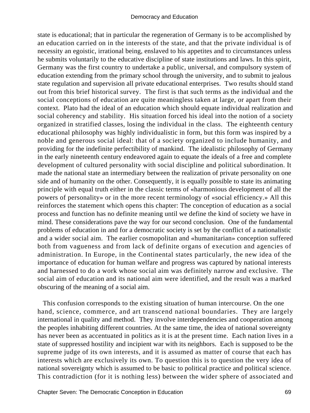state is educational; that in particular the regeneration of Germany is to be accomplished by an education carried on in the interests of the state, and that the private individual is of necessity an egoistic, irrational being, enslaved to his appetites and to circumstances unless he submits voluntarily to the educative discipline of state institutions and laws. In this spirit, Germany was the first country to undertake a public, universal, and compulsory system of education extending from the primary school through the university, and to submit to jealous state regulation and supervision all private educational enterprises. Two results should stand out from this brief historical survey. The first is that such terms as the individual and the social conceptions of education are quite meaningless taken at large, or apart from their context. Plato had the ideal of an education which should equate individual realization and social coherency and stability. His situation forced his ideal into the notion of a society organized in stratified classes, losing the individual in the class. The eighteenth century educational philosophy was highly individualistic in form, but this form was inspired by a noble and generous social ideal: that of a society organized to include humanity, and providing for the indefinite perfectibility of mankind. The idealistic philosophy of Germany in the early nineteenth century endeavored again to equate the ideals of a free and complete development of cultured personality with social discipline and political subordination. It made the national state an intermediary between the realization of private personality on one side and of humanity on the other. Consequently, it is equally possible to state its animating principle with equal truth either in the classic terms of «harmonious development of all the powers of personality» or in the more recent terminology of «social efficiency.» All this reinforces the statement which opens this chapter: The conception of education as a social process and function has no definite meaning until we define the kind of society we have in mind. These considerations pave the way for our second conclusion. One of the fundamental problems of education in and for a democratic society is set by the conflict of a nationalistic and a wider social aim. The earlier cosmopolitan and «humanitarian» conception suffered both from vagueness and from lack of definite organs of execution and agencies of administration. In Europe, in the Continental states particularly, the new idea of the importance of education for human welfare and progress was captured by national interests and harnessed to do a work whose social aim was definitely narrow and exclusive. The social aim of education and its national aim were identified, and the result was a marked obscuring of the meaning of a social aim.

 This confusion corresponds to the existing situation of human intercourse. On the one hand, science, commerce, and art transcend national boundaries. They are largely international in quality and method. They involve interdependencies and cooperation among the peoples inhabiting different countries. At the same time, the idea of national sovereignty has never been as accentuated in politics as it is at the present time. Each nation lives in a state of suppressed hostility and incipient war with its neighbors. Each is supposed to be the supreme judge of its own interests, and it is assumed as matter of course that each has interests which are exclusively its own. To question this is to question the very idea of national sovereignty which is assumed to be basic to political practice and political science. This contradiction (for it is nothing less) between the wider sphere of associated and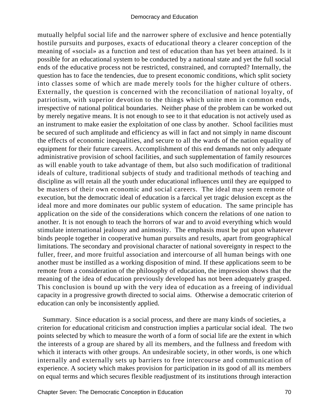mutually helpful social life and the narrower sphere of exclusive and hence potentially hostile pursuits and purposes, exacts of educational theory a clearer conception of the meaning of «social» as a function and test of education than has yet been attained. Is it possible for an educational system to be conducted by a national state and yet the full social ends of the educative process not be restricted, constrained, and corrupted? Internally, the question has to face the tendencies, due to present economic conditions, which split society into classes some of which are made merely tools for the higher culture of others. Externally, the question is concerned with the reconciliation of national loyalty, of patriotism, with superior devotion to the things which unite men in common ends, irrespective of national political boundaries. Neither phase of the problem can be worked out by merely negative means. It is not enough to see to it that education is not actively used as an instrument to make easier the exploitation of one class by another. School facilities must be secured of such amplitude and efficiency as will in fact and not simply in name discount the effects of economic inequalities, and secure to all the wards of the nation equality of equipment for their future careers. Accomplishment of this end demands not only adequate administrative provision of school facilities, and such supplementation of family resources as will enable youth to take advantage of them, but also such modification of traditional ideals of culture, traditional subjects of study and traditional methods of teaching and discipline as will retain all the youth under educational influences until they are equipped to be masters of their own economic and social careers. The ideal may seem remote of execution, but the democratic ideal of education is a farcical yet tragic delusion except as the ideal more and more dominates our public system of education. The same principle has application on the side of the considerations which concern the relations of one nation to another. It is not enough to teach the horrors of war and to avoid everything which would stimulate international jealousy and animosity. The emphasis must be put upon whatever binds people together in cooperative human pursuits and results, apart from geographical limitations. The secondary and provisional character of national sovereignty in respect to the fuller, freer, and more fruitful association and intercourse of all human beings with one another must be instilled as a working disposition of mind. If these applications seem to be remote from a consideration of the philosophy of education, the impression shows that the meaning of the idea of education previously developed has not been adequately grasped. This conclusion is bound up with the very idea of education as a freeing of individual capacity in a progressive growth directed to social aims. Otherwise a democratic criterion of education can only be inconsistently applied.

 Summary. Since education is a social process, and there are many kinds of societies, a criterion for educational criticism and construction implies a particular social ideal. The two points selected by which to measure the worth of a form of social life are the extent in which the interests of a group are shared by all its members, and the fullness and freedom with which it interacts with other groups. An undesirable society, in other words, is one which internally and externally sets up barriers to free intercourse and communication of experience. A society which makes provision for participation in its good of all its members on equal terms and which secures flexible readjustment of its institutions through interaction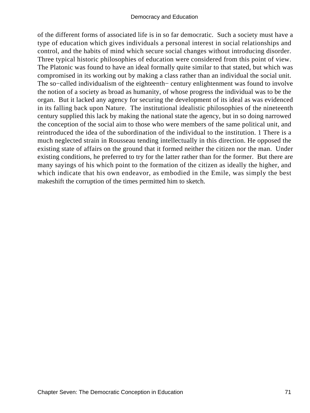of the different forms of associated life is in so far democratic. Such a society must have a type of education which gives individuals a personal interest in social relationships and control, and the habits of mind which secure social changes without introducing disorder. Three typical historic philosophies of education were considered from this point of view. The Platonic was found to have an ideal formally quite similar to that stated, but which was compromised in its working out by making a class rather than an individual the social unit. The so–called individualism of the eighteenth– century enlightenment was found to involve the notion of a society as broad as humanity, of whose progress the individual was to be the organ. But it lacked any agency for securing the development of its ideal as was evidenced in its falling back upon Nature. The institutional idealistic philosophies of the nineteenth century supplied this lack by making the national state the agency, but in so doing narrowed the conception of the social aim to those who were members of the same political unit, and reintroduced the idea of the subordination of the individual to the institution. 1 There is a much neglected strain in Rousseau tending intellectually in this direction. He opposed the existing state of affairs on the ground that it formed neither the citizen nor the man. Under existing conditions, he preferred to try for the latter rather than for the former. But there are many sayings of his which point to the formation of the citizen as ideally the higher, and which indicate that his own endeavor, as embodied in the Emile, was simply the best makeshift the corruption of the times permitted him to sketch.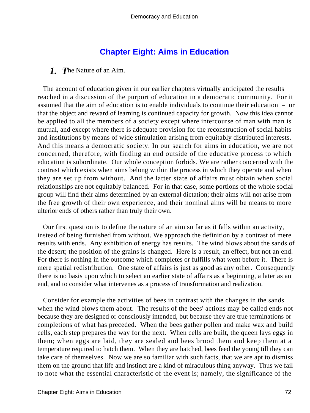# **[Chapter Eight: Aims in Education](#page-248-0)**

# *1. T*he Nature of an Aim.

 The account of education given in our earlier chapters virtually anticipated the results reached in a discussion of the purport of education in a democratic community. For it assumed that the aim of education is to enable individuals to continue their education – or that the object and reward of learning is continued capacity for growth. Now this idea cannot be applied to all the members of a society except where intercourse of man with man is mutual, and except where there is adequate provision for the reconstruction of social habits and institutions by means of wide stimulation arising from equitably distributed interests. And this means a democratic society. In our search for aims in education, we are not concerned, therefore, with finding an end outside of the educative process to which education is subordinate. Our whole conception forbids. We are rather concerned with the contrast which exists when aims belong within the process in which they operate and when they are set up from without. And the latter state of affairs must obtain when social relationships are not equitably balanced. For in that case, some portions of the whole social group will find their aims determined by an external dictation; their aims will not arise from the free growth of their own experience, and their nominal aims will be means to more ulterior ends of others rather than truly their own.

 Our first question is to define the nature of an aim so far as it falls within an activity, instead of being furnished from without. We approach the definition by a contrast of mere results with ends. Any exhibition of energy has results. The wind blows about the sands of the desert; the position of the grains is changed. Here is a result, an effect, but not an end. For there is nothing in the outcome which completes or fulfills what went before it. There is mere spatial redistribution. One state of affairs is just as good as any other. Consequently there is no basis upon which to select an earlier state of affairs as a beginning, a later as an end, and to consider what intervenes as a process of transformation and realization.

 Consider for example the activities of bees in contrast with the changes in the sands when the wind blows them about. The results of the bees' actions may be called ends not because they are designed or consciously intended, but because they are true terminations or completions of what has preceded. When the bees gather pollen and make wax and build cells, each step prepares the way for the next. When cells are built, the queen lays eggs in them; when eggs are laid, they are sealed and bees brood them and keep them at a temperature required to hatch them. When they are hatched, bees feed the young till they can take care of themselves. Now we are so familiar with such facts, that we are apt to dismiss them on the ground that life and instinct are a kind of miraculous thing anyway. Thus we fail to note what the essential characteristic of the event is; namely, the significance of the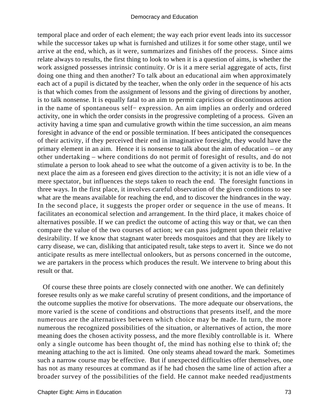temporal place and order of each element; the way each prior event leads into its successor while the successor takes up what is furnished and utilizes it for some other stage, until we arrive at the end, which, as it were, summarizes and finishes off the process. Since aims relate always to results, the first thing to look to when it is a question of aims, is whether the work assigned possesses intrinsic continuity. Or is it a mere serial aggregate of acts, first doing one thing and then another? To talk about an educational aim when approximately each act of a pupil is dictated by the teacher, when the only order in the sequence of his acts is that which comes from the assignment of lessons and the giving of directions by another, is to talk nonsense. It is equally fatal to an aim to permit capricious or discontinuous action in the name of spontaneous self− expression. An aim implies an orderly and ordered activity, one in which the order consists in the progressive completing of a process. Given an activity having a time span and cumulative growth within the time succession, an aim means foresight in advance of the end or possible termination. If bees anticipated the consequences of their activity, if they perceived their end in imaginative foresight, they would have the primary element in an aim. Hence it is nonsense to talk about the aim of education – or any other undertaking – where conditions do not permit of foresight of results, and do not stimulate a person to look ahead to see what the outcome of a given activity is to be. In the next place the aim as a foreseen end gives direction to the activity; it is not an idle view of a mere spectator, but influences the steps taken to reach the end. The foresight functions in three ways. In the first place, it involves careful observation of the given conditions to see what are the means available for reaching the end, and to discover the hindrances in the way. In the second place, it suggests the proper order or sequence in the use of means. It facilitates an economical selection and arrangement. In the third place, it makes choice of alternatives possible. If we can predict the outcome of acting this way or that, we can then compare the value of the two courses of action; we can pass judgment upon their relative desirability. If we know that stagnant water breeds mosquitoes and that they are likely to carry disease, we can, disliking that anticipated result, take steps to avert it. Since we do not anticipate results as mere intellectual onlookers, but as persons concerned in the outcome, we are partakers in the process which produces the result. We intervene to bring about this result or that.

 Of course these three points are closely connected with one another. We can definitely foresee results only as we make careful scrutiny of present conditions, and the importance of the outcome supplies the motive for observations. The more adequate our observations, the more varied is the scene of conditions and obstructions that presents itself, and the more numerous are the alternatives between which choice may be made. In turn, the more numerous the recognized possibilities of the situation, or alternatives of action, the more meaning does the chosen activity possess, and the more flexibly controllable is it. Where only a single outcome has been thought of, the mind has nothing else to think of; the meaning attaching to the act is limited. One only steams ahead toward the mark. Sometimes such a narrow course may be effective. But if unexpected difficulties offer themselves, one has not as many resources at command as if he had chosen the same line of action after a broader survey of the possibilities of the field. He cannot make needed readjustments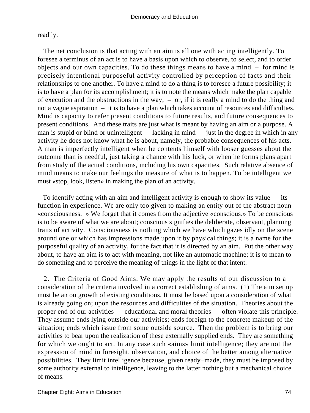readily.

 The net conclusion is that acting with an aim is all one with acting intelligently. To foresee a terminus of an act is to have a basis upon which to observe, to select, and to order objects and our own capacities. To do these things means to have a mind – for mind is precisely intentional purposeful activity controlled by perception of facts and their relationships to one another. To have a mind to do a thing is to foresee a future possibility; it is to have a plan for its accomplishment; it is to note the means which make the plan capable of execution and the obstructions in the way, – or, if it is really a mind to do the thing and not a vague aspiration – it is to have a plan which takes account of resources and difficulties. Mind is capacity to refer present conditions to future results, and future consequences to present conditions. And these traits are just what is meant by having an aim or a purpose. A man is stupid or blind or unintelligent  $-$  lacking in mind  $-$  just in the degree in which in any activity he does not know what he is about, namely, the probable consequences of his acts. A man is imperfectly intelligent when he contents himself with looser guesses about the outcome than is needful, just taking a chance with his luck, or when he forms plans apart from study of the actual conditions, including his own capacities. Such relative absence of mind means to make our feelings the measure of what is to happen. To be intelligent we must «stop, look, listen» in making the plan of an activity.

 To identify acting with an aim and intelligent activity is enough to show its value – its function in experience. We are only too given to making an entity out of the abstract noun «consciousness. » We forget that it comes from the adjective «conscious.» To be conscious is to be aware of what we are about; conscious signifies the deliberate, observant, planning traits of activity. Consciousness is nothing which we have which gazes idly on the scene around one or which has impressions made upon it by physical things; it is a name for the purposeful quality of an activity, for the fact that it is directed by an aim. Put the other way about, to have an aim is to act with meaning, not like an automatic machine; it is to mean to do something and to perceive the meaning of things in the light of that intent.

 2. The Criteria of Good Aims. We may apply the results of our discussion to a consideration of the criteria involved in a correct establishing of aims. (1) The aim set up must be an outgrowth of existing conditions. It must be based upon a consideration of what is already going on; upon the resources and difficulties of the situation. Theories about the proper end of our activities – educational and moral theories – often violate this principle. They assume ends lying outside our activities; ends foreign to the concrete makeup of the situation; ends which issue from some outside source. Then the problem is to bring our activities to bear upon the realization of these externally supplied ends. They are something for which we ought to act. In any case such «aims» limit intelligence; they are not the expression of mind in foresight, observation, and choice of the better among alternative possibilities. They limit intelligence because, given ready−made, they must be imposed by some authority external to intelligence, leaving to the latter nothing but a mechanical choice of means.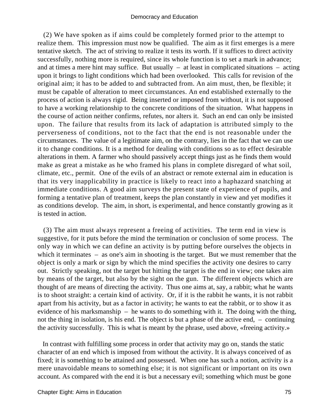(2) We have spoken as if aims could be completely formed prior to the attempt to realize them. This impression must now be qualified. The aim as it first emerges is a mere tentative sketch. The act of striving to realize it tests its worth. If it suffices to direct activity successfully, nothing more is required, since its whole function is to set a mark in advance; and at times a mere hint may suffice. But usually  $-$  at least in complicated situations  $-$  acting upon it brings to light conditions which had been overlooked. This calls for revision of the original aim; it has to be added to and subtracted from. An aim must, then, be flexible; it must be capable of alteration to meet circumstances. An end established externally to the process of action is always rigid. Being inserted or imposed from without, it is not supposed to have a working relationship to the concrete conditions of the situation. What happens in the course of action neither confirms, refutes, nor alters it. Such an end can only be insisted upon. The failure that results from its lack of adaptation is attributed simply to the perverseness of conditions, not to the fact that the end is not reasonable under the circumstances. The value of a legitimate aim, on the contrary, lies in the fact that we can use it to change conditions. It is a method for dealing with conditions so as to effect desirable alterations in them. A farmer who should passively accept things just as he finds them would make as great a mistake as he who framed his plans in complete disregard of what soil, climate, etc., permit. One of the evils of an abstract or remote external aim in education is that its very inapplicability in practice is likely to react into a haphazard snatching at immediate conditions. A good aim surveys the present state of experience of pupils, and forming a tentative plan of treatment, keeps the plan constantly in view and yet modifies it as conditions develop. The aim, in short, is experimental, and hence constantly growing as it is tested in action.

 (3) The aim must always represent a freeing of activities. The term end in view is suggestive, for it puts before the mind the termination or conclusion of some process. The only way in which we can define an activity is by putting before ourselves the objects in which it terminates – as one's aim in shooting is the target. But we must remember that the object is only a mark or sign by which the mind specifies the activity one desires to carry out. Strictly speaking, not the target but hitting the target is the end in view; one takes aim by means of the target, but also by the sight on the gun. The different objects which are thought of are means of directing the activity. Thus one aims at, say, a rabbit; what he wants is to shoot straight: a certain kind of activity. Or, if it is the rabbit he wants, it is not rabbit apart from his activity, but as a factor in activity; he wants to eat the rabbit, or to show it as evidence of his marksmanship – he wants to do something with it. The doing with the thing, not the thing in isolation, is his end. The object is but a phase of the active end, – continuing the activity successfully. This is what is meant by the phrase, used above, «freeing activity.»

 In contrast with fulfilling some process in order that activity may go on, stands the static character of an end which is imposed from without the activity. It is always conceived of as fixed; it is something to be attained and possessed. When one has such a notion, activity is a mere unavoidable means to something else; it is not significant or important on its own account. As compared with the end it is but a necessary evil; something which must be gone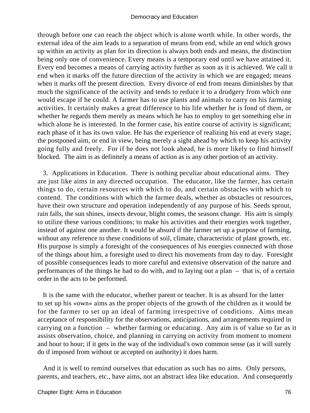through before one can reach the object which is alone worth while. In other words, the external idea of the aim leads to a separation of means from end, while an end which grows up within an activity as plan for its direction is always both ends and means, the distinction being only one of convenience. Every means is a temporary end until we have attained it. Every end becomes a means of carrying activity further as soon as it is achieved. We call it end when it marks off the future direction of the activity in which we are engaged; means when it marks off the present direction. Every divorce of end from means diminishes by that much the significance of the activity and tends to reduce it to a drudgery from which one would escape if he could. A farmer has to use plants and animals to carry on his farming activities. It certainly makes a great difference to his life whether he is fond of them, or whether he regards them merely as means which he has to employ to get something else in which alone he is interested. In the former case, his entire course of activity is significant; each phase of it has its own value. He has the experience of realizing his end at every stage; the postponed aim, or end in view, being merely a sight ahead by which to keep his activity going fully and freely. For if he does not look ahead, he is more likely to find himself blocked. The aim is as definitely a means of action as is any other portion of an activity.

 3. Applications in Education. There is nothing peculiar about educational aims. They are just like aims in any directed occupation. The educator, like the farmer, has certain things to do, certain resources with which to do, and certain obstacles with which to contend. The conditions with which the farmer deals, whether as obstacles or resources, have their own structure and operation independently of any purpose of his. Seeds sprout, rain falls, the sun shines, insects devour, blight comes, the seasons change. His aim is simply to utilize these various conditions; to make his activities and their energies work together, instead of against one another. It would be absurd if the farmer set up a purpose of farming, without any reference to these conditions of soil, climate, characteristic of plant growth, etc. His purpose is simply a foresight of the consequences of his energies connected with those of the things about him, a foresight used to direct his movements from day to day. Foresight of possible consequences leads to more careful and extensive observation of the nature and performances of the things he had to do with, and to laying out a plan – that is, of a certain order in the acts to be performed.

 It is the same with the educator, whether parent or teacher. It is as absurd for the latter to set up his «own» aims as the proper objects of the growth of the children as it would be for the farmer to set up an ideal of farming irrespective of conditions. Aims mean acceptance of responsibility for the observations, anticipations, and arrangements required in carrying on a function – whether farming or educating. Any aim is of value so far as it assists observation, choice, and planning in carrying on activity from moment to moment and hour to hour; if it gets in the way of the individual's own common sense (as it will surely do if imposed from without or accepted on authority) it does harm.

 And it is well to remind ourselves that education as such has no aims. Only persons, parents, and teachers, etc., have aims, not an abstract idea like education. And consequently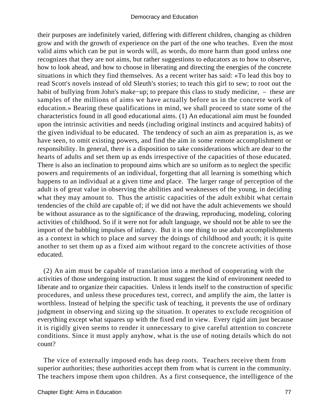their purposes are indefinitely varied, differing with different children, changing as children grow and with the growth of experience on the part of the one who teaches. Even the most valid aims which can be put in words will, as words, do more harm than good unless one recognizes that they are not aims, but rather suggestions to educators as to how to observe, how to look ahead, and how to choose in liberating and directing the energies of the concrete situations in which they find themselves. As a recent writer has said: «To lead this boy to read Scott's novels instead of old Sleuth's stories; to teach this girl to sew; to root out the habit of bullying from John's make−up; to prepare this class to study medicine, – these are samples of the millions of aims we have actually before us in the concrete work of education.» Bearing these qualifications in mind, we shall proceed to state some of the characteristics found in all good educational aims. (1) An educational aim must be founded upon the intrinsic activities and needs (including original instincts and acquired habits) of the given individual to be educated. The tendency of such an aim as preparation is, as we have seen, to omit existing powers, and find the aim in some remote accomplishment or responsibility. In general, there is a disposition to take considerations which are dear to the hearts of adults and set them up as ends irrespective of the capacities of those educated. There is also an inclination to propound aims which are so uniform as to neglect the specific powers and requirements of an individual, forgetting that all learning is something which happens to an individual at a given time and place. The larger range of perception of the adult is of great value in observing the abilities and weaknesses of the young, in deciding what they may amount to. Thus the artistic capacities of the adult exhibit what certain tendencies of the child are capable of; if we did not have the adult achievements we should be without assurance as to the significance of the drawing, reproducing, modeling, coloring activities of childhood. So if it were not for adult language, we should not be able to see the import of the babbling impulses of infancy. But it is one thing to use adult accomplishments as a context in which to place and survey the doings of childhood and youth; it is quite another to set them up as a fixed aim without regard to the concrete activities of those educated.

 (2) An aim must be capable of translation into a method of cooperating with the activities of those undergoing instruction. It must suggest the kind of environment needed to liberate and to organize their capacities. Unless it lends itself to the construction of specific procedures, and unless these procedures test, correct, and amplify the aim, the latter is worthless. Instead of helping the specific task of teaching, it prevents the use of ordinary judgment in observing and sizing up the situation. It operates to exclude recognition of everything except what squares up with the fixed end in view. Every rigid aim just because it is rigidly given seems to render it unnecessary to give careful attention to concrete conditions. Since it must apply anyhow, what is the use of noting details which do not count?

 The vice of externally imposed ends has deep roots. Teachers receive them from superior authorities; these authorities accept them from what is current in the community. The teachers impose them upon children. As a first consequence, the intelligence of the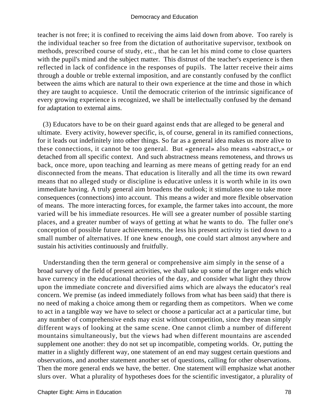teacher is not free; it is confined to receiving the aims laid down from above. Too rarely is the individual teacher so free from the dictation of authoritative supervisor, textbook on methods, prescribed course of study, etc., that he can let his mind come to close quarters with the pupil's mind and the subject matter. This distrust of the teacher's experience is then reflected in lack of confidence in the responses of pupils. The latter receive their aims through a double or treble external imposition, and are constantly confused by the conflict between the aims which are natural to their own experience at the time and those in which they are taught to acquiesce. Until the democratic criterion of the intrinsic significance of every growing experience is recognized, we shall be intellectually confused by the demand for adaptation to external aims.

 (3) Educators have to be on their guard against ends that are alleged to be general and ultimate. Every activity, however specific, is, of course, general in its ramified connections, for it leads out indefinitely into other things. So far as a general idea makes us more alive to these connections, it cannot be too general. But «general» also means «abstract,» or detached from all specific context. And such abstractness means remoteness, and throws us back, once more, upon teaching and learning as mere means of getting ready for an end disconnected from the means. That education is literally and all the time its own reward means that no alleged study or discipline is educative unless it is worth while in its own immediate having. A truly general aim broadens the outlook; it stimulates one to take more consequences (connections) into account. This means a wider and more flexible observation of means. The more interacting forces, for example, the farmer takes into account, the more varied will be his immediate resources. He will see a greater number of possible starting places, and a greater number of ways of getting at what he wants to do. The fuller one's conception of possible future achievements, the less his present activity is tied down to a small number of alternatives. If one knew enough, one could start almost anywhere and sustain his activities continuously and fruitfully.

 Understanding then the term general or comprehensive aim simply in the sense of a broad survey of the field of present activities, we shall take up some of the larger ends which have currency in the educational theories of the day, and consider what light they throw upon the immediate concrete and diversified aims which are always the educator's real concern. We premise (as indeed immediately follows from what has been said) that there is no need of making a choice among them or regarding them as competitors. When we come to act in a tangible way we have to select or choose a particular act at a particular time, but any number of comprehensive ends may exist without competition, since they mean simply different ways of looking at the same scene. One cannot climb a number of different mountains simultaneously, but the views had when different mountains are ascended supplement one another: they do not set up incompatible, competing worlds. Or, putting the matter in a slightly different way, one statement of an end may suggest certain questions and observations, and another statement another set of questions, calling for other observations. Then the more general ends we have, the better. One statement will emphasize what another slurs over. What a plurality of hypotheses does for the scientific investigator, a plurality of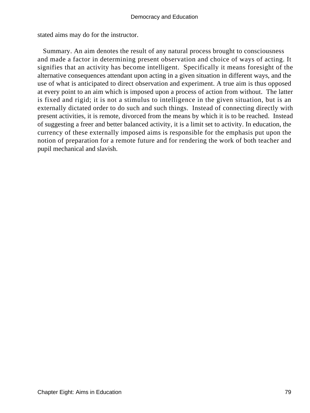stated aims may do for the instructor.

 Summary. An aim denotes the result of any natural process brought to consciousness and made a factor in determining present observation and choice of ways of acting. It signifies that an activity has become intelligent. Specifically it means foresight of the alternative consequences attendant upon acting in a given situation in different ways, and the use of what is anticipated to direct observation and experiment. A true aim is thus opposed at every point to an aim which is imposed upon a process of action from without. The latter is fixed and rigid; it is not a stimulus to intelligence in the given situation, but is an externally dictated order to do such and such things. Instead of connecting directly with present activities, it is remote, divorced from the means by which it is to be reached. Instead of suggesting a freer and better balanced activity, it is a limit set to activity. In education, the currency of these externally imposed aims is responsible for the emphasis put upon the notion of preparation for a remote future and for rendering the work of both teacher and pupil mechanical and slavish.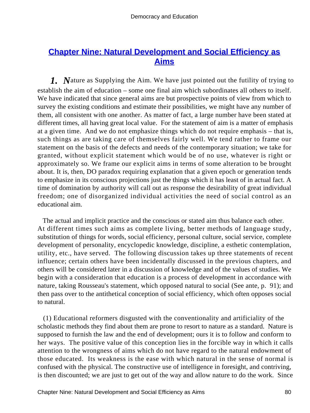# **[Chapter Nine: Natural Development and Social Efficiency as](#page-248-0) [Aims](#page-248-0)**

*1. N*ature as Supplying the Aim. We have just pointed out the futility of trying to establish the aim of education – some one final aim which subordinates all others to itself. We have indicated that since general aims are but prospective points of view from which to survey the existing conditions and estimate their possibilities, we might have any number of them, all consistent with one another. As matter of fact, a large number have been stated at different times, all having great local value. For the statement of aim is a matter of emphasis at a given time. And we do not emphasize things which do not require emphasis – that is, such things as are taking care of themselves fairly well. We tend rather to frame our statement on the basis of the defects and needs of the contemporary situation; we take for granted, without explicit statement which would be of no use, whatever is right or approximately so. We frame our explicit aims in terms of some alteration to be brought about. It is, then, DO paradox requiring explanation that a given epoch or generation tends to emphasize in its conscious projections just the things which it has least of in actual fact. A time of domination by authority will call out as response the desirability of great individual freedom; one of disorganized individual activities the need of social control as an educational aim.

 The actual and implicit practice and the conscious or stated aim thus balance each other. At different times such aims as complete living, better methods of language study, substitution of things for words, social efficiency, personal culture, social service, complete development of personality, encyclopedic knowledge, discipline, a esthetic contemplation, utility, etc., have served. The following discussion takes up three statements of recent influence; certain others have been incidentally discussed in the previous chapters, and others will be considered later in a discussion of knowledge and of the values of studies. We begin with a consideration that education is a process of development in accordance with nature, taking Rousseau's statement, which opposed natural to social (See ante, p. 91); and then pass over to the antithetical conception of social efficiency, which often opposes social to natural.

 (1) Educational reformers disgusted with the conventionality and artificiality of the scholastic methods they find about them are prone to resort to nature as a standard. Nature is supposed to furnish the law and the end of development; ours it is to follow and conform to her ways. The positive value of this conception lies in the forcible way in which it calls attention to the wrongness of aims which do not have regard to the natural endowment of those educated. Its weakness is the ease with which natural in the sense of normal is confused with the physical. The constructive use of intelligence in foresight, and contriving, is then discounted; we are just to get out of the way and allow nature to do the work. Since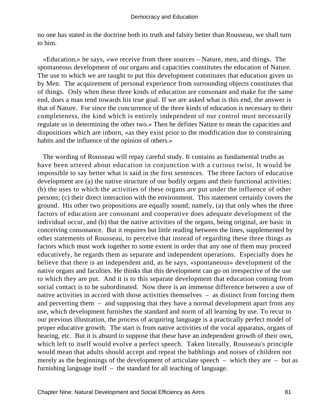no one has stated in the doctrine both its truth and falsity better than Rousseau, we shall turn to him.

 «Education,» he says, «we receive from three sources – Nature, men, and things. The spontaneous development of our organs and capacities constitutes the education of Nature. The use to which we are taught to put this development constitutes that education given us by Men. The acquirement of personal experience from surrounding objects constitutes that of things. Only when these three kinds of education are consonant and make for the same end, does a man tend towards his true goal. If we are asked what is this end, the answer is that of Nature. For since the concurrence of the three kinds of education is necessary to their completeness, the kind which is entirely independent of our control must necessarily regulate us in determining the other two.» Then he defines Nature to mean the capacities and dispositions which are inborn, «as they exist prior to the modification due to constraining habits and the influence of the opinion of others.»

 The wording of Rousseau will repay careful study. It contains as fundamental truths as have been uttered about education in conjunction with a curious twist. It would be impossible to say better what is said in the first sentences. The three factors of educative development are (a) the native structure of our bodily organs and their functional activities; (b) the uses to which the activities of these organs are put under the influence of other persons; (c) their direct interaction with the environment. This statement certainly covers the ground. His other two propositions are equally sound; namely, (a) that only when the three factors of education are consonant and cooperative does adequate development of the individual occur, and (b) that the native activities of the organs, being original, are basic in conceiving consonance. But it requires but little reading between the lines, supplemented by other statements of Rousseau, to perceive that instead of regarding these three things as factors which must work together to some extent in order that any one of them may proceed educatively, he regards them as separate and independent operations. Especially does he believe that there is an independent and, as he says, «spontaneous» development of the native organs and faculties. He thinks that this development can go on irrespective of the use to which they are put. And it is to this separate development that education coming from social contact is to be subordinated. Now there is an immense difference between a use of native activities in accord with those activities themselves – as distinct from forcing them and perverting them – and supposing that they have a normal development apart from any use, which development furnishes the standard and norm of all learning by use. To recur to our previous illustration, the process of acquiring language is a practically perfect model of proper educative growth. The start is from native activities of the vocal apparatus, organs of hearing, etc. But it is absurd to suppose that these have an independent growth of their own, which left to itself would evolve a perfect speech. Taken literally, Rousseau's principle would mean that adults should accept and repeat the babblings and noises of children not merely as the beginnings of the development of articulate speech – which they are – but as furnishing language itself – the standard for all teaching of language.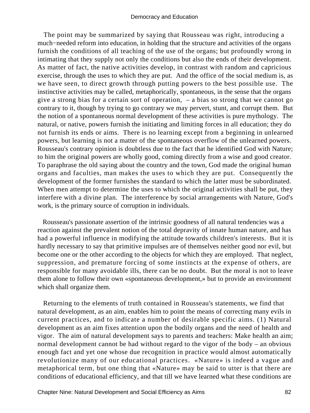The point may be summarized by saying that Rousseau was right, introducing a much−needed reform into education, in holding that the structure and activities of the organs furnish the conditions of all teaching of the use of the organs; but profoundly wrong in intimating that they supply not only the conditions but also the ends of their development. As matter of fact, the native activities develop, in contrast with random and capricious exercise, through the uses to which they are put. And the office of the social medium is, as we have seen, to direct growth through putting powers to the best possible use. The instinctive activities may be called, metaphorically, spontaneous, in the sense that the organs give a strong bias for a certain sort of operation, – a bias so strong that we cannot go contrary to it, though by trying to go contrary we may pervert, stunt, and corrupt them. But the notion of a spontaneous normal development of these activities is pure mythology. The natural, or native, powers furnish the initiating and limiting forces in all education; they do not furnish its ends or aims. There is no learning except from a beginning in unlearned powers, but learning is not a matter of the spontaneous overflow of the unlearned powers. Rousseau's contrary opinion is doubtless due to the fact that he identified God with Nature; to him the original powers are wholly good, coming directly from a wise and good creator. To paraphrase the old saying about the country and the town, God made the original human organs and faculties, man makes the uses to which they are put. Consequently the development of the former furnishes the standard to which the latter must be subordinated. When men attempt to determine the uses to which the original activities shall be put, they interfere with a divine plan. The interference by social arrangements with Nature, God's work, is the primary source of corruption in individuals.

 Rousseau's passionate assertion of the intrinsic goodness of all natural tendencies was a reaction against the prevalent notion of the total depravity of innate human nature, and has had a powerful influence in modifying the attitude towards children's interests. But it is hardly necessary to say that primitive impulses are of themselves neither good nor evil, but become one or the other according to the objects for which they are employed. That neglect, suppression, and premature forcing of some instincts at the expense of others, are responsible for many avoidable ills, there can be no doubt. But the moral is not to leave them alone to follow their own «spontaneous development,» but to provide an environment which shall organize them.

 Returning to the elements of truth contained in Rousseau's statements, we find that natural development, as an aim, enables him to point the means of correcting many evils in current practices, and to indicate a number of desirable specific aims. (1) Natural development as an aim fixes attention upon the bodily organs and the need of health and vigor. The aim of natural development says to parents and teachers: Make health an aim; normal development cannot be had without regard to the vigor of the body – an obvious enough fact and yet one whose due recognition in practice would almost automatically revolutionize many of our educational practices. «Nature» is indeed a vague and metaphorical term, but one thing that «Nature» may be said to utter is that there are conditions of educational efficiency, and that till we have learned what these conditions are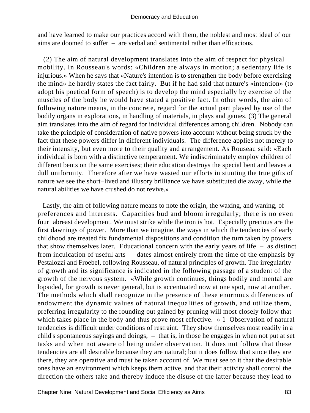and have learned to make our practices accord with them, the noblest and most ideal of our aims are doomed to suffer – are verbal and sentimental rather than efficacious.

 (2) The aim of natural development translates into the aim of respect for physical mobility. In Rousseau's words: «Children are always in motion; a sedentary life is injurious.» When he says that «Nature's intention is to strengthen the body before exercising the mind» he hardly states the fact fairly. But if he had said that nature's «intention» (to adopt his poetical form of speech) is to develop the mind especially by exercise of the muscles of the body he would have stated a positive fact. In other words, the aim of following nature means, in the concrete, regard for the actual part played by use of the bodily organs in explorations, in handling of materials, in plays and games. (3) The general aim translates into the aim of regard for individual differences among children. Nobody can take the principle of consideration of native powers into account without being struck by the fact that these powers differ in different individuals. The difference applies not merely to their intensity, but even more to their quality and arrangement. As Rouseau said: «Each individual is born with a distinctive temperament. We indiscriminately employ children of different bents on the same exercises; their education destroys the special bent and leaves a dull uniformity. Therefore after we have wasted our efforts in stunting the true gifts of nature we see the short−lived and illusory brilliance we have substituted die away, while the natural abilities we have crushed do not revive.»

 Lastly, the aim of following nature means to note the origin, the waxing, and waning, of preferences and interests. Capacities bud and bloom irregularly; there is no even four−abreast development. We must strike while the iron is hot. Especially precious are the first dawnings of power. More than we imagine, the ways in which the tendencies of early childhood are treated fix fundamental dispositions and condition the turn taken by powers that show themselves later. Educational concern with the early years of life – as distinct from inculcation of useful arts – dates almost entirely from the time of the emphasis by Pestalozzi and Froebel, following Rousseau, of natural principles of growth. The irregularity of growth and its significance is indicated in the following passage of a student of the growth of the nervous system. «While growth continues, things bodily and mental are lopsided, for growth is never general, but is accentuated now at one spot, now at another. The methods which shall recognize in the presence of these enormous differences of endowment the dynamic values of natural inequalities of growth, and utilize them, preferring irregularity to the rounding out gained by pruning will most closely follow that which takes place in the body and thus prove most effective. » 1 Observation of natural tendencies is difficult under conditions of restraint. They show themselves most readily in a child's spontaneous sayings and doings, – that is, in those he engages in when not put at set tasks and when not aware of being under observation. It does not follow that these tendencies are all desirable because they are natural; but it does follow that since they are there, they are operative and must be taken account of. We must see to it that the desirable ones have an environment which keeps them active, and that their activity shall control the direction the others take and thereby induce the disuse of the latter because they lead to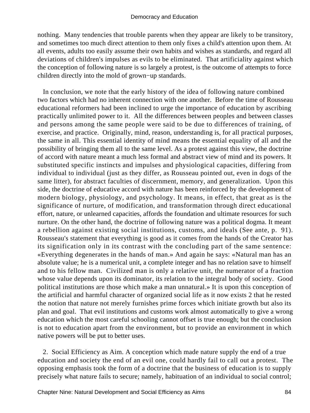nothing. Many tendencies that trouble parents when they appear are likely to be transitory, and sometimes too much direct attention to them only fixes a child's attention upon them. At all events, adults too easily assume their own habits and wishes as standards, and regard all deviations of children's impulses as evils to be eliminated. That artificiality against which the conception of following nature is so largely a protest, is the outcome of attempts to force children directly into the mold of grown−up standards.

 In conclusion, we note that the early history of the idea of following nature combined two factors which had no inherent connection with one another. Before the time of Rousseau educational reformers had been inclined to urge the importance of education by ascribing practically unlimited power to it. All the differences between peoples and between classes and persons among the same people were said to be due to differences of training, of exercise, and practice. Originally, mind, reason, understanding is, for all practical purposes, the same in all. This essential identity of mind means the essential equality of all and the possibility of bringing them all to the same level. As a protest against this view, the doctrine of accord with nature meant a much less formal and abstract view of mind and its powers. It substituted specific instincts and impulses and physiological capacities, differing from individual to individual (just as they differ, as Rousseau pointed out, even in dogs of the same litter), for abstract faculties of discernment, memory, and generalization. Upon this side, the doctrine of educative accord with nature has been reinforced by the development of modern biology, physiology, and psychology. It means, in effect, that great as is the significance of nurture, of modification, and transformation through direct educational effort, nature, or unlearned capacities, affords the foundation and ultimate resources for such nurture. On the other hand, the doctrine of following nature was a political dogma. It meant a rebellion against existing social institutions, customs, and ideals (See ante, p. 91). Rousseau's statement that everything is good as it comes from the hands of the Creator has its signification only in its contrast with the concluding part of the same sentence: «Everything degenerates in the hands of man.» And again he says: «Natural man has an absolute value; he is a numerical unit, a complete integer and has no relation save to himself and to his fellow man. Civilized man is only a relative unit, the numerator of a fraction whose value depends upon its dominator, its relation to the integral body of society. Good political institutions are those which make a man unnatural.» It is upon this conception of the artificial and harmful character of organized social life as it now exists 2 that he rested the notion that nature not merely furnishes prime forces which initiate growth but also its plan and goal. That evil institutions and customs work almost automatically to give a wrong education which the most careful schooling cannot offset is true enough; but the conclusion is not to education apart from the environment, but to provide an environment in which native powers will be put to better uses.

 2. Social Efficiency as Aim. A conception which made nature supply the end of a true education and society the end of an evil one, could hardly fail to call out a protest. The opposing emphasis took the form of a doctrine that the business of education is to supply precisely what nature fails to secure; namely, habituation of an individual to social control;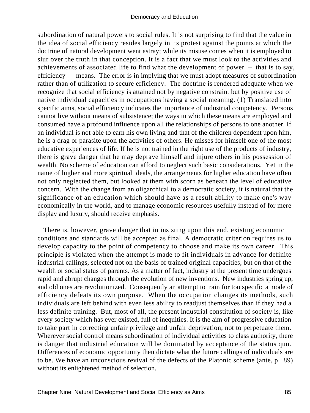subordination of natural powers to social rules. It is not surprising to find that the value in the idea of social efficiency resides largely in its protest against the points at which the doctrine of natural development went astray; while its misuse comes when it is employed to slur over the truth in that conception. It is a fact that we must look to the activities and achievements of associated life to find what the development of power – that is to say, efficiency – means. The error is in implying that we must adopt measures of subordination rather than of utilization to secure efficiency. The doctrine is rendered adequate when we recognize that social efficiency is attained not by negative constraint but by positive use of native individual capacities in occupations having a social meaning. (1) Translated into specific aims, social efficiency indicates the importance of industrial competency. Persons cannot live without means of subsistence; the ways in which these means are employed and consumed have a profound influence upon all the relationships of persons to one another. If an individual is not able to earn his own living and that of the children dependent upon him, he is a drag or parasite upon the activities of others. He misses for himself one of the most educative experiences of life. If he is not trained in the right use of the products of industry, there is grave danger that he may deprave himself and injure others in his possession of wealth. No scheme of education can afford to neglect such basic considerations. Yet in the name of higher and more spiritual ideals, the arrangements for higher education have often not only neglected them, but looked at them with scorn as beneath the level of educative concern. With the change from an oligarchical to a democratic society, it is natural that the significance of an education which should have as a result ability to make one's way economically in the world, and to manage economic resources usefully instead of for mere display and luxury, should receive emphasis.

 There is, however, grave danger that in insisting upon this end, existing economic conditions and standards will be accepted as final. A democratic criterion requires us to develop capacity to the point of competency to choose and make its own career. This principle is violated when the attempt is made to fit individuals in advance for definite industrial callings, selected not on the basis of trained original capacities, but on that of the wealth or social status of parents. As a matter of fact, industry at the present time undergoes rapid and abrupt changes through the evolution of new inventions. New industries spring up, and old ones are revolutionized. Consequently an attempt to train for too specific a mode of efficiency defeats its own purpose. When the occupation changes its methods, such individuals are left behind with even less ability to readjust themselves than if they had a less definite training. But, most of all, the present industrial constitution of society is, like every society which has ever existed, full of inequities. It is the aim of progressive education to take part in correcting unfair privilege and unfair deprivation, not to perpetuate them. Wherever social control means subordination of individual activities to class authority, there is danger that industrial education will be dominated by acceptance of the status quo. Differences of economic opportunity then dictate what the future callings of individuals are to be. We have an unconscious revival of the defects of the Platonic scheme (ante, p. 89) without its enlightened method of selection.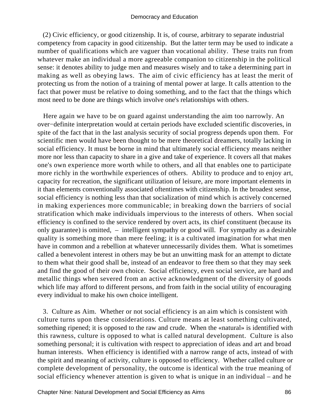(2) Civic efficiency, or good citizenship. It is, of course, arbitrary to separate industrial competency from capacity in good citizenship. But the latter term may be used to indicate a number of qualifications which are vaguer than vocational ability. These traits run from whatever make an individual a more agreeable companion to citizenship in the political sense: it denotes ability to judge men and measures wisely and to take a determining part in making as well as obeying laws. The aim of civic efficiency has at least the merit of protecting us from the notion of a training of mental power at large. It calls attention to the fact that power must be relative to doing something, and to the fact that the things which most need to be done are things which involve one's relationships with others.

 Here again we have to be on guard against understanding the aim too narrowly. An over−definite interpretation would at certain periods have excluded scientific discoveries, in spite of the fact that in the last analysis security of social progress depends upon them. For scientific men would have been thought to be mere theoretical dreamers, totally lacking in social efficiency. It must be borne in mind that ultimately social efficiency means neither more nor less than capacity to share in a give and take of experience. It covers all that makes one's own experience more worth while to others, and all that enables one to participate more richly in the worthwhile experiences of others. Ability to produce and to enjoy art, capacity for recreation, the significant utilization of leisure, are more important elements in it than elements conventionally associated oftentimes with citizenship. In the broadest sense, social efficiency is nothing less than that socialization of mind which is actively concerned in making experiences more communicable; in breaking down the barriers of social stratification which make individuals impervious to the interests of others. When social efficiency is confined to the service rendered by overt acts, its chief constituent (because its only guarantee) is omitted, – intelligent sympathy or good will. For sympathy as a desirable quality is something more than mere feeling; it is a cultivated imagination for what men have in common and a rebellion at whatever unnecessarily divides them. What is sometimes called a benevolent interest in others may be but an unwitting mask for an attempt to dictate to them what their good shall be, instead of an endeavor to free them so that they may seek and find the good of their own choice. Social efficiency, even social service, are hard and metallic things when severed from an active acknowledgment of the diversity of goods which life may afford to different persons, and from faith in the social utility of encouraging every individual to make his own choice intelligent.

 3. Culture as Aim. Whether or not social efficiency is an aim which is consistent with culture turns upon these considerations. Culture means at least something cultivated, something ripened; it is opposed to the raw and crude. When the «natural» is identified with this rawness, culture is opposed to what is called natural development. Culture is also something personal; it is cultivation with respect to appreciation of ideas and art and broad human interests. When efficiency is identified with a narrow range of acts, instead of with the spirit and meaning of activity, culture is opposed to efficiency. Whether called culture or complete development of personality, the outcome is identical with the true meaning of social efficiency whenever attention is given to what is unique in an individual – and he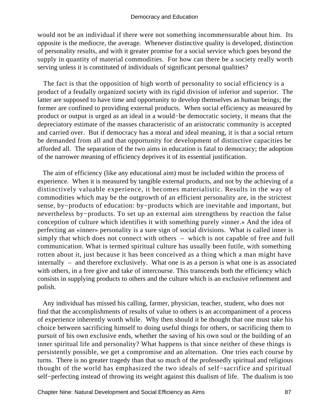would not be an individual if there were not something incommensurable about him. Its opposite is the mediocre, the average. Whenever distinctive quality is developed, distinction of personality results, and with it greater promise for a social service which goes beyond the supply in quantity of material commodities. For how can there be a society really worth serving unless it is constituted of individuals of significant personal qualities?

 The fact is that the opposition of high worth of personality to social efficiency is a product of a feudally organized society with its rigid division of inferior and superior. The latter are supposed to have time and opportunity to develop themselves as human beings; the former are confined to providing external products. When social efficiency as measured by product or output is urged as an ideal in a would−be democratic society, it means that the depreciatory estimate of the masses characteristic of an aristocratic community is accepted and carried over. But if democracy has a moral and ideal meaning, it is that a social return be demanded from all and that opportunity for development of distinctive capacities be afforded all. The separation of the two aims in education is fatal to democracy; the adoption of the narrower meaning of efficiency deprives it of its essential justification.

 The aim of efficiency (like any educational aim) must be included within the process of experience. When it is measured by tangible external products, and not by the achieving of a distinctively valuable experience, it becomes materialistic. Results in the way of commodities which may be the outgrowth of an efficient personality are, in the strictest sense, by−products of education: by−products which are inevitable and important, but nevertheless by−products. To set up an external aim strengthens by reaction the false conception of culture which identifies it with something purely «inner.» And the idea of perfecting an «inner» personality is a sure sign of social divisions. What is called inner is simply that which does not connect with others – which is not capable of free and full communication. What is termed spiritual culture has usually been futile, with something rotten about it, just because it has been conceived as a thing which a man might have internally – and therefore exclusively. What one is as a person is what one is as associated with others, in a free give and take of intercourse. This transcends both the efficiency which consists in supplying products to others and the culture which is an exclusive refinement and polish.

 Any individual has missed his calling, farmer, physician, teacher, student, who does not find that the accomplishments of results of value to others is an accompaniment of a process of experience inherently worth while. Why then should it be thought that one must take his choice between sacrificing himself to doing useful things for others, or sacrificing them to pursuit of his own exclusive ends, whether the saving of his own soul or the building of an inner spiritual life and personality? What happens is that since neither of these things is persistently possible, we get a compromise and an alternation. One tries each course by turns. There is no greater tragedy than that so much of the professedly spiritual and religious thought of the world has emphasized the two ideals of self−sacrifice and spiritual self−perfecting instead of throwing its weight against this dualism of life. The dualism is too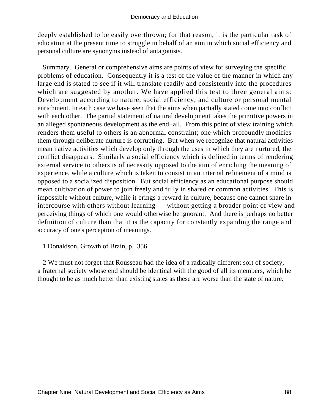deeply established to be easily overthrown; for that reason, it is the particular task of education at the present time to struggle in behalf of an aim in which social efficiency and personal culture are synonyms instead of antagonists.

 Summary. General or comprehensive aims are points of view for surveying the specific problems of education. Consequently it is a test of the value of the manner in which any large end is stated to see if it will translate readily and consistently into the procedures which are suggested by another. We have applied this test to three general aims: Development according to nature, social efficiency, and culture or personal mental enrichment. In each case we have seen that the aims when partially stated come into conflict with each other. The partial statement of natural development takes the primitive powers in an alleged spontaneous development as the end−all. From this point of view training which renders them useful to others is an abnormal constraint; one which profoundly modifies them through deliberate nurture is corrupting. But when we recognize that natural activities mean native activities which develop only through the uses in which they are nurtured, the conflict disappears. Similarly a social efficiency which is defined in terms of rendering external service to others is of necessity opposed to the aim of enriching the meaning of experience, while a culture which is taken to consist in an internal refinement of a mind is opposed to a socialized disposition. But social efficiency as an educational purpose should mean cultivation of power to join freely and fully in shared or common activities. This is impossible without culture, while it brings a reward in culture, because one cannot share in intercourse with others without learning – without getting a broader point of view and perceiving things of which one would otherwise be ignorant. And there is perhaps no better definition of culture than that it is the capacity for constantly expanding the range and accuracy of one's perception of meanings.

1 Donaldson, Growth of Brain, p. 356.

 2 We must not forget that Rousseau had the idea of a radically different sort of society, a fraternal society whose end should be identical with the good of all its members, which he thought to be as much better than existing states as these are worse than the state of nature.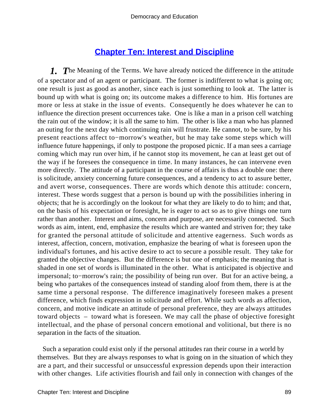# **[Chapter Ten: Interest and Discipline](#page-248-0)**

*1. T*he Meaning of the Terms. We have already noticed the difference in the attitude of a spectator and of an agent or participant. The former is indifferent to what is going on; one result is just as good as another, since each is just something to look at. The latter is bound up with what is going on; its outcome makes a difference to him. His fortunes are more or less at stake in the issue of events. Consequently he does whatever he can to influence the direction present occurrences take. One is like a man in a prison cell watching the rain out of the window; it is all the same to him. The other is like a man who has planned an outing for the next day which continuing rain will frustrate. He cannot, to be sure, by his present reactions affect to−morrow's weather, but he may take some steps which will influence future happenings, if only to postpone the proposed picnic. If a man sees a carriage coming which may run over him, if he cannot stop its movement, he can at least get out of the way if he foresees the consequence in time. In many instances, he can intervene even more directly. The attitude of a participant in the course of affairs is thus a double one: there is solicitude, anxiety concerning future consequences, and a tendency to act to assure better, and avert worse, consequences. There are words which denote this attitude: concern, interest. These words suggest that a person is bound up with the possibilities inhering in objects; that he is accordingly on the lookout for what they are likely to do to him; and that, on the basis of his expectation or foresight, he is eager to act so as to give things one turn rather than another. Interest and aims, concern and purpose, are necessarily connected. Such words as aim, intent, end, emphasize the results which are wanted and striven for; they take for granted the personal attitude of solicitude and attentive eagerness. Such words as interest, affection, concern, motivation, emphasize the bearing of what is foreseen upon the individual's fortunes, and his active desire to act to secure a possible result. They take for granted the objective changes. But the difference is but one of emphasis; the meaning that is shaded in one set of words is illuminated in the other. What is anticipated is objective and impersonal; to−morrow's rain; the possibility of being run over. But for an active being, a being who partakes of the consequences instead of standing aloof from them, there is at the same time a personal response. The difference imaginatively foreseen makes a present difference, which finds expression in solicitude and effort. While such words as affection, concern, and motive indicate an attitude of personal preference, they are always attitudes toward objects – toward what is foreseen. We may call the phase of objective foresight intellectual, and the phase of personal concern emotional and volitional, but there is no separation in the facts of the situation.

 Such a separation could exist only if the personal attitudes ran their course in a world by themselves. But they are always responses to what is going on in the situation of which they are a part, and their successful or unsuccessful expression depends upon their interaction with other changes. Life activities flourish and fail only in connection with changes of the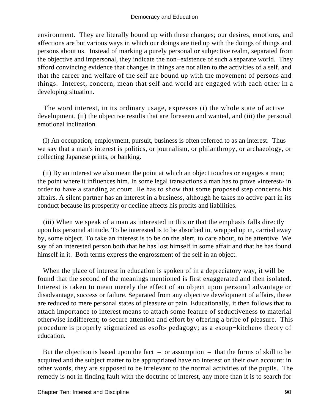environment. They are literally bound up with these changes; our desires, emotions, and affections are but various ways in which our doings are tied up with the doings of things and persons about us. Instead of marking a purely personal or subjective realm, separated from the objective and impersonal, they indicate the non−existence of such a separate world. They afford convincing evidence that changes in things are not alien to the activities of a self, and that the career and welfare of the self are bound up with the movement of persons and things. Interest, concern, mean that self and world are engaged with each other in a developing situation.

 The word interest, in its ordinary usage, expresses (i) the whole state of active development, (ii) the objective results that are foreseen and wanted, and (iii) the personal emotional inclination.

 (I) An occupation, employment, pursuit, business is often referred to as an interest. Thus we say that a man's interest is politics, or journalism, or philanthropy, or archaeology, or collecting Japanese prints, or banking.

 (ii) By an interest we also mean the point at which an object touches or engages a man; the point where it influences him. In some legal transactions a man has to prove «interest» in order to have a standing at court. He has to show that some proposed step concerns his affairs. A silent partner has an interest in a business, although he takes no active part in its conduct because its prosperity or decline affects his profits and liabilities.

 (iii) When we speak of a man as interested in this or that the emphasis falls directly upon his personal attitude. To be interested is to be absorbed in, wrapped up in, carried away by, some object. To take an interest is to be on the alert, to care about, to be attentive. We say of an interested person both that he has lost himself in some affair and that he has found himself in it. Both terms express the engrossment of the self in an object.

 When the place of interest in education is spoken of in a depreciatory way, it will be found that the second of the meanings mentioned is first exaggerated and then isolated. Interest is taken to mean merely the effect of an object upon personal advantage or disadvantage, success or failure. Separated from any objective development of affairs, these are reduced to mere personal states of pleasure or pain. Educationally, it then follows that to attach importance to interest means to attach some feature of seductiveness to material otherwise indifferent; to secure attention and effort by offering a bribe of pleasure. This procedure is properly stigmatized as «soft» pedagogy; as a «soup−kitchen» theory of education.

But the objection is based upon the fact – or assumption – that the forms of skill to be acquired and the subject matter to be appropriated have no interest on their own account: in other words, they are supposed to be irrelevant to the normal activities of the pupils. The remedy is not in finding fault with the doctrine of interest, any more than it is to search for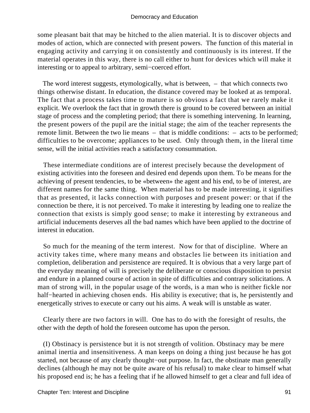some pleasant bait that may be hitched to the alien material. It is to discover objects and modes of action, which are connected with present powers. The function of this material in engaging activity and carrying it on consistently and continuously is its interest. If the material operates in this way, there is no call either to hunt for devices which will make it interesting or to appeal to arbitrary, semi−coerced effort.

 The word interest suggests, etymologically, what is between, – that which connects two things otherwise distant. In education, the distance covered may be looked at as temporal. The fact that a process takes time to mature is so obvious a fact that we rarely make it explicit. We overlook the fact that in growth there is ground to be covered between an initial stage of process and the completing period; that there is something intervening. In learning, the present powers of the pupil are the initial stage; the aim of the teacher represents the remote limit. Between the two lie means – that is middle conditions: – acts to be performed; difficulties to be overcome; appliances to be used. Only through them, in the literal time sense, will the initial activities reach a satisfactory consummation.

 These intermediate conditions are of interest precisely because the development of existing activities into the foreseen and desired end depends upon them. To be means for the achieving of present tendencies, to be «between» the agent and his end, to be of interest, are different names for the same thing. When material has to be made interesting, it signifies that as presented, it lacks connection with purposes and present power: or that if the connection be there, it is not perceived. To make it interesting by leading one to realize the connection that exists is simply good sense; to make it interesting by extraneous and artificial inducements deserves all the bad names which have been applied to the doctrine of interest in education.

 So much for the meaning of the term interest. Now for that of discipline. Where an activity takes time, where many means and obstacles lie between its initiation and completion, deliberation and persistence are required. It is obvious that a very large part of the everyday meaning of will is precisely the deliberate or conscious disposition to persist and endure in a planned course of action in spite of difficulties and contrary solicitations. A man of strong will, in the popular usage of the words, is a man who is neither fickle nor half−hearted in achieving chosen ends. His ability is executive; that is, he persistently and energetically strives to execute or carry out his aims. A weak will is unstable as water.

 Clearly there are two factors in will. One has to do with the foresight of results, the other with the depth of hold the foreseen outcome has upon the person.

 (I) Obstinacy is persistence but it is not strength of volition. Obstinacy may be mere animal inertia and insensitiveness. A man keeps on doing a thing just because he has got started, not because of any clearly thought−out purpose. In fact, the obstinate man generally declines (although he may not be quite aware of his refusal) to make clear to himself what his proposed end is; he has a feeling that if he allowed himself to get a clear and full idea of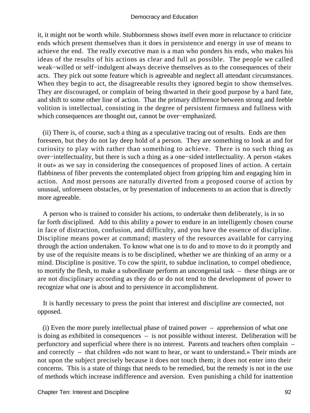it, it might not be worth while. Stubbornness shows itself even more in reluctance to criticize ends which present themselves than it does in persistence and energy in use of means to achieve the end. The really executive man is a man who ponders his ends, who makes his ideas of the results of his actions as clear and full as possible. The people we called weak−willed or self−indulgent always deceive themselves as to the consequences of their acts. They pick out some feature which is agreeable and neglect all attendant circumstances. When they begin to act, the disagreeable results they ignored begin to show themselves. They are discouraged, or complain of being thwarted in their good purpose by a hard fate, and shift to some other line of action. That the primary difference between strong and feeble volition is intellectual, consisting in the degree of persistent firmness and fullness with which consequences are thought out, cannot be over−emphasized.

 (ii) There is, of course, such a thing as a speculative tracing out of results. Ends are then foreseen, but they do not lay deep hold of a person. They are something to look at and for curiosity to play with rather than something to achieve. There is no such thing as over−intellectuality, but there is such a thing as a one−sided intellectuality. A person «takes it out» as we say in considering the consequences of proposed lines of action. A certain flabbiness of fiber prevents the contemplated object from gripping him and engaging him in action. And most persons are naturally diverted from a proposed course of action by unusual, unforeseen obstacles, or by presentation of inducements to an action that is directly more agreeable.

 A person who is trained to consider his actions, to undertake them deliberately, is in so far forth disciplined. Add to this ability a power to endure in an intelligently chosen course in face of distraction, confusion, and difficulty, and you have the essence of discipline. Discipline means power at command; mastery of the resources available for carrying through the action undertaken. To know what one is to do and to move to do it promptly and by use of the requisite means is to be disciplined, whether we are thinking of an army or a mind. Discipline is positive. To cow the spirit, to subdue inclination, to compel obedience, to mortify the flesh, to make a subordinate perform an uncongenial task – these things are or are not disciplinary according as they do or do not tend to the development of power to recognize what one is about and to persistence in accomplishment.

 It is hardly necessary to press the point that interest and discipline are connected, not opposed.

 (i) Even the more purely intellectual phase of trained power – apprehension of what one is doing as exhibited in consequences – is not possible without interest. Deliberation will be perfunctory and superficial where there is no interest. Parents and teachers often complain – and correctly – that children «do not want to hear, or want to understand.» Their minds are not upon the subject precisely because it does not touch them; it does not enter into their concerns. This is a state of things that needs to be remedied, but the remedy is not in the use of methods which increase indifference and aversion. Even punishing a child for inattention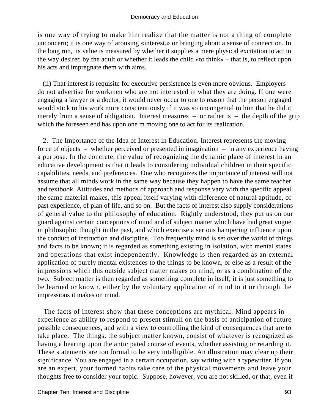is one way of trying to make him realize that the matter is not a thing of complete unconcern; it is one way of arousing «interest,» or bringing about a sense of connection. In the long run, its value is measured by whether it supplies a mere physical excitation to act in the way desired by the adult or whether it leads the child «to think» – that is, to reflect upon his acts and impregnate them with aims.

 (ii) That interest is requisite for executive persistence is even more obvious. Employers do not advertise for workmen who are not interested in what they are doing. If one were engaging a lawyer or a doctor, it would never occur to one to reason that the person engaged would stick to his work more conscientiously if it was so uncongenial to him that he did it merely from a sense of obligation. Interest measures – or rather is – the depth of the grip which the foreseen end has upon one m moving one to act for its realization.

 2. The Importance of the Idea of Interest in Education. Interest represents the moving force of objects – whether perceived or presented in imagination – in any experience having a purpose. In the concrete, the value of recognizing the dynamic place of interest in an educative development is that it leads to considering individual children in their specific capabilities, needs, and preferences. One who recognizes the importance of interest will not assume that all minds work in the same way because they happen to have the same teacher and textbook. Attitudes and methods of approach and response vary with the specific appeal the same material makes, this appeal itself varying with difference of natural aptitude, of past experience, of plan of life, and so on. But the facts of interest also supply considerations of general value to the philosophy of education. Rightly understood, they put us on our guard against certain conceptions of mind and of subject matter which have had great vogue in philosophic thought in the past, and which exercise a serious hampering influence upon the conduct of instruction and discipline. Too frequently mind is set over the world of things and facts to be known; it is regarded as something existing in isolation, with mental states and operations that exist independently. Knowledge is then regarded as an external application of purely mental existences to the things to be known, or else as a result of the impressions which this outside subject matter makes on mind, or as a combination of the two. Subject matter is then regarded as something complete in itself; it is just something to be learned or known, either by the voluntary application of mind to it or through the impressions it makes on mind.

 The facts of interest show that these conceptions are mythical. Mind appears in experience as ability to respond to present stimuli on the basis of anticipation of future possible consequences, and with a view to controlling the kind of consequences that are to take place. The things, the subject matter known, consist of whatever is recognized as having a bearing upon the anticipated course of events, whether assisting or retarding it. These statements are too formal to be very intelligible. An illustration may clear up their significance. You are engaged in a certain occupation, say writing with a typewriter. If you are an expert, your formed habits take care of the physical movements and leave your thoughts free to consider your topic. Suppose, however, you are not skilled, or that, even if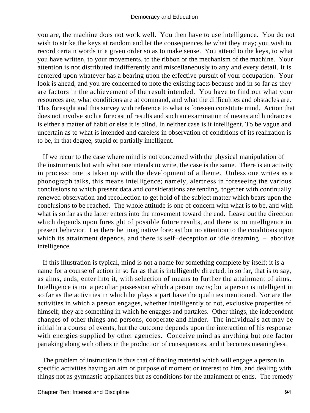you are, the machine does not work well. You then have to use intelligence. You do not wish to strike the keys at random and let the consequences be what they may; you wish to record certain words in a given order so as to make sense. You attend to the keys, to what you have written, to your movements, to the ribbon or the mechanism of the machine. Your attention is not distributed indifferently and miscellaneously to any and every detail. It is centered upon whatever has a bearing upon the effective pursuit of your occupation. Your look is ahead, and you are concerned to note the existing facts because and in so far as they are factors in the achievement of the result intended. You have to find out what your resources are, what conditions are at command, and what the difficulties and obstacles are. This foresight and this survey with reference to what is foreseen constitute mind. Action that does not involve such a forecast of results and such an examination of means and hindrances is either a matter of habit or else it is blind. In neither case is it intelligent. To be vague and uncertain as to what is intended and careless in observation of conditions of its realization is to be, in that degree, stupid or partially intelligent.

 If we recur to the case where mind is not concerned with the physical manipulation of the instruments but with what one intends to write, the case is the same. There is an activity in process; one is taken up with the development of a theme. Unless one writes as a phonograph talks, this means intelligence; namely, alertness in foreseeing the various conclusions to which present data and considerations are tending, together with continually renewed observation and recollection to get hold of the subject matter which bears upon the conclusions to be reached. The whole attitude is one of concern with what is to be, and with what is so far as the latter enters into the movement toward the end. Leave out the direction which depends upon foresight of possible future results, and there is no intelligence in present behavior. Let there be imaginative forecast but no attention to the conditions upon which its attainment depends, and there is self−deception or idle dreaming – abortive intelligence.

 If this illustration is typical, mind is not a name for something complete by itself; it is a name for a course of action in so far as that is intelligently directed; in so far, that is to say, as aims, ends, enter into it, with selection of means to further the attainment of aims. Intelligence is not a peculiar possession which a person owns; but a person is intelligent in so far as the activities in which he plays a part have the qualities mentioned. Nor are the activities in which a person engages, whether intelligently or not, exclusive properties of himself; they are something in which he engages and partakes. Other things, the independent changes of other things and persons, cooperate and hinder. The individual's act may be initial in a course of events, but the outcome depends upon the interaction of his response with energies supplied by other agencies. Conceive mind as anything but one factor partaking along with others in the production of consequences, and it becomes meaningless.

 The problem of instruction is thus that of finding material which will engage a person in specific activities having an aim or purpose of moment or interest to him, and dealing with things not as gymnastic appliances but as conditions for the attainment of ends. The remedy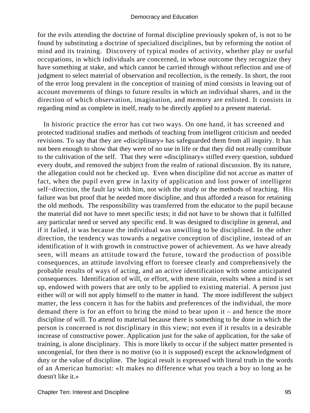for the evils attending the doctrine of formal discipline previously spoken of, is not to be found by substituting a doctrine of specialized disciplines, but by reforming the notion of mind and its training. Discovery of typical modes of activity, whether play or useful occupations, in which individuals are concerned, in whose outcome they recognize they have something at stake, and which cannot be carried through without reflection and use of judgment to select material of observation and recollection, is the remedy. In short, the root of the error long prevalent in the conception of training of mind consists in leaving out of account movements of things to future results in which an individual shares, and in the direction of which observation, imagination, and memory are enlisted. It consists in regarding mind as complete in itself, ready to be directly applied to a present material.

 In historic practice the error has cut two ways. On one hand, it has screened and protected traditional studies and methods of teaching from intelligent criticism and needed revisions. To say that they are «disciplinary» has safeguarded them from all inquiry. It has not been enough to show that they were of no use in life or that they did not really contribute to the cultivation of the self. That they were «disciplinary» stifled every question, subdued every doubt, and removed the subject from the realm of rational discussion. By its nature, the allegation could not be checked up. Even when discipline did not accrue as matter of fact, when the pupil even grew in laxity of application and lost power of intelligent self–direction, the fault lay with him, not with the study or the methods of teaching. His failure was but proof that he needed more discipline, and thus afforded a reason for retaining the old methods. The responsibility was transferred from the educator to the pupil because the material did not have to meet specific tests; it did not have to be shown that it fulfilled any particular need or served any specific end. It was designed to discipline in general, and if it failed, it was because the individual was unwilling to be disciplined. In the other direction, the tendency was towards a negative conception of discipline, instead of an identification of it with growth in constructive power of achievement. As we have already seen, will means an attitude toward the future, toward the production of possible consequences, an attitude involving effort to foresee clearly and comprehensively the probable results of ways of acting, and an active identification with some anticipated consequences. Identification of will, or effort, with mere strain, results when a mind is set up, endowed with powers that are only to be applied to existing material. A person just either will or will not apply himself to the matter in hand. The more indifferent the subject matter, the less concern it has for the habits and preferences of the individual, the more demand there is for an effort to bring the mind to bear upon it – and hence the more discipline of will. To attend to material because there is something to be done in which the person is concerned is not disciplinary in this view; not even if it results in a desirable increase of constructive power. Application just for the sake of application, for the sake of training, is alone disciplinary. This is more likely to occur if the subject matter presented is uncongenial, for then there is no motive (so it is supposed) except the acknowledgment of duty or the value of discipline. The logical result is expressed with literal truth in the words of an American humorist: «It makes no difference what you teach a boy so long as he doesn't like it.»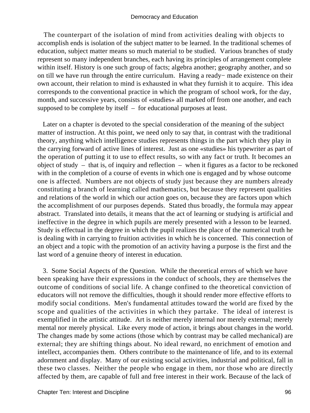The counterpart of the isolation of mind from activities dealing with objects to accomplish ends is isolation of the subject matter to be learned. In the traditional schemes of education, subject matter means so much material to be studied. Various branches of study represent so many independent branches, each having its principles of arrangement complete within itself. History is one such group of facts; algebra another; geography another, and so on till we have run through the entire curriculum. Having a ready− made existence on their own account, their relation to mind is exhausted in what they furnish it to acquire. This idea corresponds to the conventional practice in which the program of school work, for the day, month, and successive years, consists of «studies» all marked off from one another, and each supposed to be complete by itself – for educational purposes at least.

 Later on a chapter is devoted to the special consideration of the meaning of the subject matter of instruction. At this point, we need only to say that, in contrast with the traditional theory, anything which intelligence studies represents things in the part which they play in the carrying forward of active lines of interest. Just as one «studies» his typewriter as part of the operation of putting it to use to effect results, so with any fact or truth. It becomes an object of study – that is, of inquiry and reflection – when it figures as a factor to be reckoned with in the completion of a course of events in which one is engaged and by whose outcome one is affected. Numbers are not objects of study just because they are numbers already constituting a branch of learning called mathematics, but because they represent qualities and relations of the world in which our action goes on, because they are factors upon which the accomplishment of our purposes depends. Stated thus broadly, the formula may appear abstract. Translated into details, it means that the act of learning or studying is artificial and ineffective in the degree in which pupils are merely presented with a lesson to be learned. Study is effectual in the degree in which the pupil realizes the place of the numerical truth he is dealing with in carrying to fruition activities in which he is concerned. This connection of an object and a topic with the promotion of an activity having a purpose is the first and the last word of a genuine theory of interest in education.

 3. Some Social Aspects of the Question. While the theoretical errors of which we have been speaking have their expressions in the conduct of schools, they are themselves the outcome of conditions of social life. A change confined to the theoretical conviction of educators will not remove the difficulties, though it should render more effective efforts to modify social conditions. Men's fundamental attitudes toward the world are fixed by the scope and qualities of the activities in which they partake. The ideal of interest is exemplified in the artistic attitude. Art is neither merely internal nor merely external; merely mental nor merely physical. Like every mode of action, it brings about changes in the world. The changes made by some actions (those which by contrast may be called mechanical) are external; they are shifting things about. No ideal reward, no enrichment of emotion and intellect, accompanies them. Others contribute to the maintenance of life, and to its external adornment and display. Many of our existing social activities, industrial and political, fall in these two classes. Neither the people who engage in them, nor those who are directly affected by them, are capable of full and free interest in their work. Because of the lack of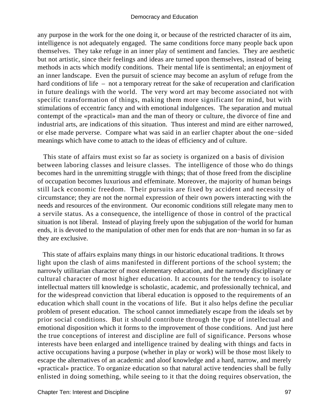any purpose in the work for the one doing it, or because of the restricted character of its aim, intelligence is not adequately engaged. The same conditions force many people back upon themselves. They take refuge in an inner play of sentiment and fancies. They are aesthetic but not artistic, since their feelings and ideas are turned upon themselves, instead of being methods in acts which modify conditions. Their mental life is sentimental; an enjoyment of an inner landscape. Even the pursuit of science may become an asylum of refuge from the hard conditions of life – not a temporary retreat for the sake of recuperation and clarification in future dealings with the world. The very word art may become associated not with specific transformation of things, making them more significant for mind, but with stimulations of eccentric fancy and with emotional indulgences. The separation and mutual contempt of the «practical» man and the man of theory or culture, the divorce of fine and industrial arts, are indications of this situation. Thus interest and mind are either narrowed, or else made perverse. Compare what was said in an earlier chapter about the one−sided meanings which have come to attach to the ideas of efficiency and of culture.

 This state of affairs must exist so far as society is organized on a basis of division between laboring classes and leisure classes. The intelligence of those who do things becomes hard in the unremitting struggle with things; that of those freed from the discipline of occupation becomes luxurious and effeminate. Moreover, the majority of human beings still lack economic freedom. Their pursuits are fixed by accident and necessity of circumstance; they are not the normal expression of their own powers interacting with the needs and resources of the environment. Our economic conditions still relegate many men to a servile status. As a consequence, the intelligence of those in control of the practical situation is not liberal. Instead of playing freely upon the subjugation of the world for human ends, it is devoted to the manipulation of other men for ends that are non−human in so far as they are exclusive.

 This state of affairs explains many things in our historic educational traditions. It throws light upon the clash of aims manifested in different portions of the school system; the narrowly utilitarian character of most elementary education, and the narrowly disciplinary or cultural character of most higher education. It accounts for the tendency to isolate intellectual matters till knowledge is scholastic, academic, and professionally technical, and for the widespread conviction that liberal education is opposed to the requirements of an education which shall count in the vocations of life. But it also helps define the peculiar problem of present education. The school cannot immediately escape from the ideals set by prior social conditions. But it should contribute through the type of intellectual and emotional disposition which it forms to the improvement of those conditions. And just here the true conceptions of interest and discipline are full of significance. Persons whose interests have been enlarged and intelligence trained by dealing with things and facts in active occupations having a purpose (whether in play or work) will be those most likely to escape the alternatives of an academic and aloof knowledge and a hard, narrow, and merely «practical» practice. To organize education so that natural active tendencies shall be fully enlisted in doing something, while seeing to it that the doing requires observation, the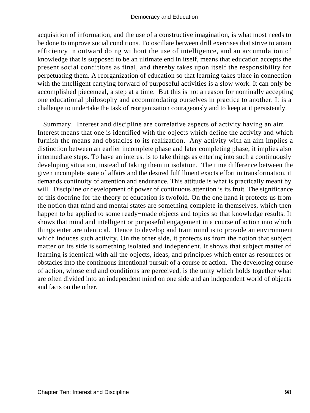acquisition of information, and the use of a constructive imagination, is what most needs to be done to improve social conditions. To oscillate between drill exercises that strive to attain efficiency in outward doing without the use of intelligence, and an accumulation of knowledge that is supposed to be an ultimate end in itself, means that education accepts the present social conditions as final, and thereby takes upon itself the responsibility for perpetuating them. A reorganization of education so that learning takes place in connection with the intelligent carrying forward of purposeful activities is a slow work. It can only be accomplished piecemeal, a step at a time. But this is not a reason for nominally accepting one educational philosophy and accommodating ourselves in practice to another. It is a challenge to undertake the task of reorganization courageously and to keep at it persistently.

 Summary. Interest and discipline are correlative aspects of activity having an aim. Interest means that one is identified with the objects which define the activity and which furnish the means and obstacles to its realization. Any activity with an aim implies a distinction between an earlier incomplete phase and later completing phase; it implies also intermediate steps. To have an interest is to take things as entering into such a continuously developing situation, instead of taking them in isolation. The time difference between the given incomplete state of affairs and the desired fulfillment exacts effort in transformation, it demands continuity of attention and endurance. This attitude is what is practically meant by will. Discipline or development of power of continuous attention is its fruit. The significance of this doctrine for the theory of education is twofold. On the one hand it protects us from the notion that mind and mental states are something complete in themselves, which then happen to be applied to some ready−made objects and topics so that knowledge results. It shows that mind and intelligent or purposeful engagement in a course of action into which things enter are identical. Hence to develop and train mind is to provide an environment which induces such activity. On the other side, it protects us from the notion that subject matter on its side is something isolated and independent. It shows that subject matter of learning is identical with all the objects, ideas, and principles which enter as resources or obstacles into the continuous intentional pursuit of a course of action. The developing course of action, whose end and conditions are perceived, is the unity which holds together what are often divided into an independent mind on one side and an independent world of objects and facts on the other.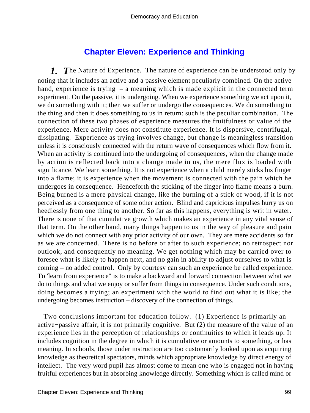# **[Chapter Eleven: Experience and Thinking](#page-248-0)**

*1. T*he Nature of Experience. The nature of experience can be understood only by noting that it includes an active and a passive element peculiarly combined. On the active hand, experience is trying – a meaning which is made explicit in the connected term experiment. On the passive, it is undergoing. When we experience something we act upon it, we do something with it; then we suffer or undergo the consequences. We do something to the thing and then it does something to us in return: such is the peculiar combination. The connection of these two phases of experience measures the fruitfulness or value of the experience. Mere activity does not constitute experience. It is dispersive, centrifugal, dissipating. Experience as trying involves change, but change is meaningless transition unless it is consciously connected with the return wave of consequences which flow from it. When an activity is continued into the undergoing of consequences, when the change made by action is reflected back into a change made in us, the mere flux is loaded with significance. We learn something. It is not experience when a child merely sticks his finger into a flame; it is experience when the movement is connected with the pain which he undergoes in consequence. Henceforth the sticking of the finger into flame means a burn. Being burned is a mere physical change, like the burning of a stick of wood, if it is not perceived as a consequence of some other action. Blind and capricious impulses hurry us on heedlessly from one thing to another. So far as this happens, everything is writ in water. There is none of that cumulative growth which makes an experience in any vital sense of that term. On the other hand, many things happen to us in the way of pleasure and pain which we do not connect with any prior activity of our own. They are mere accidents so far as we are concerned. There is no before or after to such experience; no retrospect nor outlook, and consequently no meaning. We get nothing which may be carried over to foresee what is likely to happen next, and no gain in ability to adjust ourselves to what is coming – no added control. Only by courtesy can such an experience be called experience. To 'learn from experience" is to make a backward and forward connection between what we do to things and what we enjoy or suffer from things in consequence. Under such conditions, doing becomes a trying; an experiment with the world to find out what it is like; the undergoing becomes instruction – discovery of the connection of things.

 Two conclusions important for education follow. (1) Experience is primarily an active−passive affair; it is not primarily cognitive. But (2) the measure of the value of an experience lies in the perception of relationships or continuities to which it leads up. It includes cognition in the degree in which it is cumulative or amounts to something, or has meaning. In schools, those under instruction are too customarily looked upon as acquiring knowledge as theoretical spectators, minds which appropriate knowledge by direct energy of intellect. The very word pupil has almost come to mean one who is engaged not in having fruitful experiences but in absorbing knowledge directly. Something which is called mind or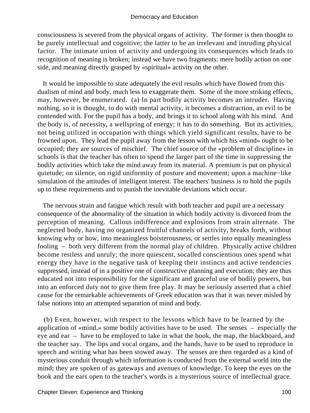consciousness is severed from the physical organs of activity. The former is then thought to be purely intellectual and cognitive; the latter to be an irrelevant and intruding physical factor. The intimate union of activity and undergoing its consequences which leads to recognition of meaning is broken; instead we have two fragments: mere bodily action on one side, and meaning directly grasped by «spiritual» activity on the other.

 It would be impossible to state adequately the evil results which have flowed from this dualism of mind and body, much less to exaggerate them. Some of the more striking effects, may, however, be enumerated. (a) In part bodily activity becomes an intruder. Having nothing, so it is thought, to do with mental activity, it becomes a distraction, an evil to be contended with. For the pupil has a body, and brings it to school along with his mind. And the body is, of necessity, a wellspring of energy; it has to do something. But its activities, not being utilized in occupation with things which yield significant results, have to be frowned upon. They lead the pupil away from the lesson with which his «mind» ought to be occupied; they are sources of mischief. The chief source of the «problem of discipline» in schools is that the teacher has often to spend the larger part of the time in suppressing the bodily activities which take the mind away from its material. A premium is put on physical quietude; on silence, on rigid uniformity of posture and movement; upon a machine−like simulation of the attitudes of intelligent interest. The teachers' business is to hold the pupils up to these requirements and to punish the inevitable deviations which occur.

 The nervous strain and fatigue which result with both teacher and pupil are a necessary consequence of the abnormality of the situation in which bodily activity is divorced from the perception of meaning. Callous indifference and explosions from strain alternate. The neglected body, having no organized fruitful channels of activity, breaks forth, without knowing why or how, into meaningless boisterousness, or settles into equally meaningless fooling – both very different from the normal play of children. Physically active children become restless and unruly; the more quiescent, socalled conscientious ones spend what energy they have in the negative task of keeping their instincts and active tendencies suppressed, instead of in a positive one of constructive planning and execution; they are thus educated not into responsibility for the significant and graceful use of bodily powers, but into an enforced duty not to give them free play. It may be seriously asserted that a chief cause for the remarkable achievements of Greek education was that it was never misled by false notions into an attempted separation of mind and body.

 (b) Even, however, with respect to the lessons which have to be learned by the application of «mind,» some bodily activities have to be used. The senses – especially the eye and ear – have to be employed to take in what the book, the map, the blackboard, and the teacher say. The lips and vocal organs, and the hands, have to be used to reproduce in speech and writing what has been stowed away. The senses are then regarded as a kind of mysterious conduit through which information is conducted from the external world into the mind; they are spoken of as gateways and avenues of knowledge. To keep the eyes on the book and the ears open to the teacher's words is a mysterious source of intellectual grace.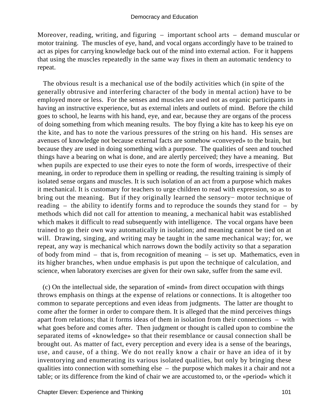Moreover, reading, writing, and figuring – important school arts – demand muscular or motor training. The muscles of eye, hand, and vocal organs accordingly have to be trained to act as pipes for carrying knowledge back out of the mind into external action. For it happens that using the muscles repeatedly in the same way fixes in them an automatic tendency to repeat.

 The obvious result is a mechanical use of the bodily activities which (in spite of the generally obtrusive and interfering character of the body in mental action) have to be employed more or less. For the senses and muscles are used not as organic participants in having an instructive experience, but as external inlets and outlets of mind. Before the child goes to school, he learns with his hand, eye, and ear, because they are organs of the process of doing something from which meaning results. The boy flying a kite has to keep his eye on the kite, and has to note the various pressures of the string on his hand. His senses are avenues of knowledge not because external facts are somehow «conveyed» to the brain, but because they are used in doing something with a purpose. The qualities of seen and touched things have a bearing on what is done, and are alertly perceived; they have a meaning. But when pupils are expected to use their eyes to note the form of words, irrespective of their meaning, in order to reproduce them in spelling or reading, the resulting training is simply of isolated sense organs and muscles. It is such isolation of an act from a purpose which makes it mechanical. It is customary for teachers to urge children to read with expression, so as to bring out the meaning. But if they originally learned the sensory− motor technique of reading – the ability to identify forms and to reproduce the sounds they stand for – by methods which did not call for attention to meaning, a mechanical habit was established which makes it difficult to read subsequently with intelligence. The vocal organs have been trained to go their own way automatically in isolation; and meaning cannot be tied on at will. Drawing, singing, and writing may be taught in the same mechanical way; for, we repeat, any way is mechanical which narrows down the bodily activity so that a separation of body from mind – that is, from recognition of meaning – is set up. Mathematics, even in its higher branches, when undue emphasis is put upon the technique of calculation, and science, when laboratory exercises are given for their own sake, suffer from the same evil.

 (c) On the intellectual side, the separation of «mind» from direct occupation with things throws emphasis on things at the expense of relations or connections. It is altogether too common to separate perceptions and even ideas from judgments. The latter are thought to come after the former in order to compare them. It is alleged that the mind perceives things apart from relations; that it forms ideas of them in isolation from their connections – with what goes before and comes after. Then judgment or thought is called upon to combine the separated items of «knowledge» so that their resemblance or causal connection shall be brought out. As matter of fact, every perception and every idea is a sense of the bearings, use, and cause, of a thing. We do not really know a chair or have an idea of it by inventorying and enumerating its various isolated qualities, but only by bringing these qualities into connection with something else – the purpose which makes it a chair and not a table; or its difference from the kind of chair we are accustomed to, or the «period» which it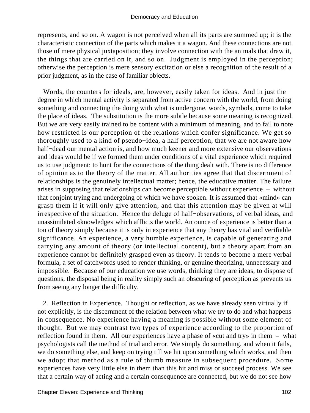represents, and so on. A wagon is not perceived when all its parts are summed up; it is the characteristic connection of the parts which makes it a wagon. And these connections are not those of mere physical juxtaposition; they involve connection with the animals that draw it, the things that are carried on it, and so on. Judgment is employed in the perception; otherwise the perception is mere sensory excitation or else a recognition of the result of a prior judgment, as in the case of familiar objects.

 Words, the counters for ideals, are, however, easily taken for ideas. And in just the degree in which mental activity is separated from active concern with the world, from doing something and connecting the doing with what is undergone, words, symbols, come to take the place of ideas. The substitution is the more subtle because some meaning is recognized. But we are very easily trained to be content with a minimum of meaning, and to fail to note how restricted is our perception of the relations which confer significance. We get so thoroughly used to a kind of pseudo−idea, a half perception, that we are not aware how half−dead our mental action is, and how much keener and more extensive our observations and ideas would be if we formed them under conditions of a vital experience which required us to use judgment: to hunt for the connections of the thing dealt with. There is no difference of opinion as to the theory of the matter. All authorities agree that that discernment of relationships is the genuinely intellectual matter; hence, the educative matter. The failure arises in supposing that relationships can become perceptible without experience – without that conjoint trying and undergoing of which we have spoken. It is assumed that «mind» can grasp them if it will only give attention, and that this attention may be given at will irrespective of the situation. Hence the deluge of half−observations, of verbal ideas, and unassimilated «knowledge» which afflicts the world. An ounce of experience is better than a ton of theory simply because it is only in experience that any theory has vital and verifiable significance. An experience, a very humble experience, is capable of generating and carrying any amount of theory (or intellectual content), but a theory apart from an experience cannot be definitely grasped even as theory. It tends to become a mere verbal formula, a set of catchwords used to render thinking, or genuine theorizing, unnecessary and impossible. Because of our education we use words, thinking they are ideas, to dispose of questions, the disposal being in reality simply such an obscuring of perception as prevents us from seeing any longer the difficulty.

 2. Reflection in Experience. Thought or reflection, as we have already seen virtually if not explicitly, is the discernment of the relation between what we try to do and what happens in consequence. No experience having a meaning is possible without some element of thought. But we may contrast two types of experience according to the proportion of reflection found in them. All our experiences have a phase of «cut and try» in them – what psychologists call the method of trial and error. We simply do something, and when it fails, we do something else, and keep on trying till we hit upon something which works, and then we adopt that method as a rule of thumb measure in subsequent procedure. Some experiences have very little else in them than this hit and miss or succeed process. We see that a certain way of acting and a certain consequence are connected, but we do not see how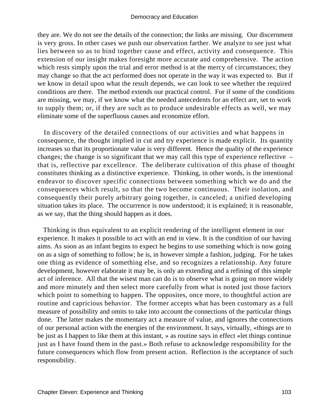they are. We do not see the details of the connection; the links are missing. Our discernment is very gross. In other cases we push our observation farther. We analyze to see just what lies between so as to bind together cause and effect, activity and consequence. This extension of our insight makes foresight more accurate and comprehensive. The action which rests simply upon the trial and error method is at the mercy of circumstances; they may change so that the act performed does not operate in the way it was expected to. But if we know in detail upon what the result depends, we can look to see whether the required conditions are there. The method extends our practical control. For if some of the conditions are missing, we may, if we know what the needed antecedents for an effect are, set to work to supply them; or, if they are such as to produce undesirable effects as well, we may eliminate some of the superfluous causes and economize effort.

 In discovery of the detailed connections of our activities and what happens in consequence, the thought implied in cut and try experience is made explicit. Its quantity increases so that its proportionate value is very different. Hence the quality of the experience changes; the change is so significant that we may call this type of experience reflective – that is, reflective par excellence. The deliberate cultivation of this phase of thought constitutes thinking as a distinctive experience. Thinking, in other words, is the intentional endeavor to discover specific connections between something which we do and the consequences which result, so that the two become continuous. Their isolation, and consequently their purely arbitrary going together, is canceled; a unified developing situation takes its place. The occurrence is now understood; it is explained; it is reasonable, as we say, that the thing should happen as it does.

 Thinking is thus equivalent to an explicit rendering of the intelligent element in our experience. It makes it possible to act with an end in view. It is the condition of our having aims. As soon as an infant begins to expect he begins to use something which is now going on as a sign of something to follow; he is, in however simple a fashion, judging. For he takes one thing as evidence of something else, and so recognizes a relationship. Any future development, however elaborate it may be, is only an extending and a refining of this simple act of inference. All that the wisest man can do is to observe what is going on more widely and more minutely and then select more carefully from what is noted just those factors which point to something to happen. The opposites, once more, to thoughtful action are routine and capricious behavior. The former accepts what has been customary as a full measure of possibility and omits to take into account the connections of the particular things done. The latter makes the momentary act a measure of value, and ignores the connections of our personal action with the energies of the environment. It says, virtually, «things are to be just as I happen to like them at this instant, » as routine says in effect «let things continue just as I have found them in the past.» Both refuse to acknowledge responsibility for the future consequences which flow from present action. Reflection is the acceptance of such responsibility.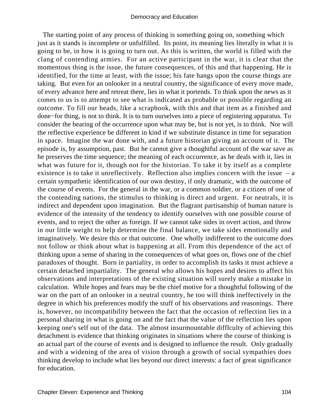The starting point of any process of thinking is something going on, something which just as it stands is incomplete or unfulfilled. Its point, its meaning lies literally in what it is going to be, in how it is going to turn out. As this is written, the world is filled with the clang of contending armies. For an active participant in the war, it is clear that the momentous thing is the issue, the future consequences, of this and that happening. He is identified, for the time at least, with the issue; his fate hangs upon the course things are taking. But even for an onlooker in a neutral country, the significance of every move made, of every advance here and retreat there, lies in what it portends. To think upon the news as it comes to us is to attempt to see what is indicated as probable or possible regarding an outcome. To fill our heads, like a scrapbook, with this and that item as a finished and done−for thing, is not to think. It is to turn ourselves into a piece of registering apparatus. To consider the bearing of the occurrence upon what may be, but is not yet, is to think. Nor will the reflective experience be different in kind if we substitute distance in time for separation in space. Imagine the war done with, and a future historian giving an account of it. The episode is, by assumption, past. But he cannot give a thoughtful account of the war save as he preserves the time sequence; the meaning of each occurrence, as he deals with it, lies in what was future for it, though not for the historian. To take it by itself as a complete existence is to take it unreflectively. Reflection also implies concern with the issue  $-$  a certain sympathetic identification of our own destiny, if only dramatic, with the outcome of the course of events. For the general in the war, or a common soldier, or a citizen of one of the contending nations, the stimulus to thinking is direct and urgent. For neutrals, it is indirect and dependent upon imagination. But the flagrant partisanship of human nature is evidence of the intensity of the tendency to identify ourselves with one possible course of events, and to reject the other as foreign. If we cannot take sides in overt action, and throw in our little weight to help determine the final balance, we take sides emotionally and imaginatively. We desire this or that outcome. One wholly indifferent to the outcome does not follow or think about what is happening at all. From this dependence of the act of thinking upon a sense of sharing in the consequences of what goes on, flows one of the chief paradoxes of thought. Born in partiality, in order to accomplish its tasks it must achieve a certain detached impartiality. The general who allows his hopes and desires to affect his observations and interpretations of the existing situation will surely make a mistake in calculation. While hopes and fears may be the chief motive for a thoughtful following of the war on the part of an onlooker in a neutral country, he too will think ineffectively in the degree in which his preferences modify the stuff of his observations and reasonings. There is, however, no incompatibility between the fact that the occasion of reflection lies in a personal sharing in what is going on and the fact that the value of the reflection lies upon keeping one's self out of the data. The almost insurmountable difflculty of achieving this detachment is evidence that thinking originates in situations where the course of thinking is an actual part of the course of events and is designed to influence the result. Only gradually and with a widening of the area of vision through a growth of social sympathies does thinking develop to include what lies beyond our direct interests: a fact of great significance for education.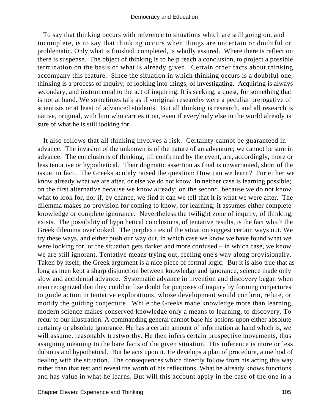To say that thinking occurs with reference to situations which are still going on, and incomplete, is to say that thinking occurs when things are uncertain or doubtful or problematic. Only what is finished, completed, is wholly assured. Where there is reflection there is suspense. The object of thinking is to help reach a conclusion, to project a possible termination on the basis of what is already given. Certain other facts about thinking accompany this feature. Since the situation in which thinking occurs is a doubtful one, thinking is a process of inquiry, of looking into things, of investigating. Acquiring is always secondary, and instrumental to the act of inquiring. It is seeking, a quest, for something that is not at hand. We sometimes talk as if «original research» were a peculiar prerogative of scientists or at least of advanced students. But all thinking is research, and all research is native, original, with him who carries it on, even if everybody else in the world already is sure of what he is still looking for.

 It also follows that all thinking involves a risk. Certainty cannot be guaranteed in advance. The invasion of the unknown is of the nature of an adventure; we cannot be sure in advance. The conclusions of thinking, till confirmed by the event, are, accordingly, more or less tentative or hypothetical. Their dogmatic assertion as final is unwarranted, short of the issue, in fact. The Greeks acutely raised the question: How can we learn? For either we know already what we are after, or else we do not know. In neither case is learning possible; on the first alternative because we know already; on the second, because we do not know what to look for, nor if, by chance, we find it can we tell that it is what we were after. The dilemma makes no provision for coming to know, for learning; it assumes either complete knowledge or complete ignorance. Nevertheless the twilight zone of inquiry, of thinking, exists. The possibility of hypothetical conclusions, of tentative results, is the fact which the Greek dilemma overlooked. The perplexities of the situation suggest certain ways out. We try these ways, and either push our way out, in which case we know we have found what we were looking for, or the situation gets darker and more confused – in which case, we know we are still ignorant. Tentative means trying out, feeling one's way along provisionally. Taken by itself, the Greek argument is a nice piece of formal logic. But it is also true that as long as men kept a sharp disjunction between knowledge and ignorance, science made only slow and accidental advance. Systematic advance in invention and discovery began when men recognized that they could utilize doubt for purposes of inquiry by forming conjectures to guide action in tentative explorations, whose development would confirm, refute, or modify the guiding conjecture. While the Greeks made knowledge more than learning, modern science makes conserved knowledge only a means to learning, to discovery. To recur to our illustration. A commanding general cannot base his actions upon either absolute certainty or absolute ignorance. He has a certain amount of information at hand which is, we will assume, reasonably trustworthy. He then infers certain prospective movements, thus assigning meaning to the bare facts of the given situation. His inference is more or less dubious and hypothetical. But he acts upon it. He develops a plan of procedure, a method of dealing with the situation. The consequences which directly follow from his acting this way rather than that test and reveal the worth of his reflections. What he already knows functions and has value in what he learns. But will this account apply in the case of the one in a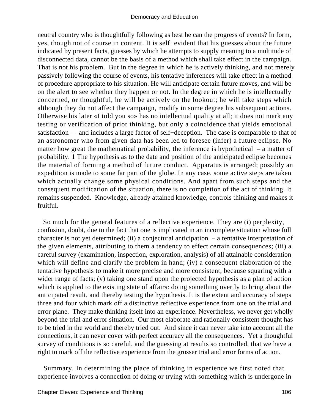neutral country who is thoughtfully following as best he can the progress of events? In form, yes, though not of course in content. It is self−evident that his guesses about the future indicated by present facts, guesses by which he attempts to supply meaning to a multitude of disconnected data, cannot be the basis of a method which shall take effect in the campaign. That is not his problem. But in the degree in which he is actively thinking, and not merely passively following the course of events, his tentative inferences will take effect in a method of procedure appropriate to his situation. He will anticipate certain future moves, and will be on the alert to see whether they happen or not. In the degree in which he is intellectually concerned, or thoughtful, he will be actively on the lookout; he will take steps which although they do not affect the campaign, modify in some degree his subsequent actions. Otherwise his later «I told you so» has no intellectual quality at all; it does not mark any testing or verification of prior thinking, but only a coincidence that yields emotional satisfaction – and includes a large factor of self−deception. The case is comparable to that of an astronomer who from given data has been led to foresee (infer) a future eclipse. No matter how great the mathematical probability, the inference is hypothetical – a matter of probability. 1 The hypothesis as to the date and position of the anticipated eclipse becomes the material of forming a method of future conduct. Apparatus is arranged; possibly an expedition is made to some far part of the globe. In any case, some active steps are taken which actually change some physical conditions. And apart from such steps and the consequent modification of the situation, there is no completion of the act of thinking. It remains suspended. Knowledge, already attained knowledge, controls thinking and makes it fruitful.

 So much for the general features of a reflective experience. They are (i) perplexity, confusion, doubt, due to the fact that one is implicated in an incomplete situation whose full character is not yet determined; (ii) a conjectural anticipation – a tentative interpretation of the given elements, attributing to them a tendency to effect certain consequences; (iii) a careful survey (examination, inspection, exploration, analysis) of all attainable consideration which will define and clarify the problem in hand; (iv) a consequent elaboration of the tentative hypothesis to make it more precise and more consistent, because squaring with a wider range of facts; (v) taking one stand upon the projected hypothesis as a plan of action which is applied to the existing state of affairs: doing something overtly to bring about the anticipated result, and thereby testing the hypothesis. It is the extent and accuracy of steps three and four which mark off a distinctive refiective experience from one on the trial and error plane. They make thinking itself into an experience. Nevertheless, we never get wholly beyond the trial and error situation. Our most elaborate and rationally consistent thought has to be tried in the world and thereby tried out. And since it can never take into account all the connections, it can never cover with perfect accuracy all the consequences. Yet a thoughtful survey of conditions is so careful, and the guessing at results so controlled, that we have a right to mark off the reflective experience from the grosser trial and error forms of action.

 Summary. In determining the place of thinking in experience we first noted that experience involves a connection of doing or trying with something which is undergone in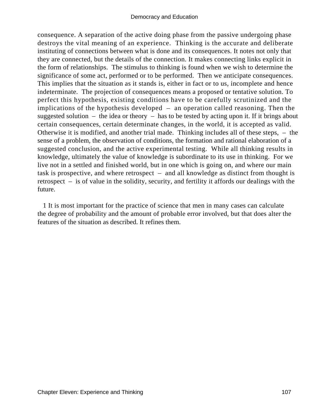consequence. A separation of the active doing phase from the passive undergoing phase destroys the vital meaning of an experience. Thinking is the accurate and deliberate instituting of connections between what is done and its consequences. It notes not only that they are connected, but the details of the connection. It makes connecting links explicit in the form of relationships. The stimulus to thinking is found when we wish to determine the significance of some act, performed or to be performed. Then we anticipate consequences. This implies that the situation as it stands is, either in fact or to us, incomplete and hence indeterminate. The projection of consequences means a proposed or tentative solution. To perfect this hypothesis, existing conditions have to be carefully scrutinized and the implications of the hypothesis developed – an operation called reasoning. Then the suggested solution – the idea or theory – has to be tested by acting upon it. If it brings about certain consequences, certain determinate changes, in the world, it is accepted as valid. Otherwise it is modified, and another trial made. Thinking includes all of these steps, – the sense of a problem, the observation of conditions, the formation and rational elaboration of a suggested conclusion, and the active experimental testing. While all thinking results in knowledge, ultimately the value of knowledge is subordinate to its use in thinking. For we live not in a settled and finished world, but in one which is going on, and where our main task is prospective, and where retrospect – and all knowledge as distinct from thought is retrospect – is of value in the solidity, security, and fertility it affords our dealings with the future.

 1 It is most important for the practice of science that men in many cases can calculate the degree of probability and the amount of probable error involved, but that does alter the features of the situation as described. It refines them.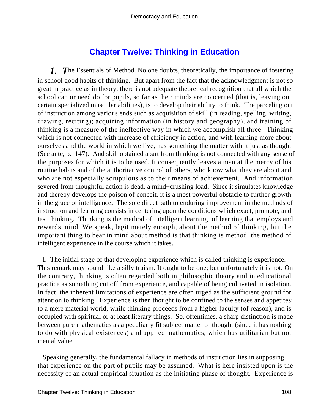# **[Chapter Twelve: Thinking in Education](#page-248-0)**

*1. T*he Essentials of Method. No one doubts, theoretically, the importance of fostering in school good habits of thinking. But apart from the fact that the acknowledgment is not so great in practice as in theory, there is not adequate theoretical recognition that all which the school can or need do for pupils, so far as their minds are concerned (that is, leaving out certain specialized muscular abilities), is to develop their ability to think. The parceling out of instruction among various ends such as acquisition of skill (in reading, spelling, writing, drawing, reciting); acquiring information (in history and geography), and training of thinking is a measure of the ineffective way in which we accomplish all three. Thinking which is not connected with increase of efficiency in action, and with learning more about ourselves and the world in which we live, has something the matter with it just as thought (See ante, p. 147). And skill obtained apart from thinking is not connected with any sense of the purposes for which it is to be used. It consequently leaves a man at the mercy of his routine habits and of the authoritative control of others, who know what they are about and who are not especially scrupulous as to their means of achievement. And information severed from thoughtful action is dead, a mind−crushing load. Since it simulates knowledge and thereby develops the poison of conceit, it is a most powerful obstacle to further growth in the grace of intelligence. The sole direct path to enduring improvement in the methods of instruction and learning consists in centering upon the conditions which exact, promote, and test thinking. Thinking is the method of intelligent learning, of learning that employs and rewards mind. We speak, legitimately enough, about the method of thinking, but the important thing to bear in mind about method is that thinking is method, the method of intelligent experience in the course which it takes.

 I. The initial stage of that developing experience which is called thinking is experience. This remark may sound like a silly truism. It ought to be one; but unfortunately it is not. On the contrary, thinking is often regarded both in philosophic theory and in educational practice as something cut off from experience, and capable of being cultivated in isolation. In fact, the inherent limitations of experience are often urged as the sufficient ground for attention to thinking. Experience is then thought to be confined to the senses and appetites; to a mere material world, while thinking proceeds from a higher faculty (of reason), and is occupied with spiritual or at least literary things. So, oftentimes, a sharp distinction is made between pure mathematics as a peculiarly fit subject matter of thought (since it has nothing to do with physical existences) and applied mathematics, which has utilitarian but not mental value.

 Speaking generally, the fundamental fallacy in methods of instruction lies in supposing that experience on the part of pupils may be assumed. What is here insisted upon is the necessity of an actual empirical situation as the initiating phase of thought. Experience is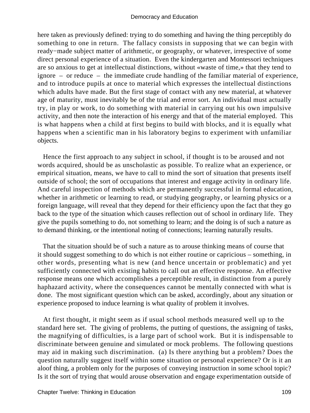here taken as previously defined: trying to do something and having the thing perceptibly do something to one in return. The fallacy consists in supposing that we can begin with ready−made subject matter of arithmetic, or geography, or whatever, irrespective of some direct personal experience of a situation. Even the kindergarten and Montessori techniques are so anxious to get at intellectual distinctions, without «waste of time,» that they tend to ignore – or reduce – the immediate crude handling of the familiar material of experience, and to introduce pupils at once to material which expresses the intellectual distinctions which adults have made. But the first stage of contact with any new material, at whatever age of maturity, must inevitably be of the trial and error sort. An individual must actually try, in play or work, to do something with material in carrying out his own impulsive activity, and then note the interaction of his energy and that of the material employed. This is what happens when a child at first begins to build with blocks, and it is equally what happens when a scientific man in his laboratory begins to experiment with unfamiliar objects.

 Hence the first approach to any subject in school, if thought is to be aroused and not words acquired, should be as unscholastic as possible. To realize what an experience, or empirical situation, means, we have to call to mind the sort of situation that presents itself outside of school; the sort of occupations that interest and engage activity in ordinary life. And careful inspection of methods which are permanently successful in formal education, whether in arithmetic or learning to read, or studying geography, or learning physics or a foreign language, will reveal that they depend for their efficiency upon the fact that they go back to the type of the situation which causes reflection out of school in ordinary life. They give the pupils something to do, not something to learn; and the doing is of such a nature as to demand thinking, or the intentional noting of connections; learning naturally results.

 That the situation should be of such a nature as to arouse thinking means of course that it should suggest something to do which is not either routine or capricious – something, in other words, presenting what is new (and hence uncertain or problematic) and yet sufficiently connected with existing habits to call out an effective response. An effective response means one which accomplishes a perceptible result, in distinction from a purely haphazard activity, where the consequences cannot be mentally connected with what is done. The most significant question which can be asked, accordingly, about any situation or experience proposed to induce learning is what quality of problem it involves.

 At first thought, it might seem as if usual school methods measured well up to the standard here set. The giving of problems, the putting of questions, the assigning of tasks, the magnifying of difficulties, is a large part of school work. But it is indispensable to discriminate between genuine and simulated or mock problems. The following questions may aid in making such discrimination. (a) Is there anything but a problem? Does the question naturally suggest itself within some situation or personal experience? Or is it an aloof thing, a problem only for the purposes of conveying instruction in some school topic? Is it the sort of trying that would arouse observation and engage experimentation outside of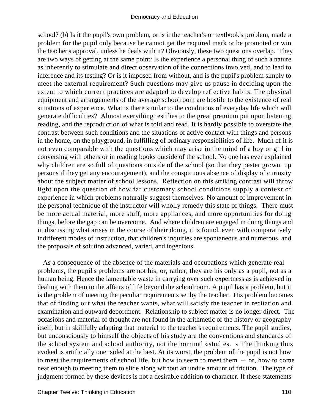school? (b) Is it the pupil's own problem, or is it the teacher's or textbook's problem, made a problem for the pupil only because he cannot get the required mark or be promoted or win the teacher's approval, unless he deals with it? Obviously, these two questions overlap. They are two ways of getting at the same point: Is the experience a personal thing of such a nature as inherently to stimulate and direct observation of the connections involved, and to lead to inference and its testing? Or is it imposed from without, and is the pupil's problem simply to meet the external requirement? Such questions may give us pause in deciding upon the extent to which current practices are adapted to develop reflective habits. The physical equipment and arrangements of the average schoolroom are hostile to the existence of real situations of experience. What is there similar to the conditions of everyday life which will generate difficulties? Almost everything testifies to the great premium put upon listening, reading, and the reproduction of what is told and read. It is hardly possible to overstate the contrast between such conditions and the situations of active contact with things and persons in the home, on the playground, in fulfilling of ordinary responsibilities of life. Much of it is not even comparable with the questions which may arise in the mind of a boy or girl in conversing with others or in reading books outside of the school. No one has ever explained why children are so full of questions outside of the school (so that they pester grown−up persons if they get any encouragement), and the conspicuous absence of display of curiosity about the subject matter of school lessons. Reflection on this striking contrast will throw light upon the question of how far customary school conditions supply a context of experience in which problems naturally suggest themselves. No amount of improvement in the personal technique of the instructor will wholly remedy this state of things. There must be more actual material, more stuff, more appliances, and more opportunities for doing things, before the gap can be overcome. And where children are engaged in doing things and in discussing what arises in the course of their doing, it is found, even with comparatively indifferent modes of instruction, that children's inquiries are spontaneous and numerous, and the proposals of solution advanced, varied, and ingenious.

 As a consequence of the absence of the materials and occupations which generate real problems, the pupil's problems are not his; or, rather, they are his only as a pupil, not as a human being. Hence the lamentable waste in carrying over such expertness as is achieved in dealing with them to the affairs of life beyond the schoolroom. A pupil has a problem, but it is the problem of meeting the peculiar requirements set by the teacher. His problem becomes that of finding out what the teacher wants, what will satisfy the teacher in recitation and examination and outward deportment. Relationship to subject matter is no longer direct. The occasions and material of thought are not found in the arithmetic or the history or geography itself, but in skillfully adapting that material to the teacher's requirements. The pupil studies, but unconsciously to himself the objects of his study are the conventions and standards of the school system and school authority, not the nominal «studies. » The thinking thus evoked is artificially one−sided at the best. At its worst, the problem of the pupil is not how to meet the requirements of school life, but how to seem to meet them – or, how to come near enough to meeting them to slide along without an undue amount of friction. The type of judgment formed by these devices is not a desirable addition to character. If these statements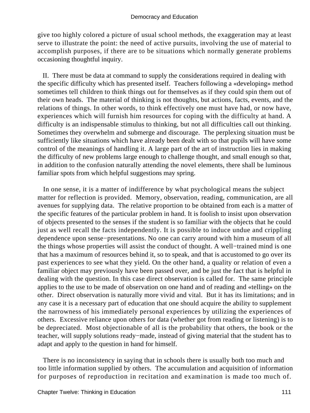give too highly colored a picture of usual school methods, the exaggeration may at least serve to illustrate the point: the need of active pursuits, involving the use of material to accomplish purposes, if there are to be situations which normally generate problems occasioning thoughtful inquiry.

 II. There must be data at command to supply the considerations required in dealing with the specific difficulty which has presented itself. Teachers following a «developing» method sometimes tell children to think things out for themselves as if they could spin them out of their own heads. The material of thinking is not thoughts, but actions, facts, events, and the relations of things. In other words, to think effectively one must have had, or now have, experiences which will furnish him resources for coping with the difficulty at hand. A difficulty is an indispensable stimulus to thinking, but not all difficulties call out thinking. Sometimes they overwhelm and submerge and discourage. The perplexing situation must be sufficiently like situations which have already been dealt with so that pupils will have some control of the meanings of handling it. A large part of the art of instruction lies in making the difficulty of new problems large enough to challenge thought, and small enough so that, in addition to the confusion naturally attending the novel elements, there shall be luminous familiar spots from which helpful suggestions may spring.

 In one sense, it is a matter of indifference by what psychological means the subject matter for reflection is provided. Memory, observation, reading, communication, are all avenues for supplying data. The relative proportion to be obtained from each is a matter of the specific features of the particular problem in hand. It is foolish to insist upon observation of objects presented to the senses if the student is so familiar with the objects that he could just as well recall the facts independently. It is possible to induce undue and crippling dependence upon sense−presentations. No one can carry around with him a museum of all the things whose properties will assist the conduct of thought. A well−trained mind is one that has a maximum of resources behind it, so to speak, and that is accustomed to go over its past experiences to see what they yield. On the other hand, a quality or relation of even a familiar object may previously have been passed over, and be just the fact that is helpful in dealing with the question. In this case direct observation is called for. The same principle applies to the use to be made of observation on one hand and of reading and «telling» on the other. Direct observation is naturally more vivid and vital. But it has its limitations; and in any case it is a necessary part of education that one should acquire the ability to supplement the narrowness of his immediately personal experiences by utilizing the experiences of others. Excessive reliance upon others for data (whether got from reading or listening) is to be depreciated. Most objectionable of all is the probability that others, the book or the teacher, will supply solutions ready−made, instead of giving material that the student has to adapt and apply to the question in hand for himself.

 There is no inconsistency in saying that in schools there is usually both too much and too little information supplied by others. The accumulation and acquisition of information for purposes of reproduction in recitation and examination is made too much of.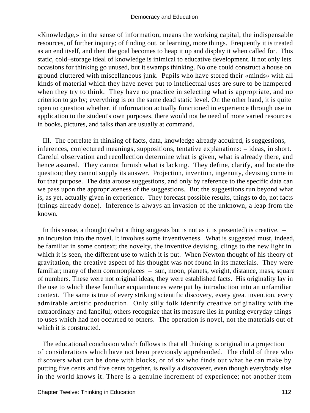«Knowledge,» in the sense of information, means the working capital, the indispensable resources, of further inquiry; of finding out, or learning, more things. Frequently it is treated as an end itself, and then the goal becomes to heap it up and display it when called for. This static, cold−storage ideal of knowledge is inimical to educative development. It not only lets occasions for thinking go unused, but it swamps thinking. No one could construct a house on ground cluttered with miscellaneous junk. Pupils who have stored their «minds» with all kinds of material which they have never put to intellectual uses are sure to be hampered when they try to think. They have no practice in selecting what is appropriate, and no criterion to go by; everything is on the same dead static level. On the other hand, it is quite open to question whether, if information actually functioned in experience through use in application to the student's own purposes, there would not be need of more varied resources in books, pictures, and talks than are usually at command.

 III. The correlate in thinking of facts, data, knowledge already acquired, is suggestions, inferences, conjectured meanings, suppositions, tentative explanations: – ideas, in short. Careful observation and recollection determine what is given, what is already there, and hence assured. They cannot furnish what is lacking. They define, clarify, and locate the question; they cannot supply its answer. Projection, invention, ingenuity, devising come in for that purpose. The data arouse suggestions, and only by reference to the specific data can we pass upon the appropriateness of the suggestions. But the suggestions run beyond what is, as yet, actually given in experience. They forecast possible results, things to do, not facts (things already done). Inference is always an invasion of the unknown, a leap from the known.

In this sense, a thought (what a thing suggests but is not as it is presented) is creative,  $$ an incursion into the novel. It involves some inventiveness. What is suggested must, indeed, be familiar in some context; the novelty, the inventive devising, clings to the new light in which it is seen, the different use to which it is put. When Newton thought of his theory of gravitation, the creative aspect of his thought was not found in its materials. They were familiar; many of them commonplaces – sun, moon, planets, weight, distance, mass, square of numbers. These were not original ideas; they were established facts. His originality lay in the use to which these familiar acquaintances were put by introduction into an unfamiliar context. The same is true of every striking scientific discovery, every great invention, every admirable artistic production. Only silly folk identify creative originality with the extraordinary and fanciful; others recognize that its measure lies in putting everyday things to uses which had not occurred to others. The operation is novel, not the materials out of which it is constructed.

 The educational conclusion which follows is that all thinking is original in a projection of considerations which have not been previously apprehended. The child of three who discovers what can be done with blocks, or of six who finds out what he can make by putting five cents and five cents together, is really a discoverer, even though everybody else in the world knows it. There is a genuine increment of experience; not another item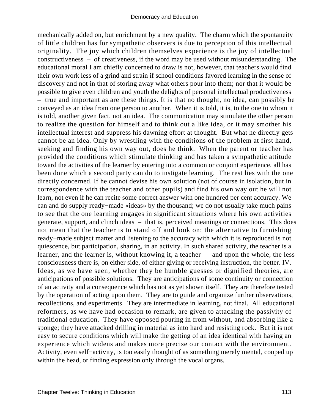mechanically added on, but enrichment by a new quality. The charm which the spontaneity of little children has for sympathetic observers is due to perception of this intellectual originality. The joy which children themselves experience is the joy of intellectual constructiveness – of creativeness, if the word may be used without misunderstanding. The educational moral I am chiefly concerned to draw is not, however, that teachers would find their own work less of a grind and strain if school conditions favored learning in the sense of discovery and not in that of storing away what others pour into them; nor that it would be possible to give even children and youth the delights of personal intellectual productiveness – true and important as are these things. It is that no thought, no idea, can possibly be conveyed as an idea from one person to another. When it is told, it is, to the one to whom it is told, another given fact, not an idea. The communication may stimulate the other person to realize the question for himself and to think out a like idea, or it may smother his intellectual interest and suppress his dawning effort at thought. But what he directly gets cannot be an idea. Only by wrestling with the conditions of the problem at first hand, seeking and finding his own way out, does he think. When the parent or teacher has provided the conditions which stimulate thinking and has taken a sympathetic attitude toward the activities of the learner by entering into a common or conjoint experience, all has been done which a second party can do to instigate learning. The rest lies with the one directly concerned. If he cannot devise his own solution (not of course in isolation, but in correspondence with the teacher and other pupils) and find his own way out he will not learn, not even if he can recite some correct answer with one hundred per cent accuracy. We can and do supply ready−made «ideas» by the thousand; we do not usually take much pains to see that the one learning engages in significant situations where his own activities generate, support, and clinch ideas – that is, perceived meanings or connections. This does not mean that the teacher is to stand off and look on; the alternative to furnishing ready−made subject matter and listening to the accuracy with which it is reproduced is not quiescence, but participation, sharing, in an activity. In such shared activity, the teacher is a learner, and the learner is, without knowing it, a teacher – and upon the whole, the less consciousness there is, on either side, of either giving or receiving instruction, the better. IV. Ideas, as we have seen, whether they be humble guesses or dignified theories, are anticipations of possible solutions. They are anticipations of some continuity or connection of an activity and a consequence which has not as yet shown itself. They are therefore tested by the operation of acting upon them. They are to guide and organize further observations, recollections, and experiments. They are intermediate in learning, not final. All educational reformers, as we have had occasion to remark, are given to attacking the passivity of traditional education. They have opposed pouring in from without, and absorbing like a sponge; they have attacked drilling in material as into hard and resisting rock. But it is not easy to secure conditions which will make the getting of an idea identical with having an experience which widens and makes more precise our contact with the environment. Activity, even self−activity, is too easily thought of as something merely mental, cooped up within the head, or finding expression only through the vocal organs.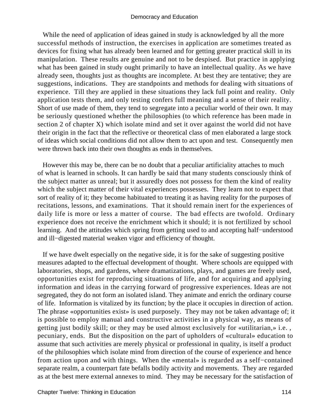While the need of application of ideas gained in study is acknowledged by all the more successful methods of instruction, the exercises in application are sometimes treated as devices for fixing what has already been learned and for getting greater practical skill in its manipulation. These results are genuine and not to be despised. But practice in applying what has been gained in study ought primarily to have an intellectual quality. As we have already seen, thoughts just as thoughts are incomplete. At best they are tentative; they are suggestions, indications. They are standpoints and methods for dealing with situations of experience. Till they are applied in these situations they lack full point and reality. Only application tests them, and only testing confers full meaning and a sense of their reality. Short of use made of them, they tend to segregate into a peculiar world of their own. It may be seriously questioned whether the philosophies (to which reference has been made in section 2 of chapter X) which isolate mind and set it over against the world did not have their origin in the fact that the reflective or theoretical class of men elaborated a large stock of ideas which social conditions did not allow them to act upon and test. Consequently men were thrown back into their own thoughts as ends in themselves.

 However this may be, there can be no doubt that a peculiar artificiality attaches to much of what is learned in schools. It can hardly be said that many students consciously think of the subject matter as unreal; but it assuredly does not possess for them the kind of reality which the subject matter of their vital experiences possesses. They learn not to expect that sort of reality of it; they become habituated to treating it as having reality for the purposes of recitations, lessons, and examinations. That it should remain inert for the experiences of daily life is more or less a matter of course. The bad effects are twofold. Ordinary experience does not receive the enrichment which it should; it is not fertilized by school learning. And the attitudes which spring from getting used to and accepting half−understood and ill−digested material weaken vigor and efficiency of thought.

 If we have dwelt especially on the negative side, it is for the sake of suggesting positive measures adapted to the effectual development of thought. Where schools are equipped with laboratories, shops, and gardens, where dramatizations, plays, and games are freely used, opportunities exist for reproducing situations of life, and for acquiring and applying information and ideas in the carrying forward of progressive experiences. Ideas are not segregated, they do not form an isolated island. They animate and enrich the ordinary course of life. Information is vitalized by its function; by the place it occupies in direction of action. The phrase «opportunities exist» is used purposely. They may not be taken advantage of; it is possible to employ manual and constructive activities in a physical way, as means of getting just bodily skill; or they may be used almost exclusively for «utilitarian,» i.e. , pecuniary, ends. But the disposition on the part of upholders of «cultural» education to assume that such activities are merely physical or professional in quality, is itself a product of the philosophies which isolate mind from direction of the course of experience and hence from action upon and with things. When the «mental» is regarded as a self−contained separate realm, a counterpart fate befalls bodily activity and movements. They are regarded as at the best mere external annexes to mind. They may be necessary for the satisfaction of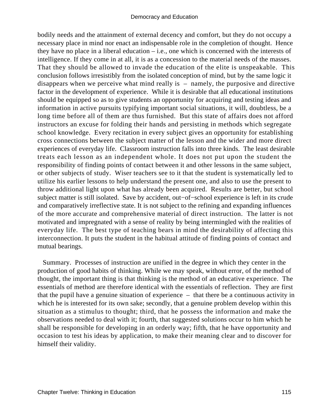bodily needs and the attainment of external decency and comfort, but they do not occupy a necessary place in mind nor enact an indispensable role in the completion of thought. Hence they have no place in a liberal education  $-$  i.e., one which is concerned with the interests of intelligence. If they come in at all, it is as a concession to the material needs of the masses. That they should be allowed to invade the education of the elite is unspeakable. This conclusion follows irresistibly from the isolated conception of mind, but by the same logic it disappears when we perceive what mind really is – namely, the purposive and directive factor in the development of experience. While it is desirable that all educational institutions should be equipped so as to give students an opportunity for acquiring and testing ideas and information in active pursuits typifying important social situations, it will, doubtless, be a long time before all of them are thus furnished. But this state of affairs does not afford instructors an excuse for folding their hands and persisting in methods which segregate school knowledge. Every recitation in every subject gives an opportunity for establishing cross connections between the subject matter of the lesson and the wider and more direct experiences of everyday life. Classroom instruction falls into three kinds. The least desirable treats each lesson as an independent whole. It does not put upon the student the responsibility of finding points of contact between it and other lessons in the same subject, or other subjects of study. Wiser teachers see to it that the student is systematically led to utilize his earlier lessons to help understand the present one, and also to use the present to throw additional light upon what has already been acquired. Results are better, but school subject matter is still isolated. Save by accident, out−of−school experience is left in its crude and comparatively irreflective state. It is not subject to the refining and expanding influences of the more accurate and comprehensive material of direct instruction. The latter is not motivated and impregnated with a sense of reality by being intermingled with the realities of everyday life. The best type of teaching bears in mind the desirability of affecting this interconnection. It puts the student in the habitual attitude of finding points of contact and mutual bearings.

 Summary. Processes of instruction are unified in the degree in which they center in the production of good habits of thinking. While we may speak, without error, of the method of thought, the important thing is that thinking is the method of an educative experience. The essentials of method are therefore identical with the essentials of reflection. They are first that the pupil have a genuine situation of experience – that there be a continuous activity in which he is interested for its own sake; secondly, that a genuine problem develop within this situation as a stimulus to thought; third, that he possess the information and make the observations needed to deal with it; fourth, that suggested solutions occur to him which he shall be responsible for developing in an orderly way; fifth, that he have opportunity and occasion to test his ideas by application, to make their meaning clear and to discover for himself their validity.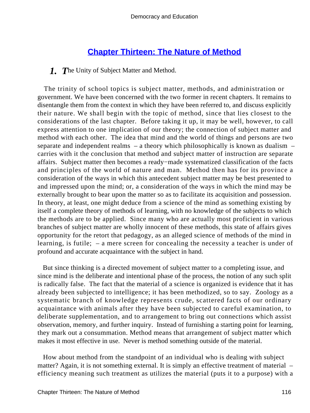## **[Chapter Thirteen: The Nature of Method](#page-248-0)**

*1. T*he Unity of Subject Matter and Method.

 The trinity of school topics is subject matter, methods, and administration or government. We have been concerned with the two former in recent chapters. It remains to disentangle them from the context in which they have been referred to, and discuss explicitly their nature. We shall begin with the topic of method, since that lies closest to the considerations of the last chapter. Before taking it up, it may be well, however, to call express attention to one implication of our theory; the connection of subject matter and method with each other. The idea that mind and the world of things and persons are two separate and independent realms – a theory which philosophically is known as dualism – carries with it the conclusion that method and subject matter of instruction are separate affairs. Subject matter then becomes a ready−made systematized classification of the facts and principles of the world of nature and man. Method then has for its province a consideration of the ways in which this antecedent subject matter may be best presented to and impressed upon the mind; or, a consideration of the ways in which the mind may be externally brought to bear upon the matter so as to facilitate its acquisition and possession. In theory, at least, one might deduce from a science of the mind as something existing by itself a complete theory of methods of learning, with no knowledge of the subjects to which the methods are to be applied. Since many who are actually most proficient in various branches of subject matter are wholly innocent of these methods, this state of affairs gives opportunity for the retort that pedagogy, as an alleged science of methods of the mind in learning, is futile; – a mere screen for concealing the necessity a teacher is under of profound and accurate acquaintance with the subject in hand.

 But since thinking is a directed movement of subject matter to a completing issue, and since mind is the deliberate and intentional phase of the process, the notion of any such split is radically false. The fact that the material of a science is organized is evidence that it has already been subjected to intelligence; it has been methodized, so to say. Zoology as a systematic branch of knowledge represents crude, scattered facts of our ordinary acquaintance with animals after they have been subjected to careful examination, to deliberate supplementation, and to arrangement to bring out connections which assist observation, memory, and further inquiry. Instead of furnishing a starting point for learning, they mark out a consummation. Method means that arrangement of subject matter which makes it most effective in use. Never is method something outside of the material.

 How about method from the standpoint of an individual who is dealing with subject matter? Again, it is not something external. It is simply an effective treatment of material – efficiency meaning such treatment as utilizes the material (puts it to a purpose) with a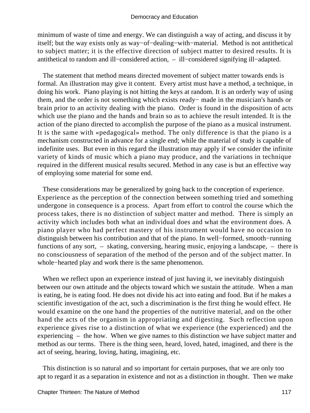minimum of waste of time and energy. We can distinguish a way of acting, and discuss it by itself; but the way exists only as way−of−dealing−with−material. Method is not antithetical to subject matter; it is the effective direction of subject matter to desired results. It is antithetical to random and ill−considered action, – ill−considered signifying ill−adapted.

 The statement that method means directed movement of subject matter towards ends is formal. An illustration may give it content. Every artist must have a method, a technique, in doing his work. Piano playing is not hitting the keys at random. It is an orderly way of using them, and the order is not something which exists ready− made in the musician's hands or brain prior to an activity dealing with the piano. Order is found in the disposition of acts which use the piano and the hands and brain so as to achieve the result intended. It is the action of the piano directed to accomplish the purpose of the piano as a musical instrument. It is the same with «pedagogical» method. The only difference is that the piano is a mechanism constructed in advance for a single end; while the material of study is capable of indefinite uses. But even in this regard the illustration may apply if we consider the infinite variety of kinds of music which a piano may produce, and the variations in technique required in the different musical results secured. Method in any case is but an effective way of employing some material for some end.

 These considerations may be generalized by going back to the conception of experience. Experience as the perception of the connection between something tried and something undergone in consequence is a process. Apart from effort to control the course which the process takes, there is no distinction of subject matter and method. There is simply an activity which includes both what an individual does and what the environment does. A piano player who had perfect mastery of his instrument would have no occasion to distinguish between his contribution and that of the piano. In well−formed, smooth−running functions of any sort, – skating, conversing, hearing music, enjoying a landscape, – there is no consciousness of separation of the method of the person and of the subject matter. In whole−hearted play and work there is the same phenomenon.

When we reflect upon an experience instead of just having it, we inevitably distinguish between our own attitude and the objects toward which we sustain the attitude. When a man is eating, he is eating food. He does not divide his act into eating and food. But if he makes a scientific investigation of the act, such a discrimination is the first thing he would effect. He would examine on the one hand the properties of the nutritive material, and on the other hand the acts of the organism in appropriating and digesting. Such reflection upon experience gives rise to a distinction of what we experience (the experienced) and the experiencing – the how. When we give names to this distinction we have subject matter and method as our terms. There is the thing seen, heard, loved, hated, imagined, and there is the act of seeing, hearing, loving, hating, imagining, etc.

 This distinction is so natural and so important for certain purposes, that we are only too apt to regard it as a separation in existence and not as a distinction in thought. Then we make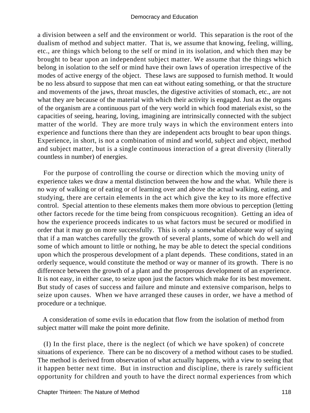a division between a self and the environment or world. This separation is the root of the dualism of method and subject matter. That is, we assume that knowing, feeling, willing, etc., are things which belong to the self or mind in its isolation, and which then may be brought to bear upon an independent subject matter. We assume that the things which belong in isolation to the self or mind have their own laws of operation irrespective of the modes of active energy of the object. These laws are supposed to furnish method. It would be no less absurd to suppose that men can eat without eating something, or that the structure and movements of the jaws, throat muscles, the digestive activities of stomach, etc., are not what they are because of the material with which their activity is engaged. Just as the organs of the organism are a continuous part of the very world in which food materials exist, so the capacities of seeing, hearing, loving, imagining are intrinsically connected with the subject matter of the world. They are more truly ways in which the environment enters into experience and functions there than they are independent acts brought to bear upon things. Experience, in short, is not a combination of mind and world, subject and object, method and subject matter, but is a single continuous interaction of a great diversity (literally countless in number) of energies.

 For the purpose of controlling the course or direction which the moving unity of experience takes we draw a mental distinction between the how and the what. While there is no way of walking or of eating or of learning over and above the actual walking, eating, and studying, there are certain elements in the act which give the key to its more effective control. Special attention to these elements makes them more obvious to perception (letting other factors recede for the time being from conspicuous recognition). Getting an idea of how the experience proceeds indicates to us what factors must be secured or modified in order that it may go on more successfully. This is only a somewhat elaborate way of saying that if a man watches carefully the growth of several plants, some of which do well and some of which amount to little or nothing, he may be able to detect the special conditions upon which the prosperous development of a plant depends. These conditions, stated in an orderly sequence, would constitute the method or way or manner of its growth. There is no difference between the growth of a plant and the prosperous development of an experience. It is not easy, in either case, to seize upon just the factors which make for its best movement. But study of cases of success and failure and minute and extensive comparison, helps to seize upon causes. When we have arranged these causes in order, we have a method of procedure or a technique.

 A consideration of some evils in education that flow from the isolation of method from subject matter will make the point more definite.

 (I) In the first place, there is the neglect (of which we have spoken) of concrete situations of experience. There can be no discovery of a method without cases to be studied. The method is derived from observation of what actually happens, with a view to seeing that it happen better next time. But in instruction and discipline, there is rarely sufficient opportunity for children and youth to have the direct normal experiences from which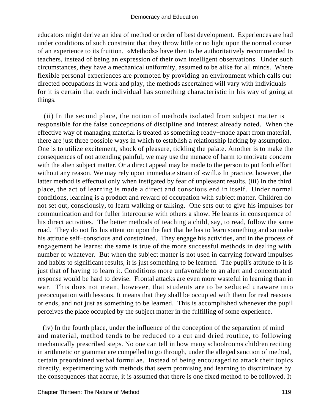educators might derive an idea of method or order of best development. Experiences are had under conditions of such constraint that they throw little or no light upon the normal course of an experience to its fruition. «Methods» have then to be authoritatively recommended to teachers, instead of being an expression of their own intelligent observations. Under such circumstances, they have a mechanical uniformity, assumed to be alike for all minds. Where flexible personal experiences are promoted by providing an environment which calls out directed occupations in work and play, the methods ascertained will vary with individuals – for it is certain that each individual has something characteristic in his way of going at things.

 (ii) In the second place, the notion of methods isolated from subject matter is responsible for the false conceptions of discipline and interest already noted. When the effective way of managing material is treated as something ready−made apart from material, there are just three possible ways in which to establish a relationship lacking by assumption. One is to utilize excitement, shock of pleasure, tickling the palate. Another is to make the consequences of not attending painful; we may use the menace of harm to motivate concern with the alien subject matter. Or a direct appeal may be made to the person to put forth effort without any reason. We may rely upon immediate strain of «will.» In practice, however, the latter method is effectual only when instigated by fear of unpleasant results. (iii) In the third place, the act of learning is made a direct and conscious end in itself. Under normal conditions, learning is a product and reward of occupation with subject matter. Children do not set out, consciously, to learn walking or talking. One sets out to give his impulses for communication and for fuller intercourse with others a show. He learns in consequence of his direct activities. The better methods of teaching a child, say, to read, follow the same road. They do not fix his attention upon the fact that he has to learn something and so make his attitude self−conscious and constrained. They engage his activities, and in the process of engagement he learns: the same is true of the more successful methods in dealing with number or whatever. But when the subject matter is not used in carrying forward impulses and habits to significant results, it is just something to be learned. The pupil's attitude to it is just that of having to learn it. Conditions more unfavorable to an alert and concentrated response would be hard to devise. Frontal attacks are even more wasteful in learning than in war. This does not mean, however, that students are to be seduced unaware into preoccupation with lessons. It means that they shall be occupied with them for real reasons or ends, and not just as something to be learned. This is accomplished whenever the pupil perceives the place occupied by the subject matter in the fulfilling of some experience.

 (iv) In the fourth place, under the influence of the conception of the separation of mind and material, method tends to be reduced to a cut and dried routine, to following mechanically prescribed steps. No one can tell in how many schoolrooms children reciting in arithmetic or grammar are compelled to go through, under the alleged sanction of method, certain preordained verbal formulae. Instead of being encouraged to attack their topics directly, experimenting with methods that seem promising and learning to discriminate by the consequences that accrue, it is assumed that there is one fixed method to be followed. It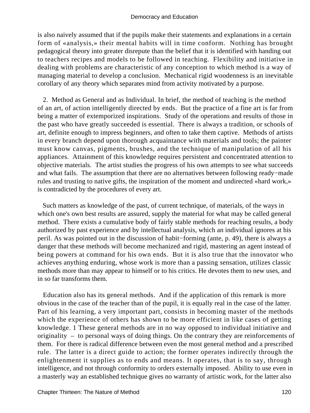is also naively assumed that if the pupils make their statements and explanations in a certain form of «analysis,» their mental habits will in time conform. Nothing has brought pedagogical theory into greater disrepute than the belief that it is identified with handing out to teachers recipes and models to be followed in teaching. Flexibility and initiative in dealing with problems are characteristic of any conception to which method is a way of managing material to develop a conclusion. Mechanical rigid woodenness is an inevitable corollary of any theory which separates mind from activity motivated by a purpose.

 2. Method as General and as Individual. In brief, the method of teaching is the method of an art, of action intelligently directed by ends. But the practice of a fine art is far from being a matter of extemporized inspirations. Study of the operations and results of those in the past who have greatly succeeded is essential. There is always a tradition, or schools of art, definite enough to impress beginners, and often to take them captive. Methods of artists in every branch depend upon thorough acquaintance with materials and tools; the painter must know canvas, pigments, brushes, and the technique of manipulation of all his appliances. Attainment of this knowledge requires persistent and concentrated attention to objective materials. The artist studies the progress of his own attempts to see what succeeds and what fails. The assumption that there are no alternatives between following ready−made rules and trusting to native gifts, the inspiration of the moment and undirected «hard work,» is contradicted by the procedures of every art.

 Such matters as knowledge of the past, of current technique, of materials, of the ways in which one's own best results are assured, supply the material for what may be called general method. There exists a cumulative body of fairly stable methods for reaching results, a body authorized by past experience and by intellectual analysis, which an individual ignores at his peril. As was pointed out in the discussion of habit−forming (ante, p. 49), there is always a danger that these methods will become mechanized and rigid, mastering an agent instead of being powers at command for his own ends. But it is also true that the innovator who achieves anything enduring, whose work is more than a passing sensation, utilizes classic methods more than may appear to himself or to his critics. He devotes them to new uses, and in so far transforms them.

 Education also has its general methods. And if the application of this remark is more obvious in the case of the teacher than of the pupil, it is equally real in the case of the latter. Part of his learning, a very important part, consists in becoming master of the methods which the experience of others has shown to be more efficient in like cases of getting knowledge. 1 These general methods are in no way opposed to individual initiative and originality – to personal ways of doing things. On the contrary they are reinforcements of them. For there is radical difference between even the most general method and a prescribed rule. The latter is a direct guide to action; the former operates indirectly through the enlightenment it supplies as to ends and means. It operates, that is to say, through intelligence, and not through conformity to orders externally imposed. Ability to use even in a masterly way an established technique gives no warranty of artistic work, for the latter also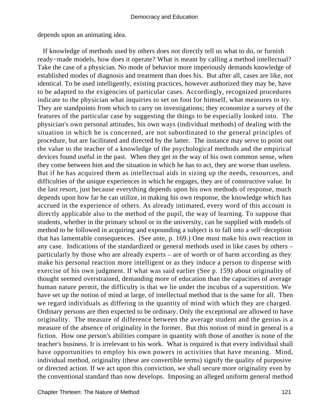depends upon an animating idea.

 If knowledge of methods used by others does not directly tell us what to do, or furnish ready−made models, how does it operate? What is meant by calling a method intellectual? Take the case of a physician. No mode of behavior more imperiously demands knowledge of established modes of diagnosis and treatment than does his. But after all, cases are like, not identical. To be used intelligently, existing practices, however authorized they may be, have to be adapted to the exigencies of particular cases. Accordingly, recognized procedures indicate to the physician what inquiries to set on foot for himself, what measures to try. They are standpoints from which to carry on investigations; they economize a survey of the features of the particular case by suggesting the things to be especially looked into. The physician's own personal attitudes, his own ways (individual methods) of dealing with the situation in which he is concerned, are not subordinated to the general principles of procedure, but are facilitated and directed by the latter. The instance may serve to point out the value to the teacher of a knowledge of the psychological methods and the empirical devices found useful in the past. When they get in the way of his own common sense, when they come between him and the situation in which he has to act, they are worse than useless. But if he has acquired them as intellectual aids in sizing up the needs, resources, and difficulties of the unique experiences in which he engages, they are of constructive value. In the last resort, just because everything depends upon his own methods of response, much depends upon how far he can utilize, in making his own response, the knowledge which has accrued in the experience of others. As already intimated, every word of this account is directly applicable also to the method of the pupil, the way of learning. To suppose that students, whether in the primary school or in the university, can be supplied with models of method to be followed in acquiring and expounding a subject is to fall into a self−deception that has lamentable consequences. (See ante, p. 169.) One must make his own reaction in any case. Indications of the standardized or general methods used in like cases by others – particularly by those who are already experts – are of worth or of harm according as they make his personal reaction more intelligent or as they induce a person to dispense with exercise of his own judgment. If what was said earlier (See p. 159) about originality of thought seemed overstrained, demanding more of education than the capacities of average human nature permit, the difficulty is that we lie under the incubus of a superstition. We have set up the notion of mind at large, of intellectual method that is the same for all. Then we regard individuals as differing in the quantity of mind with which they are charged. Ordinary persons are then expected to be ordinary. Only the exceptional are allowed to have originality. The measure of difference between the average student and the genius is a measure of the absence of originality in the former. But this notion of mind in general is a fiction. How one person's abilities compare in quantity with those of another is none of the teacher's business. It is irrelevant to his work. What is required is that every individual shall have opportunities to employ his own powers in activities that have meaning. Mind, individual method, originality (these are convertible terms) signify the quality of purposive or directed action. If we act upon this conviction, we shall secure more originality even by the conventional standard than now develops. Imposing an alleged uniform general method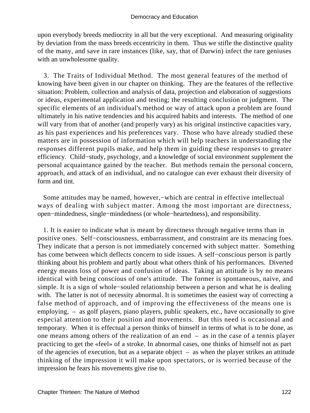upon everybody breeds mediocrity in all but the very exceptional. And measuring originality by deviation from the mass breeds eccentricity in them. Thus we stifle the distinctive quality of the many, and save in rare instances (like, say, that of Darwin) infect the rare geniuses with an unwholesome quality.

 3. The Traits of Individual Method. The most general features of the method of knowing have been given in our chapter on thinking. They are the features of the reflective situation: Problem, collection and analysis of data, projection and elaboration of suggestions or ideas, experimental application and testing; the resulting conclusion or judgment. The specific elements of an individual's method or way of attack upon a problem are found ultimately in his native tendencies and his acquired habits and interests. The method of one will vary from that of another (and properly vary) as his original instinctive capacities vary, as his past experiences and his preferences vary. Those who have already studied these matters are in possession of information which will help teachers in understanding the responses different pupils make, and help them in guiding these responses to greater efficiency. Child−study, psychology, and a knowledge of social environment supplement the personal acquaintance gained by the teacher. But methods remain the personal concern, approach, and attack of an individual, and no catalogue can ever exhaust their diversity of form and tint.

 Some attitudes may be named, however,−which are central in effective intellectual ways of dealing with subject matter. Among the most important are directness, open−mindedness, single−mindedness (or whole−heartedness), and responsibility.

 1. It is easier to indicate what is meant by directness through negative terms than in positive ones. Self−consciousness, embarrassment, and constraint are its menacing foes. They indicate that a person is not immediately concerned with subject matter. Something has come between which deflects concern to side issues. A self−conscious person is partly thinking about his problem and partly about what others think of his performances. Diverted energy means loss of power and confusion of ideas. Taking an attitude is by no means identical with being conscious of one's attitude. The former is spontaneous, naive, and simple. It is a sign of whole−souled relationship between a person and what he is dealing with. The latter is not of necessity abnormal. It is sometimes the easiest way of correcting a false method of approach, and of improving the effectiveness of the means one is employing, – as golf players, piano players, public speakers, etc., have occasionally to give especial attention to their position and movements. But this need is occasional and temporary. When it is effectual a person thinks of himself in terms of what is to be done, as one means among others of the realization of an end – as in the case of a tennis player practicing to get the «feel» of a stroke. In abnormal cases, one thinks of himself not as part of the agencies of execution, but as a separate object – as when the player strikes an attitude thinking of the impression it will make upon spectators, or is worried because of the impression he fears his movements give rise to.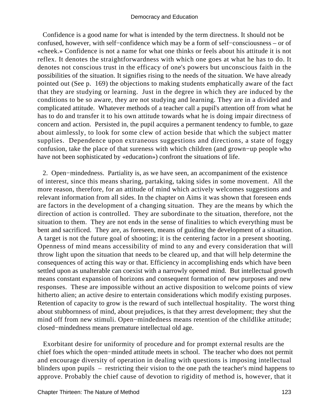Confidence is a good name for what is intended by the term directness. It should not be confused, however, with self−confidence which may be a form of self−consciousness – or of «cheek.» Confidence is not a name for what one thinks or feels about his attitude it is not reflex. It denotes the straightforwardness with which one goes at what he has to do. It denotes not conscious trust in the efficacy of one's powers but unconscious faith in the possibilities of the situation. It signifies rising to the needs of the situation. We have already pointed out (See p. 169) the objections to making students emphatically aware of the fact that they are studying or learning. Just in the degree in which they are induced by the conditions to be so aware, they are not studying and learning. They are in a divided and complicated attitude. Whatever methods of a teacher call a pupil's attention off from what he has to do and transfer it to his own attitude towards what he is doing impair directness of concern and action. Persisted in, the pupil acquires a permanent tendency to fumble, to gaze about aimlessly, to look for some clew of action beside that which the subject matter supplies. Dependence upon extraneous suggestions and directions, a state of foggy confusion, take the place of that sureness with which children (and grown−up people who have not been sophisticated by «education») confront the situations of life.

 2. Open−mindedness. Partiality is, as we have seen, an accompaniment of the existence of interest, since this means sharing, partaking, taking sides in some movement. All the more reason, therefore, for an attitude of mind which actively welcomes suggestions and relevant information from all sides. In the chapter on Aims it was shown that foreseen ends are factors in the development of a changing situation. They are the means by which the direction of action is controlled. They are subordinate to the situation, therefore, not the situation to them. They are not ends in the sense of finalities to which everything must be bent and sacrificed. They are, as foreseen, means of guiding the development of a situation. A target is not the future goal of shooting; it is the centering factor in a present shooting. Openness of mind means accessibility of mind to any and every consideration that will throw light upon the situation that needs to be cleared up, and that will help determine the consequences of acting this way or that. Efficiency in accomplishing ends which have been settled upon as unalterable can coexist with a narrowly opened mind. But intellectual growth means constant expansion of horizons and consequent formation of new purposes and new responses. These are impossible without an active disposition to welcome points of view hitherto alien; an active desire to entertain considerations which modify existing purposes. Retention of capacity to grow is the reward of such intellectual hospitality. The worst thing about stubbornness of mind, about prejudices, is that they arrest development; they shut the mind off from new stimuli. Open−mindedness means retention of the childlike attitude; closed−mindedness means premature intellectual old age.

 Exorbitant desire for uniformity of procedure and for prompt external results are the chief foes which the open−minded attitude meets in school. The teacher who does not permit and encourage diversity of operation in dealing with questions is imposing intellectual blinders upon pupils – restricting their vision to the one path the teacher's mind happens to approve. Probably the chief cause of devotion to rigidity of method is, however, that it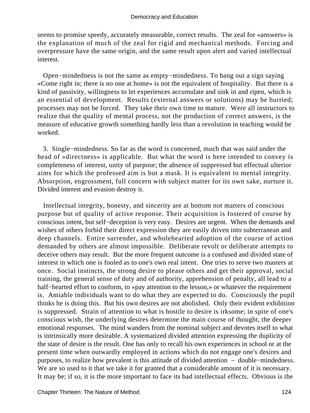seems to promise speedy, accurately measurable, correct results. The zeal for «answers» is the explanation of much of the zeal for rigid and mechanical methods. Forcing and overpressure have the same origin, and the same result upon alert and varied intellectual interest.

 Open−mindedness is not the same as empty−mindedness. To hang out a sign saying «Come right in; there is no one at home» is not the equivalent of hospitality. But there is a kind of passivity, willingness to let experiences accumulate and sink in and ripen, which is an essential of development. Results (external answers or solutions) may be hurried; processes may not be forced. They take their own time to mature. Were all instructors to realize that the quality of mental process, not the production of correct answers, is the measure of educative growth something hardly less than a revolution in teaching would be worked.

 3. Single−mindedness. So far as the word is concerned, much that was said under the head of «directness» is applicable. But what the word is here intended to convey is completeness of interest, unity of purpose; the absence of suppressed but effectual ulterior aims for which the professed aim is but a mask. It is equivalent to mental integrity. Absorption, engrossment, full concern with subject matter for its own sake, nurture it. Divided interest and evasion destroy it.

 Intellectual integrity, honesty, and sincerity are at bottom not matters of conscious purpose but of quality of active response. Their acquisition is fostered of course by conscious intent, but self−deception is very easy. Desires are urgent. When the demands and wishes of others forbid their direct expression they are easily driven into subterranean and deep channels. Entire surrender, and wholehearted adoption of the course of action demanded by others are almost impossible. Deliberate revolt or deliberate attempts to deceive others may result. But the more frequent outcome is a confused and divided state of interest in which one is fooled as to one's own real intent. One tries to serve two masters at once. Social instincts, the strong desire to please others and get their approval, social training, the general sense of duty and of authority, apprehension of penalty, all lead to a half−hearted effort to conform, to «pay attention to the lesson,» or whatever the requirement is. Amiable individuals want to do what they are expected to do. Consciously the pupil thinks he is doing this. But his own desires are not abolished. Only their evident exhibition is suppressed. Strain of attention to what is hostile to desire is irksome; in spite of one's conscious wish, the underlying desires determine the main course of thought, the deeper emotional responses. The mind wanders from the nominal subject and devotes itself to what is intrinsically more desirable. A systematized divided attention expressing the duplicity of the state of desire is the result. One has only to recall his own experiences in school or at the present time when outwardly employed in actions which do not engage one's desires and purposes, to realize how prevalent is this attitude of divided attention – double−mindedness. We are so used to it that we take it for granted that a considerable amount of it is necessary. It may be; if so, it is the more important to face its bad intellectual effects. Obvious is the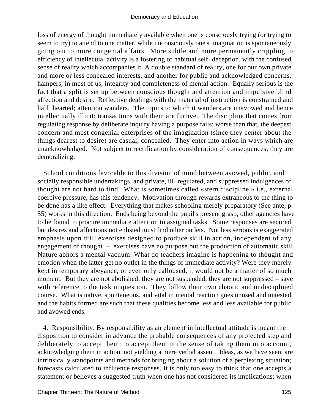loss of energy of thought immediately available when one is consciously trying (or trying to seem to try) to attend to one matter, while unconsciously one's imagination is spontaneously going out to more congenial affairs. More subtle and more permanently crippling to efficiency of intellectual activity is a fostering of habitual self−deception, with the confused sense of reality which accompanies it. A double standard of reality, one for our own private and more or less concealed interests, and another for public and acknowledged concerns, hampers, in most of us, integrity and completeness of mental action. Equally serious is the fact that a split is set up between conscious thought and attention and impulsive blind affection and desire. Reflective dealings with the material of instruction is constrained and half−hearted; attention wanders. The topics to which it wanders are unavowed and hence intellectually illicit; transactions with them are furtive. The discipline that comes from regulating response by deliberate inquiry having a purpose fails; worse than that, the deepest concern and most congenial enterprises of the imagination (since they center about the things dearest to desire) are casual, concealed. They enter into action in ways which are unacknowledged. Not subject to rectification by consideration of consequences, they are demoralizing.

 School conditions favorable to this division of mind between avowed, public, and socially responsible undertakings, and private, ill−regulated, and suppressed indulgences of thought are not hard to find. What is sometimes called «stern discipline,» i.e., external coercive pressure, has this tendency. Motivation through rewards extraneous to the thing to be done has a like effect. Everything that makes schooling merely preparatory (See ante, p. 55) works in this direction. Ends being beyond the pupil's present grasp, other agencies have to be found to procure immediate attention to assigned tasks. Some responses are secured, but desires and affections not enlisted must find other outlets. Not less serious is exaggerated emphasis upon drill exercises designed to produce skill in action, independent of any engagement of thought – exercises have no purpose but the production of automatic skill. Nature abhors a mental vacuum. What do teachers imagine is happening to thought and emotion when the latter get no outlet in the things of immediate activity? Were they merely kept in temporary abeyance, or even only calloused, it would not be a matter of so much moment. But they are not abolished; they are not suspended; they are not suppressed – save with reference to the task in question. They follow their own chaotic and undisciplined course. What is native, spontaneous, and vital in mental reaction goes unused and untested, and the habits formed are such that these qualities become less and less available for public and avowed ends.

 4. Responsibility. By responsibility as an element in intellectual attitude is meant the disposition to consider in advance the probable consequences of any projected step and deliberately to accept them: to accept them in the sense of taking them into account, acknowledging them in action, not yielding a mere verbal assent. Ideas, as we have seen, are intrinsically standpoints and methods for bringing about a solution of a perplexing situation; forecasts calculated to influence responses. It is only too easy to think that one accepts a statement or believes a suggested truth when one has not considered its implications; when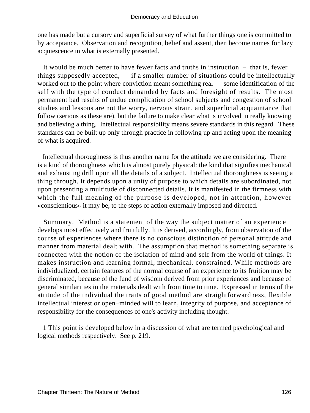one has made but a cursory and superficial survey of what further things one is committed to by acceptance. Observation and recognition, belief and assent, then become names for lazy acquiescence in what is externally presented.

 It would be much better to have fewer facts and truths in instruction – that is, fewer things supposedly accepted, – if a smaller number of situations could be intellectually worked out to the point where conviction meant something real – some identification of the self with the type of conduct demanded by facts and foresight of results. The most permanent bad results of undue complication of school subjects and congestion of school studies and lessons are not the worry, nervous strain, and superficial acquaintance that follow (serious as these are), but the failure to make clear what is involved in really knowing and believing a thing. Intellectual responsibility means severe standards in this regard. These standards can be built up only through practice in following up and acting upon the meaning of what is acquired.

 Intellectual thoroughness is thus another name for the attitude we are considering. There is a kind of thoroughness which is almost purely physical: the kind that signifies mechanical and exhausting drill upon all the details of a subject. Intellectual thoroughness is seeing a thing through. It depends upon a unity of purpose to which details are subordinated, not upon presenting a multitude of disconnected details. It is manifested in the firmness with which the full meaning of the purpose is developed, not in attention, however «conscientious» it may be, to the steps of action externally imposed and directed.

 Summary. Method is a statement of the way the subject matter of an experience develops most effectively and fruitfully. It is derived, accordingly, from observation of the course of experiences where there is no conscious distinction of personal attitude and manner from material dealt with. The assumption that method is something separate is connected with the notion of the isolation of mind and self from the world of things. It makes instruction and learning formal, mechanical, constrained. While methods are individualized, certain features of the normal course of an experience to its fruition may be discriminated, because of the fund of wisdom derived from prior experiences and because of general similarities in the materials dealt with from time to time. Expressed in terms of the attitude of the individual the traits of good method are straightforwardness, flexible intellectual interest or open−minded will to learn, integrity of purpose, and acceptance of responsibility for the consequences of one's activity including thought.

 1 This point is developed below in a discussion of what are termed psychological and logical methods respectively. See p. 219.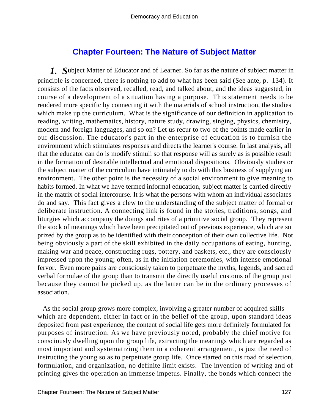## **[Chapter Fourteen: The Nature of Subject Matter](#page-248-0)**

*1. S*ubject Matter of Educator and of Learner. So far as the nature of subject matter in principle is concerned, there is nothing to add to what has been said (See ante, p. 134). It consists of the facts observed, recalled, read, and talked about, and the ideas suggested, in course of a development of a situation having a purpose. This statement needs to be rendered more specific by connecting it with the materials of school instruction, the studies which make up the curriculum. What is the significance of our definition in application to reading, writing, mathematics, history, nature study, drawing, singing, physics, chemistry, modern and foreign languages, and so on? Let us recur to two of the points made earlier in our discussion. The educator's part in the enterprise of education is to furnish the environment which stimulates responses and directs the learner's course. In last analysis, all that the educator can do is modify stimuli so that response will as surely as is possible result in the formation of desirable intellectual and emotional dispositions. Obviously studies or the subject matter of the curriculum have intimately to do with this business of supplying an environment. The other point is the necessity of a social environment to give meaning to habits formed. In what we have termed informal education, subject matter is carried directly in the matrix of social intercourse. It is what the persons with whom an individual associates do and say. This fact gives a clew to the understanding of the subject matter of formal or deliberate instruction. A connecting link is found in the stories, traditions, songs, and liturgies which accompany the doings and rites of a primitive social group. They represent the stock of meanings which have been precipitated out of previous experience, which are so prized by the group as to be identified with their conception of their own collective life. Not being obviously a part of the skill exhibited in the daily occupations of eating, hunting, making war and peace, constructing rugs, pottery, and baskets, etc., they are consciously impressed upon the young; often, as in the initiation ceremonies, with intense emotional fervor. Even more pains are consciously taken to perpetuate the myths, legends, and sacred verbal formulae of the group than to transmit the directly useful customs of the group just because they cannot be picked up, as the latter can be in the ordinary processes of association.

 As the social group grows more complex, involving a greater number of acquired skills which are dependent, either in fact or in the belief of the group, upon standard ideas deposited from past experience, the content of social life gets more definitely formulated for purposes of instruction. As we have previously noted, probably the chief motive for consciously dwelling upon the group life, extracting the meanings which are regarded as most important and systematizing them in a coherent arrangement, is just the need of instructing the young so as to perpetuate group life. Once started on this road of selection, formulation, and organization, no definite limit exists. The invention of writing and of printing gives the operation an immense impetus. Finally, the bonds which connect the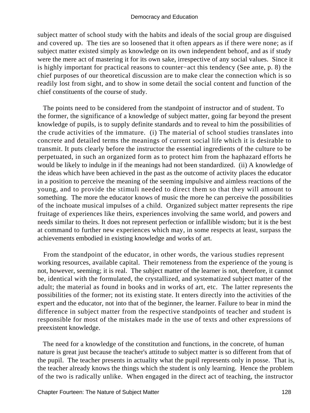subject matter of school study with the habits and ideals of the social group are disguised and covered up. The ties are so loosened that it often appears as if there were none; as if subject matter existed simply as knowledge on its own independent behoof, and as if study were the mere act of mastering it for its own sake, irrespective of any social values. Since it is highly important for practical reasons to counter−act this tendency (See ante, p. 8) the chief purposes of our theoretical discussion are to make clear the connection which is so readily lost from sight, and to show in some detail the social content and function of the chief constituents of the course of study.

 The points need to be considered from the standpoint of instructor and of student. To the former, the significance of a knowledge of subject matter, going far beyond the present knowledge of pupils, is to supply definite standards and to reveal to him the possibilities of the crude activities of the immature. (i) The material of school studies translates into concrete and detailed terms the meanings of current social life which it is desirable to transmit. It puts clearly before the instructor the essential ingredients of the culture to be perpetuated, in such an organized form as to protect him from the haphazard efforts he would be likely to indulge in if the meanings had not been standardized. (ii) A knowledge of the ideas which have been achieved in the past as the outcome of activity places the educator in a position to perceive the meaning of the seeming impulsive and aimless reactions of the young, and to provide the stimuli needed to direct them so that they will amount to something. The more the educator knows of music the more he can perceive the possibilities of the inchoate musical impulses of a child. Organized subject matter represents the ripe fruitage of experiences like theirs, experiences involving the same world, and powers and needs similar to theirs. It does not represent perfection or infallible wisdom; but it is the best at command to further new experiences which may, in some respects at least, surpass the achievements embodied in existing knowledge and works of art.

 From the standpoint of the educator, in other words, the various studies represent working resources, available capital. Their remoteness from the experience of the young is not, however, seeming; it is real. The subject matter of the learner is not, therefore, it cannot be, identical with the formulated, the crystallized, and systematized subject matter of the adult; the material as found in books and in works of art, etc. The latter represents the possibilities of the former; not its existing state. It enters directly into the activities of the expert and the educator, not into that of the beginner, the learner. Failure to bear in mind the difference in subject matter from the respective standpoints of teacher and student is responsible for most of the mistakes made in the use of texts and other expressions of preexistent knowledge.

 The need for a knowledge of the constitution and functions, in the concrete, of human nature is great just because the teacher's attitude to subject matter is so different from that of the pupil. The teacher presents in actuality what the pupil represents only in posse. That is, the teacher already knows the things which the student is only learning. Hence the problem of the two is radically unlike. When engaged in the direct act of teaching, the instructor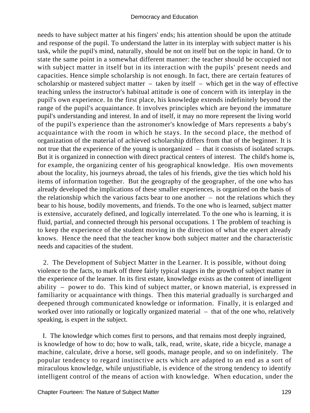needs to have subject matter at his fingers' ends; his attention should be upon the attitude and response of the pupil. To understand the latter in its interplay with subject matter is his task, while the pupil's mind, naturally, should be not on itself but on the topic in hand. Or to state the same point in a somewhat different manner: the teacher should be occupied not with subject matter in itself but in its interaction with the pupils' present needs and capacities. Hence simple scholarship is not enough. In fact, there are certain features of scholarship or mastered subject matter – taken by itself – which get in the way of effective teaching unless the instructor's habitual attitude is one of concern with its interplay in the pupil's own experience. In the first place, his knowledge extends indefinitely beyond the range of the pupil's acquaintance. It involves principles which are beyond the immature pupil's understanding and interest. In and of itself, it may no more represent the living world of the pupil's experience than the astronomer's knowledge of Mars represents a baby's acquaintance with the room in which he stays. In the second place, the method of organization of the material of achieved scholarship differs from that of the beginner. It is not true that the experience of the young is unorganized – that it consists of isolated scraps. But it is organized in connection with direct practical centers of interest. The child's home is, for example, the organizing center of his geographical knowledge. His own movements about the locality, his journeys abroad, the tales of his friends, give the ties which hold his items of information together. But the geography of the geographer, of the one who has already developed the implications of these smaller experiences, is organized on the basis of the relationship which the various facts bear to one another – not the relations which they bear to his house, bodily movements, and friends. To the one who is learned, subject matter is extensive, accurately defined, and logically interrelated. To the one who is learning, it is fluid, partial, and connected through his personal occupations. 1 The problem of teaching is to keep the experience of the student moving in the direction of what the expert already knows. Hence the need that the teacher know both subject matter and the characteristic needs and capacities of the student.

 2. The Development of Subject Matter in the Learner. It is possible, without doing violence to the facts, to mark off three fairly typical stages in the growth of subject matter in the experience of the learner. In its first estate, knowledge exists as the content of intelligent ability – power to do. This kind of subject matter, or known material, is expressed in familiarity or acquaintance with things. Then this material gradually is surcharged and deepened through communicated knowledge or information. Finally, it is enlarged and worked over into rationally or logically organized material – that of the one who, relatively speaking, is expert in the subject.

 I. The knowledge which comes first to persons, and that remains most deeply ingrained, is knowledge of how to do; how to walk, talk, read, write, skate, ride a bicycle, manage a machine, calculate, drive a horse, sell goods, manage people, and so on indefinitely. The popular tendency to regard instinctive acts which are adapted to an end as a sort of miraculous knowledge, while unjustifiable, is evidence of the strong tendency to identify intelligent control of the means of action with knowledge. When education, under the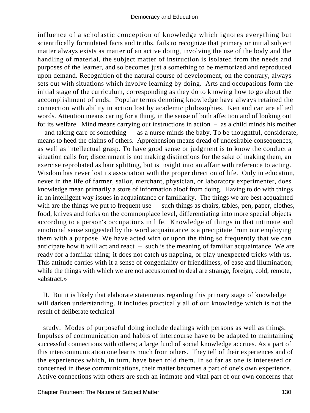influence of a scholastic conception of knowledge which ignores everything but scientifically formulated facts and truths, fails to recognize that primary or initial subject matter always exists as matter of an active doing, involving the use of the body and the handling of material, the subject matter of instruction is isolated from the needs and purposes of the learner, and so becomes just a something to be memorized and reproduced upon demand. Recognition of the natural course of development, on the contrary, always sets out with situations which involve learning by doing. Arts and occupations form the initial stage of the curriculum, corresponding as they do to knowing how to go about the accomplishment of ends. Popular terms denoting knowledge have always retained the connection with ability in action lost by academic philosophies. Ken and can are allied words. Attention means caring for a thing, in the sense of both affection and of looking out for its welfare. Mind means carrying out instructions in action – as a child minds his mother – and taking care of something – as a nurse minds the baby. To be thoughtful, considerate, means to heed the claims of others. Apprehension means dread of undesirable consequences, as well as intellectual grasp. To have good sense or judgment is to know the conduct a situation calls for; discernment is not making distinctions for the sake of making them, an exercise reprobated as hair splitting, but is insight into an affair with reference to acting. Wisdom has never lost its association with the proper direction of life. Only in education, never in the life of farmer, sailor, merchant, physician, or laboratory experimenter, does knowledge mean primarily a store of information aloof from doing. Having to do with things in an intelligent way issues in acquaintance or familiarity. The things we are best acquainted with are the things we put to frequent use – such things as chairs, tables, pen, paper, clothes, food, knives and forks on the commonplace level, differentiating into more special objects according to a person's occupations in life. Knowledge of things in that intimate and emotional sense suggested by the word acquaintance is a precipitate from our employing them with a purpose. We have acted with or upon the thing so frequently that we can anticipate how it will act and react – such is the meaning of familiar acquaintance. We are ready for a familiar thing; it does not catch us napping, or play unexpected tricks with us. This attitude carries with it a sense of congeniality or friendliness, of ease and illumination; while the things with which we are not accustomed to deal are strange, foreign, cold, remote, «abstract.»

 II. But it is likely that elaborate statements regarding this primary stage of knowledge will darken understanding. It includes practically all of our knowledge which is not the result of deliberate technical

 study. Modes of purposeful doing include dealings with persons as well as things. Impulses of communication and habits of intercourse have to be adapted to maintaining successful connections with others; a large fund of social knowledge accrues. As a part of this intercommunication one learns much from others. They tell of their experiences and of the experiences which, in turn, have been told them. In so far as one is interested or concerned in these communications, their matter becomes a part of one's own experience. Active connections with others are such an intimate and vital part of our own concerns that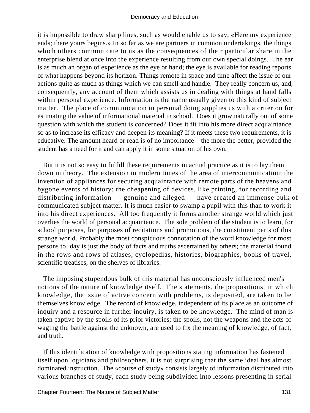it is impossible to draw sharp lines, such as would enable us to say, «Here my experience ends; there yours begins.» In so far as we are partners in common undertakings, the things which others communicate to us as the consequences of their particular share in the enterprise blend at once into the experience resulting from our own special doings. The ear is as much an organ of experience as the eye or hand; the eye is available for reading reports of what happens beyond its horizon. Things remote in space and time affect the issue of our actions quite as much as things which we can smell and handle. They really concern us, and, consequently, any account of them which assists us in dealing with things at hand falls within personal experience. Information is the name usually given to this kind of subject matter. The place of communication in personal doing supplies us with a criterion for estimating the value of informational material in school. Does it grow naturally out of some question with which the student is concerned? Does it fit into his more direct acquaintance so as to increase its efficacy and deepen its meaning? If it meets these two requirements, it is educative. The amount heard or read is of no importance – the more the better, provided the student has a need for it and can apply it in some situation of his own.

 But it is not so easy to fulfill these requirements in actual practice as it is to lay them down in theory. The extension in modern times of the area of intercommunication; the invention of appliances for securing acquaintance with remote parts of the heavens and bygone events of history; the cheapening of devices, like printing, for recording and distributing information – genuine and alleged – have created an immense bulk of communicated subject matter. It is much easier to swamp a pupil with this than to work it into his direct experiences. All too frequently it forms another strange world which just overlies the world of personal acquaintance. The sole problem of the student is to learn, for school purposes, for purposes of recitations and promotions, the constituent parts of this strange world. Probably the most conspicuous connotation of the word knowledge for most persons to−day is just the body of facts and truths ascertained by others; the material found in the rows and rows of atlases, cyclopedias, histories, biographies, books of travel, scientific treatises, on the shelves of libraries.

 The imposing stupendous bulk of this material has unconsciously influenced men's notions of the nature of knowledge itself. The statements, the propositions, in which knowledge, the issue of active concern with problems, is deposited, are taken to be themselves knowledge. The record of knowledge, independent of its place as an outcome of inquiry and a resource in further inquiry, is taken to be knowledge. The mind of man is taken captive by the spoils of its prior victories; the spoils, not the weapons and the acts of waging the battle against the unknown, are used to fix the meaning of knowledge, of fact, and truth.

 If this identification of knowledge with propositions stating information has fastened itself upon logicians and philosophers, it is not surprising that the same ideal has almost dominated instruction. The «course of study» consists largely of information distributed into various branches of study, each study being subdivided into lessons presenting in serial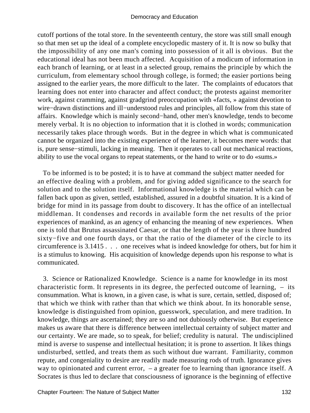cutoff portions of the total store. In the seventeenth century, the store was still small enough so that men set up the ideal of a complete encyclopedic mastery of it. It is now so bulky that the impossibility of any one man's coming into possession of it all is obvious. But the educational ideal has not been much affected. Acquisition of a modicum of information in each branch of learning, or at least in a selected group, remains the principle by which the curriculum, from elementary school through college, is formed; the easier portions being assigned to the earlier years, the more difficult to the later. The complaints of educators that learning does not enter into character and affect conduct; the protests against memoriter work, against cramming, against gradgrind preoccupation with «facts, » against devotion to wire−drawn distinctions and ill−understood rules and principles, all follow from this state of affairs. Knowledge which is mainly second−hand, other men's knowledge, tends to become merely verbal. It is no objection to information that it is clothed in words; communication necessarily takes place through words. But in the degree in which what is communicated cannot be organized into the existing experience of the learner, it becomes mere words: that is, pure sense−stimuli, lacking in meaning. Then it operates to call out mechanical reactions, ability to use the vocal organs to repeat statements, or the hand to write or to do «sums.»

 To be informed is to be posted; it is to have at command the subject matter needed for an effective dealing with a problem, and for giving added significance to the search for solution and to the solution itself. Informational knowledge is the material which can be fallen back upon as given, settled, established, assured in a doubtful situation. It is a kind of bridge for mind in its passage from doubt to discovery. It has the office of an intellectual middleman. It condenses and records in available form the net results of the prior experiences of mankind, as an agency of enhancing the meaning of new experiences. When one is told that Brutus assassinated Caesar, or that the length of the year is three hundred sixty−five and one fourth days, or that the ratio of the diameter of the circle to its circumference is 3.1415 . . . one receives what is indeed knowledge for others, but for him it is a stimulus to knowing. His acquisition of knowledge depends upon his response to what is communicated.

 3. Science or Rationalized Knowledge. Science is a name for knowledge in its most characteristic form. It represents in its degree, the perfected outcome of learning, – its consummation. What is known, in a given case, is what is sure, certain, settled, disposed of; that which we think with rather than that which we think about. In its honorable sense, knowledge is distinguished from opinion, guesswork, speculation, and mere tradition. In knowledge, things are ascertained; they are so and not dubiously otherwise. But experience makes us aware that there is difference between intellectual certainty of subject matter and our certainty. We are made, so to speak, for belief; credulity is natural. The undisciplined mind is averse to suspense and intellectual hesitation; it is prone to assertion. It likes things undisturbed, settled, and treats them as such without due warrant. Familiarity, common repute, and congeniality to desire are readily made measuring rods of truth. Ignorance gives way to opinionated and current error, – a greater foe to learning than ignorance itself. A Socrates is thus led to declare that consciousness of ignorance is the beginning of effective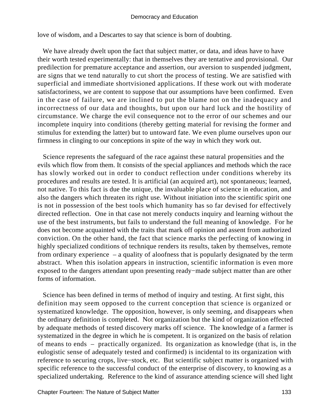love of wisdom, and a Descartes to say that science is born of doubting.

 We have already dwelt upon the fact that subject matter, or data, and ideas have to have their worth tested experimentally: that in themselves they are tentative and provisional. Our predilection for premature acceptance and assertion, our aversion to suspended judgment, are signs that we tend naturally to cut short the process of testing. We are satisfied with superficial and immediate shortvisioned applications. If these work out with moderate satisfactoriness, we are content to suppose that our assumptions have been confirmed. Even in the case of failure, we are inclined to put the blame not on the inadequacy and incorrectness of our data and thoughts, but upon our hard luck and the hostility of circumstance. We charge the evil consequence not to the error of our schemes and our incomplete inquiry into conditions (thereby getting material for revising the former and stimulus for extending the latter) but to untoward fate. We even plume ourselves upon our firmness in clinging to our conceptions in spite of the way in which they work out.

 Science represents the safeguard of the race against these natural propensities and the evils which flow from them. It consists of the special appliances and methods which the race has slowly worked out in order to conduct reflection under conditions whereby its procedures and results are tested. It is artificial (an acquired art), not spontaneous; learned, not native. To this fact is due the unique, the invaluable place of science in education, and also the dangers which threaten its right use. Without initiation into the scientific spirit one is not in possession of the best tools which humanity has so far devised for effectively directed reflection. One in that case not merely conducts inquiry and learning without the use of the best instruments, but fails to understand the full meaning of knowledge. For he does not become acquainted with the traits that mark off opinion and assent from authorized conviction. On the other hand, the fact that science marks the perfecting of knowing in highly specialized conditions of technique renders its results, taken by themselves, remote from ordinary experience – a quality of aloofness that is popularly designated by the term abstract. When this isolation appears in instruction, scientific information is even more exposed to the dangers attendant upon presenting ready−made subject matter than are other forms of information.

 Science has been defined in terms of method of inquiry and testing. At first sight, this definition may seem opposed to the current conception that science is organized or systematized knowledge. The opposition, however, is only seeming, and disappears when the ordinary definition is completed. Not organization but the kind of organization effected by adequate methods of tested discovery marks off science. The knowledge of a farmer is systematized in the degree in which he is competent. It is organized on the basis of relation of means to ends – practically organized. Its organization as knowledge (that is, in the eulogistic sense of adequately tested and confirmed) is incidental to its organization with reference to securing crops, live−stock, etc. But scientific subject matter is organized with specific reference to the successful conduct of the enterprise of discovery, to knowing as a specialized undertaking. Reference to the kind of assurance attending science will shed light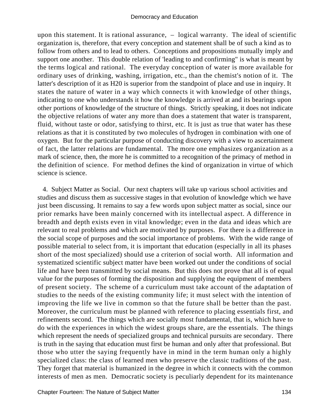upon this statement. It is rational assurance, – logical warranty. The ideal of scientific organization is, therefore, that every conception and statement shall be of such a kind as to follow from others and to lead to others. Conceptions and propositions mutually imply and support one another. This double relation of 'leading to and confirming" is what is meant by the terms logical and rational. The everyday conception of water is more available for ordinary uses of drinking, washing, irrigation, etc., than the chemist's notion of it. The latter's description of it as H20 is superior from the standpoint of place and use in inquiry. It states the nature of water in a way which connects it with knowledge of other things, indicating to one who understands it how the knowledge is arrived at and its bearings upon other portions of knowledge of the structure of things. Strictly speaking, it does not indicate the objective relations of water any more than does a statement that water is transparent, fluid, without taste or odor, satisfying to thirst, etc. It is just as true that water has these relations as that it is constituted by two molecules of hydrogen in combination with one of oxygen. But for the particular purpose of conducting discovery with a view to ascertainment of fact, the latter relations are fundamental. The more one emphasizes organization as a mark of science, then, the more he is committed to a recognition of the primacy of method in the definition of science. For method defines the kind of organization in virtue of which science is science.

 4. Subject Matter as Social. Our next chapters will take up various school activities and studies and discuss them as successive stages in that evolution of knowledge which we have just been discussing. It remains to say a few words upon subject matter as social, since our prior remarks have been mainly concerned with its intellectual aspect. A difference in breadth and depth exists even in vital knowledge; even in the data and ideas which are relevant to real problems and which are motivated by purposes. For there is a difference in the social scope of purposes and the social importance of problems. With the wide range of possible material to select from, it is important that education (especially in all its phases short of the most specialized) should use a criterion of social worth. All information and systematized scientific subject matter have been worked out under the conditions of social life and have been transmitted by social means. But this does not prove that all is of equal value for the purposes of forming the disposition and supplying the equipment of members of present society. The scheme of a curriculum must take account of the adaptation of studies to the needs of the existing community life; it must select with the intention of improving the life we live in common so that the future shall be better than the past. Moreover, the curriculum must be planned with reference to placing essentials first, and refinements second. The things which are socially most fundamental, that is, which have to do with the experiences in which the widest groups share, are the essentials. The things which represent the needs of specialized groups and technical pursuits are secondary. There is truth in the saying that education must first be human and only after that professional. But those who utter the saying frequently have in mind in the term human only a highly specialized class: the class of learned men who preserve the classic traditions of the past. They forget that material is humanized in the degree in which it connects with the common interests of men as men. Democratic society is peculiarly dependent for its maintenance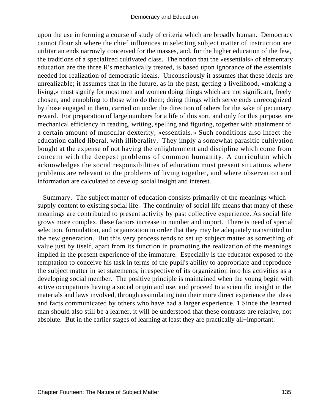upon the use in forming a course of study of criteria which are broadly human. Democracy cannot flourish where the chief influences in selecting subject matter of instruction are utilitarian ends narrowly conceived for the masses, and, for the higher education of the few, the traditions of a specialized cultivated class. The notion that the «essentials» of elementary education are the three R's mechanically treated, is based upon ignorance of the essentials needed for realization of democratic ideals. Unconsciously it assumes that these ideals are unrealizable; it assumes that in the future, as in the past, getting a livelihood, «making a living,» must signify for most men and women doing things which are not significant, freely chosen, and ennobling to those who do them; doing things which serve ends unrecognized by those engaged in them, carried on under the direction of others for the sake of pecuniary reward. For preparation of large numbers for a life of this sort, and only for this purpose, are mechanical efficiency in reading, writing, spelling and figuring, together with attainment of a certain amount of muscular dexterity, «essentials.» Such conditions also infect the education called liberal, with illiberality. They imply a somewhat parasitic cultivation bought at the expense of not having the enlightenment and discipline which come from concern with the deepest problems of common humanity. A curriculum which acknowledges the social responsibilities of education must present situations where problems are relevant to the problems of living together, and where observation and information are calculated to develop social insight and interest.

 Summary. The subject matter of education consists primarily of the meanings which supply content to existing social life. The continuity of social life means that many of these meanings are contributed to present activity by past collective experience. As social life grows more complex, these factors increase in number and import. There is need of special selection, formulation, and organization in order that they may be adequately transmitted to the new generation. But this very process tends to set up subject matter as something of value just by itself, apart from its function in promoting the realization of the meanings implied in the present experience of the immature. Especially is the educator exposed to the temptation to conceive his task in terms of the pupil's ability to appropriate and reproduce the subject matter in set statements, irrespective of its organization into his activities as a developing social member. The positive principle is maintained when the young begin with active occupations having a social origin and use, and proceed to a scientific insight in the materials and laws involved, through assimilating into their more direct experience the ideas and facts communicated by others who have had a larger experience. 1 Since the learned man should also still be a learner, it will be understood that these contrasts are relative, not absolute. But in the earlier stages of learning at least they are practically all−important.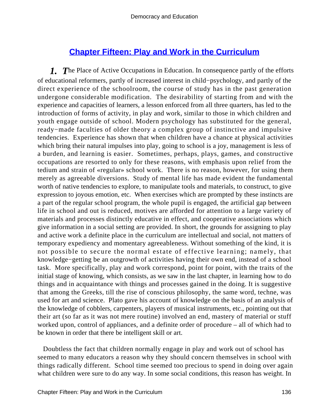# **[Chapter Fifteen: Play and Work in the Curriculum](#page-248-0)**

*1. T*he Place of Active Occupations in Education. In consequence partly of the efforts of educational reformers, partly of increased interest in child−psychology, and partly of the direct experience of the schoolroom, the course of study has in the past generation undergone considerable modification. The desirability of starting from and with the experience and capacities of learners, a lesson enforced from all three quarters, has led to the introduction of forms of activity, in play and work, similar to those in which children and youth engage outside of school. Modern psychology has substituted for the general, ready−made faculties of older theory a complex group of instinctive and impulsive tendencies. Experience has shown that when children have a chance at physical activities which bring their natural impulses into play, going to school is a joy, management is less of a burden, and learning is easier. Sometimes, perhaps, plays, games, and constructive occupations are resorted to only for these reasons, with emphasis upon relief from the tedium and strain of «regular» school work. There is no reason, however, for using them merely as agreeable diversions. Study of mental life has made evident the fundamental worth of native tendencies to explore, to manipulate tools and materials, to construct, to give expression to joyous emotion, etc. When exercises which are prompted by these instincts are a part of the regular school program, the whole pupil is engaged, the artificial gap between life in school and out is reduced, motives are afforded for attention to a large variety of materials and processes distinctly educative in effect, and cooperative associations which give information in a social setting are provided. In short, the grounds for assigning to play and active work a definite place in the curriculum are intellectual and social, not matters of temporary expediency and momentary agreeableness. Without something of the kind, it is not possible to secure the normal estate of effective learning; namely, that knowledge−getting be an outgrowth of activities having their own end, instead of a school task. More specifically, play and work correspond, point for point, with the traits of the initial stage of knowing, which consists, as we saw in the last chapter, in learning how to do things and in acquaintance with things and processes gained in the doing. It is suggestive that among the Greeks, till the rise of conscious philosophy, the same word, techne, was used for art and science. Plato gave his account of knowledge on the basis of an analysis of the knowledge of cobblers, carpenters, players of musical instruments, etc., pointing out that their art (so far as it was not mere routine) involved an end, mastery of material or stuff worked upon, control of appliances, and a definite order of procedure – all of which had to be known in order that there be intelligent skill or art.

 Doubtless the fact that children normally engage in play and work out of school has seemed to many educators a reason why they should concern themselves in school with things radically different. School time seemed too precious to spend in doing over again what children were sure to do any way. In some social conditions, this reason has weight. In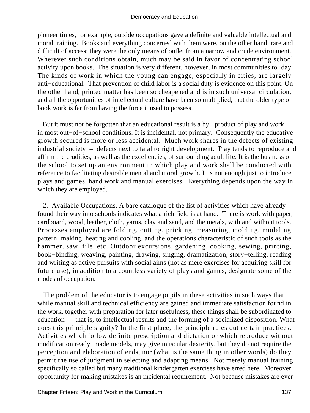pioneer times, for example, outside occupations gave a definite and valuable intellectual and moral training. Books and everything concerned with them were, on the other hand, rare and difficult of access; they were the only means of outlet from a narrow and crude environment. Wherever such conditions obtain, much may be said in favor of concentrating school activity upon books. The situation is very different, however, in most communities to−day. The kinds of work in which the young can engage, especially in cities, are largely anti−educational. That prevention of child labor is a social duty is evidence on this point. On the other hand, printed matter has been so cheapened and is in such universal circulation, and all the opportunities of intellectual culture have been so multiplied, that the older type of book work is far from having the force it used to possess.

 But it must not be forgotten that an educational result is a by− product of play and work in most out−of−school conditions. It is incidental, not primary. Consequently the educative growth secured is more or less accidental. Much work shares in the defects of existing industrial society – defects next to fatal to right development. Play tends to reproduce and affirm the crudities, as well as the excellencies, of surrounding adult life. It is the business of the school to set up an environment in which play and work shall be conducted with reference to facilitating desirable mental and moral growth. It is not enough just to introduce plays and games, hand work and manual exercises. Everything depends upon the way in which they are employed.

 2. Available Occupations. A bare catalogue of the list of activities which have already found their way into schools indicates what a rich field is at hand. There is work with paper, cardboard, wood, leather, cloth, yarns, clay and sand, and the metals, with and without tools. Processes employed are folding, cutting, pricking, measuring, molding, modeling, pattern−making, heating and cooling, and the operations characteristic of such tools as the hammer, saw, file, etc. Outdoor excursions, gardening, cooking, sewing, printing, book−binding, weaving, painting, drawing, singing, dramatization, story−telling, reading and writing as active pursuits with social aims (not as mere exercises for acquiring skill for future use), in addition to a countless variety of plays and games, designate some of the modes of occupation.

 The problem of the educator is to engage pupils in these activities in such ways that while manual skill and technical efficiency are gained and immediate satisfaction found in the work, together with preparation for later usefulness, these things shall be subordinated to education – that is, to intellectual results and the forming of a socialized disposition. What does this principle signify? In the first place, the principle rules out certain practices. Activities which follow definite prescription and dictation or which reproduce without modification ready−made models, may give muscular dexterity, but they do not require the perception and elaboration of ends, nor (what is the same thing in other words) do they permit the use of judgment in selecting and adapting means. Not merely manual training specifically so called but many traditional kindergarten exercises have erred here. Moreover, opportunity for making mistakes is an incidental requirement. Not because mistakes are ever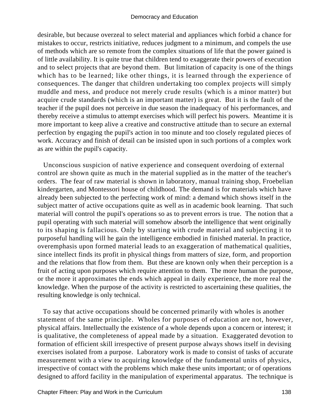desirable, but because overzeal to select material and appliances which forbid a chance for mistakes to occur, restricts initiative, reduces judgment to a minimum, and compels the use of methods which are so remote from the complex situations of life that the power gained is of little availability. It is quite true that children tend to exaggerate their powers of execution and to select projects that are beyond them. But limitation of capacity is one of the things which has to be learned; like other things, it is learned through the experience of consequences. The danger that children undertaking too complex projects will simply muddle and mess, and produce not merely crude results (which is a minor matter) but acquire crude standards (which is an important matter) is great. But it is the fault of the teacher if the pupil does not perceive in due season the inadequacy of his performances, and thereby receive a stimulus to attempt exercises which will perfect his powers. Meantime it is more important to keep alive a creative and constructive attitude than to secure an external perfection by engaging the pupil's action in too minute and too closely regulated pieces of work. Accuracy and finish of detail can be insisted upon in such portions of a complex work as are within the pupil's capacity.

 Unconscious suspicion of native experience and consequent overdoing of external control are shown quite as much in the material supplied as in the matter of the teacher's orders. The fear of raw material is shown in laboratory, manual training shop, Froebelian kindergarten, and Montessori house of childhood. The demand is for materials which have already been subjected to the perfecting work of mind: a demand which shows itself in the subject matter of active occupations quite as well as in academic book learning. That such material will control the pupil's operations so as to prevent errors is true. The notion that a pupil operating with such material will somehow absorb the intelligence that went originally to its shaping is fallacious. Only by starting with crude material and subjecting it to purposeful handling will he gain the intelligence embodied in finished material. In practice, overemphasis upon formed material leads to an exaggeration of mathematical qualities, since intellect finds its profit in physical things from matters of size, form, and proportion and the relations that flow from them. But these are known only when their perception is a fruit of acting upon purposes which require attention to them. The more human the purpose, or the more it approximates the ends which appeal in daily experience, the more real the knowledge. When the purpose of the activity is restricted to ascertaining these qualities, the resulting knowledge is only technical.

 To say that active occupations should be concerned primarily with wholes is another statement of the same principle. Wholes for purposes of education are not, however, physical affairs. Intellectually the existence of a whole depends upon a concern or interest; it is qualitative, the completeness of appeal made by a situation. Exaggerated devotion to formation of efficient skill irrespective of present purpose always shows itself in devising exercises isolated from a purpose. Laboratory work is made to consist of tasks of accurate measurement with a view to acquiring knowledge of the fundamental units of physics, irrespective of contact with the problems which make these units important; or of operations designed to afford facility in the manipulation of experimental apparatus. The technique is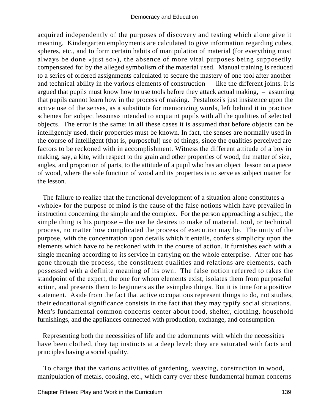acquired independently of the purposes of discovery and testing which alone give it meaning. Kindergarten employments are calculated to give information regarding cubes, spheres, etc., and to form certain habits of manipulation of material (for everything must always be done «just so»), the absence of more vital purposes being supposedly compensated for by the alleged symbolism of the material used. Manual training is reduced to a series of ordered assignments calculated to secure the mastery of one tool after another and technical ability in the various elements of construction – like the different joints. It is argued that pupils must know how to use tools before they attack actual making, – assuming that pupils cannot learn how in the process of making. Pestalozzi's just insistence upon the active use of the senses, as a substitute for memorizing words, left behind it in practice schemes for «object lessons» intended to acquaint pupils with all the qualities of selected objects. The error is the same: in all these cases it is assumed that before objects can be intelligently used, their properties must be known. In fact, the senses are normally used in the course of intelligent (that is, purposeful) use of things, since the qualities perceived are factors to be reckoned with in accomplishment. Witness the different attitude of a boy in making, say, a kite, with respect to the grain and other properties of wood, the matter of size, angles, and proportion of parts, to the attitude of a pupil who has an object−lesson on a piece of wood, where the sole function of wood and its properties is to serve as subject matter for the lesson.

 The failure to realize that the functional development of a situation alone constitutes a «whole» for the purpose of mind is the cause of the false notions which have prevailed in instruction concerning the simple and the complex. For the person approaching a subject, the simple thing is his purpose – the use he desires to make of material, tool, or technical process, no matter how complicated the process of execution may be. The unity of the purpose, with the concentration upon details which it entails, confers simplicity upon the elements which have to be reckoned with in the course of action. It furnishes each with a single meaning according to its service in carrying on the whole enterprise. After one has gone through the process, the constituent qualities and relations are elements, each possessed with a definite meaning of its own. The false notion referred to takes the standpoint of the expert, the one for whom elements exist; isolates them from purposeful action, and presents them to beginners as the «simple» things. But it is time for a positive statement. Aside from the fact that active occupations represent things to do, not studies, their educational significance consists in the fact that they may typify social situations. Men's fundamental common concerns center about food, shelter, clothing, household furnishings, and the appliances connected with production, exchange, and consumption.

 Representing both the necessities of life and the adornments with which the necessities have been clothed, they tap instincts at a deep level; they are saturated with facts and principles having a social quality.

 To charge that the various activities of gardening, weaving, construction in wood, manipulation of metals, cooking, etc., which carry over these fundamental human concerns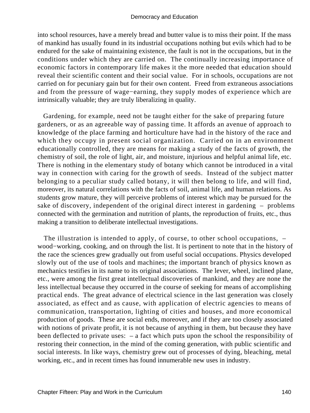into school resources, have a merely bread and butter value is to miss their point. If the mass of mankind has usually found in its industrial occupations nothing but evils which had to be endured for the sake of maintaining existence, the fault is not in the occupations, but in the conditions under which they are carried on. The continually increasing importance of economic factors in contemporary life makes it the more needed that education should reveal their scientific content and their social value. For in schools, occupations are not carried on for pecuniary gain but for their own content. Freed from extraneous associations and from the pressure of wage−earning, they supply modes of experience which are intrinsically valuable; they are truly liberalizing in quality.

 Gardening, for example, need not be taught either for the sake of preparing future gardeners, or as an agreeable way of passing time. It affords an avenue of approach to knowledge of the place farming and horticulture have had in the history of the race and which they occupy in present social organization. Carried on in an environment educationally controlled, they are means for making a study of the facts of growth, the chemistry of soil, the role of light, air, and moisture, injurious and helpful animal life, etc. There is nothing in the elementary study of botany which cannot be introduced in a vital way in connection with caring for the growth of seeds. Instead of the subject matter belonging to a peculiar study called botany, it will then belong to life, and will find, moreover, its natural correlations with the facts of soil, animal life, and human relations. As students grow mature, they will perceive problems of interest which may be pursued for the sake of discovery, independent of the original direct interest in gardening – problems connected with the germination and nutrition of plants, the reproduction of fruits, etc., thus making a transition to deliberate intellectual investigations.

 The illustration is intended to apply, of course, to other school occupations, – wood−working, cooking, and on through the list. It is pertinent to note that in the history of the race the sciences grew gradually out from useful social occupations. Physics developed slowly out of the use of tools and machines; the important branch of physics known as mechanics testifies in its name to its original associations. The lever, wheel, inclined plane, etc., were among the first great intellectual discoveries of mankind, and they are none the less intellectual because they occurred in the course of seeking for means of accomplishing practical ends. The great advance of electrical science in the last generation was closely associated, as effect and as cause, with application of electric agencies to means of communication, transportation, lighting of cities and houses, and more economical production of goods. These are social ends, moreover, and if they are too closely associated with notions of private profit, it is not because of anything in them, but because they have been deflected to private uses: – a fact which puts upon the school the responsibility of restoring their connection, in the mind of the coming generation, with public scientific and social interests. In like ways, chemistry grew out of processes of dying, bleaching, metal working, etc., and in recent times has found innumerable new uses in industry.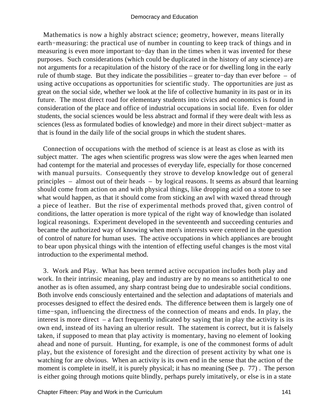Mathematics is now a highly abstract science; geometry, however, means literally earth−measuring: the practical use of number in counting to keep track of things and in measuring is even more important to−day than in the times when it was invented for these purposes. Such considerations (which could be duplicated in the history of any science) are not arguments for a recapitulation of the history of the race or for dwelling long in the early rule of thumb stage. But they indicate the possibilities – greater to−day than ever before – of using active occupations as opportunities for scientific study. The opportunities are just as great on the social side, whether we look at the life of collective humanity in its past or in its future. The most direct road for elementary students into civics and economics is found in consideration of the place and office of industrial occupations in social life. Even for older students, the social sciences would be less abstract and formal if they were dealt with less as sciences (less as formulated bodies of knowledge) and more in their direct subject−matter as that is found in the daily life of the social groups in which the student shares.

 Connection of occupations with the method of science is at least as close as with its subject matter. The ages when scientific progress was slow were the ages when learned men had contempt for the material and processes of everyday life, especially for those concerned with manual pursuits. Consequently they strove to develop knowledge out of general principles – almost out of their heads – by logical reasons. It seems as absurd that learning should come from action on and with physical things, like dropping acid on a stone to see what would happen, as that it should come from sticking an awl with waxed thread through a piece of leather. But the rise of experimental methods proved that, given control of conditions, the latter operation is more typical of the right way of knowledge than isolated logical reasonings. Experiment developed in the seventeenth and succeeding centuries and became the authorized way of knowing when men's interests were centered in the question of control of nature for human uses. The active occupations in which appliances are brought to bear upon physical things with the intention of effecting useful changes is the most vital introduction to the experimental method.

 3. Work and Play. What has been termed active occupation includes both play and work. In their intrinsic meaning, play and industry are by no means so antithetical to one another as is often assumed, any sharp contrast being due to undesirable social conditions. Both involve ends consciously entertained and the selection and adaptations of materials and processes designed to effect the desired ends. The difference between them is largely one of time−span, influencing the directness of the connection of means and ends. In play, the interest is more direct  $-$  a fact frequently indicated by saying that in play the activity is its own end, instead of its having an ulterior result. The statement is correct, but it is falsely taken, if supposed to mean that play activity is momentary, having no element of looking ahead and none of pursuit. Hunting, for example, is one of the commonest forms of adult play, but the existence of foresight and the direction of present activity by what one is watching for are obvious. When an activity is its own end in the sense that the action of the moment is complete in itself, it is purely physical; it has no meaning (See p. 77) . The person is either going through motions quite blindly, perhaps purely imitatively, or else is in a state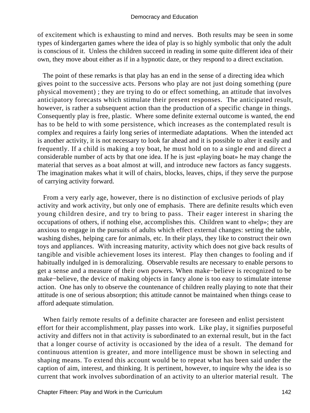of excitement which is exhausting to mind and nerves. Both results may be seen in some types of kindergarten games where the idea of play is so highly symbolic that only the adult is conscious of it. Unless the children succeed in reading in some quite different idea of their own, they move about either as if in a hypnotic daze, or they respond to a direct excitation.

 The point of these remarks is that play has an end in the sense of a directing idea which gives point to the successive acts. Persons who play are not just doing something (pure physical movement) ; they are trying to do or effect something, an attitude that involves anticipatory forecasts which stimulate their present responses. The anticipated result, however, is rather a subsequent action than the production of a specific change in things. Consequently play is free, plastic. Where some definite external outcome is wanted, the end has to be held to with some persistence, which increases as the contemplated result is complex and requires a fairly long series of intermediate adaptations. When the intended act is another activity, it is not necessary to look far ahead and it is possible to alter it easily and frequently. If a child is making a toy boat, he must hold on to a single end and direct a considerable number of acts by that one idea. If he is just «playing boat» he may change the material that serves as a boat almost at will, and introduce new factors as fancy suggests. The imagination makes what it will of chairs, blocks, leaves, chips, if they serve the purpose of carrying activity forward.

 From a very early age, however, there is no distinction of exclusive periods of play activity and work activity, but only one of emphasis. There are definite results which even young children desire, and try to bring to pass. Their eager interest in sharing the occupations of others, if nothing else, accomplishes this. Children want to «help»; they are anxious to engage in the pursuits of adults which effect external changes: setting the table, washing dishes, helping care for animals, etc. In their plays, they like to construct their own toys and appliances. With increasing maturity, activity which does not give back results of tangible and visible achievement loses its interest. Play then changes to fooling and if habitually indulged in is demoralizing. Observable results are necessary to enable persons to get a sense and a measure of their own powers. When make−believe is recognized to be make−believe, the device of making objects in fancy alone is too easy to stimulate intense action. One has only to observe the countenance of children really playing to note that their attitude is one of serious absorption; this attitude cannot be maintained when things cease to afford adequate stimulation.

 When fairly remote results of a definite character are foreseen and enlist persistent effort for their accomplishment, play passes into work. Like play, it signifies purposeful activity and differs not in that activity is subordinated to an external result, but in the fact that a longer course of activity is occasioned by the idea of a result. The demand for continuous attention is greater, and more intelligence must be shown in selecting and shaping means. To extend this account would be to repeat what has been said under the caption of aim, interest, and thinking. It is pertinent, however, to inquire why the idea is so current that work involves subordination of an activity to an ulterior material result. The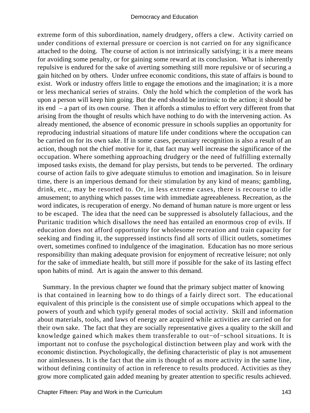extreme form of this subordination, namely drudgery, offers a clew. Activity carried on under conditions of external pressure or coercion is not carried on for any significance attached to the doing. The course of action is not intrinsically satisfying; it is a mere means for avoiding some penalty, or for gaining some reward at its conclusion. What is inherently repulsive is endured for the sake of averting something still more repulsive or of securing a gain hitched on by others. Under unfree economic conditions, this state of affairs is bound to exist. Work or industry offers little to engage the emotions and the imagination; it is a more or less mechanical series of strains. Only the hold which the completion of the work has upon a person will keep him going. But the end should be intrinsic to the action; it should be its end – a part of its own course. Then it affords a stimulus to effort very different from that arising from the thought of results which have nothing to do with the intervening action. As already mentioned, the absence of economic pressure in schools supplies an opportunity for reproducing industrial situations of mature life under conditions where the occupation can be carried on for its own sake. If in some cases, pecuniary recognition is also a result of an action, though not the chief motive for it, that fact may well increase the significance of the occupation. Where something approaching drudgery or the need of fulfilling externally imposed tasks exists, the demand for play persists, but tends to be perverted. The ordinary course of action fails to give adequate stimulus to emotion and imagination. So in leisure time, there is an imperious demand for their stimulation by any kind of means; gambling, drink, etc., may be resorted to. Or, in less extreme cases, there is recourse to idle amusement; to anything which passes time with immediate agreeableness. Recreation, as the word indicates, is recuperation of energy. No demand of human nature is more urgent or less to be escaped. The idea that the need can be suppressed is absolutely fallacious, and the Puritanic tradition which disallows the need has entailed an enormous crop of evils. If education does not afford opportunity for wholesome recreation and train capacity for seeking and finding it, the suppressed instincts find all sorts of illicit outlets, sometimes overt, sometimes confined to indulgence of the imagination. Education has no more serious responsibility than making adequate provision for enjoyment of recreative leisure; not only for the sake of immediate health, but still more if possible for the sake of its lasting effect upon habits of mind. Art is again the answer to this demand.

 Summary. In the previous chapter we found that the primary subject matter of knowing is that contained in learning how to do things of a fairly direct sort. The educational equivalent of this principle is the consistent use of simple occupations which appeal to the powers of youth and which typify general modes of social activity. Skill and information about materials, tools, and laws of energy are acquired while activities are carried on for their own sake. The fact that they are socially representative gives a quality to the skill and knowledge gained which makes them transferable to out−of−school situations. It is important not to confuse the psychological distinction between play and work with the economic distinction. Psychologically, the defining characteristic of play is not amusement nor aimlessness. It is the fact that the aim is thought of as more activity in the same line, without defining continuity of action in reference to results produced. Activities as they grow more complicated gain added meaning by greater attention to specific results achieved.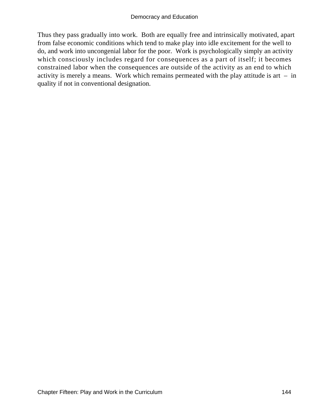Thus they pass gradually into work. Both are equally free and intrinsically motivated, apart from false economic conditions which tend to make play into idle excitement for the well to do, and work into uncongenial labor for the poor. Work is psychologically simply an activity which consciously includes regard for consequences as a part of itself; it becomes constrained labor when the consequences are outside of the activity as an end to which activity is merely a means. Work which remains permeated with the play attitude is art  $-$  in quality if not in conventional designation.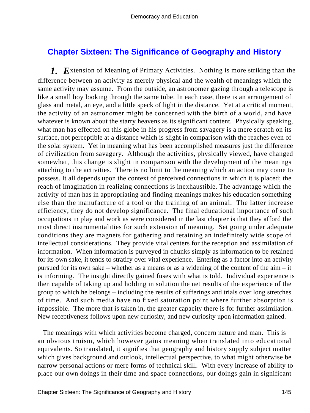# **[Chapter Sixteen: The Significance of Geography and History](#page-248-0)**

*1. E*xtension of Meaning of Primary Activities. Nothing is more striking than the difference between an activity as merely physical and the wealth of meanings which the same activity may assume. From the outside, an astronomer gazing through a telescope is like a small boy looking through the same tube. In each case, there is an arrangement of glass and metal, an eye, and a little speck of light in the distance. Yet at a critical moment, the activity of an astronomer might be concerned with the birth of a world, and have whatever is known about the starry heavens as its significant content. Physically speaking, what man has effected on this globe in his progress from savagery is a mere scratch on its surface, not perceptible at a distance which is slight in comparison with the reaches even of the solar system. Yet in meaning what has been accomplished measures just the difference of civilization from savagery. Although the activities, physically viewed, have changed somewhat, this change is slight in comparison with the development of the meanings attaching to the activities. There is no limit to the meaning which an action may come to possess. It all depends upon the context of perceived connections in which it is placed; the reach of imagination in realizing connections is inexhaustible. The advantage which the activity of man has in appropriating and finding meanings makes his education something else than the manufacture of a tool or the training of an animal. The latter increase efficiency; they do not develop significance. The final educational importance of such occupations in play and work as were considered in the last chapter is that they afford the most direct instrumentalities for such extension of meaning. Set going under adequate conditions they are magnets for gathering and retaining an indefinitely wide scope of intellectual considerations. They provide vital centers for the reception and assimilation of information. When information is purveyed in chunks simply as information to be retained for its own sake, it tends to stratify over vital experience. Entering as a factor into an activity pursued for its own sake – whether as a means or as a widening of the content of the aim – it is informing. The insight directly gained fuses with what is told. Individual experience is then capable of taking up and holding in solution the net results of the experience of the group to which he belongs – including the results of sufferings and trials over long stretches of time. And such media have no fixed saturation point where further absorption is impossible. The more that is taken in, the greater capacity there is for further assimilation. New receptiveness follows upon new curiosity, and new curiosity upon information gained.

 The meanings with which activities become charged, concern nature and man. This is an obvious truism, which however gains meaning when translated into educational equivalents. So translated, it signifies that geography and history supply subject matter which gives background and outlook, intellectual perspective, to what might otherwise be narrow personal actions or mere forms of technical skill. With every increase of ability to place our own doings in their time and space connections, our doings gain in significant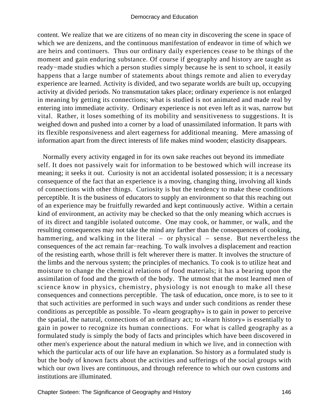content. We realize that we are citizens of no mean city in discovering the scene in space of which we are denizens, and the continuous manifestation of endeavor in time of which we are heirs and continuers. Thus our ordinary daily experiences cease to be things of the moment and gain enduring substance. Of course if geography and history are taught as ready−made studies which a person studies simply because he is sent to school, it easily happens that a large number of statements about things remote and alien to everyday experience are learned. Activity is divided, and two separate worlds are built up, occupying activity at divided periods. No transmutation takes place; ordinary experience is not enlarged in meaning by getting its connections; what is studied is not animated and made real by entering into immediate activity. Ordinary experience is not even left as it was, narrow but vital. Rather, it loses something of its mobility and sensitiveness to suggestions. It is weighed down and pushed into a corner by a load of unassimilated information. It parts with its flexible responsiveness and alert eagerness for additional meaning. Mere amassing of information apart from the direct interests of life makes mind wooden; elasticity disappears.

 Normally every activity engaged in for its own sake reaches out beyond its immediate self. It does not passively wait for information to be bestowed which will increase its meaning; it seeks it out. Curiosity is not an accidental isolated possession; it is a necessary consequence of the fact that an experience is a moving, changing thing, involving all kinds of connections with other things. Curiosity is but the tendency to make these conditions perceptible. It is the business of educators to supply an environment so that this reaching out of an experience may be fruitfully rewarded and kept continuously active. Within a certain kind of environment, an activity may be checked so that the only meaning which accrues is of its direct and tangible isolated outcome. One may cook, or hammer, or walk, and the resulting consequences may not take the mind any farther than the consequences of cooking, hammering, and walking in the literal – or physical – sense. But nevertheless the consequences of the act remain far−reaching. To walk involves a displacement and reaction of the resisting earth, whose thrill is felt wherever there is matter. It involves the structure of the limbs and the nervous system; the principles of mechanics. To cook is to utilize heat and moisture to change the chemical relations of food materials; it has a bearing upon the assimilation of food and the growth of the body. The utmost that the most learned men of science know in physics, chemistry, physiology is not enough to make all these consequences and connections perceptible. The task of education, once more, is to see to it that such activities are performed in such ways and under such conditions as render these conditions as perceptible as possible. To «learn geography» is to gain in power to perceive the spatial, the natural, connections of an ordinary act; to «learn history» is essentially to gain in power to recognize its human connections. For what is called geography as a formulated study is simply the body of facts and principles which have been discovered in other men's experience about the natural medium in which we live, and in connection with which the particular acts of our life have an explanation. So history as a formulated study is but the body of known facts about the activities and sufferings of the social groups with which our own lives are continuous, and through reference to which our own customs and institutions are illuminated.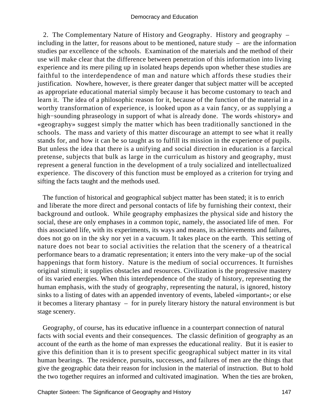2. The Complementary Nature of History and Geography. History and geography – including in the latter, for reasons about to be mentioned, nature study  $-$  are the information studies par excellence of the schools. Examination of the materials and the method of their use will make clear that the difference between penetration of this information into living experience and its mere piling up in isolated heaps depends upon whether these studies are faithful to the interdependence of man and nature which affords these studies their justification. Nowhere, however, is there greater danger that subject matter will be accepted as appropriate educational material simply because it has become customary to teach and learn it. The idea of a philosophic reason for it, because of the function of the material in a worthy transformation of experience, is looked upon as a vain fancy, or as supplying a high−sounding phraseology in support of what is already done. The words «history» and «geography» suggest simply the matter which has been traditionally sanctioned in the schools. The mass and variety of this matter discourage an attempt to see what it really stands for, and how it can be so taught as to fulfill its mission in the experience of pupils. But unless the idea that there is a unifying and social direction in education is a farcical pretense, subjects that bulk as large in the curriculum as history and geography, must represent a general function in the development of a truly socialized and intellectualized experience. The discovery of this function must be employed as a criterion for trying and sifting the facts taught and the methods used.

 The function of historical and geographical subject matter has been stated; it is to enrich and liberate the more direct and personal contacts of life by furnishing their context, their background and outlook. While geography emphasizes the physical side and history the social, these are only emphases in a common topic, namely, the associated life of men. For this associated life, with its experiments, its ways and means, its achievements and failures, does not go on in the sky nor yet in a vacuum. It takes place on the earth. This setting of nature does not bear to social activities the relation that the scenery of a theatrical performance bears to a dramatic representation; it enters into the very make−up of the social happenings that form history. Nature is the medium of social occurrences. It furnishes original stimuli; it supplies obstacles and resources. Civilization is the progressive mastery of its varied energies. When this interdependence of the study of history, representing the human emphasis, with the study of geography, representing the natural, is ignored, history sinks to a listing of dates with an appended inventory of events, labeled «important»; or else it becomes a literary phantasy – for in purely literary history the natural environment is but stage scenery.

 Geography, of course, has its educative influence in a counterpart connection of natural facts with social events and their consequences. The classic definition of geography as an account of the earth as the home of man expresses the educational reality. But it is easier to give this definition than it is to present specific geographical subject matter in its vital human bearings. The residence, pursuits, successes, and failures of men are the things that give the geographic data their reason for inclusion in the material of instruction. But to hold the two together requires an informed and cultivated imagination. When the ties are broken,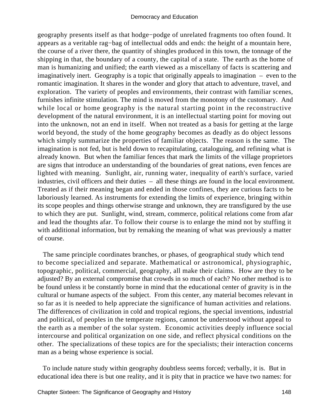geography presents itself as that hodge−podge of unrelated fragments too often found. It appears as a veritable rag−bag of intellectual odds and ends: the height of a mountain here, the course of a river there, the quantity of shingles produced in this town, the tonnage of the shipping in that, the boundary of a county, the capital of a state. The earth as the home of man is humanizing and unified; the earth viewed as a miscellany of facts is scattering and imaginatively inert. Geography is a topic that originally appeals to imagination – even to the romantic imagination. It shares in the wonder and glory that attach to adventure, travel, and exploration. The variety of peoples and environments, their contrast with familiar scenes, furnishes infinite stimulation. The mind is moved from the monotony of the customary. And while local or home geography is the natural starting point in the reconstructive development of the natural environment, it is an intellectual starting point for moving out into the unknown, not an end in itself. When not treated as a basis for getting at the large world beyond, the study of the home geography becomes as deadly as do object lessons which simply summarize the properties of familiar objects. The reason is the same. The imagination is not fed, but is held down to recapitulating, cataloguing, and refining what is already known. But when the familiar fences that mark the limits of the village proprietors are signs that introduce an understanding of the boundaries of great nations, even fences are lighted with meaning. Sunlight, air, running water, inequality of earth's surface, varied industries, civil officers and their duties – all these things are found in the local environment. Treated as if their meaning began and ended in those confines, they are curious facts to be laboriously learned. As instruments for extending the limits of experience, bringing within its scope peoples and things otherwise strange and unknown, they are transfigured by the use to which they are put. Sunlight, wind, stream, commerce, political relations come from afar and lead the thoughts afar. To follow their course is to enlarge the mind not by stuffing it with additional information, but by remaking the meaning of what was previously a matter of course.

 The same principle coordinates branches, or phases, of geographical study which tend to become specialized and separate. Mathematical or astronomical, physiographic, topographic, political, commercial, geography, all make their claims. How are they to be adjusted? By an external compromise that crowds in so much of each? No other method is to be found unless it be constantly borne in mind that the educational center of gravity is in the cultural or humane aspects of the subject. From this center, any material becomes relevant in so far as it is needed to help appreciate the significance of human activities and relations. The differences of civilization in cold and tropical regions, the special inventions, industrial and political, of peoples in the temperate regions, cannot be understood without appeal to the earth as a member of the solar system. Economic activities deeply influence social intercourse and political organization on one side, and reflect physical conditions on the other. The specializations of these topics are for the specialists; their interaction concerns man as a being whose experience is social.

 To include nature study within geography doubtless seems forced; verbally, it is. But in educational idea there is but one reality, and it is pity that in practice we have two names: for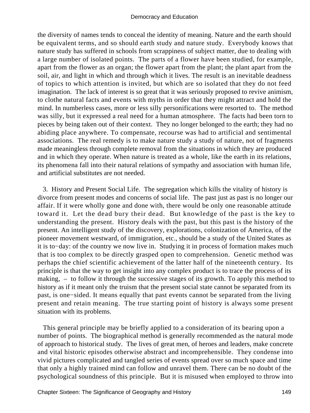the diversity of names tends to conceal the identity of meaning. Nature and the earth should be equivalent terms, and so should earth study and nature study. Everybody knows that nature study has suffered in schools from scrappiness of subject matter, due to dealing with a large number of isolated points. The parts of a flower have been studied, for example, apart from the flower as an organ; the flower apart from the plant; the plant apart from the soil, air, and light in which and through which it lives. The result is an inevitable deadness of topics to which attention is invited, but which are so isolated that they do not feed imagination. The lack of interest is so great that it was seriously proposed to revive animism, to clothe natural facts and events with myths in order that they might attract and hold the mind. In numberless cases, more or less silly personifications were resorted to. The method was silly, but it expressed a real need for a human atmosphere. The facts had been torn to pieces by being taken out of their context. They no longer belonged to the earth; they had no abiding place anywhere. To compensate, recourse was had to artificial and sentimental associations. The real remedy is to make nature study a study of nature, not of fragments made meaningless through complete removal from the situations in which they are produced and in which they operate. When nature is treated as a whole, like the earth in its relations, its phenomena fall into their natural relations of sympathy and association with human life, and artificial substitutes are not needed.

 3. History and Present Social Life. The segregation which kills the vitality of history is divorce from present modes and concerns of social life. The past just as past is no longer our affair. If it were wholly gone and done with, there would be only one reasonable attitude toward it. Let the dead bury their dead. But knowledge of the past is the key to understanding the present. History deals with the past, but this past is the history of the present. An intelligent study of the discovery, explorations, colonization of America, of the pioneer movement westward, of immigration, etc., should be a study of the United States as it is to−day: of the country we now live in. Studying it in process of formation makes much that is too complex to be directly grasped open to comprehension. Genetic method was perhaps the chief scientific achievement of the latter half of the nineteenth century. Its principle is that the way to get insight into any complex product is to trace the process of its making, – to follow it through the successive stages of its growth. To apply this method to history as if it meant only the truism that the present social state cannot be separated from its past, is one−sided. It means equally that past events cannot be separated from the living present and retain meaning. The true starting point of history is always some present situation with its problems.

 This general principle may be briefly applied to a consideration of its bearing upon a number of points. The biographical method is generally recommended as the natural mode of approach to historical study. The lives of great men, of heroes and leaders, make concrete and vital historic episodes otherwise abstract and incomprehensible. They condense into vivid pictures complicated and tangled series of events spread over so much space and time that only a highly trained mind can follow and unravel them. There can be no doubt of the psychological soundness of this principle. But it is misused when employed to throw into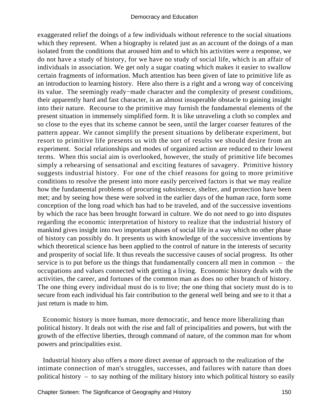exaggerated relief the doings of a few individuals without reference to the social situations which they represent. When a biography is related just as an account of the doings of a man isolated from the conditions that aroused him and to which his activities were a response, we do not have a study of history, for we have no study of social life, which is an affair of individuals in association. We get only a sugar coating which makes it easier to swallow certain fragments of information. Much attention has been given of late to primitive life as an introduction to learning history. Here also there is a right and a wrong way of conceiving its value. The seemingly ready−made character and the complexity of present conditions, their apparently hard and fast character, is an almost insuperable obstacle to gaining insight into their nature. Recourse to the primitive may furnish the fundamental elements of the present situation in immensely simplified form. It is like unraveling a cloth so complex and so close to the eyes that its scheme cannot be seen, until the larger coarser features of the pattern appear. We cannot simplify the present situations by deliberate experiment, but resort to primitive life presents us with the sort of results we should desire from an experiment. Social relationships and modes of organized action are reduced to their lowest terms. When this social aim is overlooked, however, the study of primitive life becomes simply a rehearsing of sensational and exciting features of savagery. Primitive history suggests industrial history. For one of the chief reasons for going to more primitive conditions to resolve the present into more easily perceived factors is that we may realize how the fundamental problems of procuring subsistence, shelter, and protection have been met; and by seeing how these were solved in the earlier days of the human race, form some conception of the long road which has had to be traveled, and of the successive inventions by which the race has been brought forward in culture. We do not need to go into disputes regarding the economic interpretation of history to realize that the industrial history of mankind gives insight into two important phases of social life in a way which no other phase of history can possibly do. It presents us with knowledge of the successive inventions by which theoretical science has been applied to the control of nature in the interests of security and prosperity of social life. It thus reveals the successive causes of social progress. Its other service is to put before us the things that fundamentally concern all men in common – the occupations and values connected with getting a living. Economic history deals with the activities, the career, and fortunes of the common man as does no other branch of history. The one thing every individual must do is to live; the one thing that society must do is to secure from each individual his fair contribution to the general well being and see to it that a just return is made to him.

 Economic history is more human, more democratic, and hence more liberalizing than political history. It deals not with the rise and fall of principalities and powers, but with the growth of the effective liberties, through command of nature, of the common man for whom powers and principalities exist.

 Industrial history also offers a more direct avenue of approach to the realization of the intimate connection of man's struggles, successes, and failures with nature than does political history – to say nothing of the military history into which political history so easily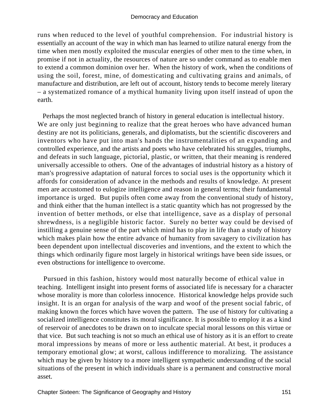runs when reduced to the level of youthful comprehension. For industrial history is essentially an account of the way in which man has learned to utilize natural energy from the time when men mostly exploited the muscular energies of other men to the time when, in promise if not in actuality, the resources of nature are so under command as to enable men to extend a common dominion over her. When the history of work, when the conditions of using the soil, forest, mine, of domesticating and cultivating grains and animals, of manufacture and distribution, are left out of account, history tends to become merely literary – a systematized romance of a mythical humanity living upon itself instead of upon the earth.

 Perhaps the most neglected branch of history in general education is intellectual history. We are only just beginning to realize that the great heroes who have advanced human destiny are not its politicians, generals, and diplomatists, but the scientific discoverers and inventors who have put into man's hands the instrumentalities of an expanding and controlled experience, and the artists and poets who have celebrated his struggles, triumphs, and defeats in such language, pictorial, plastic, or written, that their meaning is rendered universally accessible to others. One of the advantages of industrial history as a history of man's progressive adaptation of natural forces to social uses is the opportunity which it affords for consideration of advance in the methods and results of knowledge. At present men are accustomed to eulogize intelligence and reason in general terms; their fundamental importance is urged. But pupils often come away from the conventional study of history, and think either that the human intellect is a static quantity which has not progressed by the invention of better methods, or else that intelligence, save as a display of personal shrewdness, is a negligible historic factor. Surely no better way could be devised of instilling a genuine sense of the part which mind has to play in life than a study of history which makes plain how the entire advance of humanity from savagery to civilization has been dependent upon intellectual discoveries and inventions, and the extent to which the things which ordinarily figure most largely in historical writings have been side issues, or even obstructions for intelligence to overcome.

 Pursued in this fashion, history would most naturally become of ethical value in teaching. Intelligent insight into present forms of associated life is necessary for a character whose morality is more than colorless innocence. Historical knowledge helps provide such insight. It is an organ for analysis of the warp and woof of the present social fabric, of making known the forces which have woven the pattern. The use of history for cultivating a socialized intelligence constitutes its moral significance. It is possible to employ it as a kind of reservoir of anecdotes to be drawn on to inculcate special moral lessons on this virtue or that vice. But such teaching is not so much an ethical use of history as it is an effort to create moral impressions by means of more or less authentic material. At best, it produces a temporary emotional glow; at worst, callous indifference to moralizing. The assistance which may be given by history to a more intelligent sympathetic understanding of the social situations of the present in which individuals share is a permanent and constructive moral asset.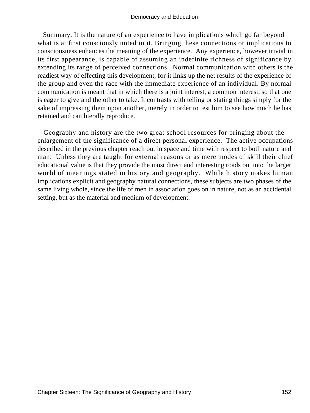Summary. It is the nature of an experience to have implications which go far beyond what is at first consciously noted in it. Bringing these connections or implications to consciousness enhances the meaning of the experience. Any experience, however trivial in its first appearance, is capable of assuming an indefinite richness of significance by extending its range of perceived connections. Normal communication with others is the readiest way of effecting this development, for it links up the net results of the experience of the group and even the race with the immediate experience of an individual. By normal communication is meant that in which there is a joint interest, a common interest, so that one is eager to give and the other to take. It contrasts with telling or stating things simply for the sake of impressing them upon another, merely in order to test him to see how much he has retained and can literally reproduce.

 Geography and history are the two great school resources for bringing about the enlargement of the significance of a direct personal experience. The active occupations described in the previous chapter reach out in space and time with respect to both nature and man. Unless they are taught for external reasons or as mere modes of skill their chief educational value is that they provide the most direct and interesting roads out into the larger world of meanings stated in history and geography. While history makes human implications explicit and geography natural connections, these subjects are two phases of the same living whole, since the life of men in association goes on in nature, not as an accidental setting, but as the material and medium of development.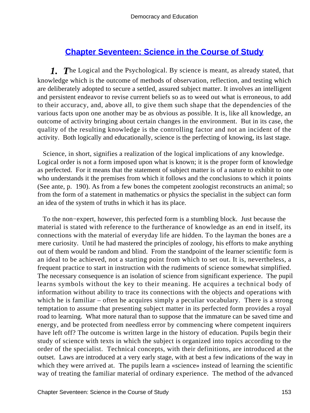# **[Chapter Seventeen: Science in the Course of Study](#page-248-0)**

*1. T*he Logical and the Psychological. By science is meant, as already stated, that knowledge which is the outcome of methods of observation, reflection, and testing which are deliberately adopted to secure a settled, assured subject matter. It involves an intelligent and persistent endeavor to revise current beliefs so as to weed out what is erroneous, to add to their accuracy, and, above all, to give them such shape that the dependencies of the various facts upon one another may be as obvious as possible. It is, like all knowledge, an outcome of activity bringing about certain changes in the environment. But in its case, the quality of the resulting knowledge is the controlling factor and not an incident of the activity. Both logically and educationally, science is the perfecting of knowing, its last stage.

 Science, in short, signifies a realization of the logical implications of any knowledge. Logical order is not a form imposed upon what is known; it is the proper form of knowledge as perfected. For it means that the statement of subject matter is of a nature to exhibit to one who understands it the premises from which it follows and the conclusions to which it points (See ante, p. 190). As from a few bones the competent zoologist reconstructs an animal; so from the form of a statement in mathematics or physics the specialist in the subject can form an idea of the system of truths in which it has its place.

 To the non−expert, however, this perfected form is a stumbling block. Just because the material is stated with reference to the furtherance of knowledge as an end in itself, its connections with the material of everyday life are hidden. To the layman the bones are a mere curiosity. Until he had mastered the principles of zoology, his efforts to make anything out of them would be random and blind. From the standpoint of the learner scientific form is an ideal to be achieved, not a starting point from which to set out. It is, nevertheless, a frequent practice to start in instruction with the rudiments of science somewhat simplified. The necessary consequence is an isolation of science from significant experience. The pupil learns symbols without the key to their meaning. He acquires a technical body of information without ability to trace its connections with the objects and operations with which he is familiar – often he acquires simply a peculiar vocabulary. There is a strong temptation to assume that presenting subject matter in its perfected form provides a royal road to learning. What more natural than to suppose that the immature can be saved time and energy, and be protected from needless error by commencing where competent inquirers have left off? The outcome is written large in the history of education. Pupils begin their study of science with texts in which the subject is organized into topics according to the order of the specialist. Technical concepts, with their definitions, are introduced at the outset. Laws are introduced at a very early stage, with at best a few indications of the way in which they were arrived at. The pupils learn a «science» instead of learning the scientific way of treating the familiar material of ordinary experience. The method of the advanced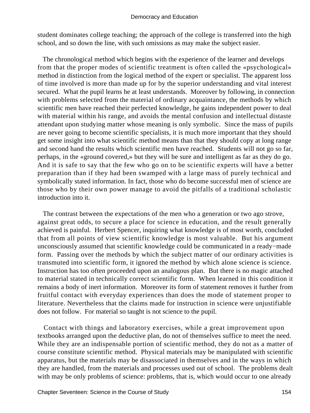student dominates college teaching; the approach of the college is transferred into the high school, and so down the line, with such omissions as may make the subject easier.

 The chronological method which begins with the experience of the learner and develops from that the proper modes of scientific treatment is often called the «psychological» method in distinction from the logical method of the expert or specialist. The apparent loss of time involved is more than made up for by the superior understanding and vital interest secured. What the pupil learns he at least understands. Moreover by following, in connection with problems selected from the material of ordinary acquaintance, the methods by which scientific men have reached their perfected knowledge, he gains independent power to deal with material within his range, and avoids the mental confusion and intellectual distaste attendant upon studying matter whose meaning is only symbolic. Since the mass of pupils are never going to become scientific specialists, it is much more important that they should get some insight into what scientific method means than that they should copy at long range and second hand the results which scientific men have reached. Students will not go so far, perhaps, in the «ground covered,» but they will be sure and intelligent as far as they do go. And it is safe to say that the few who go on to be scientific experts will have a better preparation than if they had been swamped with a large mass of purely technical and symbolically stated information. In fact, those who do become successful men of science are those who by their own power manage to avoid the pitfalls of a traditional scholastic introduction into it.

 The contrast between the expectations of the men who a generation or two ago strove, against great odds, to secure a place for science in education, and the result generally achieved is painful. Herbert Spencer, inquiring what knowledge is of most worth, concluded that from all points of view scientific knowledge is most valuable. But his argument unconsciously assumed that scientific knowledge could be communicated in a ready−made form. Passing over the methods by which the subject matter of our ordinary activities is transmuted into scientific form, it ignored the method by which alone science is science. Instruction has too often proceeded upon an analogous plan. But there is no magic attached to material stated in technically correct scientific form. When learned in this condition it remains a body of inert information. Moreover its form of statement removes it further from fruitful contact with everyday experiences than does the mode of statement proper to literature. Nevertheless that the claims made for instruction in science were unjustifiable does not follow. For material so taught is not science to the pupil.

 Contact with things and laboratory exercises, while a great improvement upon textbooks arranged upon the deductive plan, do not of themselves suffice to meet the need. While they are an indispensable portion of scientific method, they do not as a matter of course constitute scientific method. Physical materials may be manipulated with scientific apparatus, but the materials may be disassociated in themselves and in the ways in which they are handled, from the materials and processes used out of school. The problems dealt with may be only problems of science: problems, that is, which would occur to one already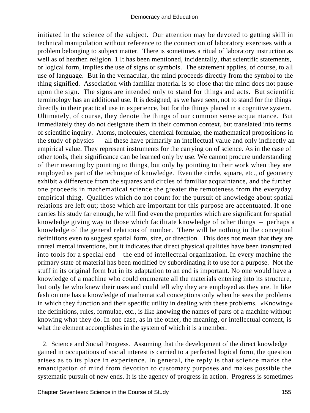initiated in the science of the subject. Our attention may be devoted to getting skill in technical manipulation without reference to the connection of laboratory exercises with a problem belonging to subject matter. There is sometimes a ritual of laboratory instruction as well as of heathen religion. 1 It has been mentioned, incidentally, that scientific statements, or logical form, implies the use of signs or symbols. The statement applies, of course, to all use of language. But in the vernacular, the mind proceeds directly from the symbol to the thing signified. Association with familiar material is so close that the mind does not pause upon the sign. The signs are intended only to stand for things and acts. But scientific terminology has an additional use. It is designed, as we have seen, not to stand for the things directly in their practical use in experience, but for the things placed in a cognitive system. Ultimately, of course, they denote the things of our common sense acquaintance. But immediately they do not designate them in their common context, but translated into terms of scientific inquiry. Atoms, molecules, chemical formulae, the mathematical propositions in the study of physics – all these have primarily an intellectual value and only indirectly an empirical value. They represent instruments for the carrying on of science. As in the case of other tools, their significance can be learned only by use. We cannot procure understanding of their meaning by pointing to things, but only by pointing to their work when they are employed as part of the technique of knowledge. Even the circle, square, etc., of geometry exhibit a difference from the squares and circles of familiar acquaintance, and the further one proceeds in mathematical science the greater the remoteness from the everyday empirical thing. Qualities which do not count for the pursuit of knowledge about spatial relations are left out; those which are important for this purpose are accentuated. If one carries his study far enough, he will find even the properties which are significant for spatial knowledge giving way to those which facilitate knowledge of other things – perhaps a knowledge of the general relations of number. There will be nothing in the conceptual definitions even to suggest spatial form, size, or direction. This does not mean that they are unreal mental inventions, but it indicates that direct physical qualities have been transmuted into tools for a special end – the end of intellectual organization. In every machine the primary state of material has been modified by subordinating it to use for a purpose. Not the stuff in its original form but in its adaptation to an end is important. No one would have a knowledge of a machine who could enumerate all the materials entering into its structure, but only he who knew their uses and could tell why they are employed as they are. In like fashion one has a knowledge of mathematical conceptions only when he sees the problems in which they function and their specific utility in dealing with these problems. «Knowing» the definitions, rules, formulae, etc., is like knowing the names of parts of a machine without knowing what they do. In one case, as in the other, the meaning, or intellectual content, is what the element accomplishes in the system of which it is a member.

 2. Science and Social Progress. Assuming that the development of the direct knowledge gained in occupations of social interest is carried to a perfected logical form, the question arises as to its place in experience. In general, the reply is that science marks the emancipation of mind from devotion to customary purposes and makes possible the systematic pursuit of new ends. It is the agency of progress in action. Progress is sometimes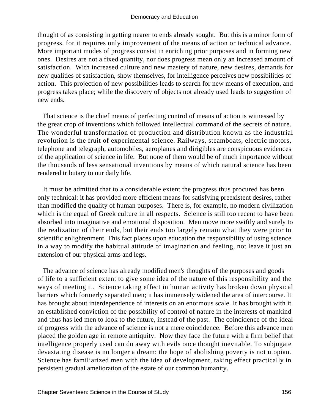thought of as consisting in getting nearer to ends already sought. But this is a minor form of progress, for it requires only improvement of the means of action or technical advance. More important modes of progress consist in enriching prior purposes and in forming new ones. Desires are not a fixed quantity, nor does progress mean only an increased amount of satisfaction. With increased culture and new mastery of nature, new desires, demands for new qualities of satisfaction, show themselves, for intelligence perceives new possibilities of action. This projection of new possibilities leads to search for new means of execution, and progress takes place; while the discovery of objects not already used leads to suggestion of new ends.

 That science is the chief means of perfecting control of means of action is witnessed by the great crop of inventions which followed intellectual command of the secrets of nature. The wonderful transformation of production and distribution known as the industrial revolution is the fruit of experimental science. Railways, steamboats, electric motors, telephone and telegraph, automobiles, aeroplanes and dirigibles are conspicuous evidences of the application of science in life. But none of them would be of much importance without the thousands of less sensational inventions by means of which natural science has been rendered tributary to our daily life.

 It must be admitted that to a considerable extent the progress thus procured has been only technical: it has provided more efficient means for satisfying preexistent desires, rather than modified the quality of human purposes. There is, for example, no modern civilization which is the equal of Greek culture in all respects. Science is still too recent to have been absorbed into imaginative and emotional disposition. Men move more swiftly and surely to the realization of their ends, but their ends too largely remain what they were prior to scientific enlightenment. This fact places upon education the responsibility of using science in a way to modify the habitual attitude of imagination and feeling, not leave it just an extension of our physical arms and legs.

 The advance of science has already modified men's thoughts of the purposes and goods of life to a sufficient extent to give some idea of the nature of this responsibility and the ways of meeting it. Science taking effect in human activity has broken down physical barriers which formerly separated men; it has immensely widened the area of intercourse. It has brought about interdependence of interests on an enormous scale. It has brought with it an established conviction of the possibility of control of nature in the interests of mankind and thus has led men to look to the future, instead of the past. The coincidence of the ideal of progress with the advance of science is not a mere coincidence. Before this advance men placed the golden age in remote antiquity. Now they face the future with a firm belief that intelligence properly used can do away with evils once thought inevitable. To subjugate devastating disease is no longer a dream; the hope of abolishing poverty is not utopian. Science has familiarized men with the idea of development, taking effect practically in persistent gradual amelioration of the estate of our common humanity.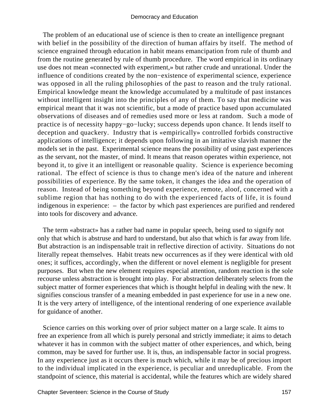The problem of an educational use of science is then to create an intelligence pregnant with belief in the possibility of the direction of human affairs by itself. The method of science engrained through education in habit means emancipation from rule of thumb and from the routine generated by rule of thumb procedure. The word empirical in its ordinary use does not mean «connected with experiment,» but rather crude and unrational. Under the influence of conditions created by the non−existence of experimental science, experience was opposed in all the ruling philosophies of the past to reason and the truly rational. Empirical knowledge meant the knowledge accumulated by a multitude of past instances without intelligent insight into the principles of any of them. To say that medicine was empirical meant that it was not scientific, but a mode of practice based upon accumulated observations of diseases and of remedies used more or less at random. Such a mode of practice is of necessity happy−go−lucky; success depends upon chance. It lends itself to deception and quackery. Industry that is «empirically» controlled forbids constructive applications of intelligence; it depends upon following in an imitative slavish manner the models set in the past. Experimental science means the possibility of using past experiences as the servant, not the master, of mind. It means that reason operates within experience, not beyond it, to give it an intelligent or reasonable quality. Science is experience becoming rational. The effect of science is thus to change men's idea of the nature and inherent possibilities of experience. By the same token, it changes the idea and the operation of reason. Instead of being something beyond experience, remote, aloof, concerned with a sublime region that has nothing to do with the experienced facts of life, it is found indigenous in experience: – the factor by which past experiences are purified and rendered into tools for discovery and advance.

 The term «abstract» has a rather bad name in popular speech, being used to signify not only that which is abstruse and hard to understand, but also that which is far away from life. But abstraction is an indispensable trait in reflective direction of activity. Situations do not literally repeat themselves. Habit treats new occurrences as if they were identical with old ones; it suffices, accordingly, when the different or novel element is negligible for present purposes. But when the new element requires especial attention, random reaction is the sole recourse unless abstraction is brought into play. For abstraction deliberately selects from the subject matter of former experiences that which is thought helpful in dealing with the new. It signifies conscious transfer of a meaning embedded in past experience for use in a new one. It is the very artery of intelligence, of the intentional rendering of one experience available for guidance of another.

 Science carries on this working over of prior subject matter on a large scale. It aims to free an experience from all which is purely personal and strictly immediate; it aims to detach whatever it has in common with the subject matter of other experiences, and which, being common, may be saved for further use. It is, thus, an indispensable factor in social progress. In any experience just as it occurs there is much which, while it may be of precious import to the individual implicated in the experience, is peculiar and unreduplicable. From the standpoint of science, this material is accidental, while the features which are widely shared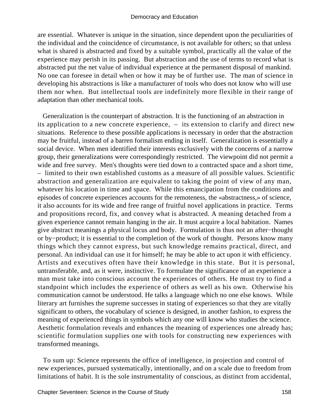are essential. Whatever is unique in the situation, since dependent upon the peculiarities of the individual and the coincidence of circumstance, is not available for others; so that unless what is shared is abstracted and fixed by a suitable symbol, practically all the value of the experience may perish in its passing. But abstraction and the use of terms to record what is abstracted put the net value of individual experience at the permanent disposal of mankind. No one can foresee in detail when or how it may be of further use. The man of science in developing his abstractions is like a manufacturer of tools who does not know who will use them nor when. But intellectual tools are indefinitely more flexible in their range of adaptation than other mechanical tools.

 Generalization is the counterpart of abstraction. It is the functioning of an abstraction in its application to a new concrete experience, – its extension to clarify and direct new situations. Reference to these possible applications is necessary in order that the abstraction may be fruitful, instead of a barren formalism ending in itself. Generalization is essentially a social device. When men identified their interests exclusively with the concerns of a narrow group, their generalizations were correspondingly restricted. The viewpoint did not permit a wide and free survey. Men's thoughts were tied down to a contracted space and a short time, – limited to their own established customs as a measure of all possible values. Scientific abstraction and generalization are equivalent to taking the point of view of any man, whatever his location in time and space. While this emancipation from the conditions and episodes of concrete experiences accounts for the remoteness, the «abstractness,» of science, it also accounts for its wide and free range of fruitful novel applications in practice. Terms and propositions record, fix, and convey what is abstracted. A meaning detached from a given experience cannot remain hanging in the air. It must acquire a local habitation. Names give abstract meanings a physical locus and body. Formulation is thus not an after−thought or by−product; it is essential to the completion of the work of thought. Persons know many things which they cannot express, but such knowledge remains practical, direct, and personal. An individual can use it for himself; he may be able to act upon it with efficiency. Artists and executives often have their knowledge in this state. But it is personal, untransferable, and, as it were, instinctive. To formulate the significance of an experience a man must take into conscious account the experiences of others. He must try to find a standpoint which includes the experience of others as well as his own. Otherwise his communication cannot be understood. He talks a language which no one else knows. While literary art furnishes the supreme successes in stating of experiences so that they are vitally significant to others, the vocabulary of science is designed, in another fashion, to express the meaning of experienced things in symbols which any one will know who studies the science. Aesthetic formulation reveals and enhances the meaning of experiences one already has; scientific formulation supplies one with tools for constructing new experiences with transformed meanings.

 To sum up: Science represents the office of intelligence, in projection and control of new experiences, pursued systematically, intentionally, and on a scale due to freedom from limitations of habit. It is the sole instrumentality of conscious, as distinct from accidental,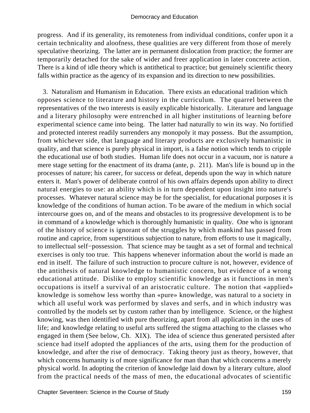progress. And if its generality, its remoteness from individual conditions, confer upon it a certain technicality and aloofness, these qualities are very different from those of merely speculative theorizing. The latter are in permanent dislocation from practice; the former are temporarily detached for the sake of wider and freer application in later concrete action. There is a kind of idle theory which is antithetical to practice; but genuinely scientific theory falls within practice as the agency of its expansion and its direction to new possibilities.

 3. Naturalism and Humanism in Education. There exists an educational tradition which opposes science to literature and history in the curriculum. The quarrel between the representatives of the two interests is easily explicable historically. Literature and language and a literary philosophy were entrenched in all higher institutions of learning before experimental science came into being. The latter had naturally to win its way. No fortified and protected interest readily surrenders any monopoly it may possess. But the assumption, from whichever side, that language and literary products are exclusively humanistic in quality, and that science is purely physical in import, is a false notion which tends to cripple the educational use of both studies. Human life does not occur in a vacuum, nor is nature a mere stage setting for the enactment of its drama (ante, p. 211). Man's life is bound up in the processes of nature; his career, for success or defeat, depends upon the way in which nature enters it. Man's power of deliberate control of his own affairs depends upon ability to direct natural energies to use: an ability which is in turn dependent upon insight into nature's processes. Whatever natural science may be for the specialist, for educational purposes it is knowledge of the conditions of human action. To be aware of the medium in which social intercourse goes on, and of the means and obstacles to its progressive development is to be in command of a knowledge which is thoroughly humanistic in quality. One who is ignorant of the history of science is ignorant of the struggles by which mankind has passed from routine and caprice, from superstitious subjection to nature, from efforts to use it magically, to intellectual self−possession. That science may be taught as a set of formal and technical exercises is only too true. This happens whenever information about the world is made an end in itself. The failure of such instruction to procure culture is not, however, evidence of the antithesis of natural knowledge to humanistic concern, but evidence of a wrong educational attitude. Dislike to employ scientific knowledge as it functions in men's occupations is itself a survival of an aristocratic culture. The notion that «applied» knowledge is somehow less worthy than «pure» knowledge, was natural to a society in which all useful work was performed by slaves and serfs, and in which industry was controlled by the models set by custom rather than by intelligence. Science, or the highest knowing, was then identified with pure theorizing, apart from all application in the uses of life; and knowledge relating to useful arts suffered the stigma attaching to the classes who engaged in them (See below, Ch. XIX). The idea of science thus generated persisted after science had itself adopted the appliances of the arts, using them for the production of knowledge, and after the rise of democracy. Taking theory just as theory, however, that which concerns humanity is of more significance for man than that which concerns a merely physical world. In adopting the criterion of knowledge laid down by a literary culture, aloof from the practical needs of the mass of men, the educational advocates of scientific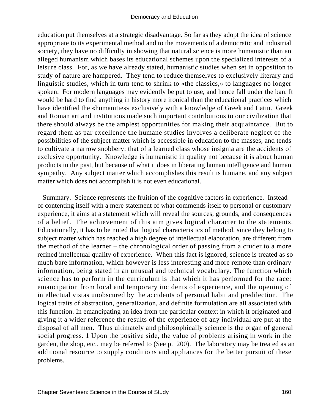education put themselves at a strategic disadvantage. So far as they adopt the idea of science appropriate to its experimental method and to the movements of a democratic and industrial society, they have no difficulty in showing that natural science is more humanistic than an alleged humanism which bases its educational schemes upon the specialized interests of a leisure class. For, as we have already stated, humanistic studies when set in opposition to study of nature are hampered. They tend to reduce themselves to exclusively literary and linguistic studies, which in turn tend to shrink to «the classics,» to languages no longer spoken. For modern languages may evidently be put to use, and hence fall under the ban. It would be hard to find anything in history more ironical than the educational practices which have identified the «humanities» exclusively with a knowledge of Greek and Latin. Greek and Roman art and institutions made such important contributions to our civilization that there should always be the amplest opportunities for making their acquaintance. But to regard them as par excellence the humane studies involves a deliberate neglect of the possibilities of the subject matter which is accessible in education to the masses, and tends to cultivate a narrow snobbery: that of a learned class whose insignia are the accidents of exclusive opportunity. Knowledge is humanistic in quality not because it is about human products in the past, but because of what it does in liberating human intelligence and human sympathy. Any subject matter which accomplishes this result is humane, and any subject matter which does not accomplish it is not even educational.

 Summary. Science represents the fruition of the cognitive factors in experience. Instead of contenting itself with a mere statement of what commends itself to personal or customary experience, it aims at a statement which will reveal the sources, grounds, and consequences of a belief. The achievement of this aim gives logical character to the statements. Educationally, it has to be noted that logical characteristics of method, since they belong to subject matter which has reached a high degree of intellectual elaboration, are different from the method of the learner – the chronological order of passing from a cruder to a more refined intellectual quality of experience. When this fact is ignored, science is treated as so much bare information, which however is less interesting and more remote than ordinary information, being stated in an unusual and technical vocabulary. The function which science has to perform in the curriculum is that which it has performed for the race: emancipation from local and temporary incidents of experience, and the opening of intellectual vistas unobscured by the accidents of personal habit and predilection. The logical traits of abstraction, generalization, and definite formulation are all associated with this function. In emancipating an idea from the particular context in which it originated and giving it a wider reference the results of the experience of any individual are put at the disposal of all men. Thus ultimately and philosophically science is the organ of general social progress. 1 Upon the positive side, the value of problems arising in work in the garden, the shop, etc., may be referred to (See p. 200). The laboratory may be treated as an additional resource to supply conditions and appliances for the better pursuit of these problems.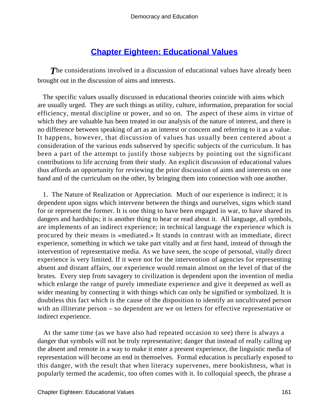# **[Chapter Eighteen: Educational Values](#page-248-0)**

**The considerations involved in a discussion of educational values have already been** brought out in the discussion of aims and interests.

 The specific values usually discussed in educational theories coincide with aims which are usually urged. They are such things as utility, culture, information, preparation for social efficiency, mental discipline or power, and so on. The aspect of these aims in virtue of which they are valuable has been treated in our analysis of the nature of interest, and there is no difference between speaking of art as an interest or concern and referring to it as a value. It happens, however, that discussion of values has usually been centered about a consideration of the various ends subserved by specific subjects of the curriculum. It has been a part of the attempt to justify those subjects by pointing out the significant contributions to life accruing from their study. An explicit discussion of educational values thus affords an opportunity for reviewing the prior discussion of aims and interests on one hand and of the curriculum on the other, by bringing them into connection with one another.

 1. The Nature of Realization or Appreciation. Much of our experience is indirect; it is dependent upon signs which intervene between the things and ourselves, signs which stand for or represent the former. It is one thing to have been engaged in war, to have shared its dangers and hardships; it is another thing to hear or read about it. All language, all symbols, are implements of an indirect experience; in technical language the experience which is procured by their means is «mediated.» It stands in contrast with an immediate, direct experience, something in which we take part vitally and at first hand, instead of through the intervention of representative media. As we have seen, the scope of personal, vitally direct experience is very limited. If it were not for the intervention of agencies for representing absent and distant affairs, our experience would remain almost on the level of that of the brutes. Every step from savagery to civilization is dependent upon the invention of media which enlarge the range of purely immediate experience and give it deepened as well as wider meaning by connecting it with things which can only be signified or symbolized. It is doubtless this fact which is the cause of the disposition to identify an uncultivated person with an illiterate person – so dependent are we on letters for effective representative or indirect experience.

 At the same time (as we have also had repeated occasion to see) there is always a danger that symbols will not be truly representative; danger that instead of really calling up the absent and remote in a way to make it enter a present experience, the linguistic media of representation will become an end in themselves. Formal education is peculiarly exposed to this danger, with the result that when literacy supervenes, mere bookishness, what is popularly termed the academic, too often comes with it. In colloquial speech, the phrase a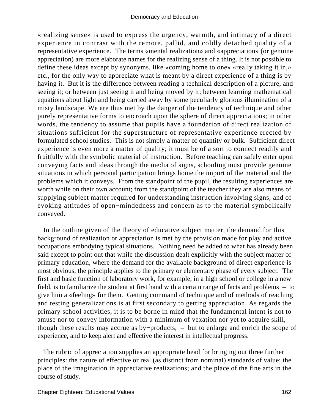«realizing sense» is used to express the urgency, warmth, and intimacy of a direct experience in contrast with the remote, pallid, and coldly detached quality of a representative experience. The terms «mental realization» and «appreciation» (or genuine appreciation) are more elaborate names for the realizing sense of a thing. It is not possible to define these ideas except by synonyms, like «coming home to one» «really taking it in,» etc., for the only way to appreciate what is meant by a direct experience of a thing is by having it. But it is the difference between reading a technical description of a picture, and seeing it; or between just seeing it and being moved by it; between learning mathematical equations about light and being carried away by some peculiarly glorious illumination of a misty landscape. We are thus met by the danger of the tendency of technique and other purely representative forms to encroach upon the sphere of direct appreciations; in other words, the tendency to assume that pupils have a foundation of direct realization of situations sufficient for the superstructure of representative experience erected by formulated school studies. This is not simply a matter of quantity or bulk. Sufficient direct experience is even more a matter of quality; it must be of a sort to connect readily and fruitfully with the symbolic material of instruction. Before teaching can safely enter upon conveying facts and ideas through the media of signs, schooling must provide genuine situations in which personal participation brings home the import of the material and the problems which it conveys. From the standpoint of the pupil, the resulting experiences are worth while on their own account; from the standpoint of the teacher they are also means of supplying subject matter required for understanding instruction involving signs, and of evoking attitudes of open−mindedness and concern as to the material symbolically conveyed.

 In the outline given of the theory of educative subject matter, the demand for this background of realization or appreciation is met by the provision made for play and active occupations embodying typical situations. Nothing need be added to what has already been said except to point out that while the discussion dealt explicitly with the subject matter of primary education, where the demand for the available background of direct experience is most obvious, the principle applies to the primary or elementary phase of every subject. The first and basic function of laboratory work, for example, in a high school or college in a new field, is to familiarize the student at first hand with a certain range of facts and problems – to give him a «feeling» for them. Getting command of technique and of methods of reaching and testing generalizations is at first secondary to getting appreciation. As regards the primary school activities, it is to be borne in mind that the fundamental intent is not to amuse nor to convey information with a minimum of vexation nor yet to acquire skill, – though these results may accrue as by−products, – but to enlarge and enrich the scope of experience, and to keep alert and effective the interest in intellectual progress.

 The rubric of appreciation supplies an appropriate head for bringing out three further principles: the nature of effective or real (as distinct from nominal) standards of value; the place of the imagination in appreciative realizations; and the place of the fine arts in the course of study.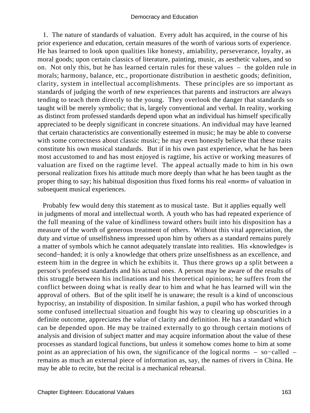1. The nature of standards of valuation. Every adult has acquired, in the course of his prior experience and education, certain measures of the worth of various sorts of experience. He has learned to look upon qualities like honesty, amiability, perseverance, loyalty, as moral goods; upon certain classics of literature, painting, music, as aesthetic values, and so on. Not only this, but he has learned certain rules for these values – the golden rule in morals; harmony, balance, etc., proportionate distribution in aesthetic goods; definition, clarity, system in intellectual accomplishments. These principles are so important as standards of judging the worth of new experiences that parents and instructors are always tending to teach them directly to the young. They overlook the danger that standards so taught will be merely symbolic; that is, largely conventional and verbal. In reality, working as distinct from professed standards depend upon what an individual has himself specifically appreciated to be deeply significant in concrete situations. An individual may have learned that certain characteristics are conventionally esteemed in music; he may be able to converse with some correctness about classic music; he may even honestly believe that these traits constitute his own musical standards. But if in his own past experience, what he has been most accustomed to and has most enjoyed is ragtime, his active or working measures of valuation are fixed on the ragtime level. The appeal actually made to him in his own personal realization fixes his attitude much more deeply than what he has been taught as the proper thing to say; his habitual disposition thus fixed forms his real «norm» of valuation in subsequent musical experiences.

 Probably few would deny this statement as to musical taste. But it applies equally well in judgments of moral and intellectual worth. A youth who has had repeated experience of the full meaning of the value of kindliness toward others built into his disposition has a measure of the worth of generous treatment of others. Without this vital appreciation, the duty and virtue of unselfishness impressed upon him by others as a standard remains purely a matter of symbols which he cannot adequately translate into realities. His «knowledge» is second−handed; it is only a knowledge that others prize unselfishness as an excellence, and esteem him in the degree in which he exhibits it. Thus there grows up a split between a person's professed standards and his actual ones. A person may be aware of the results of this struggle between his inclinations and his theoretical opinions; he suffers from the conflict between doing what is really dear to him and what he has learned will win the approval of others. But of the split itself he is unaware; the result is a kind of unconscious hypocrisy, an instability of disposition. In similar fashion, a pupil who has worked through some confused intellectual situation and fought his way to clearing up obscurities in a definite outcome, appreciates the value of clarity and definition. He has a standard which can be depended upon. He may be trained externally to go through certain motions of analysis and division of subject matter and may acquire information about the value of these processes as standard logical functions, but unless it somehow comes home to him at some point as an appreciation of his own, the significance of the logical norms – so−called – remains as much an external piece of information as, say, the names of rivers in China. He may be able to recite, but the recital is a mechanical rehearsal.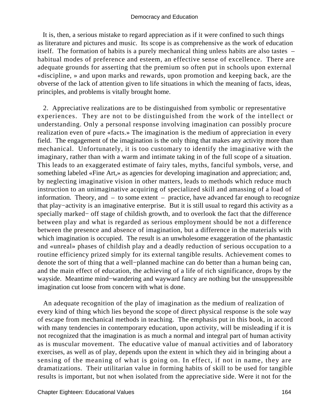It is, then, a serious mistake to regard appreciation as if it were confined to such things as literature and pictures and music. Its scope is as comprehensive as the work of education itself. The formation of habits is a purely mechanical thing unless habits are also tastes – habitual modes of preference and esteem, an effective sense of excellence. There are adequate grounds for asserting that the premium so often put in schools upon external «discipline, » and upon marks and rewards, upon promotion and keeping back, are the obverse of the lack of attention given to life situations in which the meaning of facts, ideas, principles, and problems is vitally brought home.

 2. Appreciative realizations are to be distinguished from symbolic or representative experiences. They are not to be distinguished from the work of the intellect or understanding. Only a personal response involving imagination can possibly procure realization even of pure «facts.» The imagination is the medium of appreciation in every field. The engagement of the imagination is the only thing that makes any activity more than mechanical. Unfortunately, it is too customary to identify the imaginative with the imaginary, rather than with a warm and intimate taking in of the full scope of a situation. This leads to an exaggerated estimate of fairy tales, myths, fanciful symbols, verse, and something labeled «Fine Art,» as agencies for developing imagination and appreciation; and, by neglecting imaginative vision in other matters, leads to methods which reduce much instruction to an unimaginative acquiring of specialized skill and amassing of a load of information. Theory, and – to some extent – practice, have advanced far enough to recognize that play−activity is an imaginative enterprise. But it is still usual to regard this activity as a specially marked− off stage of childish growth, and to overlook the fact that the difference between play and what is regarded as serious employment should be not a difference between the presence and absence of imagination, but a difference in the materials with which imagination is occupied. The result is an unwholesome exaggeration of the phantastic and «unreal» phases of childish play and a deadly reduction of serious occupation to a routine efficiency prized simply for its external tangible results. Achievement comes to denote the sort of thing that a well−planned machine can do better than a human being can, and the main effect of education, the achieving of a life of rich significance, drops by the wayside. Meantime mind−wandering and wayward fancy are nothing but the unsuppressible imagination cut loose from concern with what is done.

 An adequate recognition of the play of imagination as the medium of realization of every kind of thing which lies beyond the scope of direct physical response is the sole way of escape from mechanical methods in teaching. The emphasis put in this book, in accord with many tendencies in contemporary education, upon activity, will be misleading if it is not recognized that the imagination is as much a normal and integral part of human activity as is muscular movement. The educative value of manual activities and of laboratory exercises, as well as of play, depends upon the extent in which they aid in bringing about a sensing of the meaning of what is going on. In effect, if not in name, they are dramatizations. Their utilitarian value in forming habits of skill to be used for tangible results is important, but not when isolated from the appreciative side. Were it not for the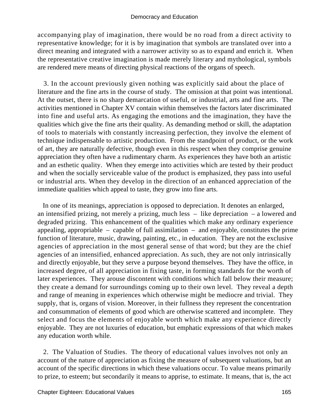accompanying play of imagination, there would be no road from a direct activity to representative knowledge; for it is by imagination that symbols are translated over into a direct meaning and integrated with a narrower activity so as to expand and enrich it. When the representative creative imagination is made merely literary and mythological, symbols are rendered mere means of directing physical reactions of the organs of speech.

 3. In the account previously given nothing was explicitly said about the place of literature and the fine arts in the course of study. The omission at that point was intentional. At the outset, there is no sharp demarcation of useful, or industrial, arts and fine arts. The activities mentioned in Chapter XV contain within themselves the factors later discriminated into fine and useful arts. As engaging the emotions and the imagination, they have the qualities which give the fine arts their quality. As demanding method or skill, the adaptation of tools to materials with constantly increasing perfection, they involve the element of technique indispensable to artistic production. From the standpoint of product, or the work of art, they are naturally defective, though even in this respect when they comprise genuine appreciation they often have a rudimentary charm. As experiences they have both an artistic and an esthetic quality. When they emerge into activities which are tested by their product and when the socially serviceable value of the product is emphasized, they pass into useful or industrial arts. When they develop in the direction of an enhanced appreciation of the immediate qualities which appeal to taste, they grow into fine arts.

 In one of its meanings, appreciation is opposed to depreciation. It denotes an enlarged, an intensified prizing, not merely a prizing, much less – like depreciation – a lowered and degraded prizing. This enhancement of the qualities which make any ordinary experience appealing, appropriable  $-$  capable of full assimilation  $-$  and enjoyable, constitutes the prime function of literature, music, drawing, painting, etc., in education. They are not the exclusive agencies of appreciation in the most general sense of that word; but they are the chief agencies of an intensified, enhanced appreciation. As such, they are not only intrinsically and directly enjoyable, but they serve a purpose beyond themselves. They have the office, in increased degree, of all appreciation in fixing taste, in forming standards for the worth of later experiences. They arouse discontent with conditions which fall below their measure; they create a demand for surroundings coming up to their own level. They reveal a depth and range of meaning in experiences which otherwise might be mediocre and trivial. They supply, that is, organs of vision. Moreover, in their fullness they represent the concentration and consummation of elements of good which are otherwise scattered and incomplete. They select and focus the elements of enjoyable worth which make any experience directly enjoyable. They are not luxuries of education, but emphatic expressions of that which makes any education worth while.

 2. The Valuation of Studies. The theory of educational values involves not only an account of the nature of appreciation as fixing the measure of subsequent valuations, but an account of the specific directions in which these valuations occur. To value means primarily to prize, to esteem; but secondarily it means to apprise, to estimate. It means, that is, the act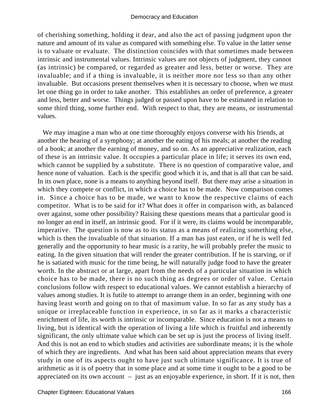of cherishing something, holding it dear, and also the act of passing judgment upon the nature and amount of its value as compared with something else. To value in the latter sense is to valuate or evaluate. The distinction coincides with that sometimes made between intrinsic and instrumental values. Intrinsic values are not objects of judgment, they cannot (as intrinsic) be compared, or regarded as greater and less, better or worse. They are invaluable; and if a thing is invaluable, it is neither more nor less so than any other invaluable. But occasions present themselves when it is necessary to choose, when we must let one thing go in order to take another. This establishes an order of preference, a greater and less, better and worse. Things judged or passed upon have to be estimated in relation to some third thing, some further end. With respect to that, they are means, or instrumental values.

 We may imagine a man who at one time thoroughly enjoys converse with his friends, at another the hearing of a symphony; at another the eating of his meals; at another the reading of a book; at another the earning of money, and so on. As an appreciative realization, each of these is an intrinsic value. It occupies a particular place in life; it serves its own end, which cannot be supplied by a substitute. There is no question of comparative value, and hence none of valuation. Each is the specific good which it is, and that is all that can be said. In its own place, none is a means to anything beyond itself. But there may arise a situation in which they compete or conflict, in which a choice has to be made. Now comparison comes in. Since a choice has to be made, we want to know the respective claims of each competitor. What is to be said for it? What does it offer in comparison with, as balanced over against, some other possibility? Raising these questions means that a particular good is no longer an end in itself, an intrinsic good. For if it were, its claims would be incomparable, imperative. The question is now as to its status as a means of realizing something else, which is then the invaluable of that situation. If a man has just eaten, or if he is well fed generally and the opportunity to hear music is a rarity, he will probably prefer the music to eating. In the given situation that will render the greater contribution. If he is starving, or if he is satiated with music for the time being, he will naturally judge food to have the greater worth. In the abstract or at large, apart from the needs of a particular situation in which choice has to be made, there is no such thing as degrees or order of value. Certain conclusions follow with respect to educational values. We cannot establish a hierarchy of values among studies. It is futile to attempt to arrange them in an order, beginning with one having least worth and going on to that of maximum value. In so far as any study has a unique or irreplaceable function in experience, in so far as it marks a characteristic enrichment of life, its worth is intrinsic or incomparable. Since education is not a means to living, but is identical with the operation of living a life which is fruitful and inherently significant, the only ultimate value which can be set up is just the process of living itself. And this is not an end to which studies and activities are subordinate means; it is the whole of which they are ingredients. And what has been said about appreciation means that every study in one of its aspects ought to have just such ultimate significance. It is true of arithmetic as it is of poetry that in some place and at some time it ought to be a good to be appreciated on its own account  $-$  just as an enjoyable experience, in short. If it is not, then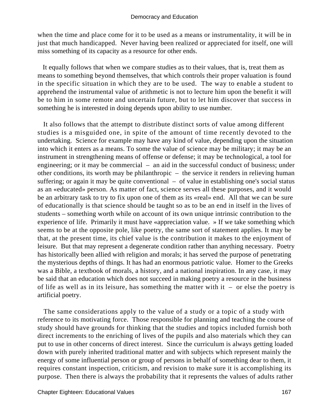when the time and place come for it to be used as a means or instrumentality, it will be in just that much handicapped. Never having been realized or appreciated for itself, one will miss something of its capacity as a resource for other ends.

 It equally follows that when we compare studies as to their values, that is, treat them as means to something beyond themselves, that which controls their proper valuation is found in the specific situation in which they are to be used. The way to enable a student to apprehend the instrumental value of arithmetic is not to lecture him upon the benefit it will be to him in some remote and uncertain future, but to let him discover that success in something he is interested in doing depends upon ability to use number.

 It also follows that the attempt to distribute distinct sorts of value among different studies is a misguided one, in spite of the amount of time recently devoted to the undertaking. Science for example may have any kind of value, depending upon the situation into which it enters as a means. To some the value of science may be military; it may be an instrument in strengthening means of offense or defense; it may be technological, a tool for engineering; or it may be commercial – an aid in the successful conduct of business; under other conditions, its worth may be philanthropic – the service it renders in relieving human suffering; or again it may be quite conventional – of value in establishing one's social status as an «educated» person. As matter of fact, science serves all these purposes, and it would be an arbitrary task to try to fix upon one of them as its «real» end. All that we can be sure of educationally is that science should be taught so as to be an end in itself in the lives of students – something worth while on account of its own unique intrinsic contribution to the experience of life. Primarily it must have «appreciation value. » If we take something which seems to be at the opposite pole, like poetry, the same sort of statement applies. It may be that, at the present time, its chief value is the contribution it makes to the enjoyment of leisure. But that may represent a degenerate condition rather than anything necessary. Poetry has historically been allied with religion and morals; it has served the purpose of penetrating the mysterious depths of things. It has had an enormous patriotic value. Homer to the Greeks was a Bible, a textbook of morals, a history, and a national inspiration. In any case, it may be said that an education which does not succeed in making poetry a resource in the business of life as well as in its leisure, has something the matter with it – or else the poetry is artificial poetry.

 The same considerations apply to the value of a study or a topic of a study with reference to its motivating force. Those responsible for planning and teaching the course of study should have grounds for thinking that the studies and topics included furnish both direct increments to the enriching of lives of the pupils and also materials which they can put to use in other concerns of direct interest. Since the curriculum is always getting loaded down with purely inherited traditional matter and with subjects which represent mainly the energy of some influential person or group of persons in behalf of something dear to them, it requires constant inspection, criticism, and revision to make sure it is accomplishing its purpose. Then there is always the probability that it represents the values of adults rather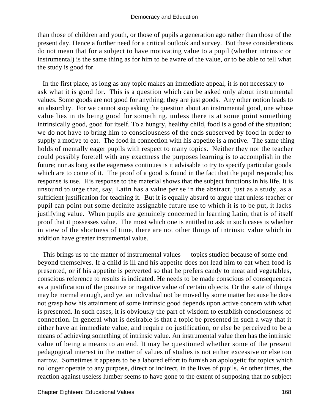than those of children and youth, or those of pupils a generation ago rather than those of the present day. Hence a further need for a critical outlook and survey. But these considerations do not mean that for a subject to have motivating value to a pupil (whether intrinsic or instrumental) is the same thing as for him to be aware of the value, or to be able to tell what the study is good for.

 In the first place, as long as any topic makes an immediate appeal, it is not necessary to ask what it is good for. This is a question which can be asked only about instrumental values. Some goods are not good for anything; they are just goods. Any other notion leads to an absurdity. For we cannot stop asking the question about an instrumental good, one whose value lies in its being good for something, unless there is at some point something intrinsically good, good for itself. To a hungry, healthy child, food is a good of the situation; we do not have to bring him to consciousness of the ends subserved by food in order to supply a motive to eat. The food in connection with his appetite is a motive. The same thing holds of mentally eager pupils with respect to many topics. Neither they nor the teacher could possibly foretell with any exactness the purposes learning is to accomplish in the future; nor as long as the eagerness continues is it advisable to try to specify particular goods which are to come of it. The proof of a good is found in the fact that the pupil responds; his response is use. His response to the material shows that the subject functions in his life. It is unsound to urge that, say, Latin has a value per se in the abstract, just as a study, as a sufficient justification for teaching it. But it is equally absurd to argue that unless teacher or pupil can point out some definite assignable future use to which it is to be put, it lacks justifying value. When pupils are genuinely concerned in learning Latin, that is of itself proof that it possesses value. The most which one is entitled to ask in such cases is whether in view of the shortness of time, there are not other things of intrinsic value which in addition have greater instrumental value.

 This brings us to the matter of instrumental values – topics studied because of some end beyond themselves. If a child is ill and his appetite does not lead him to eat when food is presented, or if his appetite is perverted so that he prefers candy to meat and vegetables, conscious reference to results is indicated. He needs to be made conscious of consequences as a justification of the positive or negative value of certain objects. Or the state of things may be normal enough, and yet an individual not be moved by some matter because he does not grasp how his attainment of some intrinsic good depends upon active concern with what is presented. In such cases, it is obviously the part of wisdom to establish consciousness of connection. In general what is desirable is that a topic be presented in such a way that it either have an immediate value, and require no justification, or else be perceived to be a means of achieving something of intrinsic value. An instrumental value then has the intrinsic value of being a means to an end. It may be questioned whether some of the present pedagogical interest in the matter of values of studies is not either excessive or else too narrow. Sometimes it appears to be a labored effort to furnish an apologetic for topics which no longer operate to any purpose, direct or indirect, in the lives of pupils. At other times, the reaction against useless lumber seems to have gone to the extent of supposing that no subject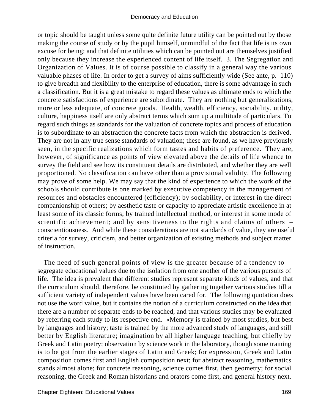or topic should be taught unless some quite definite future utility can be pointed out by those making the course of study or by the pupil himself, unmindful of the fact that life is its own excuse for being; and that definite utilities which can be pointed out are themselves justified only because they increase the experienced content of life itself. 3. The Segregation and Organization of Values. It is of course possible to classify in a general way the various valuable phases of life. In order to get a survey of aims sufficiently wide (See ante, p. 110) to give breadth and flexibility to the enterprise of education, there is some advantage in such a classification. But it is a great mistake to regard these values as ultimate ends to which the concrete satisfactions of experience are subordinate. They are nothing but generalizations, more or less adequate, of concrete goods. Health, wealth, efficiency, sociability, utility, culture, happiness itself are only abstract terms which sum up a multitude of particulars. To regard such things as standards for the valuation of concrete topics and process of education is to subordinate to an abstraction the concrete facts from which the abstraction is derived. They are not in any true sense standards of valuation; these are found, as we have previously seen, in the specific realizations which form tastes and habits of preference. They are, however, of significance as points of view elevated above the details of life whence to survey the field and see how its constituent details are distributed, and whether they are well proportioned. No classification can have other than a provisional validity. The following may prove of some help. We may say that the kind of experience to which the work of the schools should contribute is one marked by executive competency in the management of resources and obstacles encountered (efficiency); by sociability, or interest in the direct companionship of others; by aesthetic taste or capacity to appreciate artistic excellence in at least some of its classic forms; by trained intellectual method, or interest in some mode of scientific achievement; and by sensitiveness to the rights and claims of others – conscientiousness. And while these considerations are not standards of value, they are useful criteria for survey, criticism, and better organization of existing methods and subject matter of instruction.

 The need of such general points of view is the greater because of a tendency to segregate educational values due to the isolation from one another of the various pursuits of life. The idea is prevalent that different studies represent separate kinds of values, and that the curriculum should, therefore, be constituted by gathering together various studies till a sufficient variety of independent values have been cared for. The following quotation does not use the word value, but it contains the notion of a curriculum constructed on the idea that there are a number of separate ends to be reached, and that various studies may be evaluated by referring each study to its respective end. «Memory is trained by most studies, but best by languages and history; taste is trained by the more advanced study of languages, and still better by English literature; imagination by all higher language teaching, but chiefly by Greek and Latin poetry; observation by science work in the laboratory, though some training is to be got from the earlier stages of Latin and Greek; for expression, Greek and Latin composition comes first and English composition next; for abstract reasoning, mathematics stands almost alone; for concrete reasoning, science comes first, then geometry; for social reasoning, the Greek and Roman historians and orators come first, and general history next.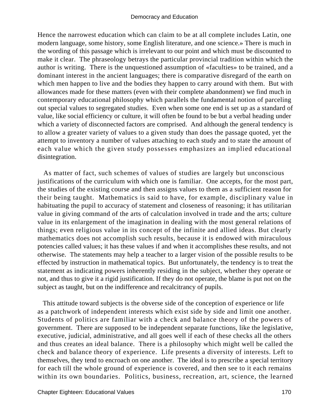Hence the narrowest education which can claim to be at all complete includes Latin, one modern language, some history, some English literature, and one science.» There is much in the wording of this passage which is irrelevant to our point and which must be discounted to make it clear. The phraseology betrays the particular provincial tradition within which the author is writing. There is the unquestioned assumption of «faculties» to be trained, and a dominant interest in the ancient languages; there is comparative disregard of the earth on which men happen to live and the bodies they happen to carry around with them. But with allowances made for these matters (even with their complete abandonment) we find much in contemporary educational philosophy which parallels the fundamental notion of parceling out special values to segregated studies. Even when some one end is set up as a standard of value, like social efficiency or culture, it will often be found to be but a verbal heading under which a variety of disconnected factors are comprised. And although the general tendency is to allow a greater variety of values to a given study than does the passage quoted, yet the attempt to inventory a number of values attaching to each study and to state the amount of each value which the given study possesses emphasizes an implied educational disintegration.

 As matter of fact, such schemes of values of studies are largely but unconscious justifications of the curriculum with which one is familiar. One accepts, for the most part, the studies of the existing course and then assigns values to them as a sufficient reason for their being taught. Mathematics is said to have, for example, disciplinary value in habituating the pupil to accuracy of statement and closeness of reasoning; it has utilitarian value in giving command of the arts of calculation involved in trade and the arts; culture value in its enlargement of the imagination in dealing with the most general relations of things; even religious value in its concept of the infinite and allied ideas. But clearly mathematics does not accomplish such results, because it is endowed with miraculous potencies called values; it has these values if and when it accomplishes these results, and not otherwise. The statements may help a teacher to a larger vision of the possible results to be effected by instruction in mathematical topics. But unfortunately, the tendency is to treat the statement as indicating powers inherently residing in the subject, whether they operate or not, and thus to give it a rigid justification. If they do not operate, the blame is put not on the subject as taught, but on the indifference and recalcitrancy of pupils.

 This attitude toward subjects is the obverse side of the conception of experience or life as a patchwork of independent interests which exist side by side and limit one another. Students of politics are familiar with a check and balance theory of the powers of government. There are supposed to be independent separate functions, like the legislative, executive, judicial, administrative, and all goes well if each of these checks all the others and thus creates an ideal balance. There is a philosophy which might well be called the check and balance theory of experience. Life presents a diversity of interests. Left to themselves, they tend to encroach on one another. The ideal is to prescribe a special territory for each till the whole ground of experience is covered, and then see to it each remains within its own boundaries. Politics, business, recreation, art, science, the learned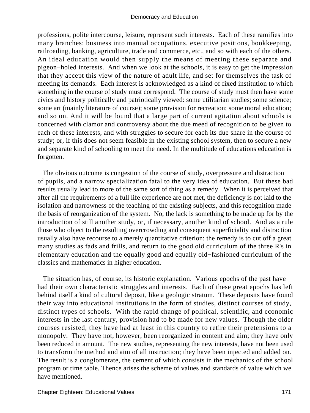professions, polite intercourse, leisure, represent such interests. Each of these ramifies into many branches: business into manual occupations, executive positions, bookkeeping, railroading, banking, agriculture, trade and commerce, etc., and so with each of the others. An ideal education would then supply the means of meeting these separate and pigeon−holed interests. And when we look at the schools, it is easy to get the impression that they accept this view of the nature of adult life, and set for themselves the task of meeting its demands. Each interest is acknowledged as a kind of fixed institution to which something in the course of study must correspond. The course of study must then have some civics and history politically and patriotically viewed: some utilitarian studies; some science; some art (mainly literature of course); some provision for recreation; some moral education; and so on. And it will be found that a large part of current agitation about schools is concerned with clamor and controversy about the due meed of recognition to be given to each of these interests, and with struggles to secure for each its due share in the course of study; or, if this does not seem feasible in the existing school system, then to secure a new and separate kind of schooling to meet the need. In the multitude of educations education is forgotten.

 The obvious outcome is congestion of the course of study, overpressure and distraction of pupils, and a narrow specialization fatal to the very idea of education. But these bad results usually lead to more of the same sort of thing as a remedy. When it is perceived that after all the requirements of a full life experience are not met, the deficiency is not laid to the isolation and narrowness of the teaching of the existing subjects, and this recognition made the basis of reorganization of the system. No, the lack is something to be made up for by the introduction of still another study, or, if necessary, another kind of school. And as a rule those who object to the resulting overcrowding and consequent superficiality and distraction usually also have recourse to a merely quantitative criterion: the remedy is to cut off a great many studies as fads and frills, and return to the good old curriculum of the three R's in elementary education and the equally good and equally old−fashioned curriculum of the classics and mathematics in higher education.

 The situation has, of course, its historic explanation. Various epochs of the past have had their own characteristic struggles and interests. Each of these great epochs has left behind itself a kind of cultural deposit, like a geologic stratum. These deposits have found their way into educational institutions in the form of studies, distinct courses of study, distinct types of schools. With the rapid change of political, scientific, and economic interests in the last century, provision had to be made for new values. Though the older courses resisted, they have had at least in this country to retire their pretensions to a monopoly. They have not, however, been reorganized in content and aim; they have only been reduced in amount. The new studies, representing the new interests, have not been used to transform the method and aim of all instruction; they have been injected and added on. The result is a conglomerate, the cement of which consists in the mechanics of the school program or time table. Thence arises the scheme of values and standards of value which we have mentioned.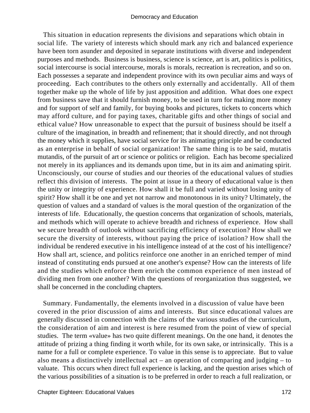This situation in education represents the divisions and separations which obtain in social life. The variety of interests which should mark any rich and balanced experience have been torn asunder and deposited in separate institutions with diverse and independent purposes and methods. Business is business, science is science, art is art, politics is politics, social intercourse is social intercourse, morals is morals, recreation is recreation, and so on. Each possesses a separate and independent province with its own peculiar aims and ways of proceeding. Each contributes to the others only externally and accidentally. All of them together make up the whole of life by just apposition and addition. What does one expect from business save that it should furnish money, to be used in turn for making more money and for support of self and family, for buying books and pictures, tickets to concerts which may afford culture, and for paying taxes, charitable gifts and other things of social and ethical value? How unreasonable to expect that the pursuit of business should be itself a culture of the imagination, in breadth and refinement; that it should directly, and not through the money which it supplies, have social service for its animating principle and be conducted as an enterprise in behalf of social organization! The same thing is to be said, mutatis mutandis, of the pursuit of art or science or politics or religion. Each has become specialized not merely in its appliances and its demands upon time, but in its aim and animating spirit. Unconsciously, our course of studies and our theories of the educational values of studies reflect this division of interests. The point at issue in a theory of educational value is then the unity or integrity of experience. How shall it be full and varied without losing unity of spirit? How shall it be one and yet not narrow and monotonous in its unity? Ultimately, the question of values and a standard of values is the moral question of the organization of the interests of life. Educationally, the question concerns that organization of schools, materials, and methods which will operate to achieve breadth and richness of experience. How shall we secure breadth of outlook without sacrificing efficiency of execution? How shall we secure the diversity of interests, without paying the price of isolation? How shall the individual be rendered executive in his intelligence instead of at the cost of his intelligence? How shall art, science, and politics reinforce one another in an enriched temper of mind instead of constituting ends pursued at one another's expense? How can the interests of life and the studies which enforce them enrich the common experience of men instead of dividing men from one another? With the questions of reorganization thus suggested, we shall be concerned in the concluding chapters.

 Summary. Fundamentally, the elements involved in a discussion of value have been covered in the prior discussion of aims and interests. But since educational values are generally discussed in connection with the claims of the various studies of the curriculum, the consideration of aim and interest is here resumed from the point of view of special studies. The term «value» has two quite different meanings. On the one hand, it denotes the attitude of prizing a thing finding it worth while, for its own sake, or intrinsically. This is a name for a full or complete experience. To value in this sense is to appreciate. But to value also means a distinctively intellectual act – an operation of comparing and judging – to valuate. This occurs when direct full experience is lacking, and the question arises which of the various possibilities of a situation is to be preferred in order to reach a full realization, or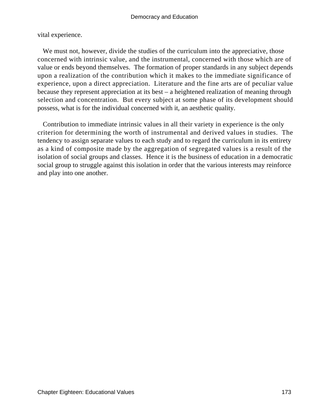vital experience.

We must not, however, divide the studies of the curriculum into the appreciative, those concerned with intrinsic value, and the instrumental, concerned with those which are of value or ends beyond themselves. The formation of proper standards in any subject depends upon a realization of the contribution which it makes to the immediate significance of experience, upon a direct appreciation. Literature and the fine arts are of peculiar value because they represent appreciation at its best – a heightened realization of meaning through selection and concentration. But every subject at some phase of its development should possess, what is for the individual concerned with it, an aesthetic quality.

 Contribution to immediate intrinsic values in all their variety in experience is the only criterion for determining the worth of instrumental and derived values in studies. The tendency to assign separate values to each study and to regard the curriculum in its entirety as a kind of composite made by the aggregation of segregated values is a result of the isolation of social groups and classes. Hence it is the business of education in a democratic social group to struggle against this isolation in order that the various interests may reinforce and play into one another.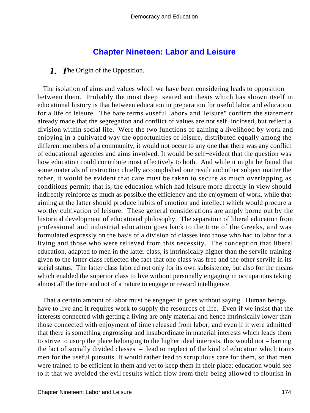# **[Chapter Nineteen: Labor and Leisure](#page-248-0)**

# *1.* The Origin of the Opposition.

 The isolation of aims and values which we have been considering leads to opposition between them. Probably the most deep−seated antithesis which has shown itself in educational history is that between education in preparation for useful labor and education for a life of leisure. The bare terms «useful labor» and 'leisure" confirm the statement already made that the segregation and conflict of values are not self−inclosed, but reflect a division within social life. Were the two functions of gaining a livelihood by work and enjoying in a cultivated way the opportunities of leisure, distributed equally among the different members of a community, it would not occur to any one that there was any conflict of educational agencies and aims involved. It would be self−evident that the question was how education could contribute most effectively to both. And while it might be found that some materials of instruction chiefly accomplished one result and other subject matter the other, it would be evident that care must be taken to secure as much overlapping as conditions permit; that is, the education which had leisure more directly in view should indirectly reinforce as much as possible the efficiency and the enjoyment of work, while that aiming at the latter should produce habits of emotion and intellect which would procure a worthy cultivation of leisure. These general considerations are amply borne out by the historical development of educational philosophy. The separation of liberal education from professional and industrial education goes back to the time of the Greeks, and was formulated expressly on the basis of a division of classes into those who had to labor for a living and those who were relieved from this necessity. The conception that liberal education, adapted to men in the latter class, is intrinsically higher than the servile training given to the latter class reflected the fact that one class was free and the other servile in its social status. The latter class labored not only for its own subsistence, but also for the means which enabled the superior class to live without personally engaging in occupations taking almost all the time and not of a nature to engage or reward intelligence.

 That a certain amount of labor must be engaged in goes without saying. Human beings have to live and it requires work to supply the resources of life. Even if we insist that the interests connected with getting a living are only material and hence intrinsically lower than those connected with enjoyment of time released from labor, and even if it were admitted that there is something engrossing and insubordinate in material interests which leads them to strive to usurp the place belonging to the higher ideal interests, this would not – barring the fact of socially divided classes – lead to neglect of the kind of education which trains men for the useful pursuits. It would rather lead to scrupulous care for them, so that men were trained to be efficient in them and yet to keep them in their place; education would see to it that we avoided the evil results which flow from their being allowed to flourish in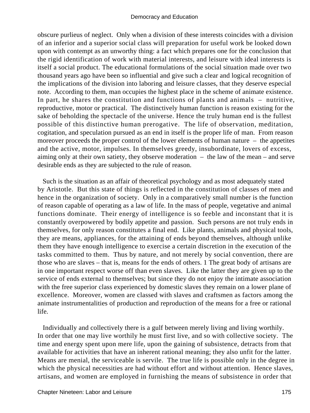obscure purlieus of neglect. Only when a division of these interests coincides with a division of an inferior and a superior social class will preparation for useful work be looked down upon with contempt as an unworthy thing: a fact which prepares one for the conclusion that the rigid identification of work with material interests, and leisure with ideal interests is itself a social product. The educational formulations of the social situation made over two thousand years ago have been so influential and give such a clear and logical recognition of the implications of the division into laboring and leisure classes, that they deserve especial note. According to them, man occupies the highest place in the scheme of animate existence. In part, he shares the constitution and functions of plants and animals – nutritive, reproductive, motor or practical. The distinctively human function is reason existing for the sake of beholding the spectacle of the universe. Hence the truly human end is the fullest possible of this distinctive human prerogative. The life of observation, meditation, cogitation, and speculation pursued as an end in itself is the proper life of man. From reason moreover proceeds the proper control of the lower elements of human nature – the appetites and the active, motor, impulses. In themselves greedy, insubordinate, lovers of excess, aiming only at their own satiety, they observe moderation – the law of the mean – and serve desirable ends as they are subjected to the rule of reason.

 Such is the situation as an affair of theoretical psychology and as most adequately stated by Aristotle. But this state of things is reflected in the constitution of classes of men and hence in the organization of society. Only in a comparatively small number is the function of reason capable of operating as a law of life. In the mass of people, vegetative and animal functions dominate. Their energy of intelligence is so feeble and inconstant that it is constantly overpowered by bodily appetite and passion. Such persons are not truly ends in themselves, for only reason constitutes a final end. Like plants, animals and physical tools, they are means, appliances, for the attaining of ends beyond themselves, although unlike them they have enough intelligence to exercise a certain discretion in the execution of the tasks committed to them. Thus by nature, and not merely by social convention, there are those who are slaves – that is, means for the ends of others. 1 The great body of artisans are in one important respect worse off than even slaves. Like the latter they are given up to the service of ends external to themselves; but since they do not enjoy the intimate association with the free superior class experienced by domestic slaves they remain on a lower plane of excellence. Moreover, women are classed with slaves and craftsmen as factors among the animate instrumentalities of production and reproduction of the means for a free or rational life.

 Individually and collectively there is a gulf between merely living and living worthily. In order that one may live worthily he must first live, and so with collective society. The time and energy spent upon mere life, upon the gaining of subsistence, detracts from that available for activities that have an inherent rational meaning; they also unfit for the latter. Means are menial, the serviceable is servile. The true life is possible only in the degree in which the physical necessities are had without effort and without attention. Hence slaves, artisans, and women are employed in furnishing the means of subsistence in order that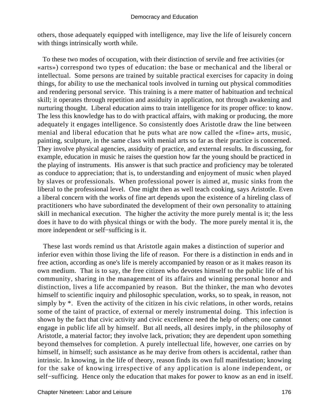others, those adequately equipped with intelligence, may live the life of leisurely concern with things intrinsically worth while.

 To these two modes of occupation, with their distinction of servile and free activities (or «arts») correspond two types of education: the base or mechanical and the liberal or intellectual. Some persons are trained by suitable practical exercises for capacity in doing things, for ability to use the mechanical tools involved in turning out physical commodities and rendering personal service. This training is a mere matter of habituation and technical skill; it operates through repetition and assiduity in application, not through awakening and nurturing thought. Liberal education aims to train intelligence for its proper office: to know. The less this knowledge has to do with practical affairs, with making or producing, the more adequately it engages intelligence. So consistently does Aristotle draw the line between menial and liberal education that he puts what are now called the «fine» arts, music, painting, sculpture, in the same class with menial arts so far as their practice is concerned. They involve physical agencies, assiduity of practice, and external results. In discussing, for example, education in music he raises the question how far the young should be practiced in the playing of instruments. His answer is that such practice and proficiency may be tolerated as conduce to appreciation; that is, to understanding and enjoyment of music when played by slaves or professionals. When professional power is aimed at, music sinks from the liberal to the professional level. One might then as well teach cooking, says Aristotle. Even a liberal concern with the works of fine art depends upon the existence of a hireling class of practitioners who have subordinated the development of their own personality to attaining skill in mechanical execution. The higher the activity the more purely mental is it; the less does it have to do with physical things or with the body. The more purely mental it is, the more independent or self−sufficing is it.

 These last words remind us that Aristotle again makes a distinction of superior and inferior even within those living the life of reason. For there is a distinction in ends and in free action, according as one's life is merely accompanied by reason or as it makes reason its own medium. That is to say, the free citizen who devotes himself to the public life of his community, sharing in the management of its affairs and winning personal honor and distinction, lives a life accompanied by reason. But the thinker, the man who devotes himself to scientific inquiry and philosophic speculation, works, so to speak, in reason, not simply by  $*$ . Even the activity of the citizen in his civic relations, in other words, retains some of the taint of practice, of external or merely instrumental doing. This infection is shown by the fact that civic activity and civic excellence need the help of others; one cannot engage in public life all by himself. But all needs, all desires imply, in the philosophy of Aristotle, a material factor; they involve lack, privation; they are dependent upon something beyond themselves for completion. A purely intellectual life, however, one carries on by himself, in himself; such assistance as he may derive from others is accidental, rather than intrinsic. In knowing, in the life of theory, reason finds its own full manifestation; knowing for the sake of knowing irrespective of any application is alone independent, or self−sufficing. Hence only the education that makes for power to know as an end in itself.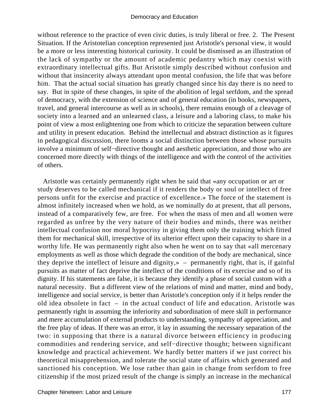without reference to the practice of even civic duties, is truly liberal or free. 2. The Present Situation. If the Aristotelian conception represented just Aristotle's personal view, it would be a more or less interesting historical curiosity. It could be dismissed as an illustration of the lack of sympathy or the amount of academic pedantry which may coexist with extraordinary intellectual gifts. But Aristotle simply described without confusion and without that insincerity always attendant upon mental confusion, the life that was before him. That the actual social situation has greatly changed since his day there is no need to say. But in spite of these changes, in spite of the abolition of legal serfdom, and the spread of democracy, with the extension of science and of general education (in books, newspapers, travel, and general intercourse as well as in schools), there remains enough of a cleavage of society into a learned and an unlearned class, a leisure and a laboring class, to make his point of view a most enlightening one from which to criticize the separation between culture and utility in present education. Behind the intellectual and abstract distinction as it figures in pedagogical discussion, there looms a social distinction between those whose pursuits involve a minimum of self−directive thought and aesthetic appreciation, and those who are concerned more directly with things of the intelligence and with the control of the activities of others.

 Aristotle was certainly permanently right when he said that «any occupation or art or study deserves to be called mechanical if it renders the body or soul or intellect of free persons unfit for the exercise and practice of excellence.» The force of the statement is almost infinitely increased when we hold, as we nominally do at present, that all persons, instead of a comparatively few, are free. For when the mass of men and all women were regarded as unfree by the very nature of their bodies and minds, there was neither intellectual confusion nor moral hypocrisy in giving them only the training which fitted them for mechanical skill, irrespective of its ulterior effect upon their capacity to share in a worthy life. He was permanently right also when he went on to say that «all mercenary employments as well as those which degrade the condition of the body are mechanical, since they deprive the intellect of leisure and dignity,» – permanently right, that is, if gainful pursuits as matter of fact deprive the intellect of the conditions of its exercise and so of its dignity. If his statements are false, it is because they identify a phase of social custom with a natural necessity. But a different view of the relations of mind and matter, mind and body, intelligence and social service, is better than Aristotle's conception only if it helps render the old idea obsolete in fact – in the actual conduct of life and education. Aristotle was permanently right in assuming the inferiority and subordination of mere skill in performance and mere accumulation of external products to understanding, sympathy of appreciation, and the free play of ideas. If there was an error, it lay in assuming the necessary separation of the two: in supposing that there is a natural divorce between efficiency in producing commodities and rendering service, and self−directive thought; between significant knowledge and practical achievement. We hardly better matters if we just correct his theoretical misapprehension, and tolerate the social state of affairs which generated and sanctioned his conception. We lose rather than gain in change from serfdom to free citizenship if the most prized result of the change is simply an increase in the mechanical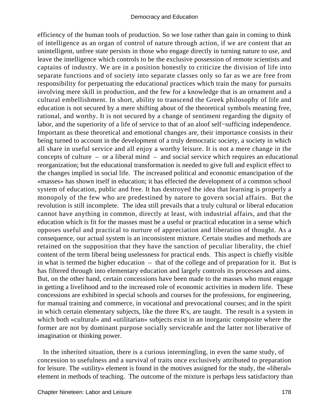efficiency of the human tools of production. So we lose rather than gain in coming to think of intelligence as an organ of control of nature through action, if we are content that an unintelligent, unfree state persists in those who engage directly in turning nature to use, and leave the intelligence which controls to be the exclusive possession of remote scientists and captains of industry. We are in a position honestly to criticize the division of life into separate functions and of society into separate classes only so far as we are free from responsibility for perpetuating the educational practices which train the many for pursuits involving mere skill in production, and the few for a knowledge that is an ornament and a cultural embellishment. In short, ability to transcend the Greek philosophy of life and education is not secured by a mere shifting about of the theoretical symbols meaning free, rational, and worthy. It is not secured by a change of sentiment regarding the dignity of labor, and the superiority of a life of service to that of an aloof self−sufficing independence. Important as these theoretical and emotional changes are, their importance consists in their being turned to account in the development of a truly democratic society, a society in which all share in useful service and all enjoy a worthy leisure. It is not a mere change in the concepts of culture – or a liberal mind – and social service which requires an educational reorganization; but the educational transformation is needed to give full and explicit effect to the changes implied in social life. The increased political and economic emancipation of the «masses» has shown itself in education; it has effected the development of a common school system of education, public and free. It has destroyed the idea that learning is properly a monopoly of the few who are predestined by nature to govern social affairs. But the revolution is still incomplete. The idea still prevails that a truly cultural or liberal education cannot have anything in common, directly at least, with industrial affairs, and that the education which is fit for the masses must be a useful or practical education in a sense which opposes useful and practical to nurture of appreciation and liberation of thought. As a consequence, our actual system is an inconsistent mixture. Certain studies and methods are retained on the supposition that they have the sanction of peculiar liberality, the chief content of the term liberal being uselessness for practical ends. This aspect is chiefly visible in what is termed the higher education – that of the college and of preparation for it. But is has filtered through into elementary education and largely controls its processes and aims. But, on the other hand, certain concessions have been made to the masses who must engage in getting a livelihood and to the increased role of economic activities in modern life. These concessions are exhibited in special schools and courses for the professions, for engineering, for manual training and commerce, in vocational and prevocational courses; and in the spirit in which certain elementary subjects, like the three R's, are taught. The result is a system in which both «cultural» and «utilitarian» subjects exist in an inorganic composite where the former are not by dominant purpose socially serviceable and the latter not liberative of imagination or thinking power.

 In the inherited situation, there is a curious intermingling, in even the same study, of concession to usefulness and a survival of traits once exclusively attributed to preparation for leisure. The «utility» element is found in the motives assigned for the study, the «liberal» element in methods of teaching. The outcome of the mixture is perhaps less satisfactory than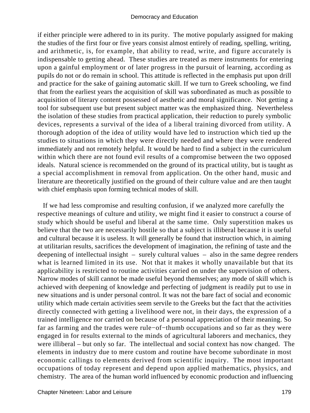if either principle were adhered to in its purity. The motive popularly assigned for making the studies of the first four or five years consist almost entirely of reading, spelling, writing, and arithmetic, is, for example, that ability to read, write, and figure accurately is indispensable to getting ahead. These studies are treated as mere instruments for entering upon a gainful employment or of later progress in the pursuit of learning, according as pupils do not or do remain in school. This attitude is reflected in the emphasis put upon drill and practice for the sake of gaining automatic skill. If we turn to Greek schooling, we find that from the earliest years the acquisition of skill was subordinated as much as possible to acquisition of literary content possessed of aesthetic and moral significance. Not getting a tool for subsequent use but present subject matter was the emphasized thing. Nevertheless the isolation of these studies from practical application, their reduction to purely symbolic devices, represents a survival of the idea of a liberal training divorced from utility. A thorough adoption of the idea of utility would have led to instruction which tied up the studies to situations in which they were directly needed and where they were rendered immediately and not remotely helpful. It would be hard to find a subject in the curriculum within which there are not found evil results of a compromise between the two opposed ideals. Natural science is recommended on the ground of its practical utility, but is taught as a special accomplishment in removal from application. On the other hand, music and literature are theoretically justified on the ground of their culture value and are then taught with chief emphasis upon forming technical modes of skill.

 If we had less compromise and resulting confusion, if we analyzed more carefully the respective meanings of culture and utility, we might find it easier to construct a course of study which should be useful and liberal at the same time. Only superstition makes us believe that the two are necessarily hostile so that a subject is illiberal because it is useful and cultural because it is useless. It will generally be found that instruction which, in aiming at utilitarian results, sacrifices the development of imagination, the refining of taste and the deepening of intellectual insight – surely cultural values – also in the same degree renders what is learned limited in its use. Not that it makes it wholly unavailable but that its applicability is restricted to routine activities carried on under the supervision of others. Narrow modes of skill cannot be made useful beyond themselves; any mode of skill which is achieved with deepening of knowledge and perfecting of judgment is readily put to use in new situations and is under personal control. It was not the bare fact of social and economic utility which made certain activities seem servile to the Greeks but the fact that the activities directly connected with getting a livelihood were not, in their days, the expression of a trained intelligence nor carried on because of a personal appreciation of their meaning. So far as farming and the trades were rule−of−thumb occupations and so far as they were engaged in for results external to the minds of agricultural laborers and mechanics, they were illiberal – but only so far. The intellectual and social context has now changed. The elements in industry due to mere custom and routine have become subordinate in most economic callings to elements derived from scientific inquiry. The most important occupations of today represent and depend upon applied mathematics, physics, and chemistry. The area of the human world influenced by economic production and influencing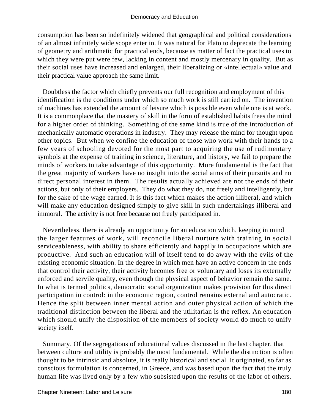consumption has been so indefinitely widened that geographical and political considerations of an almost infinitely wide scope enter in. It was natural for Plato to deprecate the learning of geometry and arithmetic for practical ends, because as matter of fact the practical uses to which they were put were few, lacking in content and mostly mercenary in quality. But as their social uses have increased and enlarged, their liberalizing or «intellectual» value and their practical value approach the same limit.

 Doubtless the factor which chiefly prevents our full recognition and employment of this identification is the conditions under which so much work is still carried on. The invention of machines has extended the amount of leisure which is possible even while one is at work. It is a commonplace that the mastery of skill in the form of established habits frees the mind for a higher order of thinking. Something of the same kind is true of the introduction of mechanically automatic operations in industry. They may release the mind for thought upon other topics. But when we confine the education of those who work with their hands to a few years of schooling devoted for the most part to acquiring the use of rudimentary symbols at the expense of training in science, literature, and history, we fail to prepare the minds of workers to take advantage of this opportunity. More fundamental is the fact that the great majority of workers have no insight into the social aims of their pursuits and no direct personal interest in them. The results actually achieved are not the ends of their actions, but only of their employers. They do what they do, not freely and intelligently, but for the sake of the wage earned. It is this fact which makes the action illiberal, and which will make any education designed simply to give skill in such undertakings illiberal and immoral. The activity is not free because not freely participated in.

 Nevertheless, there is already an opportunity for an education which, keeping in mind the larger features of work, will reconcile liberal nurture with training in social serviceableness, with ability to share efficiently and happily in occupations which are productive. And such an education will of itself tend to do away with the evils of the existing economic situation. In the degree in which men have an active concern in the ends that control their activity, their activity becomes free or voluntary and loses its externally enforced and servile quality, even though the physical aspect of behavior remain the same. In what is termed politics, democratic social organization makes provision for this direct participation in control: in the economic region, control remains external and autocratic. Hence the split between inner mental action and outer physical action of which the traditional distinction between the liberal and the utilitarian is the reflex. An education which should unify the disposition of the members of society would do much to unify society itself.

 Summary. Of the segregations of educational values discussed in the last chapter, that between culture and utility is probably the most fundamental. While the distinction is often thought to be intrinsic and absolute, it is really historical and social. It originated, so far as conscious formulation is concerned, in Greece, and was based upon the fact that the truly human life was lived only by a few who subsisted upon the results of the labor of others.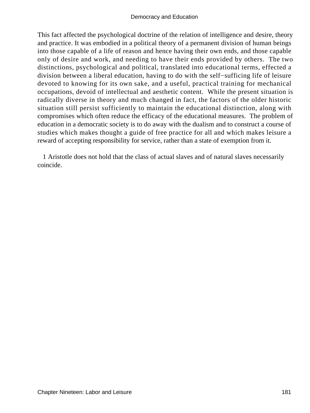This fact affected the psychological doctrine of the relation of intelligence and desire, theory and practice. It was embodied in a political theory of a permanent division of human beings into those capable of a life of reason and hence having their own ends, and those capable only of desire and work, and needing to have their ends provided by others. The two distinctions, psychological and political, translated into educational terms, effected a division between a liberal education, having to do with the self−sufficing life of leisure devoted to knowing for its own sake, and a useful, practical training for mechanical occupations, devoid of intellectual and aesthetic content. While the present situation is radically diverse in theory and much changed in fact, the factors of the older historic situation still persist sufficiently to maintain the educational distinction, along with compromises which often reduce the efficacy of the educational measures. The problem of education in a democratic society is to do away with the dualism and to construct a course of studies which makes thought a guide of free practice for all and which makes leisure a reward of accepting responsibility for service, rather than a state of exemption from it.

 1 Aristotle does not hold that the class of actual slaves and of natural slaves necessarily coincide.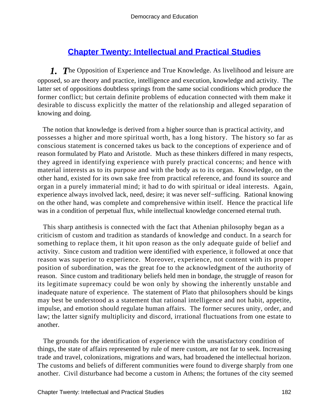# **[Chapter Twenty: Intellectual and Practical Studies](#page-248-0)**

*1. T*he Opposition of Experience and True Knowledge. As livelihood and leisure are opposed, so are theory and practice, intelligence and execution, knowledge and activity. The latter set of oppositions doubtless springs from the same social conditions which produce the former conflict; but certain definite problems of education connected with them make it desirable to discuss explicitly the matter of the relationship and alleged separation of knowing and doing.

 The notion that knowledge is derived from a higher source than is practical activity, and possesses a higher and more spiritual worth, has a long history. The history so far as conscious statement is concerned takes us back to the conceptions of experience and of reason formulated by Plato and Aristotle. Much as these thinkers differed in many respects, they agreed in identifying experience with purely practical concerns; and hence with material interests as to its purpose and with the body as to its organ. Knowledge, on the other hand, existed for its own sake free from practical reference, and found its source and organ in a purely immaterial mind; it had to do with spiritual or ideal interests. Again, experience always involved lack, need, desire; it was never self−sufficing. Rational knowing on the other hand, was complete and comprehensive within itself. Hence the practical life was in a condition of perpetual flux, while intellectual knowledge concerned eternal truth.

 This sharp antithesis is connected with the fact that Athenian philosophy began as a criticism of custom and tradition as standards of knowledge and conduct. In a search for something to replace them, it hit upon reason as the only adequate guide of belief and activity. Since custom and tradition were identified with experience, it followed at once that reason was superior to experience. Moreover, experience, not content with its proper position of subordination, was the great foe to the acknowledgment of the authority of reason. Since custom and traditionary beliefs held men in bondage, the struggle of reason for its legitimate supremacy could be won only by showing the inherently unstable and inadequate nature of experience. The statement of Plato that philosophers should be kings may best be understood as a statement that rational intelligence and not habit, appetite, impulse, and emotion should regulate human affairs. The former secures unity, order, and law; the latter signify multiplicity and discord, irrational fluctuations from one estate to another.

 The grounds for the identification of experience with the unsatisfactory condition of things, the state of affairs represented by rule of mere custom, are not far to seek. Increasing trade and travel, colonizations, migrations and wars, had broadened the intellectual horizon. The customs and beliefs of different communities were found to diverge sharply from one another. Civil disturbance had become a custom in Athens; the fortunes of the city seemed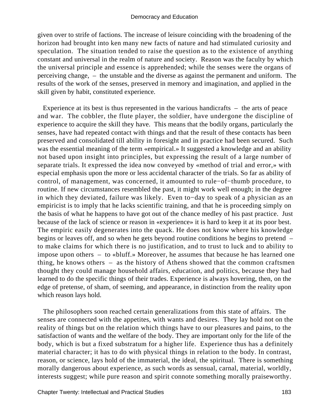given over to strife of factions. The increase of leisure coinciding with the broadening of the horizon had brought into ken many new facts of nature and had stimulated curiosity and speculation. The situation tended to raise the question as to the existence of anything constant and universal in the realm of nature and society. Reason was the faculty by which the universal principle and essence is apprehended; while the senses were the organs of perceiving change, – the unstable and the diverse as against the permanent and uniform. The results of the work of the senses, preserved in memory and imagination, and applied in the skill given by habit, constituted experience.

 Experience at its best is thus represented in the various handicrafts – the arts of peace and war. The cobbler, the flute player, the soldier, have undergone the discipline of experience to acquire the skill they have. This means that the bodily organs, particularly the senses, have had repeated contact with things and that the result of these contacts has been preserved and consolidated till ability in foresight and in practice had been secured. Such was the essential meaning of the term «empirical.» It suggested a knowledge and an ability not based upon insight into principles, but expressing the result of a large number of separate trials. It expressed the idea now conveyed by «method of trial and error,» with especial emphasis upon the more or less accidental character of the trials. So far as ability of control, of management, was concerned, it amounted to rule−of−thumb procedure, to routine. If new circumstances resembled the past, it might work well enough; in the degree in which they deviated, failure was likely. Even to−day to speak of a physician as an empiricist is to imply that he lacks scientific training, and that he is proceeding simply on the basis of what he happens to have got out of the chance medley of his past practice. Just because of the lack of science or reason in «experience» it is hard to keep it at its poor best. The empiric easily degenerates into the quack. He does not know where his knowledge begins or leaves off, and so when he gets beyond routine conditions he begins to pretend – to make claims for which there is no justification, and to trust to luck and to ability to impose upon others – to «bluff.» Moreover, he assumes that because he has learned one thing, he knows others – as the history of Athens showed that the common craftsmen thought they could manage household affairs, education, and politics, because they had learned to do the specific things of their trades. Experience is always hovering, then, on the edge of pretense, of sham, of seeming, and appearance, in distinction from the reality upon which reason lays hold.

 The philosophers soon reached certain generalizations from this state of affairs. The senses are connected with the appetites, with wants and desires. They lay hold not on the reality of things but on the relation which things have to our pleasures and pains, to the satisfaction of wants and the welfare of the body. They are important only for the life of the body, which is but a fixed substratum for a higher life. Experience thus has a definitely material character; it has to do with physical things in relation to the body. In contrast, reason, or science, lays hold of the immaterial, the ideal, the spiritual. There is something morally dangerous about experience, as such words as sensual, carnal, material, worldly, interests suggest; while pure reason and spirit connote something morally praiseworthy.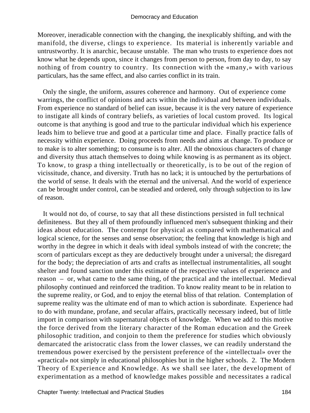Moreover, ineradicable connection with the changing, the inexplicably shifting, and with the manifold, the diverse, clings to experience. Its material is inherently variable and untrustworthy. It is anarchic, because unstable. The man who trusts to experience does not know what he depends upon, since it changes from person to person, from day to day, to say nothing of from country to country. Its connection with the «many,» with various particulars, has the same effect, and also carries conflict in its train.

 Only the single, the uniform, assures coherence and harmony. Out of experience come warrings, the conflict of opinions and acts within the individual and between individuals. From experience no standard of belief can issue, because it is the very nature of experience to instigate all kinds of contrary beliefs, as varieties of local custom proved. Its logical outcome is that anything is good and true to the particular individual which his experience leads him to believe true and good at a particular time and place. Finally practice falls of necessity within experience. Doing proceeds from needs and aims at change. To produce or to make is to alter something; to consume is to alter. All the obnoxious characters of change and diversity thus attach themselves to doing while knowing is as permanent as its object. To know, to grasp a thing intellectually or theoretically, is to be out of the region of vicissitude, chance, and diversity. Truth has no lack; it is untouched by the perturbations of the world of sense. It deals with the eternal and the universal. And the world of experience can be brought under control, can be steadied and ordered, only through subjection to its law of reason.

 It would not do, of course, to say that all these distinctions persisted in full technical definiteness. But they all of them profoundly influenced men's subsequent thinking and their ideas about education. The contempt for physical as compared with mathematical and logical science, for the senses and sense observation; the feeling that knowledge is high and worthy in the degree in which it deals with ideal symbols instead of with the concrete; the scorn of particulars except as they are deductively brought under a universal; the disregard for the body; the depreciation of arts and crafts as intellectual instrumentalities, all sought shelter and found sanction under this estimate of the respective values of experience and reason – or, what came to the same thing, of the practical and the intellectual. Medieval philosophy continued and reinforced the tradition. To know reality meant to be in relation to the supreme reality, or God, and to enjoy the eternal bliss of that relation. Contemplation of supreme reality was the ultimate end of man to which action is subordinate. Experience had to do with mundane, profane, and secular affairs, practically necessary indeed, but of little import in comparison with supernatural objects of knowledge. When we add to this motive the force derived from the literary character of the Roman education and the Greek philosophic tradition, and conjoin to them the preference for studies which obviously demarcated the aristocratic class from the lower classes, we can readily understand the tremendous power exercised by the persistent preference of the «intellectual» over the «practical» not simply in educational philosophies but in the higher schools. 2. The Modern Theory of Experience and Knowledge. As we shall see later, the development of experimentation as a method of knowledge makes possible and necessitates a radical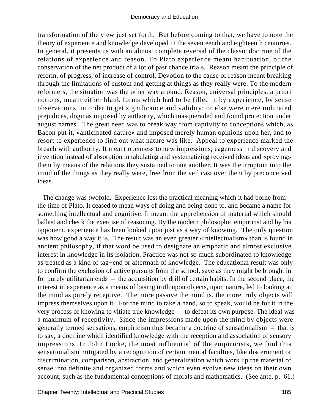transformation of the view just set forth. But before coming to that, we have to note the theory of experience and knowledge developed in the seventeenth and eighteenth centuries. In general, it presents us with an almost complete reversal of the classic doctrine of the relations of experience and reason. To Plato experience meant habituation, or the conservation of the net product of a lot of past chance trials. Reason meant the principle of reform, of progress, of increase of control. Devotion to the cause of reason meant breaking through the limitations of custom and getting at things as they really were. To the modern reformers, the situation was the other way around. Reason, universal principles, a priori notions, meant either blank forms which had to be filled in by experience, by sense observations, in order to get significance and validity; or else were mere indurated prejudices, dogmas imposed by authority, which masqueraded and found protection under august names. The great need was to break way from captivity to conceptions which, as Bacon put it, «anticipated nature» and imposed merely human opinions upon her, and to resort to experience to find out what nature was like. Appeal to experience marked the breach with authority. It meant openness to new impressions; eagerness in discovery and invention instead of absorption in tabulating and systematizing received ideas and «proving» them by means of the relations they sustained to one another. It was the irruption into the mind of the things as they really were, free from the veil cast over them by preconceived ideas.

 The change was twofold. Experience lost the practical meaning which it had borne from the time of Plato. It ceased to mean ways of doing and being done to, and became a name for something intellectual and cognitive. It meant the apprehension of material which should ballast and check the exercise of reasoning. By the modern philosophic empiricist and by his opponent, experience has been looked upon just as a way of knowing. The only question was how good a way it is. The result was an even greater «intellectualism» than is found in ancient philosophy, if that word be used to designate an emphatic and almost exclusive interest in knowledge in its isolation. Practice was not so much subordinated to knowledge as treated as a kind of tag−end or aftermath of knowledge. The educational result was only to confirm the exclusion of active pursuits from the school, save as they might be brought in for purely utilitarian ends – the acquisition by drill of certain habits. In the second place, the interest in experience as a means of basing truth upon objects, upon nature, led to looking at the mind as purely receptive. The more passive the mind is, the more truly objects will impress themselves upon it. For the mind to take a hand, so to speak, would be for it in the very process of knowing to vitiate true knowledge – to defeat its own purpose. The ideal was a maximum of receptivity. Since the impressions made upon the mind by objects were generally termed sensations, empiricism thus became a doctrine of sensationalism – that is to say, a doctrine which identified knowledge with the reception and association of sensory impressions. In John Locke, the most influential of the empiricists, we find this sensationalism mitigated by a recognition of certain mental faculties, like discernment or discrimination, comparison, abstraction, and generalization which work up the material of sense into definite and organized forms and which even evolve new ideas on their own account, such as the fundamental conceptions of morals and mathematics. (See ante, p. 61.)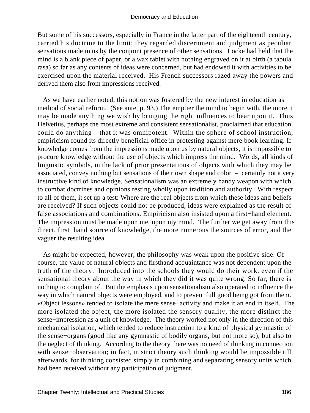But some of his successors, especially in France in the latter part of the eighteenth century, carried his doctrine to the limit; they regarded discernment and judgment as peculiar sensations made in us by the conjoint presence of other sensations. Locke had held that the mind is a blank piece of paper, or a wax tablet with nothing engraved on it at birth (a tabula rasa) so far as any contents of ideas were concerned, but had endowed it with activities to be exercised upon the material received. His French successors razed away the powers and derived them also from impressions received.

 As we have earlier noted, this notion was fostered by the new interest in education as method of social reform. (See ante, p. 93.) The emptier the mind to begin with, the more it may be made anything we wish by bringing the right influences to bear upon it. Thus Helvetius, perhaps the most extreme and consistent sensationalist, proclaimed that education could do anything – that it was omnipotent. Within the sphere of school instruction, empiricism found its directly beneficial office in protesting against mere book learning. If knowledge comes from the impressions made upon us by natural objects, it is impossible to procure knowledge without the use of objects which impress the mind. Words, all kinds of linguistic symbols, in the lack of prior presentations of objects with which they may be associated, convey nothing but sensations of their own shape and color – certainly not a very instructive kind of knowledge. Sensationalism was an extremely handy weapon with which to combat doctrines and opinions resting wholly upon tradition and authority. With respect to all of them, it set up a test: Where are the real objects from which these ideas and beliefs are received? If such objects could not be produced, ideas were explained as the result of false associations and combinations. Empiricism also insisted upon a first−hand element. The impression must be made upon me, upon my mind. The further we get away from this direct, first−hand source of knowledge, the more numerous the sources of error, and the vaguer the resulting idea.

 As might be expected, however, the philosophy was weak upon the positive side. Of course, the value of natural objects and firsthand acquaintance was not dependent upon the truth of the theory. Introduced into the schools they would do their work, even if the sensational theory about the way in which they did it was quite wrong. So far, there is nothing to complain of. But the emphasis upon sensationalism also operated to influence the way in which natural objects were employed, and to prevent full good being got from them. «Object lessons» tended to isolate the mere sense−activity and make it an end in itself. The more isolated the object, the more isolated the sensory quality, the more distinct the sense−impression as a unit of knowledge. The theory worked not only in the direction of this mechanical isolation, which tended to reduce instruction to a kind of physical gymnastic of the sense−organs (good like any gymnastic of bodily organs, but not more so), but also to the neglect of thinking. According to the theory there was no need of thinking in connection with sense−observation; in fact, in strict theory such thinking would be impossible till afterwards, for thinking consisted simply in combining and separating sensory units which had been received without any participation of judgment.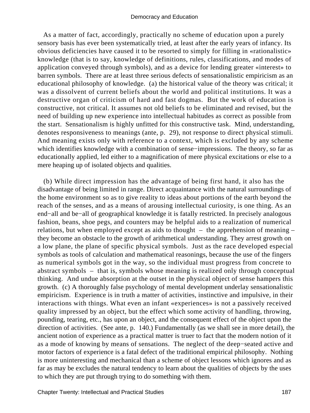As a matter of fact, accordingly, practically no scheme of education upon a purely sensory basis has ever been systematically tried, at least after the early years of infancy. Its obvious deficiencies have caused it to be resorted to simply for filling in «rationalistic» knowledge (that is to say, knowledge of definitions, rules, classifications, and modes of application conveyed through symbols), and as a device for lending greater «interest» to barren symbols. There are at least three serious defects of sensationalistic empiricism as an educational philosophy of knowledge. (a) the historical value of the theory was critical; it was a dissolvent of current beliefs about the world and political institutions. It was a destructive organ of criticism of hard and fast dogmas. But the work of education is constructive, not critical. It assumes not old beliefs to be eliminated and revised, but the need of building up new experience into intellectual habitudes as correct as possible from the start. Sensationalism is highly unfitted for this constructive task. Mind, understanding, denotes responsiveness to meanings (ante, p. 29), not response to direct physical stimuli. And meaning exists only with reference to a context, which is excluded by any scheme which identifies knowledge with a combination of sense−impressions. The theory, so far as educationally applied, led either to a magnification of mere physical excitations or else to a mere heaping up of isolated objects and qualities.

 (b) While direct impression has the advantage of being first hand, it also has the disadvantage of being limited in range. Direct acquaintance with the natural surroundings of the home environment so as to give reality to ideas about portions of the earth beyond the reach of the senses, and as a means of arousing intellectual curiosity, is one thing. As an end−all and be−all of geographical knowledge it is fatally restricted. In precisely analogous fashion, beans, shoe pegs, and counters may be helpful aids to a realization of numerical relations, but when employed except as aids to thought – the apprehension of meaning – they become an obstacle to the growth of arithmetical understanding. They arrest growth on a low plane, the plane of specific physical symbols. Just as the race developed especial symbols as tools of calculation and mathematical reasonings, because the use of the fingers as numerical symbols got in the way, so the individual must progress from concrete to abstract symbols – that is, symbols whose meaning is realized only through conceptual thinking. And undue absorption at the outset in the physical object of sense hampers this growth. (c) A thoroughly false psychology of mental development underlay sensationalistic empiricism. Experience is in truth a matter of activities, instinctive and impulsive, in their interactions with things. What even an infant «experiences» is not a passively received quality impressed by an object, but the effect which some activity of handling, throwing, pounding, tearing, etc., has upon an object, and the consequent effect of the object upon the direction of activities. (See ante, p. 140.) Fundamentally (as we shall see in more detail), the ancient notion of experience as a practical matter is truer to fact that the modern notion of it as a mode of knowing by means of sensations. The neglect of the deep−seated active and motor factors of experience is a fatal defect of the traditional empirical philosophy. Nothing is more uninteresting and mechanical than a scheme of object lessons which ignores and as far as may be excludes the natural tendency to learn about the qualities of objects by the uses to which they are put through trying to do something with them.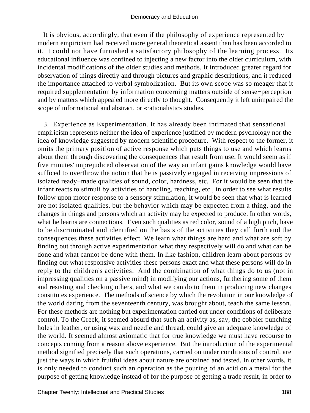It is obvious, accordingly, that even if the philosophy of experience represented by modern empiricism had received more general theoretical assent than has been accorded to it, it could not have furnished a satisfactory philosophy of the learning process. Its educational influence was confined to injecting a new factor into the older curriculum, with incidental modifications of the older studies and methods. It introduced greater regard for observation of things directly and through pictures and graphic descriptions, and it reduced the importance attached to verbal symbolization. But its own scope was so meager that it required supplementation by information concerning matters outside of sense−perception and by matters which appealed more directly to thought. Consequently it left unimpaired the scope of informational and abstract, or «rationalistic» studies.

 3. Experience as Experimentation. It has already been intimated that sensational empiricism represents neither the idea of experience justified by modern psychology nor the idea of knowledge suggested by modern scientific procedure. With respect to the former, it omits the primary position of active response which puts things to use and which learns about them through discovering the consequences that result from use. It would seem as if five minutes' unprejudiced observation of the way an infant gains knowledge would have sufficed to overthrow the notion that he is passively engaged in receiving impressions of isolated ready−made qualities of sound, color, hardness, etc. For it would be seen that the infant reacts to stimuli by activities of handling, reaching, etc., in order to see what results follow upon motor response to a sensory stimulation; it would be seen that what is learned are not isolated qualities, but the behavior which may be expected from a thing, and the changes in things and persons which an activity may be expected to produce. In other words, what he learns are connections. Even such qualities as red color, sound of a high pitch, have to be discriminated and identified on the basis of the activities they call forth and the consequences these activities effect. We learn what things are hard and what are soft by finding out through active experimentation what they respectively will do and what can be done and what cannot be done with them. In like fashion, children learn about persons by finding out what responsive activities these persons exact and what these persons will do in reply to the children's activities. And the combination of what things do to us (not in impressing qualities on a passive mind) in modifying our actions, furthering some of them and resisting and checking others, and what we can do to them in producing new changes constitutes experience. The methods of science by which the revolution in our knowledge of the world dating from the seventeenth century, was brought about, teach the same lesson. For these methods are nothing but experimentation carried out under conditions of deliberate control. To the Greek, it seemed absurd that such an activity as, say, the cobbler punching holes in leather, or using wax and needle and thread, could give an adequate knowledge of the world. It seemed almost axiomatic that for true knowledge we must have recourse to concepts coming from a reason above experience. But the introduction of the experimental method signified precisely that such operations, carried on under conditions of control, are just the ways in which fruitful ideas about nature are obtained and tested. In other words, it is only needed to conduct such an operation as the pouring of an acid on a metal for the purpose of getting knowledge instead of for the purpose of getting a trade result, in order to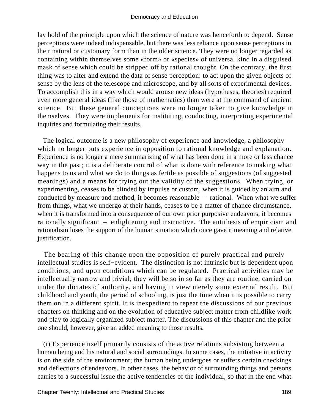lay hold of the principle upon which the science of nature was henceforth to depend. Sense perceptions were indeed indispensable, but there was less reliance upon sense perceptions in their natural or customary form than in the older science. They were no longer regarded as containing within themselves some «form» or «species» of universal kind in a disguised mask of sense which could be stripped off by rational thought. On the contrary, the first thing was to alter and extend the data of sense perception: to act upon the given objects of sense by the lens of the telescope and microscope, and by all sorts of experimental devices. To accomplish this in a way which would arouse new ideas (hypotheses, theories) required even more general ideas (like those of mathematics) than were at the command of ancient science. But these general conceptions were no longer taken to give knowledge in themselves. They were implements for instituting, conducting, interpreting experimental inquiries and formulating their results.

 The logical outcome is a new philosophy of experience and knowledge, a philosophy which no longer puts experience in opposition to rational knowledge and explanation. Experience is no longer a mere summarizing of what has been done in a more or less chance way in the past; it is a deliberate control of what is done with reference to making what happens to us and what we do to things as fertile as possible of suggestions (of suggested meanings) and a means for trying out the validity of the suggestions. When trying, or experimenting, ceases to be blinded by impulse or custom, when it is guided by an aim and conducted by measure and method, it becomes reasonable – rational. When what we suffer from things, what we undergo at their hands, ceases to be a matter of chance circumstance, when it is transformed into a consequence of our own prior purposive endeavors, it becomes rationally significant – enlightening and instructive. The antithesis of empiricism and rationalism loses the support of the human situation which once gave it meaning and relative justification.

 The bearing of this change upon the opposition of purely practical and purely intellectual studies is self−evident. The distinction is not intrinsic but is dependent upon conditions, and upon conditions which can be regulated. Practical activities may be intellectually narrow and trivial; they will be so in so far as they are routine, carried on under the dictates of authority, and having in view merely some external result. But childhood and youth, the period of schooling, is just the time when it is possible to carry them on in a different spirit. It is inexpedient to repeat the discussions of our previous chapters on thinking and on the evolution of educative subject matter from childlike work and play to logically organized subject matter. The discussions of this chapter and the prior one should, however, give an added meaning to those results.

 (i) Experience itself primarily consists of the active relations subsisting between a human being and his natural and social surroundings. In some cases, the initiative in activity is on the side of the environment; the human being undergoes or suffers certain checkings and deflections of endeavors. In other cases, the behavior of surrounding things and persons carries to a successful issue the active tendencies of the individual, so that in the end what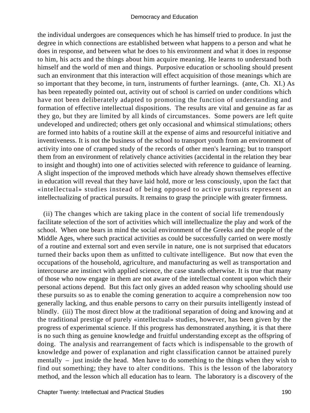the individual undergoes are consequences which he has himself tried to produce. In just the degree in which connections are established between what happens to a person and what he does in response, and between what he does to his environment and what it does in response to him, his acts and the things about him acquire meaning. He learns to understand both himself and the world of men and things. Purposive education or schooling should present such an environment that this interaction will effect acquisition of those meanings which are so important that they become, in turn, instruments of further learnings. (ante, Ch. XI.) As has been repeatedly pointed out, activity out of school is carried on under conditions which have not been deliberately adapted to promoting the function of understanding and formation of effective intellectual dispositions. The results are vital and genuine as far as they go, but they are limited by all kinds of circumstances. Some powers are left quite undeveloped and undirected; others get only occasional and whimsical stimulations; others are formed into habits of a routine skill at the expense of aims and resourceful initiative and inventiveness. It is not the business of the school to transport youth from an environment of activity into one of cramped study of the records of other men's learning; but to transport them from an environment of relatively chance activities (accidental in the relation they bear to insight and thought) into one of activities selected with reference to guidance of learning. A slight inspection of the improved methods which have already shown themselves effective in education will reveal that they have laid hold, more or less consciously, upon the fact that «intellectual» studies instead of being opposed to active pursuits represent an intellectualizing of practical pursuits. It remains to grasp the principle with greater firmness.

 (ii) The changes which are taking place in the content of social life tremendously facilitate selection of the sort of activities which will intellectualize the play and work of the school. When one bears in mind the social environment of the Greeks and the people of the Middle Ages, where such practical activities as could be successfully carried on were mostly of a routine and external sort and even servile in nature, one is not surprised that educators turned their backs upon them as unfitted to cultivate intelligence. But now that even the occupations of the household, agriculture, and manufacturing as well as transportation and intercourse are instinct with applied science, the case stands otherwise. It is true that many of those who now engage in them are not aware of the intellectual content upon which their personal actions depend. But this fact only gives an added reason why schooling should use these pursuits so as to enable the coming generation to acquire a comprehension now too generally lacking, and thus enable persons to carry on their pursuits intelligently instead of blindly. (iii) The most direct blow at the traditional separation of doing and knowing and at the traditional prestige of purely «intellectual» studies, however, has been given by the progress of experimental science. If this progress has demonstrated anything, it is that there is no such thing as genuine knowledge and fruitful understanding except as the offspring of doing. The analysis and rearrangement of facts which is indispensable to the growth of knowledge and power of explanation and right classification cannot be attained purely mentally – just inside the head. Men have to do something to the things when they wish to find out something; they have to alter conditions. This is the lesson of the laboratory method, and the lesson which all education has to learn. The laboratory is a discovery of the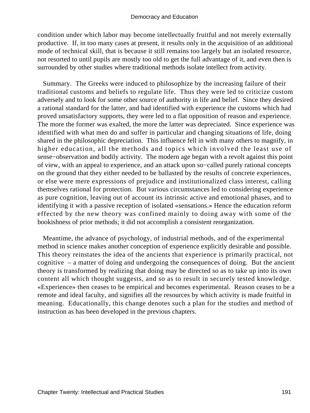condition under which labor may become intellectually fruitful and not merely externally productive. If, in too many cases at present, it results only in the acquisition of an additional mode of technical skill, that is because it still remains too largely but an isolated resource, not resorted to until pupils are mostly too old to get the full advantage of it, and even then is surrounded by other studies where traditional methods isolate intellect from activity.

 Summary. The Greeks were induced to philosophize by the increasing failure of their traditional customs and beliefs to regulate life. Thus they were led to criticize custom adversely and to look for some other source of authority in life and belief. Since they desired a rational standard for the latter, and had identified with experience the customs which had proved unsatisfactory supports, they were led to a flat opposition of reason and experience. The more the former was exalted, the more the latter was depreciated. Since experience was identified with what men do and suffer in particular and changing situations of life, doing shared in the philosophic depreciation. This influence fell in with many others to magnify, in higher education, all the methods and topics which involved the least use of sense−observation and bodily activity. The modern age began with a revolt against this point of view, with an appeal to experience, and an attack upon so−called purely rational concepts on the ground that they either needed to be ballasted by the results of concrete experiences, or else were mere expressions of prejudice and institutionalized class interest, calling themselves rational for protection. But various circumstances led to considering experience as pure cognition, leaving out of account its intrinsic active and emotional phases, and to identifying it with a passive reception of isolated «sensations.» Hence the education reform effected by the new theory was confined mainly to doing away with some of the bookishness of prior methods; it did not accomplish a consistent reorganization.

 Meantime, the advance of psychology, of industrial methods, and of the experimental method in science makes another conception of experience explicitly desirable and possible. This theory reinstates the idea of the ancients that experience is primarily practical, not cognitive – a matter of doing and undergoing the consequences of doing. But the ancient theory is transformed by realizing that doing may be directed so as to take up into its own content all which thought suggests, and so as to result in securely tested knowledge. «Experience» then ceases to be empirical and becomes experimental. Reason ceases to be a remote and ideal faculty, and signifies all the resources by which activity is made fruitful in meaning. Educationally, this change denotes such a plan for the studies and method of instruction as has been developed in the previous chapters.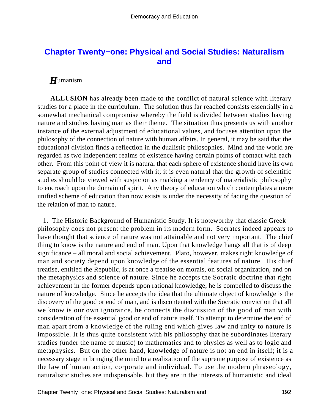# **[Chapter Twenty−one: Physical and Social Studies: Naturalism](#page-249-0) [and](#page-249-0)**

# *H*umanism

**ALLUSION** has already been made to the conflict of natural science with literary studies for a place in the curriculum. The solution thus far reached consists essentially in a somewhat mechanical compromise whereby the field is divided between studies having nature and studies having man as their theme. The situation thus presents us with another instance of the external adjustment of educational values, and focuses attention upon the philosophy of the connection of nature with human affairs. In general, it may be said that the educational division finds a reflection in the dualistic philosophies. Mind and the world are regarded as two independent realms of existence having certain points of contact with each other. From this point of view it is natural that each sphere of existence should have its own separate group of studies connected with it; it is even natural that the growth of scientific studies should be viewed with suspicion as marking a tendency of materialistic philosophy to encroach upon the domain of spirit. Any theory of education which contemplates a more unified scheme of education than now exists is under the necessity of facing the question of the relation of man to nature.

 1. The Historic Background of Humanistic Study. It is noteworthy that classic Greek philosophy does not present the problem in its modern form. Socrates indeed appears to have thought that science of nature was not attainable and not very important. The chief thing to know is the nature and end of man. Upon that knowledge hangs all that is of deep significance – all moral and social achievement. Plato, however, makes right knowledge of man and society depend upon knowledge of the essential features of nature. His chief treatise, entitled the Republic, is at once a treatise on morals, on social organization, and on the metaphysics and science of nature. Since he accepts the Socratic doctrine that right achievement in the former depends upon rational knowledge, he is compelled to discuss the nature of knowledge. Since he accepts the idea that the ultimate object of knowledge is the discovery of the good or end of man, and is discontented with the Socratic conviction that all we know is our own ignorance, he connects the discussion of the good of man with consideration of the essential good or end of nature itself. To attempt to determine the end of man apart from a knowledge of the ruling end which gives law and unity to nature is impossible. It is thus quite consistent with his philosophy that he subordinates literary studies (under the name of music) to mathematics and to physics as well as to logic and metaphysics. But on the other hand, knowledge of nature is not an end in itself; it is a necessary stage in bringing the mind to a realization of the supreme purpose of existence as the law of human action, corporate and individual. To use the modern phraseology, naturalistic studies are indispensable, but they are in the interests of humanistic and ideal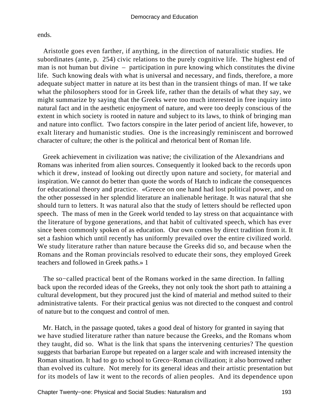ends.

 Aristotle goes even farther, if anything, in the direction of naturalistic studies. He subordinates (ante, p. 254) civic relations to the purely cognitive life. The highest end of man is not human but divine – participation in pure knowing which constitutes the divine life. Such knowing deals with what is universal and necessary, and finds, therefore, a more adequate subject matter in nature at its best than in the transient things of man. If we take what the philosophers stood for in Greek life, rather than the details of what they say, we might summarize by saying that the Greeks were too much interested in free inquiry into natural fact and in the aesthetic enjoyment of nature, and were too deeply conscious of the extent in which society is rooted in nature and subject to its laws, to think of bringing man and nature into conflict. Two factors conspire in the later period of ancient life, however, to exalt literary and humanistic studies. One is the increasingly reminiscent and borrowed character of culture; the other is the political and rhetorical bent of Roman life.

 Greek achievement in civilization was native; the civilization of the Alexandrians and Romans was inherited from alien sources. Consequently it looked back to the records upon which it drew, instead of looking out directly upon nature and society, for material and inspiration. We cannot do better than quote the words of Hatch to indicate the consequences for educational theory and practice. «Greece on one hand had lost political power, and on the other possessed in her splendid literature an inalienable heritage. It was natural that she should turn to letters. It was natural also that the study of letters should be reflected upon speech. The mass of men in the Greek world tended to lay stress on that acquaintance with the literature of bygone generations, and that habit of cultivated speech, which has ever since been commonly spoken of as education. Our own comes by direct tradition from it. It set a fashion which until recently has uniformly prevailed over the entire civilized world. We study literature rather than nature because the Greeks did so, and because when the Romans and the Roman provincials resolved to educate their sons, they employed Greek teachers and followed in Greek paths.» 1

 The so−called practical bent of the Romans worked in the same direction. In falling back upon the recorded ideas of the Greeks, they not only took the short path to attaining a cultural development, but they procured just the kind of material and method suited to their administrative talents. For their practical genius was not directed to the conquest and control of nature but to the conquest and control of men.

 Mr. Hatch, in the passage quoted, takes a good deal of history for granted in saying that we have studied literature rather than nature because the Greeks, and the Romans whom they taught, did so. What is the link that spans the intervening centuries? The question suggests that barbarian Europe but repeated on a larger scale and with increased intensity the Roman situation. It had to go to school to Greco−Roman civilization; it also borrowed rather than evolved its culture. Not merely for its general ideas and their artistic presentation but for its models of law it went to the records of alien peoples. And its dependence upon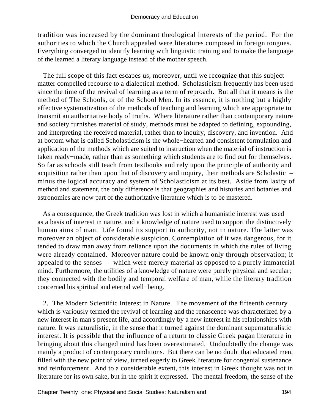tradition was increased by the dominant theological interests of the period. For the authorities to which the Church appealed were literatures composed in foreign tongues. Everything converged to identify learning with linguistic training and to make the language of the learned a literary language instead of the mother speech.

 The full scope of this fact escapes us, moreover, until we recognize that this subject matter compelled recourse to a dialectical method. Scholasticism frequently has been used since the time of the revival of learning as a term of reproach. But all that it means is the method of The Schools, or of the School Men. In its essence, it is nothing but a highly effective systematization of the methods of teaching and learning which are appropriate to transmit an authoritative body of truths. Where literature rather than contemporary nature and society furnishes material of study, methods must be adapted to defining, expounding, and interpreting the received material, rather than to inquiry, discovery, and invention. And at bottom what is called Scholasticism is the whole−hearted and consistent formulation and application of the methods which are suited to instruction when the material of instruction is taken ready−made, rather than as something which students are to find out for themselves. So far as schools still teach from textbooks and rely upon the principle of authority and acquisition rather than upon that of discovery and inquiry, their methods are Scholastic – minus the logical accuracy and system of Scholasticism at its best. Aside from laxity of method and statement, the only difference is that geographies and histories and botanies and astronomies are now part of the authoritative literature which is to be mastered.

 As a consequence, the Greek tradition was lost in which a humanistic interest was used as a basis of interest in nature, and a knowledge of nature used to support the distinctively human aims of man. Life found its support in authority, not in nature. The latter was moreover an object of considerable suspicion. Contemplation of it was dangerous, for it tended to draw man away from reliance upon the documents in which the rules of living were already contained. Moreover nature could be known only through observation; it appealed to the senses – which were merely material as opposed to a purely immaterial mind. Furthermore, the utilities of a knowledge of nature were purely physical and secular; they connected with the bodily and temporal welfare of man, while the literary tradition concerned his spiritual and eternal well−being.

 2. The Modern Scientific Interest in Nature. The movement of the fifteenth century which is variously termed the revival of learning and the renascence was characterized by a new interest in man's present life, and accordingly by a new interest in his relationships with nature. It was naturalistic, in the sense that it turned against the dominant supernaturalistic interest. It is possible that the influence of a return to classic Greek pagan literature in bringing about this changed mind has been overestimated. Undoubtedly the change was mainly a product of contemporary conditions. But there can be no doubt that educated men, filled with the new point of view, turned eagerly to Greek literature for congenial sustenance and reinforcement. And to a considerable extent, this interest in Greek thought was not in literature for its own sake, but in the spirit it expressed. The mental freedom, the sense of the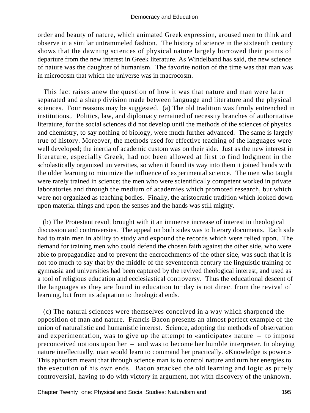order and beauty of nature, which animated Greek expression, aroused men to think and observe in a similar untrammeled fashion. The history of science in the sixteenth century shows that the dawning sciences of physical nature largely borrowed their points of departure from the new interest in Greek literature. As Windelband has said, the new science of nature was the daughter of humanism. The favorite notion of the time was that man was in microcosm that which the universe was in macrocosm.

 This fact raises anew the question of how it was that nature and man were later separated and a sharp division made between language and literature and the physical sciences. Four reasons may be suggested. (a) The old tradition was firmly entrenched in institutions,. Politics, law, and diplomacy remained of necessity branches of authoritative literature, for the social sciences did not develop until the methods of the sciences of physics and chemistry, to say nothing of biology, were much further advanced. The same is largely true of history. Moreover, the methods used for effective teaching of the languages were well developed; the inertia of academic custom was on their side. Just as the new interest in literature, especially Greek, had not been allowed at first to find lodgment in the scholastically organized universities, so when it found its way into them it joined hands with the older learning to minimize the influence of experimental science. The men who taught were rarely trained in science; the men who were scientifically competent worked in private laboratories and through the medium of academies which promoted research, but which were not organized as teaching bodies. Finally, the aristocratic tradition which looked down upon material things and upon the senses and the hands was still mighty.

 (b) The Protestant revolt brought with it an immense increase of interest in theological discussion and controversies. The appeal on both sides was to literary documents. Each side had to train men in ability to study and expound the records which were relied upon. The demand for training men who could defend the chosen faith against the other side, who were able to propagandize and to prevent the encroachments of the other side, was such that it is not too much to say that by the middle of the seventeenth century the linguistic training of gymnasia and universities had been captured by the revived theological interest, and used as a tool of religious education and ecclesiastical controversy. Thus the educational descent of the languages as they are found in education to−day is not direct from the revival of learning, but from its adaptation to theological ends.

 (c) The natural sciences were themselves conceived in a way which sharpened the opposition of man and nature. Francis Bacon presents an almost perfect example of the union of naturalistic and humanistic interest. Science, adopting the methods of observation and experimentation, was to give up the attempt to «anticipate» nature – to impose preconceived notions upon her – and was to become her humble interpreter. In obeying nature intellectually, man would learn to command her practically. «Knowledge is power.» This aphorism meant that through science man is to control nature and turn her energies to the execution of his own ends. Bacon attacked the old learning and logic as purely controversial, having to do with victory in argument, not with discovery of the unknown.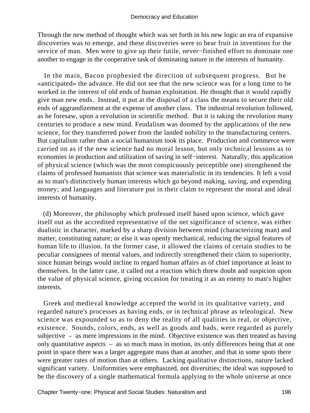Through the new method of thought which was set forth in his new logic an era of expansive discoveries was to emerge, and these discoveries were to bear fruit in inventions for the service of man. Men were to give up their futile, never−finished effort to dominate one another to engage in the cooperative task of dominating nature in the interests of humanity.

 In the main, Bacon prophesied the direction of subsequent progress. But he «anticipated» the advance. He did not see that the new science was for a long time to be worked in the interest of old ends of human exploitation. He thought that it would rapidly give man new ends. Instead, it put at the disposal of a class the means to secure their old ends of aggrandizement at the expense of another class. The industrial revolution followed, as he foresaw, upon a revolution in scientific method. But it is taking the revolution many centuries to produce a new mind. Feudalism was doomed by the applications of the new science, for they transferred power from the landed nobility to the manufacturing centers. But capitalism rather than a social humanism took its place. Production and commerce were carried on as if the new science had no moral lesson, but only technical lessons as to economies in production and utilization of saving in self−interest. Naturally, this application of physical science (which was the most conspicuously perceptible one) strengthened the claims of professed humanists that science was materialistic in its tendencies. It left a void as to man's distinctively human interests which go beyond making, saving, and expending money; and languages and literature put in their claim to represent the moral and ideal interests of humanity.

 (d) Moreover, the philosophy which professed itself based upon science, which gave itself out as the accredited representative of the net significance of science, was either dualistic in character, marked by a sharp division between mind (characterizing man) and matter, constituting nature; or else it was openly mechanical, reducing the signal features of human life to illusion. In the former case, it allowed the claims of certain studies to be peculiar consignees of mental values, and indirectly strengthened their claim to superiority, since human beings would incline to regard human affairs as of chief importance at least to themselves. In the latter case, it called out a reaction which threw doubt and suspicion upon the value of physical science, giving occasion for treating it as an enemy to man's higher interests.

 Greek and medieval knowledge accepted the world in its qualitative variety, and regarded nature's processes as having ends, or in technical phrase as teleological. New science was expounded so as to deny the reality of all qualities in real, or objective, existence. Sounds, colors, ends, as well as goods and bads, were regarded as purely subjective – as mere impressions in the mind. Objective existence was then treated as having only quantitative aspects – as so much mass in motion, its only differences being that at one point in space there was a larger aggregate mass than at another, and that in some spots there were greater rates of motion than at others. Lacking qualitative distinctions, nature lacked significant variety. Uniformities were emphasized, not diversities; the ideal was supposed to be the discovery of a single mathematical formula applying to the whole universe at once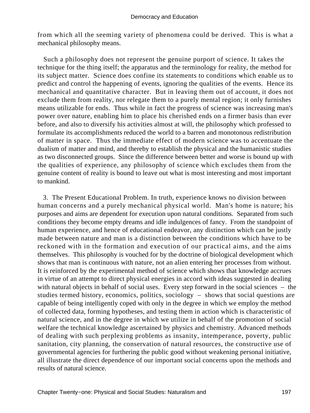from which all the seeming variety of phenomena could be derived. This is what a mechanical philosophy means.

 Such a philosophy does not represent the genuine purport of science. It takes the technique for the thing itself; the apparatus and the terminology for reality, the method for its subject matter. Science does confine its statements to conditions which enable us to predict and control the happening of events, ignoring the qualities of the events. Hence its mechanical and quantitative character. But in leaving them out of account, it does not exclude them from reality, nor relegate them to a purely mental region; it only furnishes means utilizable for ends. Thus while in fact the progress of science was increasing man's power over nature, enabling him to place his cherished ends on a firmer basis than ever before, and also to diversify his activities almost at will, the philosophy which professed to formulate its accomplishments reduced the world to a barren and monotonous redistribution of matter in space. Thus the immediate effect of modern science was to accentuate the dualism of matter and mind, and thereby to establish the physical and the humanistic studies as two disconnected groups. Since the difference between better and worse is bound up with the qualities of experience, any philosophy of science which excludes them from the genuine content of reality is bound to leave out what is most interesting and most important to mankind.

 3. The Present Educational Problem. In truth, experience knows no division between human concerns and a purely mechanical physical world. Man's home is nature; his purposes and aims are dependent for execution upon natural conditions. Separated from such conditions they become empty dreams and idle indulgences of fancy. From the standpoint of human experience, and hence of educational endeavor, any distinction which can be justly made between nature and man is a distinction between the conditions which have to be reckoned with in the formation and execution of our practical aims, and the aims themselves. This philosophy is vouched for by the doctrine of biological development which shows that man is continuous with nature, not an alien entering her processes from without. It is reinforced by the experimental method of science which shows that knowledge accrues in virtue of an attempt to direct physical energies in accord with ideas suggested in dealing with natural objects in behalf of social uses. Every step forward in the social sciences – the studies termed history, economics, politics, sociology – shows that social questions are capable of being intelligently coped with only in the degree in which we employ the method of collected data, forming hypotheses, and testing them in action which is characteristic of natural science, and in the degree in which we utilize in behalf of the promotion of social welfare the technical knowledge ascertained by physics and chemistry. Advanced methods of dealing with such perplexing problems as insanity, intemperance, poverty, public sanitation, city planning, the conservation of natural resources, the constructive use of governmental agencies for furthering the public good without weakening personal initiative, all illustrate the direct dependence of our important social concerns upon the methods and results of natural science.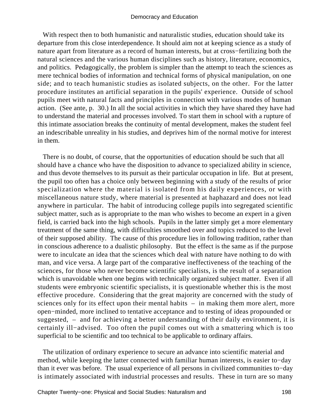With respect then to both humanistic and naturalistic studies, education should take its departure from this close interdependence. It should aim not at keeping science as a study of nature apart from literature as a record of human interests, but at cross−fertilizing both the natural sciences and the various human disciplines such as history, literature, economics, and politics. Pedagogically, the problem is simpler than the attempt to teach the sciences as mere technical bodies of information and technical forms of physical manipulation, on one side; and to teach humanistic studies as isolated subjects, on the other. For the latter procedure institutes an artificial separation in the pupils' experience. Outside of school pupils meet with natural facts and principles in connection with various modes of human action. (See ante, p. 30.) In all the social activities in which they have shared they have had to understand the material and processes involved. To start them in school with a rupture of this intimate association breaks the continuity of mental development, makes the student feel an indescribable unreality in his studies, and deprives him of the normal motive for interest in them.

 There is no doubt, of course, that the opportunities of education should be such that all should have a chance who have the disposition to advance to specialized ability in science, and thus devote themselves to its pursuit as their particular occupation in life. But at present, the pupil too often has a choice only between beginning with a study of the results of prior specialization where the material is isolated from his daily experiences, or with miscellaneous nature study, where material is presented at haphazard and does not lead anywhere in particular. The habit of introducing college pupils into segregated scientific subject matter, such as is appropriate to the man who wishes to become an expert in a given field, is carried back into the high schools. Pupils in the latter simply get a more elementary treatment of the same thing, with difficulties smoothed over and topics reduced to the level of their supposed ability. The cause of this procedure lies in following tradition, rather than in conscious adherence to a dualistic philosophy. But the effect is the same as if the purpose were to inculcate an idea that the sciences which deal with nature have nothing to do with man, and vice versa. A large part of the comparative ineffectiveness of the teaching of the sciences, for those who never become scientific specialists, is the result of a separation which is unavoidable when one begins with technically organized subject matter. Even if all students were embryonic scientific specialists, it is questionable whether this is the most effective procedure. Considering that the great majority are concerned with the study of sciences only for its effect upon their mental habits – in making them more alert, more open−minded, more inclined to tentative acceptance and to testing of ideas propounded or suggested, – and for achieving a better understanding of their daily environment, it is certainly ill−advised. Too often the pupil comes out with a smattering which is too superficial to be scientific and too technical to be applicable to ordinary affairs.

 The utilization of ordinary experience to secure an advance into scientific material and method, while keeping the latter connected with familiar human interests, is easier to−day than it ever was before. The usual experience of all persons in civilized communities to−day is intimately associated with industrial processes and results. These in turn are so many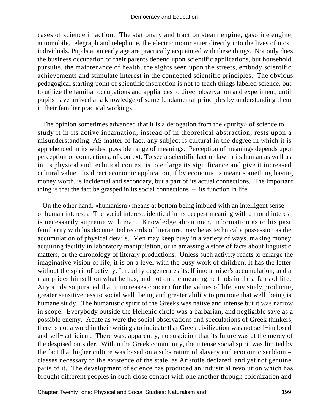cases of science in action. The stationary and traction steam engine, gasoline engine, automobile, telegraph and telephone, the electric motor enter directly into the lives of most individuals. Pupils at an early age are practically acquainted with these things. Not only does the business occupation of their parents depend upon scientific applications, but household pursuits, the maintenance of health, the sights seen upon the streets, embody scientific achievements and stimulate interest in the connected scientific principles. The obvious pedagogical starting point of scientific instruction is not to teach things labeled science, but to utilize the familiar occupations and appliances to direct observation and experiment, until pupils have arrived at a knowledge of some fundamental principles by understanding them in their familiar practical workings.

 The opinion sometimes advanced that it is a derogation from the «purity» of science to study it in its active incarnation, instead of in theoretical abstraction, rests upon a misunderstanding. AS matter of fact, any subject is cultural in the degree in which it is apprehended in its widest possible range of meanings. Perception of meanings depends upon perception of connections, of context. To see a scientific fact or law in its human as well as in its physical and technical context is to enlarge its significance and give it increased cultural value. Its direct economic application, if by economic is meant something having money worth, is incidental and secondary, but a part of its actual connections. The important thing is that the fact be grasped in its social connections – its function in life.

 On the other hand, «humanism» means at bottom being imbued with an intelligent sense of human interests. The social interest, identical in its deepest meaning with a moral interest, is necessarily supreme with man. Knowledge about man, information as to his past, familiarity with his documented records of literature, may be as technical a possession as the accumulation of physical details. Men may keep busy in a variety of ways, making money, acquiring facility in laboratory manipulation, or in amassing a store of facts about linguistic matters, or the chronology of literary productions. Unless such activity reacts to enlarge the imaginative vision of life, it is on a level with the busy work of children. It has the letter without the spirit of activity. It readily degenerates itself into a miser's accumulation, and a man prides himself on what he has, and not on the meaning he finds in the affairs of life. Any study so pursued that it increases concern for the values of life, any study producing greater sensitiveness to social well−being and greater ability to promote that well−being is humane study. The humanistic spirit of the Greeks was native and intense but it was narrow in scope. Everybody outside the Hellenic circle was a barbarian, and negligible save as a possible enemy. Acute as were the social observations and speculations of Greek thinkers, there is not a word in their writings to indicate that Greek civilization was not self−inclosed and self−sufficient. There was, apparently, no suspicion that its future was at the mercy of the despised outsider. Within the Greek community, the intense social spirit was limited by the fact that higher culture was based on a substratum of slavery and economic serfdom – classes necessary to the existence of the state, as Aristotle declared, and yet not genuine parts of it. The development of science has produced an industrial revolution which has brought different peoples in such close contact with one another through colonization and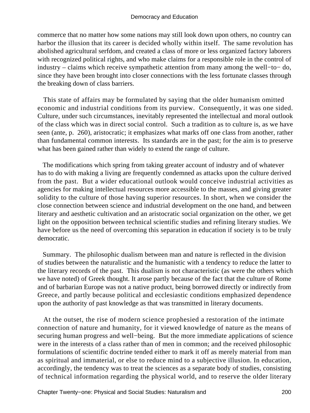commerce that no matter how some nations may still look down upon others, no country can harbor the illusion that its career is decided wholly within itself. The same revolution has abolished agricultural serfdom, and created a class of more or less organized factory laborers with recognized political rights, and who make claims for a responsible role in the control of industry – claims which receive sympathetic attention from many among the well−to− do, since they have been brought into closer connections with the less fortunate classes through the breaking down of class barriers.

 This state of affairs may be formulated by saying that the older humanism omitted economic and industrial conditions from its purview. Consequently, it was one sided. Culture, under such circumstances, inevitably represented the intellectual and moral outlook of the class which was in direct social control. Such a tradition as to culture is, as we have seen (ante, p. 260), aristocratic; it emphasizes what marks off one class from another, rather than fundamental common interests. Its standards are in the past; for the aim is to preserve what has been gained rather than widely to extend the range of culture.

 The modifications which spring from taking greater account of industry and of whatever has to do with making a living are frequently condemned as attacks upon the culture derived from the past. But a wider educational outlook would conceive industrial activities as agencies for making intellectual resources more accessible to the masses, and giving greater solidity to the culture of those having superior resources. In short, when we consider the close connection between science and industrial development on the one hand, and between literary and aesthetic cultivation and an aristocratic social organization on the other, we get light on the opposition between technical scientific studies and refining literary studies. We have before us the need of overcoming this separation in education if society is to be truly democratic.

 Summary. The philosophic dualism between man and nature is reflected in the division of studies between the naturalistic and the humanistic with a tendency to reduce the latter to the literary records of the past. This dualism is not characteristic (as were the others which we have noted) of Greek thought. It arose partly because of the fact that the culture of Rome and of barbarian Europe was not a native product, being borrowed directly or indirectly from Greece, and partly because political and ecclesiastic conditions emphasized dependence upon the authority of past knowledge as that was transmitted in literary documents.

 At the outset, the rise of modern science prophesied a restoration of the intimate connection of nature and humanity, for it viewed knowledge of nature as the means of securing human progress and well−being. But the more immediate applications of science were in the interests of a class rather than of men in common; and the received philosophic formulations of scientific doctrine tended either to mark it off as merely material from man as spiritual and immaterial, or else to reduce mind to a subjective illusion. In education, accordingly, the tendency was to treat the sciences as a separate body of studies, consisting of technical information regarding the physical world, and to reserve the older literary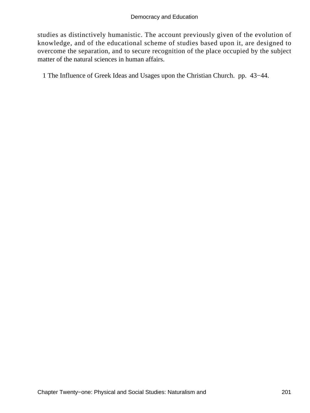studies as distinctively humanistic. The account previously given of the evolution of knowledge, and of the educational scheme of studies based upon it, are designed to overcome the separation, and to secure recognition of the place occupied by the subject matter of the natural sciences in human affairs.

1 The Influence of Greek Ideas and Usages upon the Christian Church. pp. 43−44.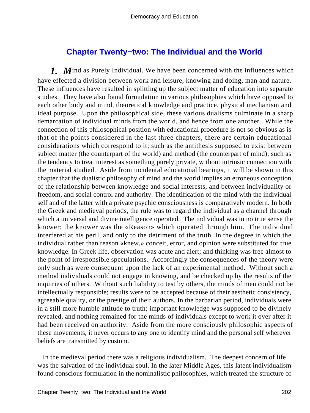# **[Chapter Twenty−two: The Individual and the World](#page-249-0)**

*1.* M ind as Purely Individual. We have been concerned with the influences which have effected a division between work and leisure, knowing and doing, man and nature. These influences have resulted in splitting up the subject matter of education into separate studies. They have also found formulation in various philosophies which have opposed to each other body and mind, theoretical knowledge and practice, physical mechanism and ideal purpose. Upon the philosophical side, these various dualisms culminate in a sharp demarcation of individual minds from the world, and hence from one another. While the connection of this philosophical position with educational procedure is not so obvious as is that of the points considered in the last three chapters, there are certain educational considerations which correspond to it; such as the antithesis supposed to exist between subject matter (the counterpart of the world) and method (the counterpart of mind); such as the tendency to treat interest as something purely private, without intrinsic connection with the material studied. Aside from incidental educational bearings, it will be shown in this chapter that the dualistic philosophy of mind and the world implies an erroneous conception of the relationship between knowledge and social interests, and between individuality or freedom, and social control and authority. The identification of the mind with the individual self and of the latter with a private psychic consciousness is comparatively modern. In both the Greek and medieval periods, the rule was to regard the individual as a channel through which a universal and divine intelligence operated. The individual was in no true sense the knower; the knower was the «Reason» which operated through him. The individual interfered at his peril, and only to the detriment of the truth. In the degree in which the individual rather than reason «knew,» conceit, error, and opinion were substituted for true knowledge. In Greek life, observation was acute and alert; and thinking was free almost to the point of irresponsible speculations. Accordingly the consequences of the theory were only such as were consequent upon the lack of an experimental method. Without such a method individuals could not engage in knowing, and be checked up by the results of the inquiries of others. Without such liability to test by others, the minds of men could not be intellectually responsible; results were to be accepted because of their aesthetic consistency, agreeable quality, or the prestige of their authors. In the barbarian period, individuals were in a still more humble attitude to truth; important knowledge was supposed to be divinely revealed, and nothing remained for the minds of individuals except to work it over after it had been received on authority. Aside from the more consciously philosophic aspects of these movements, it never occurs to any one to identify mind and the personal self wherever beliefs are transmitted by custom.

 In the medieval period there was a religious individualism. The deepest concern of life was the salvation of the individual soul. In the later Middle Ages, this latent individualism found conscious formulation in the nominalistic philosophies, which treated the structure of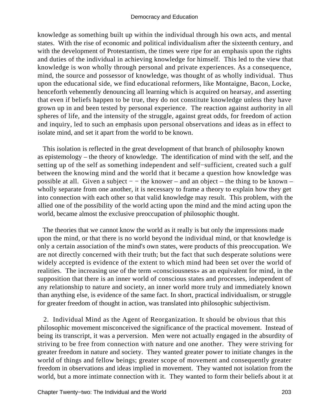knowledge as something built up within the individual through his own acts, and mental states. With the rise of economic and political individualism after the sixteenth century, and with the development of Protestantism, the times were ripe for an emphasis upon the rights and duties of the individual in achieving knowledge for himself. This led to the view that knowledge is won wholly through personal and private experiences. As a consequence, mind, the source and possessor of knowledge, was thought of as wholly individual. Thus upon the educational side, we find educational reformers, like Montaigne, Bacon, Locke, henceforth vehemently denouncing all learning which is acquired on hearsay, and asserting that even if beliefs happen to be true, they do not constitute knowledge unless they have grown up in and been tested by personal experience. The reaction against authority in all spheres of life, and the intensity of the struggle, against great odds, for freedom of action and inquiry, led to such an emphasis upon personal observations and ideas as in effect to isolate mind, and set it apart from the world to be known.

 This isolation is reflected in the great development of that branch of philosophy known as epistemology – the theory of knowledge. The identification of mind with the self, and the setting up of the self as something independent and self−sufficient, created such a gulf between the knowing mind and the world that it became a question how knowledge was possible at all. Given a subject − − the knower – and an object – the thing to be known – wholly separate from one another, it is necessary to frame a theory to explain how they get into connection with each other so that valid knowledge may result. This problem, with the allied one of the possibility of the world acting upon the mind and the mind acting upon the world, became almost the exclusive preoccupation of philosophic thought.

 The theories that we cannot know the world as it really is but only the impressions made upon the mind, or that there is no world beyond the individual mind, or that knowledge is only a certain association of the mind's own states, were products of this preoccupation. We are not directly concerned with their truth; but the fact that such desperate solutions were widely accepted is evidence of the extent to which mind had been set over the world of realities. The increasing use of the term «consciousness» as an equivalent for mind, in the supposition that there is an inner world of conscious states and processes, independent of any relationship to nature and society, an inner world more truly and immediately known than anything else, is evidence of the same fact. In short, practical individualism, or struggle for greater freedom of thought in action, was translated into philosophic subjectivism.

 2. Individual Mind as the Agent of Reorganization. It should be obvious that this philosophic movement misconceived the significance of the practical movement. Instead of being its transcript, it was a perversion. Men were not actually engaged in the absurdity of striving to be free from connection with nature and one another. They were striving for greater freedom in nature and society. They wanted greater power to initiate changes in the world of things and fellow beings; greater scope of movement and consequently greater freedom in observations and ideas implied in movement. They wanted not isolation from the world, but a more intimate connection with it. They wanted to form their beliefs about it at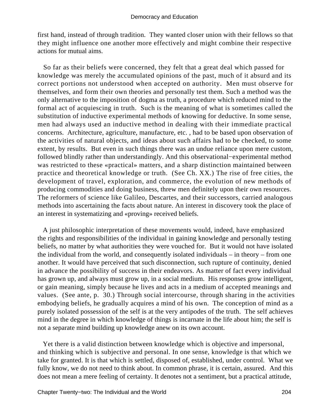first hand, instead of through tradition. They wanted closer union with their fellows so that they might influence one another more effectively and might combine their respective actions for mutual aims.

 So far as their beliefs were concerned, they felt that a great deal which passed for knowledge was merely the accumulated opinions of the past, much of it absurd and its correct portions not understood when accepted on authority. Men must observe for themselves, and form their own theories and personally test them. Such a method was the only alternative to the imposition of dogma as truth, a procedure which reduced mind to the formal act of acquiescing in truth. Such is the meaning of what is sometimes called the substitution of inductive experimental methods of knowing for deductive. In some sense, men had always used an inductive method in dealing with their immediate practical concerns. Architecture, agriculture, manufacture, etc. , had to be based upon observation of the activities of natural objects, and ideas about such affairs had to be checked, to some extent, by results. But even in such things there was an undue reliance upon mere custom, followed blindly rather than understandingly. And this observational−experimental method was restricted to these «practical» matters, and a sharp distinction maintained between practice and theoretical knowledge or truth. (See Ch. XX.) The rise of free cities, the development of travel, exploration, and commerce, the evolution of new methods of producing commodities and doing business, threw men definitely upon their own resources. The reformers of science like Galileo, Descartes, and their successors, carried analogous methods into ascertaining the facts about nature. An interest in discovery took the place of an interest in systematizing and «proving» received beliefs.

 A just philosophic interpretation of these movements would, indeed, have emphasized the rights and responsibilities of the individual in gaining knowledge and personally testing beliefs, no matter by what authorities they were vouched for. But it would not have isolated the individual from the world, and consequently isolated individuals – in theory – from one another. It would have perceived that such disconnection, such rupture of continuity, denied in advance the possibility of success in their endeavors. As matter of fact every individual has grown up, and always must grow up, in a social medium. His responses grow intelligent, or gain meaning, simply because he lives and acts in a medium of accepted meanings and values. (See ante, p. 30.) Through social intercourse, through sharing in the activities embodying beliefs, he gradually acquires a mind of his own. The conception of mind as a purely isolated possession of the self is at the very antipodes of the truth. The self achieves mind in the degree in which knowledge of things is incarnate in the life about him; the self is not a separate mind building up knowledge anew on its own account.

 Yet there is a valid distinction between knowledge which is objective and impersonal, and thinking which is subjective and personal. In one sense, knowledge is that which we take for granted. It is that which is settled, disposed of, established, under control. What we fully know, we do not need to think about. In common phrase, it is certain, assured. And this does not mean a mere feeling of certainty. It denotes not a sentiment, but a practical attitude,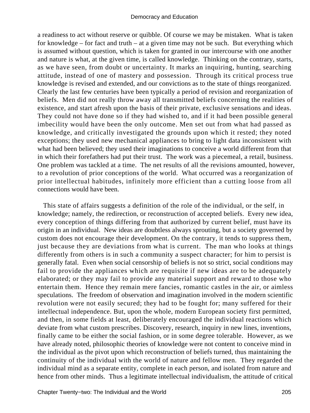a readiness to act without reserve or quibble. Of course we may be mistaken. What is taken for knowledge – for fact and truth – at a given time may not be such. But everything which is assumed without question, which is taken for granted in our intercourse with one another and nature is what, at the given time, is called knowledge. Thinking on the contrary, starts, as we have seen, from doubt or uncertainty. It marks an inquiring, hunting, searching attitude, instead of one of mastery and possession. Through its critical process true knowledge is revised and extended, and our convictions as to the state of things reorganized. Clearly the last few centuries have been typically a period of revision and reorganization of beliefs. Men did not really throw away all transmitted beliefs concerning the realities of existence, and start afresh upon the basis of their private, exclusive sensations and ideas. They could not have done so if they had wished to, and if it had been possible general imbecility would have been the only outcome. Men set out from what had passed as knowledge, and critically investigated the grounds upon which it rested; they noted exceptions; they used new mechanical appliances to bring to light data inconsistent with what had been believed; they used their imaginations to conceive a world different from that in which their forefathers had put their trust. The work was a piecemeal, a retail, business. One problem was tackled at a time. The net results of all the revisions amounted, however, to a revolution of prior conceptions of the world. What occurred was a reorganization of prior intellectual habitudes, infinitely more efficient than a cutting loose from all connections would have been.

 This state of affairs suggests a definition of the role of the individual, or the self, in knowledge; namely, the redirection, or reconstruction of accepted beliefs. Every new idea, every conception of things differing from that authorized by current belief, must have its origin in an individual. New ideas are doubtless always sprouting, but a society governed by custom does not encourage their development. On the contrary, it tends to suppress them, just because they are deviations from what is current. The man who looks at things differently from others is in such a community a suspect character; for him to persist is generally fatal. Even when social censorship of beliefs is not so strict, social conditions may fail to provide the appliances which are requisite if new ideas are to be adequately elaborated; or they may fail to provide any material support and reward to those who entertain them. Hence they remain mere fancies, romantic castles in the air, or aimless speculations. The freedom of observation and imagination involved in the modern scientific revolution were not easily secured; they had to be fought for; many suffered for their intellectual independence. But, upon the whole, modern European society first permitted, and then, in some fields at least, deliberately encouraged the individual reactions which deviate from what custom prescribes. Discovery, research, inquiry in new lines, inventions, finally came to be either the social fashion, or in some degree tolerable. However, as we have already noted, philosophic theories of knowledge were not content to conceive mind in the individual as the pivot upon which reconstruction of beliefs turned, thus maintaining the continuity of the individual with the world of nature and fellow men. They regarded the individual mind as a separate entity, complete in each person, and isolated from nature and hence from other minds. Thus a legitimate intellectual individualism, the attitude of critical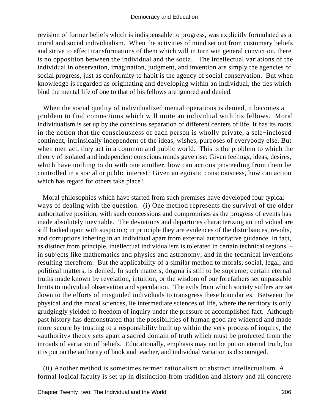revision of former beliefs which is indispensable to progress, was explicitly formulated as a moral and social individualism. When the activities of mind set out from customary beliefs and strive to effect transformations of them which will in turn win general conviction, there is no opposition between the individual and the social. The intellectual variations of the individual in observation, imagination, judgment, and invention are simply the agencies of social progress, just as conformity to habit is the agency of social conservation. But when knowledge is regarded as originating and developing within an individual, the ties which bind the mental life of one to that of his fellows are ignored and denied.

 When the social quality of individualized mental operations is denied, it becomes a problem to find connections which will unite an individual with his fellows. Moral individualism is set up by the conscious separation of different centers of life. It has its roots in the notion that the consciousness of each person is wholly private, a self−inclosed continent, intrinsically independent of the ideas, wishes, purposes of everybody else. But when men act, they act in a common and public world. This is the problem to which the theory of isolated and independent conscious minds gave rise: Given feelings, ideas, desires, which have nothing to do with one another, how can actions proceeding from them be controlled in a social or public interest? Given an egoistic consciousness, how can action which has regard for others take place?

 Moral philosophies which have started from such premises have developed four typical ways of dealing with the question. (i) One method represents the survival of the older authoritative position, with such concessions and compromises as the progress of events has made absolutely inevitable. The deviations and departures characterizing an individual are still looked upon with suspicion; in principle they are evidences of the disturbances, revolts, and corruptions inhering in an individual apart from external authoritative guidance. In fact, as distinct from principle, intellectual individualism is tolerated in certain technical regions – in subjects like mathematics and physics and astronomy, and in the technical inventions resulting therefrom. But the applicability of a similar method to morals, social, legal, and political matters, is denied. In such matters, dogma is still to be supreme; certain eternal truths made known by revelation, intuition, or the wisdom of our forefathers set unpassable limits to individual observation and speculation. The evils from which society suffers are set down to the efforts of misguided individuals to transgress these boundaries. Between the physical and the moral sciences, lie intermediate sciences of life, where the territory is only grudgingly yielded to freedom of inquiry under the pressure of accomplished fact. Although past history has demonstrated that the possibilities of human good are widened and made more secure by trusting to a responsibility built up within the very process of inquiry, the «authority» theory sets apart a sacred domain of truth which must be protected from the inroads of variation of beliefs. Educationally, emphasis may not be put on eternal truth, but it is put on the authority of book and teacher, and individual variation is discouraged.

 (ii) Another method is sometimes termed rationalism or abstract intellectualism. A formal logical faculty is set up in distinction from tradition and history and all concrete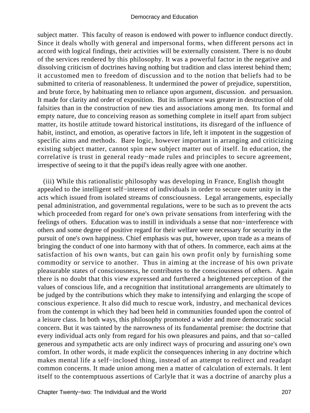subject matter. This faculty of reason is endowed with power to influence conduct directly. Since it deals wholly with general and impersonal forms, when different persons act in accord with logical findings, their activities will be externally consistent. There is no doubt of the services rendered by this philosophy. It was a powerful factor in the negative and dissolving criticism of doctrines having nothing but tradition and class interest behind them; it accustomed men to freedom of discussion and to the notion that beliefs had to be submitted to criteria of reasonableness. It undermined the power of prejudice, superstition, and brute force, by habituating men to reliance upon argument, discussion. and persuasion. It made for clarity and order of exposition. But its influence was greater in destruction of old falsities than in the construction of new ties and associations among men. Its formal and empty nature, due to conceiving reason as something complete in itself apart from subject matter, its hostile attitude toward historical institutions, its disregard of the influence of habit, instinct, and emotion, as operative factors in life, left it impotent in the suggestion of specific aims and methods. Bare logic, however important in arranging and criticizing existing subject matter, cannot spin new subject matter out of itself. In education, the correlative is trust in general ready−made rules and principles to secure agreement, irrespective of seeing to it that the pupil's ideas really agree with one another.

 (iii) While this rationalistic philosophy was developing in France, English thought appealed to the intelligent self−interest of individuals in order to secure outer unity in the acts which issued from isolated streams of consciousness. Legal arrangements, especially penal administration, and governmental regulations, were to be such as to prevent the acts which proceeded from regard for one's own private sensations from interfering with the feelings of others. Education was to instill in individuals a sense that non−interference with others and some degree of positive regard for their welfare were necessary for security in the pursuit of one's own happiness. Chief emphasis was put, however, upon trade as a means of bringing the conduct of one into harmony with that of others. In commerce, each aims at the satisfaction of his own wants, but can gain his own profit only by furnishing some commodity or service to another. Thus in aiming at the increase of his own private pleasurable states of consciousness, he contributes to the consciousness of others. Again there is no doubt that this view expressed and furthered a heightened perception of the values of conscious life, and a recognition that institutional arrangements are ultimately to be judged by the contributions which they make to intensifying and enlarging the scope of conscious experience. It also did much to rescue work, industry, and mechanical devices from the contempt in which they had been held in communities founded upon the control of a leisure class. In both ways, this philosophy promoted a wider and more democratic social concern. But it was tainted by the narrowness of its fundamental premise: the doctrine that every individual acts only from regard for his own pleasures and pains, and that so−called generous and sympathetic acts are only indirect ways of procuring and assuring one's own comfort. In other words, it made explicit the consequences inhering in any doctrine which makes mental life a self−inclosed thing, instead of an attempt to redirect and readapt common concerns. It made union among men a matter of calculation of externals. It lent itself to the contemptuous assertions of Carlyle that it was a doctrine of anarchy plus a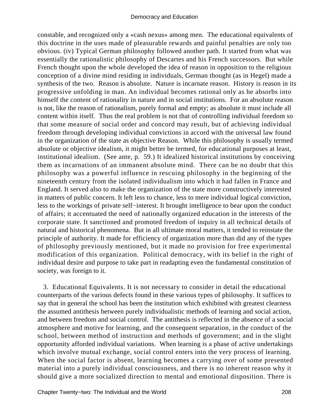constable, and recognized only a «cash nexus» among men. The educational equivalents of this doctrine in the uses made of pleasurable rewards and painful penalties are only too obvious. (iv) Typical German philosophy followed another path. It started from what was essentially the rationalistic philosophy of Descartes and his French successors. But while French thought upon the whole developed the idea of reason in opposition to the religious conception of a divine mind residing in individuals, German thought (as in Hegel) made a synthesis of the two. Reason is absolute. Nature is incarnate reason. History is reason in its progressive unfolding in man. An individual becomes rational only as he absorbs into himself the content of rationality in nature and in social institutions. For an absolute reason is not, like the reason of rationalism, purely formal and empty; as absolute it must include all content within itself. Thus the real problem is not that of controlling individual freedom so that some measure of social order and concord may result, but of achieving individual freedom through developing individual convictions in accord with the universal law found in the organization of the state as objective Reason. While this philosophy is usually termed absolute or objective idealism, it might better be termed, for educational purposes at least, institutional idealism. (See ante, p. 59.) It idealized historical institutions by conceiving them as incarnations of an immanent absolute mind. There can be no doubt that this philosophy was a powerful influence in rescuing philosophy in the beginning of the nineteenth century from the isolated individualism into which it had fallen in France and England. It served also to make the organization of the state more constructively interested in matters of public concern. It left less to chance, less to mere individual logical conviction, less to the workings of private self−interest. It brought intelligence to bear upon the conduct of affairs; it accentuated the need of nationally organized education in the interests of the corporate state. It sanctioned and promoted freedom of inquiry in all technical details of natural and historical phenomena. But in all ultimate moral matters, it tended to reinstate the principle of authority. It made for efficiency of organization more than did any of the types of philosophy previously mentioned, but it made no provision for free experimental modification of this organization. Political democracy, with its belief in the right of individual desire and purpose to take part in readapting even the fundamental constitution of society, was foreign to it.

 3. Educational Equivalents. It is not necessary to consider in detail the educational counterparts of the various defects found in these various types of philosophy. It suffices to say that in general the school has been the institution which exhibited with greatest clearness the assumed antithesis between purely individualistic methods of learning and social action, and between freedom and social control. The antithesis is reflected in the absence of a social atmosphere and motive for learning, and the consequent separation, in the conduct of the school, between method of instruction and methods of government; and in the slight opportunity afforded individual variations. When learning is a phase of active undertakings which involve mutual exchange, social control enters into the very process of learning. When the social factor is absent, learning becomes a carrying over of some presented material into a purely individual consciousness, and there is no inherent reason why it should give a more socialized direction to mental and emotional disposition. There is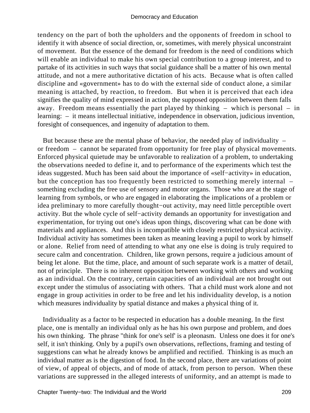tendency on the part of both the upholders and the opponents of freedom in school to identify it with absence of social direction, or, sometimes, with merely physical unconstraint of movement. But the essence of the demand for freedom is the need of conditions which will enable an individual to make his own special contribution to a group interest, and to partake of its activities in such ways that social guidance shall be a matter of his own mental attitude, and not a mere authoritative dictation of his acts. Because what is often called discipline and «government» has to do with the external side of conduct alone, a similar meaning is attached, by reaction, to freedom. But when it is perceived that each idea signifies the quality of mind expressed in action, the supposed opposition between them falls away. Freedom means essentially the part played by thinking – which is personal – in learning: – it means intellectual initiative, independence in observation, judicious invention, foresight of consequences, and ingenuity of adaptation to them.

But because these are the mental phase of behavior, the needed play of individuality – or freedom – cannot be separated from opportunity for free play of physical movements. Enforced physical quietude may be unfavorable to realization of a problem, to undertaking the observations needed to define it, and to performance of the experiments which test the ideas suggested. Much has been said about the importance of «self−activity» in education, but the conception has too frequently been restricted to something merely internal – something excluding the free use of sensory and motor organs. Those who are at the stage of learning from symbols, or who are engaged in elaborating the implications of a problem or idea preliminary to more carefully thought−out activity, may need little perceptible overt activity. But the whole cycle of self−activity demands an opportunity for investigation and experimentation, for trying out one's ideas upon things, discovering what can be done with materials and appliances. And this is incompatible with closely restricted physical activity. Individual activity has sometimes been taken as meaning leaving a pupil to work by himself or alone. Relief from need of attending to what any one else is doing is truly required to secure calm and concentration. Children, like grown persons, require a judicious amount of being let alone. But the time, place, and amount of such separate work is a matter of detail, not of principle. There is no inherent opposition between working with others and working as an individual. On the contrary, certain capacities of an individual are not brought out except under the stimulus of associating with others. That a child must work alone and not engage in group activities in order to be free and let his individuality develop, is a notion which measures individuality by spatial distance and makes a physical thing of it.

 Individuality as a factor to be respected in education has a double meaning. In the first place, one is mentally an individual only as he has his own purpose and problem, and does his own thinking. The phrase "think for one's self' is a pleonasm. Unless one does it for one's self, it isn't thinking. Only by a pupil's own observations, reflections, framing and testing of suggestions can what he already knows be amplified and rectified. Thinking is as much an individual matter as is the digestion of food. In the second place, there are variations of point of view, of appeal of objects, and of mode of attack, from person to person. When these variations are suppressed in the alleged interests of uniformity, and an attempt is made to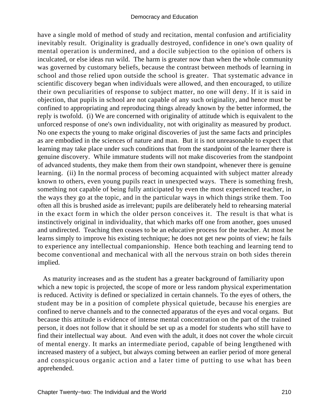have a single mold of method of study and recitation, mental confusion and artificiality inevitably result. Originality is gradually destroyed, confidence in one's own quality of mental operation is undermined, and a docile subjection to the opinion of others is inculcated, or else ideas run wild. The harm is greater now than when the whole community was governed by customary beliefs, because the contrast between methods of learning in school and those relied upon outside the school is greater. That systematic advance in scientific discovery began when individuals were allowed, and then encouraged, to utilize their own peculiarities of response to subject matter, no one will deny. If it is said in objection, that pupils in school are not capable of any such originality, and hence must be confined to appropriating and reproducing things already known by the better informed, the reply is twofold. (i) We are concerned with originality of attitude which is equivalent to the unforced response of one's own individuality, not with originality as measured by product. No one expects the young to make original discoveries of just the same facts and principles as are embodied in the sciences of nature and man. But it is not unreasonable to expect that learning may take place under such conditions that from the standpoint of the learner there is genuine discovery. While immature students will not make discoveries from the standpoint of advanced students, they make them from their own standpoint, whenever there is genuine learning. (ii) In the normal process of becoming acquainted with subject matter already known to others, even young pupils react in unexpected ways. There is something fresh, something not capable of being fully anticipated by even the most experienced teacher, in the ways they go at the topic, and in the particular ways in which things strike them. Too often all this is brushed aside as irrelevant; pupils are deliberately held to rehearsing material in the exact form in which the older person conceives it. The result is that what is instinctively original in individuality, that which marks off one from another, goes unused and undirected. Teaching then ceases to be an educative process for the teacher. At most he learns simply to improve his existing technique; he does not get new points of view; he fails to experience any intellectual companionship. Hence both teaching and learning tend to become conventional and mechanical with all the nervous strain on both sides therein implied.

 As maturity increases and as the student has a greater background of familiarity upon which a new topic is projected, the scope of more or less random physical experimentation is reduced. Activity is defined or specialized in certain channels. To the eyes of others, the student may be in a position of complete physical quietude, because his energies are confined to nerve channels and to the connected apparatus of the eyes and vocal organs. But because this attitude is evidence of intense mental concentration on the part of the trained person, it does not follow that it should be set up as a model for students who still have to find their intellectual way about. And even with the adult, it does not cover the whole circuit of mental energy. It marks an intermediate period, capable of being lengthened with increased mastery of a subject, but always coming between an earlier period of more general and conspicuous organic action and a later time of putting to use what has been apprehended.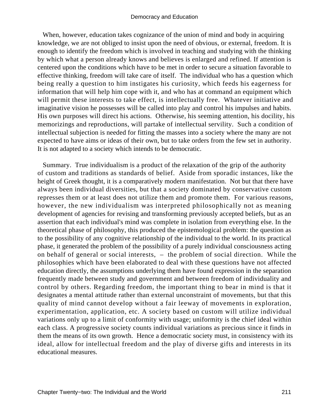When, however, education takes cognizance of the union of mind and body in acquiring knowledge, we are not obliged to insist upon the need of obvious, or external, freedom. It is enough to identify the freedom which is involved in teaching and studying with the thinking by which what a person already knows and believes is enlarged and refined. If attention is centered upon the conditions which have to be met in order to secure a situation favorable to effective thinking, freedom will take care of itself. The individual who has a question which being really a question to him instigates his curiosity, which feeds his eagerness for information that will help him cope with it, and who has at command an equipment which will permit these interests to take effect, is intellectually free. Whatever initiative and imaginative vision he possesses will be called into play and control his impulses and habits. His own purposes will direct his actions. Otherwise, his seeming attention, his docility, his memorizings and reproductions, will partake of intellectual servility. Such a condition of intellectual subjection is needed for fitting the masses into a society where the many are not expected to have aims or ideas of their own, but to take orders from the few set in authority. It is not adapted to a society which intends to be democratic.

 Summary. True individualism is a product of the relaxation of the grip of the authority of custom and traditions as standards of belief. Aside from sporadic instances, like the height of Greek thought, it is a comparatively modern manifestation. Not but that there have always been individual diversities, but that a society dominated by conservative custom represses them or at least does not utilize them and promote them. For various reasons, however, the new individualism was interpreted philosophically not as meaning development of agencies for revising and transforming previously accepted beliefs, but as an assertion that each individual's mind was complete in isolation from everything else. In the theoretical phase of philosophy, this produced the epistemological problem: the question as to the possibility of any cognitive relationship of the individual to the world. In its practical phase, it generated the problem of the possibility of a purely individual consciousness acting on behalf of general or social interests, – the problem of social direction. While the philosophies which have been elaborated to deal with these questions have not affected education directly, the assumptions underlying them have found expression in the separation frequently made between study and government and between freedom of individuality and control by others. Regarding freedom, the important thing to bear in mind is that it designates a mental attitude rather than external unconstraint of movements, but that this quality of mind cannot develop without a fair leeway of movements in exploration, experimentation, application, etc. A society based on custom will utilize individual variations only up to a limit of conformity with usage; uniformity is the chief ideal within each class. A progressive society counts individual variations as precious since it finds in them the means of its own growth. Hence a democratic society must, in consistency with its ideal, allow for intellectual freedom and the play of diverse gifts and interests in its educational measures.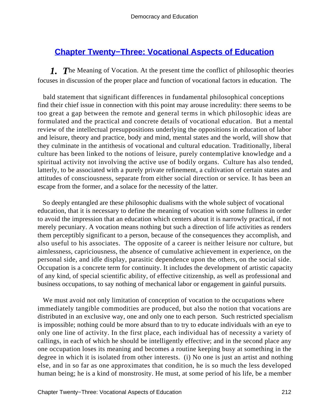# **[Chapter Twenty−Three: Vocational Aspects of Education](#page-249-0)**

*1. T*he Meaning of Vocation. At the present time the conflict of philosophic theories focuses in discussion of the proper place and function of vocational factors in education. The

 bald statement that significant differences in fundamental philosophical conceptions find their chief issue in connection with this point may arouse incredulity: there seems to be too great a gap between the remote and general terms in which philosophic ideas are formulated and the practical and concrete details of vocational education. But a mental review of the intellectual presuppositions underlying the oppositions in education of labor and leisure, theory and practice, body and mind, mental states and the world, will show that they culminate in the antithesis of vocational and cultural education. Traditionally, liberal culture has been linked to the notions of leisure, purely contemplative knowledge and a spiritual activity not involving the active use of bodily organs. Culture has also tended, latterly, to be associated with a purely private refinement, a cultivation of certain states and attitudes of consciousness, separate from either social direction or service. It has been an escape from the former, and a solace for the necessity of the latter.

 So deeply entangled are these philosophic dualisms with the whole subject of vocational education, that it is necessary to define the meaning of vocation with some fullness in order to avoid the impression that an education which centers about it is narrowly practical, if not merely pecuniary. A vocation means nothing but such a direction of life activities as renders them perceptibly significant to a person, because of the consequences they accomplish, and also useful to his associates. The opposite of a career is neither leisure nor culture, but aimlessness, capriciousness, the absence of cumulative achievement in experience, on the personal side, and idle display, parasitic dependence upon the others, on the social side. Occupation is a concrete term for continuity. It includes the development of artistic capacity of any kind, of special scientific ability, of effective citizenship, as well as professional and business occupations, to say nothing of mechanical labor or engagement in gainful pursuits.

We must avoid not only limitation of conception of vocation to the occupations where immediately tangible commodities are produced, but also the notion that vocations are distributed in an exclusive way, one and only one to each person. Such restricted specialism is impossible; nothing could be more absurd than to try to educate individuals with an eye to only one line of activity. In the first place, each individual has of necessity a variety of callings, in each of which he should be intelligently effective; and in the second place any one occupation loses its meaning and becomes a routine keeping busy at something in the degree in which it is isolated from other interests. (i) No one is just an artist and nothing else, and in so far as one approximates that condition, he is so much the less developed human being; he is a kind of monstrosity. He must, at some period of his life, be a member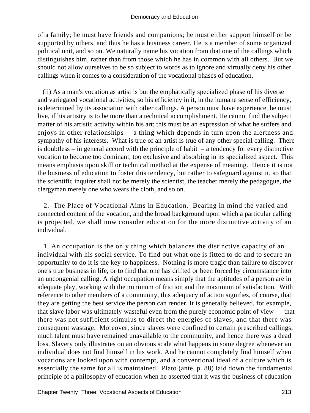of a family; he must have friends and companions; he must either support himself or be supported by others, and thus he has a business career. He is a member of some organized political unit, and so on. We naturally name his vocation from that one of the callings which distinguishes him, rather than from those which he has in common with all others. But we should not allow ourselves to be so subject to words as to ignore and virtually deny his other callings when it comes to a consideration of the vocational phases of education.

 (ii) As a man's vocation as artist is but the emphatically specialized phase of his diverse and variegated vocational activities, so his efficiency in it, in the humane sense of efficiency, is determined by its association with other callings. A person must have experience, he must live, if his artistry is to be more than a technical accomplishment. He cannot find the subject matter of his artistic activity within his art; this must be an expression of what he suffers and enjoys in other relationships – a thing which depends in turn upon the alertness and sympathy of his interests. What is true of an artist is true of any other special calling. There is doubtless – in general accord with the principle of habit – a tendency for every distinctive vocation to become too dominant, too exclusive and absorbing in its specialized aspect. This means emphasis upon skill or technical method at the expense of meaning. Hence it is not the business of education to foster this tendency, but rather to safeguard against it, so that the scientific inquirer shall not be merely the scientist, the teacher merely the pedagogue, the clergyman merely one who wears the cloth, and so on.

 2. The Place of Vocational Aims in Education. Bearing in mind the varied and connected content of the vocation, and the broad background upon which a particular calling is projected, we shall now consider education for the more distinctive activity of an individual.

 1. An occupation is the only thing which balances the distinctive capacity of an individual with his social service. To find out what one is fitted to do and to secure an opportunity to do it is the key to happiness. Nothing is more tragic than failure to discover one's true business in life, or to find that one has drifted or been forced by circumstance into an uncongenial calling. A right occupation means simply that the aptitudes of a person are in adequate play, working with the minimum of friction and the maximum of satisfaction. With reference to other members of a community, this adequacy of action signifies, of course, that they are getting the best service the person can render. It is generally believed, for example, that slave labor was ultimately wasteful even from the purely economic point of view – that there was not sufficient stimulus to direct the energies of slaves, and that there was consequent wastage. Moreover, since slaves were confined to certain prescribed callings, much talent must have remained unavailable to the community, and hence there was a dead loss. Slavery only illustrates on an obvious scale what happens in some degree whenever an individual does not find himself in his work. And he cannot completely find himself when vocations are looked upon with contempt, and a conventional ideal of a culture which is essentially the same for all is maintained. Plato (ante, p. 88) laid down the fundamental principle of a philosophy of education when he asserted that it was the business of education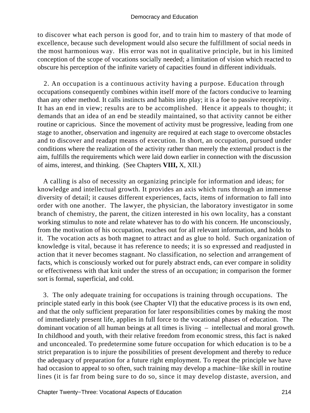to discover what each person is good for, and to train him to mastery of that mode of excellence, because such development would also secure the fulfillment of social needs in the most harmonious way. His error was not in qualitative principle, but in his limited conception of the scope of vocations socially needed; a limitation of vision which reacted to obscure his perception of the infinite variety of capacities found in different individuals.

 2. An occupation is a continuous activity having a purpose. Education through occupations consequently combines within itself more of the factors conducive to learning than any other method. It calls instincts and habits into play; it is a foe to passive receptivity. It has an end in view; results are to be accomplished. Hence it appeals to thought; it demands that an idea of an end be steadily maintained, so that activity cannot be either routine or capricious. Since the movement of activity must be progressive, leading from one stage to another, observation and ingenuity are required at each stage to overcome obstacles and to discover and readapt means of execution. In short, an occupation, pursued under conditions where the realization of the activity rather than merely the external product is the aim, fulfills the requirements which were laid down earlier in connection with the discussion of aims, interest, and thinking. (See Chapters **VIII,** X, XII.)

 A calling is also of necessity an organizing principle for information and ideas; for knowledge and intellectual growth. It provides an axis which runs through an immense diversity of detail; it causes different experiences, facts, items of information to fall into order with one another. The lawyer, the physician, the laboratory investigator in some branch of chemistry, the parent, the citizen interested in his own locality, has a constant working stimulus to note and relate whatever has to do with his concern. He unconsciously, from the motivation of his occupation, reaches out for all relevant information, and holds to it. The vocation acts as both magnet to attract and as glue to hold. Such organization of knowledge is vital, because it has reference to needs; it is so expressed and readjusted in action that it never becomes stagnant. No classification, no selection and arrangement of facts, which is consciously worked out for purely abstract ends, can ever compare in solidity or effectiveness with that knit under the stress of an occupation; in comparison the former sort is formal, superficial, and cold.

 3. The only adequate training for occupations is training through occupations. The principle stated early in this book (see Chapter VI) that the educative process is its own end, and that the only sufficient preparation for later responsibilities comes by making the most of immediately present life, applies in full force to the vocational phases of education. The dominant vocation of all human beings at all times is living – intellectual and moral growth. In childhood and youth, with their relative freedom from economic stress, this fact is naked and unconcealed. To predetermine some future occupation for which education is to be a strict preparation is to injure the possibilities of present development and thereby to reduce the adequacy of preparation for a future right employment. To repeat the principle we have had occasion to appeal to so often, such training may develop a machine−like skill in routine lines (it is far from being sure to do so, since it may develop distaste, aversion, and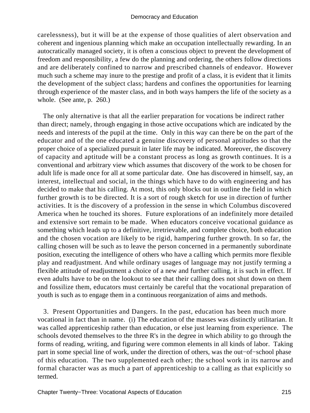carelessness), but it will be at the expense of those qualities of alert observation and coherent and ingenious planning which make an occupation intellectually rewarding. In an autocratically managed society, it is often a conscious object to prevent the development of freedom and responsibility, a few do the planning and ordering, the others follow directions and are deliberately confined to narrow and prescribed channels of endeavor. However much such a scheme may inure to the prestige and profit of a class, it is evident that it limits the development of the subject class; hardens and confines the opportunities for learning through experience of the master class, and in both ways hampers the life of the society as a whole. (See ante, p. 260.)

 The only alternative is that all the earlier preparation for vocations be indirect rather than direct; namely, through engaging in those active occupations which are indicated by the needs and interests of the pupil at the time. Only in this way can there be on the part of the educator and of the one educated a genuine discovery of personal aptitudes so that the proper choice of a specialized pursuit in later life may be indicated. Moreover, the discovery of capacity and aptitude will be a constant process as long as growth continues. It is a conventional and arbitrary view which assumes that discovery of the work to be chosen for adult life is made once for all at some particular date. One has discovered in himself, say, an interest, intellectual and social, in the things which have to do with engineering and has decided to make that his calling. At most, this only blocks out in outline the field in which further growth is to be directed. It is a sort of rough sketch for use in direction of further activities. It is the discovery of a profession in the sense in which Columbus discovered America when he touched its shores. Future explorations of an indefinitely more detailed and extensive sort remain to be made. When educators conceive vocational guidance as something which leads up to a definitive, irretrievable, and complete choice, both education and the chosen vocation are likely to be rigid, hampering further growth. In so far, the calling chosen will be such as to leave the person concerned in a permanently subordinate position, executing the intelligence of others who have a calling which permits more flexible play and readjustment. And while ordinary usages of language may not justify terming a flexible attitude of readjustment a choice of a new and further calling, it is such in effect. If even adults have to be on the lookout to see that their calling does not shut down on them and fossilize them, educators must certainly be careful that the vocational preparation of youth is such as to engage them in a continuous reorganization of aims and methods.

 3. Present Opportunities and Dangers. In the past, education has been much more vocational in fact than in name. (i) The education of the masses was distinctly utilitarian. It was called apprenticeship rather than education, or else just learning from experience. The schools devoted themselves to the three R's in the degree in which ability to go through the forms of reading, writing, and figuring were common elements in all kinds of labor. Taking part in some special line of work, under the direction of others, was the out−of−school phase of this education. The two supplemented each other; the school work in its narrow and formal character was as much a part of apprenticeship to a calling as that explicitly so termed.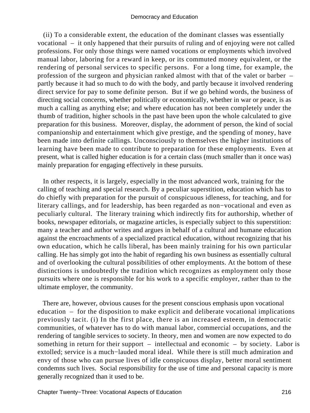(ii) To a considerable extent, the education of the dominant classes was essentially vocational – it only happened that their pursuits of ruling and of enjoying were not called professions. For only those things were named vocations or employments which involved manual labor, laboring for a reward in keep, or its commuted money equivalent, or the rendering of personal services to specific persons. For a long time, for example, the profession of the surgeon and physician ranked almost with that of the valet or barber – partly because it had so much to do with the body, and partly because it involved rendering direct service for pay to some definite person. But if we go behind words, the business of directing social concerns, whether politically or economically, whether in war or peace, is as much a calling as anything else; and where education has not been completely under the thumb of tradition, higher schools in the past have been upon the whole calculated to give preparation for this business. Moreover, display, the adornment of person, the kind of social companionship and entertainment which give prestige, and the spending of money, have been made into definite callings. Unconsciously to themselves the higher institutions of learning have been made to contribute to preparation for these employments. Even at present, what is called higher education is for a certain class (much smaller than it once was) mainly preparation for engaging effectively in these pursuits.

 In other respects, it is largely, especially in the most advanced work, training for the calling of teaching and special research. By a peculiar superstition, education which has to do chiefly with preparation for the pursuit of conspicuous idleness, for teaching, and for literary callings, and for leadership, has been regarded as non−vocational and even as peculiarly cultural. The literary training which indirectly fits for authorship, whether of books, newspaper editorials, or magazine articles, is especially subject to this superstition: many a teacher and author writes and argues in behalf of a cultural and humane education against the encroachments of a specialized practical education, without recognizing that his own education, which he calls liberal, has been mainly training for his own particular calling. He has simply got into the habit of regarding his own business as essentially cultural and of overlooking the cultural possibilities of other employments. At the bottom of these distinctions is undoubtedly the tradition which recognizes as employment only those pursuits where one is responsible for his work to a specific employer, rather than to the ultimate employer, the community.

 There are, however, obvious causes for the present conscious emphasis upon vocational education – for the disposition to make explicit and deliberate vocational implications previously tacit. (i) In the first place, there is an increased esteem, in democratic communities, of whatever has to do with manual labor, commercial occupations, and the rendering of tangible services to society. In theory, men and women are now expected to do something in return for their support – intellectual and economic – by society. Labor is extolled; service is a much−lauded moral ideal. While there is still much admiration and envy of those who can pursue lives of idle conspicuous display, better moral sentiment condemns such lives. Social responsibility for the use of time and personal capacity is more generally recognized than it used to be.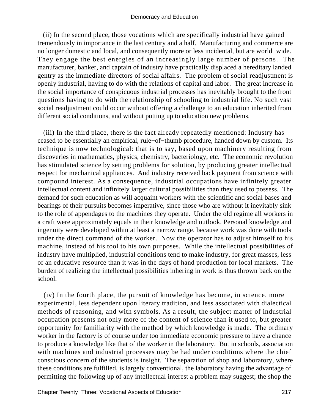(ii) In the second place, those vocations which are specifically industrial have gained tremendously in importance in the last century and a half. Manufacturing and commerce are no longer domestic and local, and consequently more or less incidental, but are world−wide. They engage the best energies of an increasingly large number of persons. The manufacturer, banker, and captain of industry have practically displaced a hereditary landed gentry as the immediate directors of social affairs. The problem of social readjustment is openly industrial, having to do with the relations of capital and labor. The great increase in the social importance of conspicuous industrial processes has inevitably brought to the front questions having to do with the relationship of schooling to industrial life. No such vast social readjustment could occur without offering a challenge to an education inherited from different social conditions, and without putting up to education new problems.

 (iii) In the third place, there is the fact already repeatedly mentioned: Industry has ceased to be essentially an empirical, rule−of−thumb procedure, handed down by custom. Its technique is now technological: that is to say, based upon machinery resulting from discoveries in mathematics, physics, chemistry, bacteriology, etc. The economic revolution has stimulated science by setting problems for solution, by producing greater intellectual respect for mechanical appliances. And industry received back payment from science with compound interest. As a consequence, industrial occupations have infinitely greater intellectual content and infinitely larger cultural possibilities than they used to possess. The demand for such education as will acquaint workers with the scientific and social bases and bearings of their pursuits becomes imperative, since those who are without it inevitably sink to the role of appendages to the machines they operate. Under the old regime all workers in a craft were approximately equals in their knowledge and outlook. Personal knowledge and ingenuity were developed within at least a narrow range, because work was done with tools under the direct command of the worker. Now the operator has to adjust himself to his machine, instead of his tool to his own purposes. While the intellectual possibilities of industry have multiplied, industrial conditions tend to make industry, for great masses, less of an educative resource than it was in the days of hand production for local markets. The burden of realizing the intellectual possibilities inhering in work is thus thrown back on the school.

 (iv) In the fourth place, the pursuit of knowledge has become, in science, more experimental, less dependent upon literary tradition, and less associated with dialectical methods of reasoning, and with symbols. As a result, the subject matter of industrial occupation presents not only more of the content of science than it used to, but greater opportunity for familiarity with the method by which knowledge is made. The ordinary worker in the factory is of course under too immediate economic pressure to have a chance to produce a knowledge like that of the worker in the laboratory. But in schools, association with machines and industrial processes may be had under conditions where the chief conscious concern of the students is insight. The separation of shop and laboratory, where these conditions are fulfilled, is largely conventional, the laboratory having the advantage of permitting the following up of any intellectual interest a problem may suggest; the shop the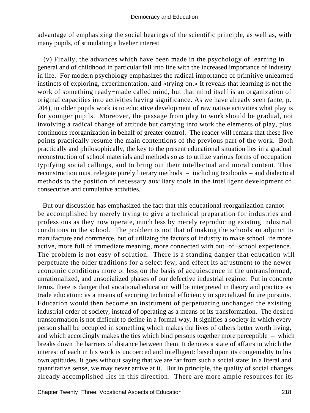advantage of emphasizing the social bearings of the scientific principle, as well as, with many pupils, of stimulating a livelier interest.

 (v) Finally, the advances which have been made in the psychology of learning in general and of childhood in particular fall into line with the increased importance of industry in life. For modern psychology emphasizes the radical importance of primitive unlearned instincts of exploring, experimentation, and «trying on.» It reveals that learning is not the work of something ready−made called mind, but that mind itself is an organization of original capacities into activities having significance. As we have already seen (ante, p. 204), in older pupils work is to educative development of raw native activities what play is for younger pupils. Moreover, the passage from play to work should be gradual, not involving a radical change of attitude but carrying into work the elements of play, plus continuous reorganization in behalf of greater control. The reader will remark that these five points practically resume the main contentions of the previous part of the work. Both practically and philosophically, the key to the present educational situation lies in a gradual reconstruction of school materials and methods so as to utilize various forms of occupation typifying social callings, and to bring out their intellectual and moral content. This reconstruction must relegate purely literary methods – including textbooks – and dialectical methods to the position of necessary auxiliary tools in the intelligent development of consecutive and cumulative activities.

 But our discussion has emphasized the fact that this educational reorganization cannot be accomplished by merely trying to give a technical preparation for industries and professions as they now operate, much less by merely reproducing existing industrial conditions in the school. The problem is not that of making the schools an adjunct to manufacture and commerce, but of utilizing the factors of industry to make school life more active, more full of immediate meaning, more connected with out−of−school experience. The problem is not easy of solution. There is a standing danger that education will perpetuate the older traditions for a select few, and effect its adjustment to the newer economic conditions more or less on the basis of acquiescence in the untransformed, unrationalized, and unsocialized phases of our defective industrial regime. Put in concrete terms, there is danger that vocational education will be interpreted in theory and practice as trade education: as a means of securing technical efficiency in specialized future pursuits. Education would then become an instrument of perpetuating unchanged the existing industrial order of society, instead of operating as a means of its transformation. The desired transformation is not difficult to define in a formal way. It signifies a society in which every person shall be occupied in something which makes the lives of others better worth living, and which accordingly makes the ties which bind persons together more perceptible – which breaks down the barriers of distance between them. It denotes a state of affairs in which the interest of each in his work is uncoerced and intelligent: based upon its congeniality to his own aptitudes. It goes without saying that we are far from such a social state; in a literal and quantitative sense, we may never arrive at it. But in principle, the quality of social changes already accomplished lies in this direction. There are more ample resources for its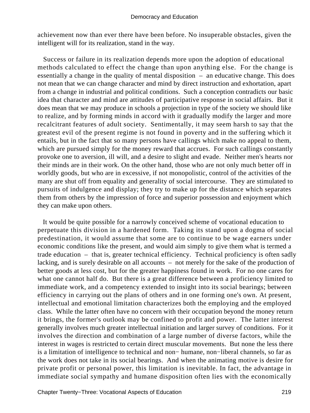achievement now than ever there have been before. No insuperable obstacles, given the intelligent will for its realization, stand in the way.

 Success or failure in its realization depends more upon the adoption of educational methods calculated to effect the change than upon anything else. For the change is essentially a change in the quality of mental disposition – an educative change. This does not mean that we can change character and mind by direct instruction and exhortation, apart from a change in industrial and political conditions. Such a conception contradicts our basic idea that character and mind are attitudes of participative response in social affairs. But it does mean that we may produce in schools a projection in type of the society we should like to realize, and by forming minds in accord with it gradually modify the larger and more recalcitrant features of adult society. Sentimentally, it may seem harsh to say that the greatest evil of the present regime is not found in poverty and in the suffering which it entails, but in the fact that so many persons have callings which make no appeal to them, which are pursued simply for the money reward that accrues. For such callings constantly provoke one to aversion, ill will, and a desire to slight and evade. Neither men's hearts nor their minds are in their work. On the other hand, those who are not only much better off in worldly goods, but who are in excessive, if not monopolistic, control of the activities of the many are shut off from equality and generality of social intercourse. They are stimulated to pursuits of indulgence and display; they try to make up for the distance which separates them from others by the impression of force and superior possession and enjoyment which they can make upon others.

 It would be quite possible for a narrowly conceived scheme of vocational education to perpetuate this division in a hardened form. Taking its stand upon a dogma of social predestination, it would assume that some are to continue to be wage earners under economic conditions like the present, and would aim simply to give them what is termed a trade education – that is, greater technical efficiency. Technical proficiency is often sadly lacking, and is surely desirable on all accounts – not merely for the sake of the production of better goods at less cost, but for the greater happiness found in work. For no one cares for what one cannot half do. But there is a great difference between a proficiency limited to immediate work, and a competency extended to insight into its social bearings; between efficiency in carrying out the plans of others and in one forming one's own. At present, intellectual and emotional limitation characterizes both the employing and the employed class. While the latter often have no concern with their occupation beyond the money return it brings, the former's outlook may be confined to profit and power. The latter interest generally involves much greater intellectual initiation and larger survey of conditions. For it involves the direction and combination of a large number of diverse factors, while the interest in wages is restricted to certain direct muscular movements. But none the less there is a limitation of intelligence to technical and non− humane, non−liberal channels, so far as the work does not take in its social bearings. And when the animating motive is desire for private profit or personal power, this limitation is inevitable. In fact, the advantage in immediate social sympathy and humane disposition often lies with the economically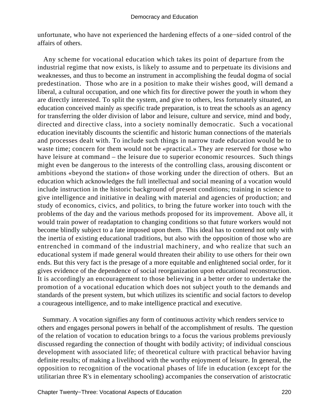unfortunate, who have not experienced the hardening effects of a one−sided control of the affairs of others.

 Any scheme for vocational education which takes its point of departure from the industrial regime that now exists, is likely to assume and to perpetuate its divisions and weaknesses, and thus to become an instrument in accomplishing the feudal dogma of social predestination. Those who are in a position to make their wishes good, will demand a liberal, a cultural occupation, and one which fits for directive power the youth in whom they are directly interested. To split the system, and give to others, less fortunately situated, an education conceived mainly as specific trade preparation, is to treat the schools as an agency for transferring the older division of labor and leisure, culture and service, mind and body, directed and directive class, into a society nominally democratic. Such a vocational education inevitably discounts the scientific and historic human connections of the materials and processes dealt with. To include such things in narrow trade education would be to waste time; concern for them would not be «practical.» They are reserved for those who have leisure at command – the leisure due to superior economic resources. Such things might even be dangerous to the interests of the controlling class, arousing discontent or ambitions «beyond the station» of those working under the direction of others. But an education which acknowledges the full intellectual and social meaning of a vocation would include instruction in the historic background of present conditions; training in science to give intelligence and initiative in dealing with material and agencies of production; and study of economics, civics, and politics, to bring the future worker into touch with the problems of the day and the various methods proposed for its improvement. Above all, it would train power of readaptation to changing conditions so that future workers would not become blindly subject to a fate imposed upon them. This ideal has to contend not only with the inertia of existing educational traditions, but also with the opposition of those who are entrenched in command of the industrial machinery, and who realize that such an educational system if made general would threaten their ability to use others for their own ends. But this very fact is the presage of a more equitable and enlightened social order, for it gives evidence of the dependence of social reorganization upon educational reconstruction. It is accordingly an encouragement to those believing in a better order to undertake the promotion of a vocational education which does not subject youth to the demands and standards of the present system, but which utilizes its scientific and social factors to develop a courageous intelligence, and to make intelligence practical and executive.

 Summary. A vocation signifies any form of continuous activity which renders service to others and engages personal powers in behalf of the accomplishment of results. The question of the relation of vocation to education brings to a focus the various problems previously discussed regarding the connection of thought with bodily activity; of individual conscious development with associated life; of theoretical culture with practical behavior having definite results; of making a livelihood with the worthy enjoyment of leisure. In general, the opposition to recognition of the vocational phases of life in education (except for the utilitarian three R's in elementary schooling) accompanies the conservation of aristocratic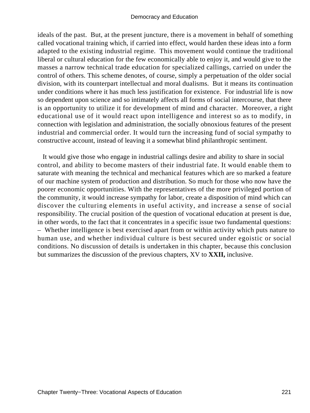ideals of the past. But, at the present juncture, there is a movement in behalf of something called vocational training which, if carried into effect, would harden these ideas into a form adapted to the existing industrial regime. This movement would continue the traditional liberal or cultural education for the few economically able to enjoy it, and would give to the masses a narrow technical trade education for specialized callings, carried on under the control of others. This scheme denotes, of course, simply a perpetuation of the older social division, with its counterpart intellectual and moral dualisms. But it means its continuation under conditions where it has much less justification for existence. For industrial life is now so dependent upon science and so intimately affects all forms of social intercourse, that there is an opportunity to utilize it for development of mind and character. Moreover, a right educational use of it would react upon intelligence and interest so as to modify, in connection with legislation and administration, the socially obnoxious features of the present industrial and commercial order. It would turn the increasing fund of social sympathy to constructive account, instead of leaving it a somewhat blind philanthropic sentiment.

 It would give those who engage in industrial callings desire and ability to share in social control, and ability to become masters of their industrial fate. It would enable them to saturate with meaning the technical and mechanical features which are so marked a feature of our machine system of production and distribution. So much for those who now have the poorer economic opportunities. With the representatives of the more privileged portion of the community, it would increase sympathy for labor, create a disposition of mind which can discover the culturing elements in useful activity, and increase a sense of social responsibility. The crucial position of the question of vocational education at present is due, in other words, to the fact that it concentrates in a specific issue two fundamental questions: – Whether intelligence is best exercised apart from or within activity which puts nature to human use, and whether individual culture is best secured under egoistic or social conditions. No discussion of details is undertaken in this chapter, because this conclusion but summarizes the discussion of the previous chapters, XV to **XXII,** inclusive.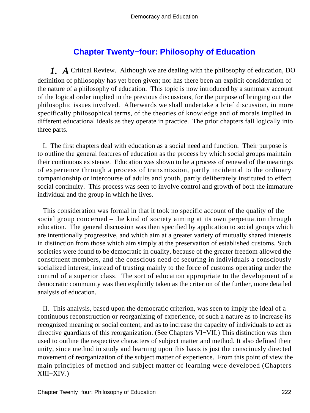# **[Chapter Twenty−four: Philosophy of Education](#page-249-0)**

<span id="page-222-0"></span>*1. A* Critical Review. Although we are dealing with the philosophy of education, DO definition of philosophy has yet been given; nor has there been an explicit consideration of the nature of a philosophy of education. This topic is now introduced by a summary account of the logical order implied in the previous discussions, for the purpose of bringing out the philosophic issues involved. Afterwards we shall undertake a brief discussion, in more specifically philosophical terms, of the theories of knowledge and of morals implied in different educational ideals as they operate in practice. The prior chapters fall logically into three parts.

 I. The first chapters deal with education as a social need and function. Their purpose is to outline the general features of education as the process by which social groups maintain their continuous existence. Education was shown to be a process of renewal of the meanings of experience through a process of transmission, partly incidental to the ordinary companionship or intercourse of adults and youth, partly deliberately instituted to effect social continuity. This process was seen to involve control and growth of both the immature individual and the group in which he lives.

 This consideration was formal in that it took no specific account of the quality of the social group concerned – the kind of society aiming at its own perpetuation through education. The general discussion was then specified by application to social groups which are intentionally progressive, and which aim at a greater variety of mutually shared interests in distinction from those which aim simply at the preservation of established customs. Such societies were found to be democratic in quality, because of the greater freedom allowed the constituent members, and the conscious need of securing in individuals a consciously socialized interest, instead of trusting mainly to the force of customs operating under the control of a superior class. The sort of education appropriate to the development of a democratic community was then explicitly taken as the criterion of the further, more detailed analysis of education.

 II. This analysis, based upon the democratic criterion, was seen to imply the ideal of a continuous reconstruction or reorganizing of experience, of such a nature as to increase its recognized meaning or social content, and as to increase the capacity of individuals to act as directive guardians of this reorganization. (See Chapters VI−VII.) This distinction was then used to outline the respective characters of subject matter and method. It also defined their unity, since method in study and learning upon this basis is just the consciously directed movement of reorganization of the subject matter of experience. From this point of view the main principles of method and subject matter of learning were developed (Chapters XIII−XIV.)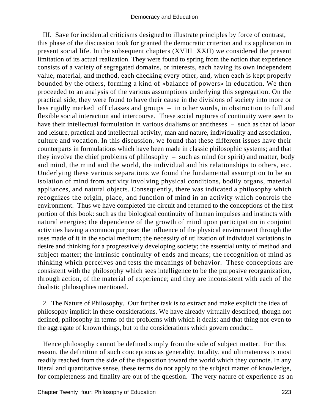III. Save for incidental criticisms designed to illustrate principles by force of contrast, this phase of the discussion took for granted the democratic criterion and its application in present social life. In the subsequent chapters (XVIII−XXII) we considered the present limitation of its actual realization. They were found to spring from the notion that experience consists of a variety of segregated domains, or interests, each having its own independent value, material, and method, each checking every other, and, when each is kept properly bounded by the others, forming a kind of «balance of powers» in education. We then proceeded to an analysis of the various assumptions underlying this segregation. On the practical side, they were found to have their cause in the divisions of society into more or less rigidly marked−off classes and groups – in other words, in obstruction to full and flexible social interaction and intercourse. These social ruptures of continuity were seen to have their intellectual formulation in various dualisms or antitheses – such as that of labor and leisure, practical and intellectual activity, man and nature, individuality and association, culture and vocation. In this discussion, we found that these different issues have their counterparts in formulations which have been made in classic philosophic systems; and that they involve the chief problems of philosophy – such as mind (or spirit) and matter, body and mind, the mind and the world, the individual and his relationships to others, etc. Underlying these various separations we found the fundamental assumption to be an isolation of mind from activity involving physical conditions, bodily organs, material appliances, and natural objects. Consequently, there was indicated a philosophy which recognizes the origin, place, and function of mind in an activity which controls the environment. Thus we have completed the circuit and returned to the conceptions of the first portion of this book: such as the biological continuity of human impulses and instincts with natural energies; the dependence of the growth of mind upon participation in conjoint activities having a common purpose; the influence of the physical environment through the uses made of it in the social medium; the necessity of utilization of individual variations in desire and thinking for a progressively developing society; the essential unity of method and subject matter; the intrinsic continuity of ends and means; the recognition of mind as thinking which perceives and tests the meanings of behavior. These conceptions are consistent with the philosophy which sees intelligence to be the purposive reorganization, through action, of the material of experience; and they are inconsistent with each of the dualistic philosophies mentioned.

 2. The Nature of Philosophy. Our further task is to extract and make explicit the idea of philosophy implicit in these considerations. We have already virtually described, though not defined, philosophy in terms of the problems with which it deals: and that thing nor even to the aggregate of known things, but to the considerations which govern conduct.

 Hence philosophy cannot be defined simply from the side of subject matter. For this reason, the definition of such conceptions as generality, totality, and ultimateness is most readily reached from the side of the disposition toward the world which they connote. In any literal and quantitative sense, these terms do not apply to the subject matter of knowledge, for completeness and finality are out of the question. The very nature of experience as an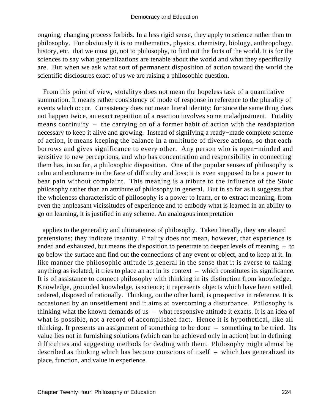ongoing, changing process forbids. In a less rigid sense, they apply to science rather than to philosophy. For obviously it is to mathematics, physics, chemistry, biology, anthropology, history, etc. that we must go, not to philosophy, to find out the facts of the world. It is for the sciences to say what generalizations are tenable about the world and what they specifically are. But when we ask what sort of permanent disposition of action toward the world the scientific disclosures exact of us we are raising a philosophic question.

 From this point of view, «totality» does not mean the hopeless task of a quantitative summation. It means rather consistency of mode of response in reference to the plurality of events which occur. Consistency does not mean literal identity; for since the same thing does not happen twice, an exact repetition of a reaction involves some maladjustment. Totality means continuity – the carrying on of a former habit of action with the readaptation necessary to keep it alive and growing. Instead of signifying a ready−made complete scheme of action, it means keeping the balance in a multitude of diverse actions, so that each borrows and gives significance to every other. Any person who is open−minded and sensitive to new perceptions, and who has concentration and responsibility in connecting them has, in so far, a philosophic disposition. One of the popular senses of philosophy is calm and endurance in the face of difficulty and loss; it is even supposed to be a power to bear pain without complaint. This meaning is a tribute to the influence of the Stoic philosophy rather than an attribute of philosophy in general. But in so far as it suggests that the wholeness characteristic of philosophy is a power to learn, or to extract meaning, from even the unpleasant vicissitudes of experience and to embody what is learned in an ability to go on learning, it is justified in any scheme. An analogous interpretation

 applies to the generality and ultimateness of philosophy. Taken literally, they are absurd pretensions; they indicate insanity. Finality does not mean, however, that experience is ended and exhausted, but means the disposition to penetrate to deeper levels of meaning – to go below the surface and find out the connections of any event or object, and to keep at it. In like manner the philosophic attitude is general in the sense that it is averse to taking anything as isolated; it tries to place an act in its context – which constitutes its significance. It is of assistance to connect philosophy with thinking in its distinction from knowledge. Knowledge, grounded knowledge, is science; it represents objects which have been settled, ordered, disposed of rationally. Thinking, on the other hand, is prospective in reference. It is occasioned by an unsettlement and it aims at overcoming a disturbance. Philosophy is thinking what the known demands of us – what responsive attitude it exacts. It is an idea of what is possible, not a record of accomplished fact. Hence it is hypothetical, like all thinking. It presents an assignment of something to be done – something to be tried. Its value lies not in furnishing solutions (which can be achieved only in action) but in defining difficulties and suggesting methods for dealing with them. Philosophy might almost be described as thinking which has become conscious of itself – which has generalized its place, function, and value in experience.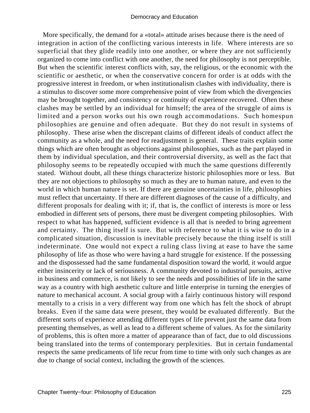More specifically, the demand for a «total» attitude arises because there is the need of integration in action of the conflicting various interests in life. Where interests are so superficial that they glide readily into one another, or where they are not sufficiently organized to come into conflict with one another, the need for philosophy is not perceptible. But when the scientific interest conflicts with, say, the religious, or the economic with the scientific or aesthetic, or when the conservative concern for order is at odds with the progressive interest in freedom, or when institutionalism clashes with individuality, there is a stimulus to discover some more comprehensive point of view from which the divergencies may be brought together, and consistency or continuity of experience recovered. Often these clashes may be settled by an individual for himself; the area of the struggle of aims is limited and a person works out his own rough accommodations. Such homespun philosophies are genuine and often adequate. But they do not result in systems of philosophy. These arise when the discrepant claims of different ideals of conduct affect the community as a whole, and the need for readjustment is general. These traits explain some things which are often brought as objections against philosophies, such as the part played in them by individual speculation, and their controversial diversity, as well as the fact that philosophy seems to be repeatedly occupied with much the same questions differently stated. Without doubt, all these things characterize historic philosophies more or less. But they are not objections to philosophy so much as they are to human nature, and even to the world in which human nature is set. If there are genuine uncertainties in life, philosophies must reflect that uncertainty. If there are different diagnoses of the cause of a difficulty, and different proposals for dealing with it; if, that is, the conflict of interests is more or less embodied in different sets of persons, there must be divergent competing philosophies. With respect to what has happened, sufficient evidence is all that is needed to bring agreement and certainty. The thing itself is sure. But with reference to what it is wise to do in a complicated situation, discussion is inevitable precisely because the thing itself is still indeterminate. One would not expect a ruling class living at ease to have the same philosophy of life as those who were having a hard struggle for existence. If the possessing and the dispossessed had the same fundamental disposition toward the world, it would argue either insincerity or lack of seriousness. A community devoted to industrial pursuits, active in business and commerce, is not likely to see the needs and possibilities of life in the same way as a country with high aesthetic culture and little enterprise in turning the energies of nature to mechanical account. A social group with a fairly continuous history will respond mentally to a crisis in a very different way from one which has felt the shock of abrupt breaks. Even if the same data were present, they would be evaluated differently. But the different sorts of experience attending different types of life prevent just the same data from presenting themselves, as well as lead to a different scheme of values. As for the similarity of problems, this is often more a matter of appearance than of fact, due to old discussions being translated into the terms of contemporary perplexities. But in certain fundamental respects the same predicaments of life recur from time to time with only such changes as are due to change of social context, including the growth of the sciences.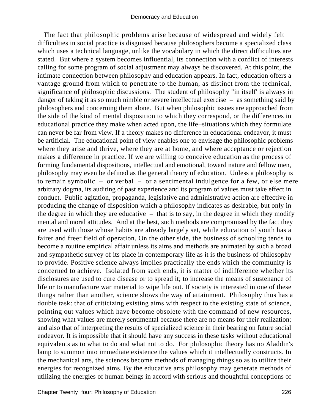The fact that philosophic problems arise because of widespread and widely felt difficulties in social practice is disguised because philosophers become a specialized class which uses a technical language, unlike the vocabulary in which the direct difficulties are stated. But where a system becomes influential, its connection with a conflict of interests calling for some program of social adjustment may always be discovered. At this point, the intimate connection between philosophy and education appears. In fact, education offers a vantage ground from which to penetrate to the human, as distinct from the technical, significance of philosophic discussions. The student of philosophy "in itself' is always in danger of taking it as so much nimble or severe intellectual exercise – as something said by philosophers and concerning them alone. But when philosophic issues are approached from the side of the kind of mental disposition to which they correspond, or the differences in educational practice they make when acted upon, the life−situations which they formulate can never be far from view. If a theory makes no difference in educational endeavor, it must be artificial. The educational point of view enables one to envisage the philosophic problems where they arise and thrive, where they are at home, and where acceptance or rejection makes a difference in practice. If we are willing to conceive education as the process of forming fundamental dispositions, intellectual and emotional, toward nature and fellow men, philosophy may even be defined as the general theory of education. Unless a philosophy is to remain symbolic – or verbal – or a sentimental indulgence for a few, or else mere arbitrary dogma, its auditing of past experience and its program of values must take effect in conduct. Public agitation, propaganda, legislative and administrative action are effective in producing the change of disposition which a philosophy indicates as desirable, but only in the degree in which they are educative  $-$  that is to say, in the degree in which they modify mental and moral attitudes. And at the best, such methods are compromised by the fact they are used with those whose habits are already largely set, while education of youth has a fairer and freer field of operation. On the other side, the business of schooling tends to become a routine empirical affair unless its aims and methods are animated by such a broad and sympathetic survey of its place in contemporary life as it is the business of philosophy to provide. Positive science always implies practically the ends which the community is concerned to achieve. Isolated from such ends, it is matter of indifference whether its disclosures are used to cure disease or to spread it; to increase the means of sustenance of life or to manufacture war material to wipe life out. If society is interested in one of these things rather than another, science shows the way of attainment. Philosophy thus has a double task: that of criticizing existing aims with respect to the existing state of science, pointing out values which have become obsolete with the command of new resources, showing what values are merely sentimental because there are no means for their realization; and also that of interpreting the results of specialized science in their bearing on future social endeavor. It is impossible that it should have any success in these tasks without educational equivalents as to what to do and what not to do. For philosophic theory has no Aladdin's lamp to summon into immediate existence the values which it intellectually constructs. In the mechanical arts, the sciences become methods of managing things so as to utilize their energies for recognized aims. By the educative arts philosophy may generate methods of utilizing the energies of human beings in accord with serious and thoughtful conceptions of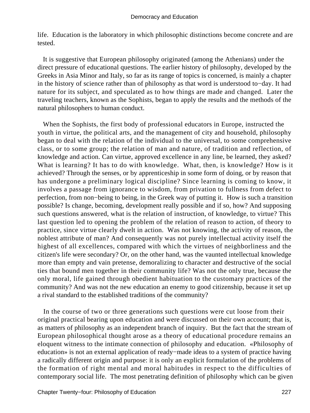life. Education is the laboratory in which philosophic distinctions become concrete and are tested.

 It is suggestive that European philosophy originated (among the Athenians) under the direct pressure of educational questions. The earlier history of philosophy, developed by the Greeks in Asia Minor and Italy, so far as its range of topics is concerned, is mainly a chapter in the history of science rather than of philosophy as that word is understood to−day. It had nature for its subject, and speculated as to how things are made and changed. Later the traveling teachers, known as the Sophists, began to apply the results and the methods of the natural philosophers to human conduct.

 When the Sophists, the first body of professional educators in Europe, instructed the youth in virtue, the political arts, and the management of city and household, philosophy began to deal with the relation of the individual to the universal, to some comprehensive class, or to some group; the relation of man and nature, of tradition and reflection, of knowledge and action. Can virtue, approved excellence in any line, be learned, they asked? What is learning? It has to do with knowledge. What, then, is knowledge? How is it achieved? Through the senses, or by apprenticeship in some form of doing, or by reason that has undergone a preliminary logical discipline? Since learning is coming to know, it involves a passage from ignorance to wisdom, from privation to fullness from defect to perfection, from non−being to being, in the Greek way of putting it. How is such a transition possible? Is change, becoming, development really possible and if so, how? And supposing such questions answered, what is the relation of instruction, of knowledge, to virtue? This last question led to opening the problem of the relation of reason to action, of theory to practice, since virtue clearly dwelt in action. Was not knowing, the activity of reason, the noblest attribute of man? And consequently was not purely intellectual activity itself the highest of all excellences, compared with which the virtues of neighborliness and the citizen's life were secondary? Or, on the other hand, was the vaunted intellectual knowledge more than empty and vain pretense, demoralizing to character and destructive of the social ties that bound men together in their community life? Was not the only true, because the only moral, life gained through obedient habituation to the customary practices of the community? And was not the new education an enemy to good citizenship, because it set up a rival standard to the established traditions of the community?

 In the course of two or three generations such questions were cut loose from their original practical bearing upon education and were discussed on their own account; that is, as matters of philosophy as an independent branch of inquiry. But the fact that the stream of European philosophical thought arose as a theory of educational procedure remains an eloquent witness to the intimate connection of philosophy and education. «Philosophy of education» is not an external application of ready−made ideas to a system of practice having a radically different origin and purpose: it is only an explicit formulation of the problems of the formation of right mental and moral habitudes in respect to the difficulties of contemporary social life. The most penetrating definition of philosophy which can be given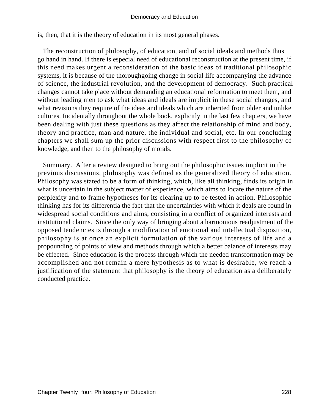is, then, that it is the theory of education in its most general phases.

 The reconstruction of philosophy, of education, and of social ideals and methods thus go hand in hand. If there is especial need of educational reconstruction at the present time, if this need makes urgent a reconsideration of the basic ideas of traditional philosophic systems, it is because of the thoroughgoing change in social life accompanying the advance of science, the industrial revolution, and the development of democracy. Such practical changes cannot take place without demanding an educational reformation to meet them, and without leading men to ask what ideas and ideals are implicit in these social changes, and what revisions they require of the ideas and ideals which are inherited from older and unlike cultures. Incidentally throughout the whole book, explicitly in the last few chapters, we have been dealing with just these questions as they affect the relationship of mind and body, theory and practice, man and nature, the individual and social, etc. In our concluding chapters we shall sum up the prior discussions with respect first to the philosophy of knowledge, and then to the philosophy of morals.

 Summary. After a review designed to bring out the philosophic issues implicit in the previous discussions, philosophy was defined as the generalized theory of education. Philosophy was stated to be a form of thinking, which, like all thinking, finds its origin in what is uncertain in the subject matter of experience, which aims to locate the nature of the perplexity and to frame hypotheses for its clearing up to be tested in action. Philosophic thinking has for its differentia the fact that the uncertainties with which it deals are found in widespread social conditions and aims, consisting in a conflict of organized interests and institutional claims. Since the only way of bringing about a harmonious readjustment of the opposed tendencies is through a modification of emotional and intellectual disposition, philosophy is at once an explicit formulation of the various interests of life and a propounding of points of view and methods through which a better balance of interests may be effected. Since education is the process through which the needed transformation may be accomplished and not remain a mere hypothesis as to what is desirable, we reach a justification of the statement that philosophy is the theory of education as a deliberately conducted practice.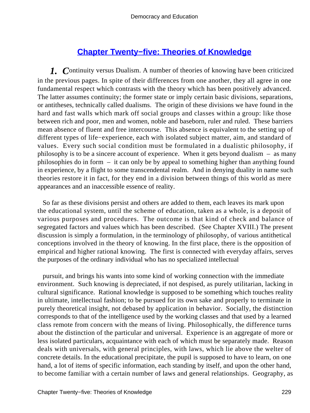## **[Chapter Twenty−five: Theories of Knowledge](#page-249-0)**

<span id="page-229-0"></span>*1. C*ontinuity versus Dualism. A number of theories of knowing have been criticized in the previous pages. In spite of their differences from one another, they all agree in one fundamental respect which contrasts with the theory which has been positively advanced. The latter assumes continuity; the former state or imply certain basic divisions, separations, or antitheses, technically called dualisms. The origin of these divisions we have found in the hard and fast walls which mark off social groups and classes within a group: like those between rich and poor, men and women, noble and baseborn, ruler and ruled. These barriers mean absence of fluent and free intercourse. This absence is equivalent to the setting up of different types of life−experience, each with isolated subject matter, aim, and standard of values. Every such social condition must be formulated in a dualistic philosophy, if philosophy is to be a sincere account of experience. When it gets beyond dualism – as many philosophies do in form – it can only be by appeal to something higher than anything found in experience, by a flight to some transcendental realm. And in denying duality in name such theories restore it in fact, for they end in a division between things of this world as mere appearances and an inaccessible essence of reality.

 So far as these divisions persist and others are added to them, each leaves its mark upon the educational system, until the scheme of education, taken as a whole, is a deposit of various purposes and procedures. The outcome is that kind of check and balance of segregated factors and values which has been described. (See Chapter XVIII.) The present discussion is simply a formulation, in the terminology of philosophy, of various antithetical conceptions involved in the theory of knowing. In the first place, there is the opposition of empirical and higher rational knowing. The first is connected with everyday affairs, serves the purposes of the ordinary individual who has no specialized intellectual

 pursuit, and brings his wants into some kind of working connection with the immediate environment. Such knowing is depreciated, if not despised, as purely utilitarian, lacking in cultural significance. Rational knowledge is supposed to be something which touches reality in ultimate, intellectual fashion; to be pursued for its own sake and properly to terminate in purely theoretical insight, not debased by application in behavior. Socially, the distinction corresponds to that of the intelligence used by the working classes and that used by a learned class remote from concern with the means of living. Philosophically, the difference turns about the distinction of the particular and universal. Experience is an aggregate of more or less isolated particulars, acquaintance with each of which must be separately made. Reason deals with universals, with general principles, with laws, which lie above the welter of concrete details. In the educational precipitate, the pupil is supposed to have to learn, on one hand, a lot of items of specific information, each standing by itself, and upon the other hand, to become familiar with a certain number of laws and general relationships. Geography, as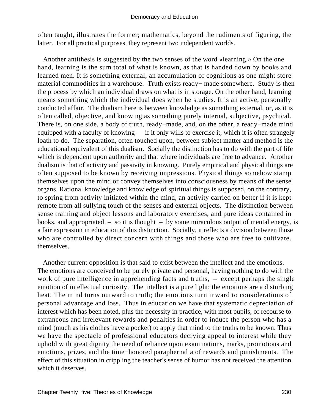often taught, illustrates the former; mathematics, beyond the rudiments of figuring, the latter. For all practical purposes, they represent two independent worlds.

 Another antithesis is suggested by the two senses of the word «learning.» On the one hand, learning is the sum total of what is known, as that is handed down by books and learned men. It is something external, an accumulation of cognitions as one might store material commodities in a warehouse. Truth exists ready− made somewhere. Study is then the process by which an individual draws on what is in storage. On the other hand, learning means something which the individual does when he studies. It is an active, personally conducted affair. The dualism here is between knowledge as something external, or, as it is often called, objective, and knowing as something purely internal, subjective, psychical. There is, on one side, a body of truth, ready−made, and, on the other, a ready−made mind equipped with a faculty of knowing – if it only wills to exercise it, which it is often strangely loath to do. The separation, often touched upon, between subject matter and method is the educational equivalent of this dualism. Socially the distinction has to do with the part of life which is dependent upon authority and that where individuals are free to advance. Another dualism is that of activity and passivity in knowing. Purely empirical and physical things are often supposed to be known by receiving impressions. Physical things somehow stamp themselves upon the mind or convey themselves into consciousness by means of the sense organs. Rational knowledge and knowledge of spiritual things is supposed, on the contrary, to spring from activity initiated within the mind, an activity carried on better if it is kept remote from all sullying touch of the senses and external objects. The distinction between sense training and object lessons and laboratory exercises, and pure ideas contained in books, and appropriated – so it is thought – by some miraculous output of mental energy, is a fair expression in education of this distinction. Socially, it reflects a division between those who are controlled by direct concern with things and those who are free to cultivate. themselves.

 Another current opposition is that said to exist between the intellect and the emotions. The emotions are conceived to be purely private and personal, having nothing to do with the work of pure intelligence in apprehending facts and truths,  $-$  except perhaps the single emotion of intellectual curiosity. The intellect is a pure light; the emotions are a disturbing heat. The mind turns outward to truth; the emotions turn inward to considerations of personal advantage and loss. Thus in education we have that systematic depreciation of interest which has been noted, plus the necessity in practice, with most pupils, of recourse to extraneous and irrelevant rewards and penalties in order to induce the person who has a mind (much as his clothes have a pocket) to apply that mind to the truths to be known. Thus we have the spectacle of professional educators decrying appeal to interest while they uphold with great dignity the need of reliance upon examinations, marks, promotions and emotions, prizes, and the time−honored paraphernalia of rewards and punishments. The effect of this situation in crippling the teacher's sense of humor has not received the attention which it deserves.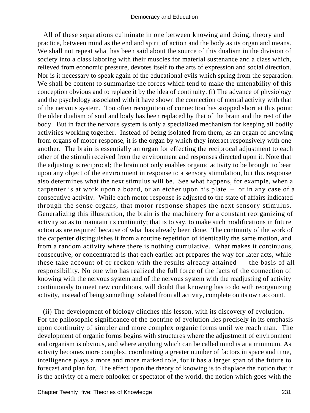All of these separations culminate in one between knowing and doing, theory and practice, between mind as the end and spirit of action and the body as its organ and means. We shall not repeat what has been said about the source of this dualism in the division of society into a class laboring with their muscles for material sustenance and a class which, relieved from economic pressure, devotes itself to the arts of expression and social direction. Nor is it necessary to speak again of the educational evils which spring from the separation. We shall be content to summarize the forces which tend to make the untenability of this conception obvious and to replace it by the idea of continuity. (i) The advance of physiology and the psychology associated with it have shown the connection of mental activity with that of the nervous system. Too often recognition of connection has stopped short at this point; the older dualism of soul and body has been replaced by that of the brain and the rest of the body. But in fact the nervous system is only a specialized mechanism for keeping all bodily activities working together. Instead of being isolated from them, as an organ of knowing from organs of motor response, it is the organ by which they interact responsively with one another. The brain is essentially an organ for effecting the reciprocal adjustment to each other of the stimuli received from the environment and responses directed upon it. Note that the adjusting is reciprocal; the brain not only enables organic activity to be brought to bear upon any object of the environment in response to a sensory stimulation, but this response also determines what the next stimulus will be. See what happens, for example, when a carpenter is at work upon a board, or an etcher upon his plate – or in any case of a consecutive activity. While each motor response is adjusted to the state of affairs indicated through the sense organs, that motor response shapes the next sensory stimulus. Generalizing this illustration, the brain is the machinery for a constant reorganizing of activity so as to maintain its continuity; that is to say, to make such modifications in future action as are required because of what has already been done. The continuity of the work of the carpenter distinguishes it from a routine repetition of identically the same motion, and from a random activity where there is nothing cumulative. What makes it continuous, consecutive, or concentrated is that each earlier act prepares the way for later acts, while these take account of or reckon with the results already attained – the basis of all responsibility. No one who has realized the full force of the facts of the connection of knowing with the nervous system and of the nervous system with the readjusting of activity continuously to meet new conditions, will doubt that knowing has to do with reorganizing activity, instead of being something isolated from all activity, complete on its own account.

 (ii) The development of biology clinches this lesson, with its discovery of evolution. For the philosophic significance of the doctrine of evolution lies precisely in its emphasis upon continuity of simpler and more complex organic forms until we reach man. The development of organic forms begins with structures where the adjustment of environment and organism is obvious, and where anything which can be called mind is at a minimum. As activity becomes more complex, coordinating a greater number of factors in space and time, intelligence plays a more and more marked role, for it has a larger span of the future to forecast and plan for. The effect upon the theory of knowing is to displace the notion that it is the activity of a mere onlooker or spectator of the world, the notion which goes with the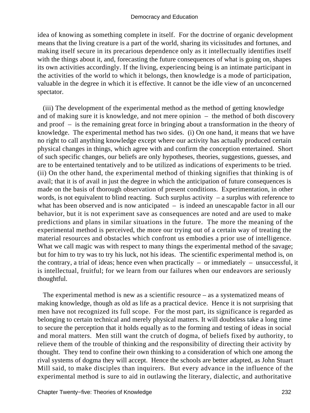idea of knowing as something complete in itself. For the doctrine of organic development means that the living creature is a part of the world, sharing its vicissitudes and fortunes, and making itself secure in its precarious dependence only as it intellectually identifies itself with the things about it, and, forecasting the future consequences of what is going on, shapes its own activities accordingly. If the living, experiencing being is an intimate participant in the activities of the world to which it belongs, then knowledge is a mode of participation, valuable in the degree in which it is effective. It cannot be the idle view of an unconcerned spectator.

 (iii) The development of the experimental method as the method of getting knowledge and of making sure it is knowledge, and not mere opinion – the method of both discovery and proof – is the remaining great force in bringing about a transformation in the theory of knowledge. The experimental method has two sides. (i) On one hand, it means that we have no right to call anything knowledge except where our activity has actually produced certain physical changes in things, which agree with and confirm the conception entertained. Short of such specific changes, our beliefs are only hypotheses, theories, suggestions, guesses, and are to be entertained tentatively and to be utilized as indications of experiments to be tried. (ii) On the other hand, the experimental method of thinking signifies that thinking is of avail; that it is of avail in just the degree in which the anticipation of future consequences is made on the basis of thorough observation of present conditions. Experimentation, in other words, is not equivalent to blind reacting. Such surplus activity  $-$  a surplus with reference to what has been observed and is now anticipated – is indeed an unescapable factor in all our behavior, but it is not experiment save as consequences are noted and are used to make predictions and plans in similar situations in the future. The more the meaning of the experimental method is perceived, the more our trying out of a certain way of treating the material resources and obstacles which confront us embodies a prior use of intelligence. What we call magic was with respect to many things the experimental method of the savage; but for him to try was to try his luck, not his ideas. The scientific experimental method is, on the contrary, a trial of ideas; hence even when practically  $-$  or immediately  $-$  unsuccessful, it is intellectual, fruitful; for we learn from our failures when our endeavors are seriously thoughtful.

 The experimental method is new as a scientific resource – as a systematized means of making knowledge, though as old as life as a practical device. Hence it is not surprising that men have not recognized its full scope. For the most part, its significance is regarded as belonging to certain technical and merely physical matters. It will doubtless take a long time to secure the perception that it holds equally as to the forming and testing of ideas in social and moral matters. Men still want the crutch of dogma, of beliefs fixed by authority, to relieve them of the trouble of thinking and the responsibility of directing their activity by thought. They tend to confine their own thinking to a consideration of which one among the rival systems of dogma they will accept. Hence the schools are better adapted, as John Stuart Mill said, to make disciples than inquirers. But every advance in the influence of the experimental method is sure to aid in outlawing the literary, dialectic, and authoritative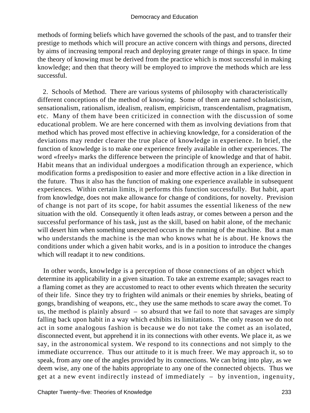methods of forming beliefs which have governed the schools of the past, and to transfer their prestige to methods which will procure an active concern with things and persons, directed by aims of increasing temporal reach and deploying greater range of things in space. In time the theory of knowing must be derived from the practice which is most successful in making knowledge; and then that theory will be employed to improve the methods which are less successful.

 2. Schools of Method. There are various systems of philosophy with characteristically different conceptions of the method of knowing. Some of them are named scholasticism, sensationalism, rationalism, idealism, realism, empiricism, transcendentalism, pragmatism, etc. Many of them have been criticized in connection with the discussion of some educational problem. We are here concerned with them as involving deviations from that method which has proved most effective in achieving knowledge, for a consideration of the deviations may render clearer the true place of knowledge in experience. In brief, the function of knowledge is to make one experience freely available in other experiences. The word «freely» marks the difference between the principle of knowledge and that of habit. Habit means that an individual undergoes a modification through an experience, which modification forms a predisposition to easier and more effective action in a like direction in the future. Thus it also has the function of making one experience available in subsequent experiences. Within certain limits, it performs this function successfully. But habit, apart from knowledge, does not make allowance for change of conditions, for novelty. Prevision of change is not part of its scope, for habit assumes the essential likeness of the new situation with the old. Consequently it often leads astray, or comes between a person and the successful performance of his task, just as the skill, based on habit alone, of the mechanic will desert him when something unexpected occurs in the running of the machine. But a man who understands the machine is the man who knows what he is about. He knows the conditions under which a given habit works, and is in a position to introduce the changes which will readapt it to new conditions.

 In other words, knowledge is a perception of those connections of an object which determine its applicability in a given situation. To take an extreme example; savages react to a flaming comet as they are accustomed to react to other events which threaten the security of their life. Since they try to frighten wild animals or their enemies by shrieks, beating of gongs, brandishing of weapons, etc., they use the same methods to scare away the comet. To us, the method is plainly absurd – so absurd that we fail to note that savages are simply falling back upon habit in a way which exhibits its limitations. The only reason we do not act in some analogous fashion is because we do not take the comet as an isolated, disconnected event, but apprehend it in its connections with other events. We place it, as we say, in the astronomical system. We respond to its connections and not simply to the immediate occurrence. Thus our attitude to it is much freer. We may approach it, so to speak, from any one of the angles provided by its connections. We can bring into play, as we deem wise, any one of the habits appropriate to any one of the connected objects. Thus we get at a new event indirectly instead of immediately – by invention, ingenuity,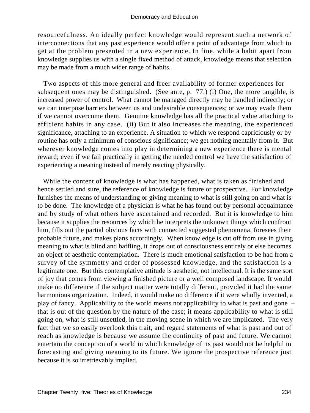resourcefulness. An ideally perfect knowledge would represent such a network of interconnections that any past experience would offer a point of advantage from which to get at the problem presented in a new experience. In fine, while a habit apart from knowledge supplies us with a single fixed method of attack, knowledge means that selection may be made from a much wider range of habits.

 Two aspects of this more general and freer availability of former experiences for subsequent ones may be distinguished. (See ante, p. 77.) (i) One, the more tangible, is increased power of control. What cannot be managed directly may be handled indirectly; or we can interpose barriers between us and undesirable consequences; or we may evade them if we cannot overcome them. Genuine knowledge has all the practical value attaching to efficient habits in any case. (ii) But it also increases the meaning, the experienced significance, attaching to an experience. A situation to which we respond capriciously or by routine has only a minimum of conscious significance; we get nothing mentally from it. But wherever knowledge comes into play in determining a new experience there is mental reward; even if we fail practically in getting the needed control we have the satisfaction of experiencing a meaning instead of merely reacting physically.

 While the content of knowledge is what has happened, what is taken as finished and hence settled and sure, the reference of knowledge is future or prospective. For knowledge furnishes the means of understanding or giving meaning to what is still going on and what is to be done. The knowledge of a physician is what he has found out by personal acquaintance and by study of what others have ascertained and recorded. But it is knowledge to him because it supplies the resources by which he interprets the unknown things which confront him, fills out the partial obvious facts with connected suggested phenomena, foresees their probable future, and makes plans accordingly. When knowledge is cut off from use in giving meaning to what is blind and baffling, it drops out of consciousness entirely or else becomes an object of aesthetic contemplation. There is much emotional satisfaction to be had from a survey of the symmetry and order of possessed knowledge, and the satisfaction is a legitimate one. But this contemplative attitude is aesthetic, not intellectual. It is the same sort of joy that comes from viewing a finished picture or a well composed landscape. It would make no difference if the subject matter were totally different, provided it had the same harmonious organization. Indeed, it would make no difference if it were wholly invented, a play of fancy. Applicability to the world means not applicability to what is past and gone – that is out of the question by the nature of the case; it means applicability to what is still going on, what is still unsettled, in the moving scene in which we are implicated. The very fact that we so easily overlook this trait, and regard statements of what is past and out of reach as knowledge is because we assume the continuity of past and future. We cannot entertain the conception of a world in which knowledge of its past would not be helpful in forecasting and giving meaning to its future. We ignore the prospective reference just because it is so irretrievably implied.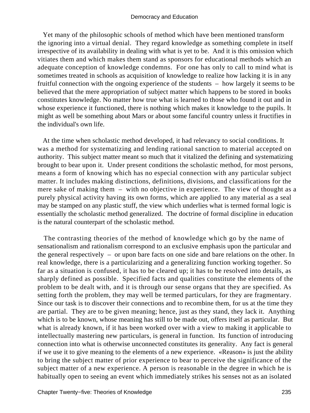Yet many of the philosophic schools of method which have been mentioned transform the ignoring into a virtual denial. They regard knowledge as something complete in itself irrespective of its availability in dealing with what is yet to be. And it is this omission which vitiates them and which makes them stand as sponsors for educational methods which an adequate conception of knowledge condemns. For one has only to call to mind what is sometimes treated in schools as acquisition of knowledge to realize how lacking it is in any fruitful connection with the ongoing experience of the students – how largely it seems to be believed that the mere appropriation of subject matter which happens to be stored in books constitutes knowledge. No matter how true what is learned to those who found it out and in whose experience it functioned, there is nothing which makes it knowledge to the pupils. It might as well be something about Mars or about some fanciful country unless it fructifies in the individual's own life.

 At the time when scholastic method developed, it had relevancy to social conditions. It was a method for systematizing and lending rational sanction to material accepted on authority. This subject matter meant so much that it vitalized the defining and systematizing brought to bear upon it. Under present conditions the scholastic method, for most persons, means a form of knowing which has no especial connection with any particular subject matter. It includes making distinctions, definitions, divisions, and classifications for the mere sake of making them – with no objective in experience. The view of thought as a purely physical activity having its own forms, which are applied to any material as a seal may be stamped on any plastic stuff, the view which underlies what is termed formal logic is essentially the scholastic method generalized. The doctrine of formal discipline in education is the natural counterpart of the scholastic method.

 The contrasting theories of the method of knowledge which go by the name of sensationalism and rationalism correspond to an exclusive emphasis upon the particular and the general respectively – or upon bare facts on one side and bare relations on the other. In real knowledge, there is a particularizing and a generalizing function working together. So far as a situation is confused, it has to be cleared up; it has to be resolved into details, as sharply defined as possible. Specified facts and qualities constitute the elements of the problem to be dealt with, and it is through our sense organs that they are specified. As setting forth the problem, they may well be termed particulars, for they are fragmentary. Since our task is to discover their connections and to recombine them, for us at the time they are partial. They are to be given meaning; hence, just as they stand, they lack it. Anything which is to be known, whose meaning has still to be made out, offers itself as particular. But what is already known, if it has been worked over with a view to making it applicable to intellectually mastering new particulars, is general in function. Its function of introducing connection into what is otherwise unconnected constitutes its generality. Any fact is general if we use it to give meaning to the elements of a new experience. «Reason» is just the ability to bring the subject matter of prior experience to bear to perceive the significance of the subject matter of a new experience. A person is reasonable in the degree in which he is habitually open to seeing an event which immediately strikes his senses not as an isolated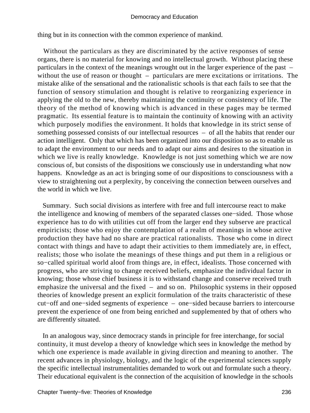thing but in its connection with the common experience of mankind.

 Without the particulars as they are discriminated by the active responses of sense organs, there is no material for knowing and no intellectual growth. Without placing these particulars in the context of the meanings wrought out in the larger experience of the past – without the use of reason or thought – particulars are mere excitations or irritations. The mistake alike of the sensational and the rationalistic schools is that each fails to see that the function of sensory stimulation and thought is relative to reorganizing experience in applying the old to the new, thereby maintaining the continuity or consistency of life. The theory of the method of knowing which is advanced in these pages may be termed pragmatic. Its essential feature is to maintain the continuity of knowing with an activity which purposely modifies the environment. It holds that knowledge in its strict sense of something possessed consists of our intellectual resources – of all the habits that render our action intelligent. Only that which has been organized into our disposition so as to enable us to adapt the environment to our needs and to adapt our aims and desires to the situation in which we live is really knowledge. Knowledge is not just something which we are now conscious of, but consists of the dispositions we consciously use in understanding what now happens. Knowledge as an act is bringing some of our dispositions to consciousness with a view to straightening out a perplexity, by conceiving the connection between ourselves and the world in which we live.

 Summary. Such social divisions as interfere with free and full intercourse react to make the intelligence and knowing of members of the separated classes one−sided. Those whose experience has to do with utilities cut off from the larger end they subserve are practical empiricists; those who enjoy the contemplation of a realm of meanings in whose active production they have had no share are practical rationalists. Those who come in direct contact with things and have to adapt their activities to them immediately are, in effect, realists; those who isolate the meanings of these things and put them in a religious or so−called spiritual world aloof from things are, in effect, idealists. Those concerned with progress, who are striving to change received beliefs, emphasize the individual factor in knowing; those whose chief business it is to withstand change and conserve received truth emphasize the universal and the fixed – and so on. Philosophic systems in their opposed theories of knowledge present an explicit formulation of the traits characteristic of these cut−off and one−sided segments of experience – one−sided because barriers to intercourse prevent the experience of one from being enriched and supplemented by that of others who are differently situated.

 In an analogous way, since democracy stands in principle for free interchange, for social continuity, it must develop a theory of knowledge which sees in knowledge the method by which one experience is made available in giving direction and meaning to another. The recent advances in physiology, biology, and the logic of the experimental sciences supply the specific intellectual instrumentalities demanded to work out and formulate such a theory. Their educational equivalent is the connection of the acquisition of knowledge in the schools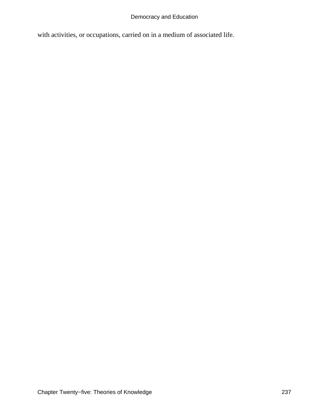with activities, or occupations, carried on in a medium of associated life.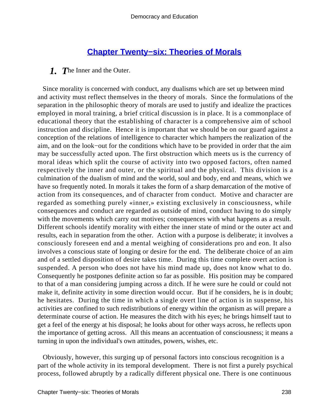### **[Chapter Twenty−six: Theories of Morals](#page-249-0)**

### <span id="page-238-0"></span>*1. T*he Inner and the Outer.

 Since morality is concerned with conduct, any dualisms which are set up between mind and activity must reflect themselves in the theory of morals. Since the formulations of the separation in the philosophic theory of morals are used to justify and idealize the practices employed in moral training, a brief critical discussion is in place. It is a commonplace of educational theory that the establishing of character is a comprehensive aim of school instruction and discipline. Hence it is important that we should be on our guard against a conception of the relations of intelligence to character which hampers the realization of the aim, and on the look−out for the conditions which have to be provided in order that the aim may be successfully acted upon. The first obstruction which meets us is the currency of moral ideas which split the course of activity into two opposed factors, often named respectively the inner and outer, or the spiritual and the physical. This division is a culmination of the dualism of mind and the world, soul and body, end and means, which we have so frequently noted. In morals it takes the form of a sharp demarcation of the motive of action from its consequences, and of character from conduct. Motive and character are regarded as something purely «inner,» existing exclusively in consciousness, while consequences and conduct are regarded as outside of mind, conduct having to do simply with the movements which carry out motives; consequences with what happens as a result. Different schools identify morality with either the inner state of mind or the outer act and results, each in separation from the other. Action with a purpose is deliberate; it involves a consciously foreseen end and a mental weighing of considerations pro and eon. It also involves a conscious state of longing or desire for the end. The deliberate choice of an aim and of a settled disposition of desire takes time. During this time complete overt action is suspended. A person who does not have his mind made up, does not know what to do. Consequently he postpones definite action so far as possible. His position may be compared to that of a man considering jumping across a ditch. If he were sure he could or could not make it, definite activity in some direction would occur. But if he considers, he is in doubt; he hesitates. During the time in which a single overt line of action is in suspense, his activities are confined to such redistributions of energy within the organism as will prepare a determinate course of action. He measures the ditch with his eyes; he brings himself taut to get a feel of the energy at his disposal; he looks about for other ways across, he reflects upon the importance of getting across. All this means an accentuation of consciousness; it means a turning in upon the individual's own attitudes, powers, wishes, etc.

 Obviously, however, this surging up of personal factors into conscious recognition is a part of the whole activity in its temporal development. There is not first a purely psychical process, followed abruptly by a radically different physical one. There is one continuous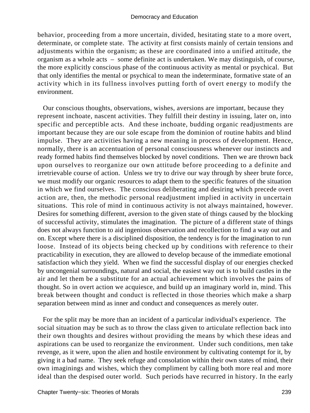behavior, proceeding from a more uncertain, divided, hesitating state to a more overt, determinate, or complete state. The activity at first consists mainly of certain tensions and adjustments within the organism; as these are coordinated into a unified attitude, the organism as a whole acts – some definite act is undertaken. We may distinguish, of course, the more explicitly conscious phase of the continuous activity as mental or psychical. But that only identifies the mental or psychical to mean the indeterminate, formative state of an activity which in its fullness involves putting forth of overt energy to modify the environment.

 Our conscious thoughts, observations, wishes, aversions are important, because they represent inchoate, nascent activities. They fulfill their destiny in issuing, later on, into specific and perceptible acts. And these inchoate, budding organic readjustments are important because they are our sole escape from the dominion of routine habits and blind impulse. They are activities having a new meaning in process of development. Hence, normally, there is an accentuation of personal consciousness whenever our instincts and ready formed habits find themselves blocked by novel conditions. Then we are thrown back upon ourselves to reorganize our own attitude before proceeding to a definite and irretrievable course of action. Unless we try to drive our way through by sheer brute force, we must modify our organic resources to adapt them to the specific features of the situation in which we find ourselves. The conscious deliberating and desiring which precede overt action are, then, the methodic personal readjustment implied in activity in uncertain situations. This role of mind in continuous activity is not always maintained, however. Desires for something different, aversion to the given state of things caused by the blocking of successful activity, stimulates the imagination. The picture of a different state of things does not always function to aid ingenious observation and recollection to find a way out and on. Except where there is a disciplined disposition, the tendency is for the imagination to run loose. Instead of its objects being checked up by conditions with reference to their practicability in execution, they are allowed to develop because of the immediate emotional satisfaction which they yield. When we find the successful display of our energies checked by uncongenial surroundings, natural and social, the easiest way out is to build castles in the air and let them be a substitute for an actual achievement which involves the pains of thought. So in overt action we acquiesce, and build up an imaginary world in, mind. This break between thought and conduct is reflected in those theories which make a sharp separation between mind as inner and conduct and consequences as merely outer.

 For the split may be more than an incident of a particular individual's experience. The social situation may be such as to throw the class given to articulate reflection back into their own thoughts and desires without providing the means by which these ideas and aspirations can be used to reorganize the environment. Under such conditions, men take revenge, as it were, upon the alien and hostile environment by cultivating contempt for it, by giving it a bad name. They seek refuge and consolation within their own states of mind, their own imaginings and wishes, which they compliment by calling both more real and more ideal than the despised outer world. Such periods have recurred in history. In the early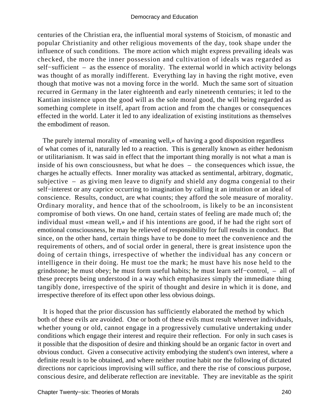centuries of the Christian era, the influential moral systems of Stoicism, of monastic and popular Christianity and other religious movements of the day, took shape under the influence of such conditions. The more action which might express prevailing ideals was checked, the more the inner possession and cultivation of ideals was regarded as self−sufficient – as the essence of morality. The external world in which activity belongs was thought of as morally indifferent. Everything lay in having the right motive, even though that motive was not a moving force in the world. Much the same sort of situation recurred in Germany in the later eighteenth and early nineteenth centuries; it led to the Kantian insistence upon the good will as the sole moral good, the will being regarded as something complete in itself, apart from action and from the changes or consequences effected in the world. Later it led to any idealization of existing institutions as themselves the embodiment of reason.

 The purely internal morality of «meaning well,» of having a good disposition regardless of what comes of it, naturally led to a reaction. This is generally known as either hedonism or utilitarianism. It was said in effect that the important thing morally is not what a man is inside of his own consciousness, but what he does – the consequences which issue, the charges he actually effects. Inner morality was attacked as sentimental, arbitrary, dogmatic, subjective – as giving men leave to dignify and shield any dogma congenial to their self–interest or any caprice occurring to imagination by calling it an intuition or an ideal of conscience. Results, conduct, are what counts; they afford the sole measure of morality. Ordinary morality, and hence that of the schoolroom, is likely to be an inconsistent compromise of both views. On one hand, certain states of feeling are made much of; the individual must «mean well,» and if his intentions are good, if he had the right sort of emotional consciousness, he may be relieved of responsibility for full results in conduct. But since, on the other hand, certain things have to be done to meet the convenience and the requirements of others, and of social order in general, there is great insistence upon the doing of certain things, irrespective of whether the individual has any concern or intelligence in their doing. He must toe the mark; he must have his nose held to the grindstone; he must obey; he must form useful habits; he must learn self−control, – all of these precepts being understood in a way which emphasizes simply the immediate thing tangibly done, irrespective of the spirit of thought and desire in which it is done, and irrespective therefore of its effect upon other less obvious doings.

 It is hoped that the prior discussion has sufficiently elaborated the method by which both of these evils are avoided. One or both of these evils must result wherever individuals, whether young or old, cannot engage in a progressively cumulative undertaking under conditions which engage their interest and require their reflection. For only in such cases is it possible that the disposition of desire and thinking should be an organic factor in overt and obvious conduct. Given a consecutive activity embodying the student's own interest, where a definite result is to be obtained, and where neither routine habit nor the following of dictated directions nor capricious improvising will suffice, and there the rise of conscious purpose, conscious desire, and deliberate reflection are inevitable. They are inevitable as the spirit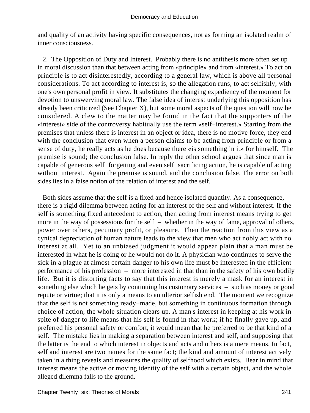and quality of an activity having specific consequences, not as forming an isolated realm of inner consciousness.

 2. The Opposition of Duty and Interest. Probably there is no antithesis more often set up in moral discussion than that between acting from «principle» and from «interest.» To act on principle is to act disinterestedly, according to a general law, which is above all personal considerations. To act according to interest is, so the allegation runs, to act selfishly, with one's own personal profit in view. It substitutes the changing expediency of the moment for devotion to unswerving moral law. The false idea of interest underlying this opposition has already been criticized (See Chapter X), but some moral aspects of the question will now be considered. A clew to the matter may be found in the fact that the supporters of the «interest» side of the controversy habitually use the term «self−interest.» Starting from the premises that unless there is interest in an object or idea, there is no motive force, they end with the conclusion that even when a person claims to be acting from principle or from a sense of duty, he really acts as he does because there «is something in it» for himself. The premise is sound; the conclusion false. In reply the other school argues that since man is capable of generous self−forgetting and even self−sacrificing action, he is capable of acting without interest. Again the premise is sound, and the conclusion false. The error on both sides lies in a false notion of the relation of interest and the self.

 Both sides assume that the self is a fixed and hence isolated quantity. As a consequence, there is a rigid dilemma between acting for an interest of the self and without interest. If the self is something fixed antecedent to action, then acting from interest means trying to get more in the way of possessions for the self – whether in the way of fame, approval of others, power over others, pecuniary profit, or pleasure. Then the reaction from this view as a cynical depreciation of human nature leads to the view that men who act nobly act with no interest at all. Yet to an unbiased judgment it would appear plain that a man must be interested in what he is doing or he would not do it. A physician who continues to serve the sick in a plague at almost certain danger to his own life must be interested in the efficient performance of his profession – more interested in that than in the safety of his own bodily life. But it is distorting facts to say that this interest is merely a mask for an interest in something else which he gets by continuing his customary services – such as money or good repute or virtue; that it is only a means to an ulterior selfish end. The moment we recognize that the self is not something ready−made, but something in continuous formation through choice of action, the whole situation clears up. A man's interest in keeping at his work in spite of danger to life means that his self is found in that work; if he finally gave up, and preferred his personal safety or comfort, it would mean that he preferred to be that kind of a self. The mistake lies in making a separation between interest and self, and supposing that the latter is the end to which interest in objects and acts and others is a mere means. In fact, self and interest are two names for the same fact; the kind and amount of interest actively taken in a thing reveals and measures the quality of selfhood which exists. Bear in mind that interest means the active or moving identity of the self with a certain object, and the whole alleged dilemma falls to the ground.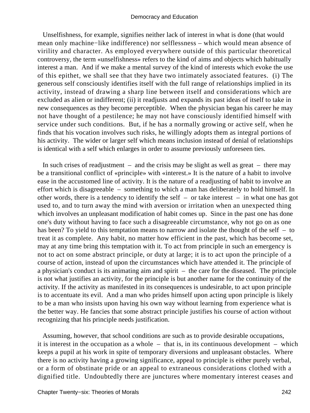Unselfishness, for example, signifies neither lack of interest in what is done (that would mean only machine−like indifference) nor selflessness – which would mean absence of virility and character. As employed everywhere outside of this particular theoretical controversy, the term «unselfishness» refers to the kind of aims and objects which habitually interest a man. And if we make a mental survey of the kind of interests which evoke the use of this epithet, we shall see that they have two intimately associated features. (i) The generous self consciously identifies itself with the full range of relationships implied in its activity, instead of drawing a sharp line between itself and considerations which are excluded as alien or indifferent; (ii) it readjusts and expands its past ideas of itself to take in new consequences as they become perceptible. When the physician began his career he may not have thought of a pestilence; he may not have consciously identified himself with service under such conditions. But, if he has a normally growing or active self, when he finds that his vocation involves such risks, he willingly adopts them as integral portions of his activity. The wider or larger self which means inclusion instead of denial of relationships is identical with a self which enlarges in order to assume previously unforeseen ties.

In such crises of readjustment – and the crisis may be slight as well as great – there may be a transitional conflict of «principle» with «interest.» It is the nature of a habit to involve ease in the accustomed line of activity. It is the nature of a readjusting of habit to involve an effort which is disagreeable – something to which a man has deliberately to hold himself. In other words, there is a tendency to identify the self – or take interest – in what one has got used to, and to turn away the mind with aversion or irritation when an unexpected thing which involves an unpleasant modification of habit comes up. Since in the past one has done one's duty without having to face such a disagreeable circumstance, why not go on as one has been? To yield to this temptation means to narrow and isolate the thought of the self – to treat it as complete. Any habit, no matter how efficient in the past, which has become set, may at any time bring this temptation with it. To act from principle in such an emergency is not to act on some abstract principle, or duty at large; it is to act upon the principle of a course of action, instead of upon the circumstances which have attended it. The principle of a physician's conduct is its animating aim and spirit – the care for the diseased. The principle is not what justifies an activity, for the principle is but another name for the continuity of the activity. If the activity as manifested in its consequences is undesirable, to act upon principle is to accentuate its evil. And a man who prides himself upon acting upon principle is likely to be a man who insists upon having his own way without learning from experience what is the better way. He fancies that some abstract principle justifies his course of action without recognizing that his principle needs justification.

 Assuming, however, that school conditions are such as to provide desirable occupations, it is interest in the occupation as a whole – that is, in its continuous development – which keeps a pupil at his work in spite of temporary diversions and unpleasant obstacles. Where there is no activity having a growing significance, appeal to principle is either purely verbal, or a form of obstinate pride or an appeal to extraneous considerations clothed with a dignified title. Undoubtedly there are junctures where momentary interest ceases and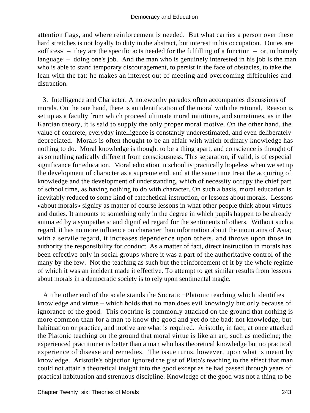attention flags, and where reinforcement is needed. But what carries a person over these hard stretches is not loyalty to duty in the abstract, but interest in his occupation. Duties are «offices» – they are the specific acts needed for the fulfilling of a function – or, in homely language – doing one's job. And the man who is genuinely interested in his job is the man who is able to stand temporary discouragement, to persist in the face of obstacles, to take the lean with the fat: he makes an interest out of meeting and overcoming difficulties and distraction.

 3. Intelligence and Character. A noteworthy paradox often accompanies discussions of morals. On the one hand, there is an identification of the moral with the rational. Reason is set up as a faculty from which proceed ultimate moral intuitions, and sometimes, as in the Kantian theory, it is said to supply the only proper moral motive. On the other hand, the value of concrete, everyday intelligence is constantly underestimated, and even deliberately depreciated. Morals is often thought to be an affair with which ordinary knowledge has nothing to do. Moral knowledge is thought to be a thing apart, and conscience is thought of as something radically different from consciousness. This separation, if valid, is of especial significance for education. Moral education in school is practically hopeless when we set up the development of character as a supreme end, and at the same time treat the acquiring of knowledge and the development of understanding, which of necessity occupy the chief part of school time, as having nothing to do with character. On such a basis, moral education is inevitably reduced to some kind of catechetical instruction, or lessons about morals. Lessons «about morals» signify as matter of course lessons in what other people think about virtues and duties. It amounts to something only in the degree in which pupils happen to be already animated by a sympathetic and dignified regard for the sentiments of others. Without such a regard, it has no more influence on character than information about the mountains of Asia; with a servile regard, it increases dependence upon others, and throws upon those in authority the responsibility for conduct. As a matter of fact, direct instruction in morals has been effective only in social groups where it was a part of the authoritative control of the many by the few. Not the teaching as such but the reinforcement of it by the whole regime of which it was an incident made it effective. To attempt to get similar results from lessons about morals in a democratic society is to rely upon sentimental magic.

 At the other end of the scale stands the Socratic−Platonic teaching which identifies knowledge and virtue – which holds that no man does evil knowingly but only because of ignorance of the good. This doctrine is commonly attacked on the ground that nothing is more common than for a man to know the good and yet do the bad: not knowledge, but habituation or practice, and motive are what is required. Aristotle, in fact, at once attacked the Platonic teaching on the ground that moral virtue is like an art, such as medicine; the experienced practitioner is better than a man who has theoretical knowledge but no practical experience of disease and remedies. The issue turns, however, upon what is meant by knowledge. Aristotle's objection ignored the gist of Plato's teaching to the effect that man could not attain a theoretical insight into the good except as he had passed through years of practical habituation and strenuous discipline. Knowledge of the good was not a thing to be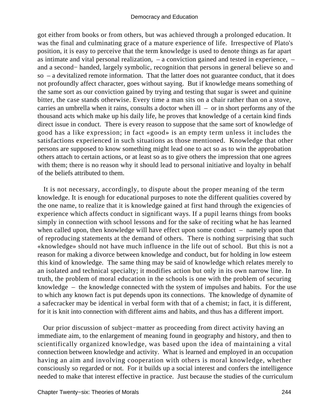got either from books or from others, but was achieved through a prolonged education. It was the final and culminating grace of a mature experience of life. Irrespective of Plato's position, it is easy to perceive that the term knowledge is used to denote things as far apart as intimate and vital personal realization, – a conviction gained and tested in experience, – and a second− handed, largely symbolic, recognition that persons in general believe so and so – a devitalized remote information. That the latter does not guarantee conduct, that it does not profoundly affect character, goes without saying. But if knowledge means something of the same sort as our conviction gained by trying and testing that sugar is sweet and quinine bitter, the case stands otherwise. Every time a man sits on a chair rather than on a stove, carries an umbrella when it rains, consults a doctor when ill – or in short performs any of the thousand acts which make up his daily life, he proves that knowledge of a certain kind finds direct issue in conduct. There is every reason to suppose that the same sort of knowledge of good has a like expression; in fact «good» is an empty term unless it includes the satisfactions experienced in such situations as those mentioned. Knowledge that other persons are supposed to know something might lead one to act so as to win the approbation others attach to certain actions, or at least so as to give others the impression that one agrees with them; there is no reason why it should lead to personal initiative and loyalty in behalf of the beliefs attributed to them.

 It is not necessary, accordingly, to dispute about the proper meaning of the term knowledge. It is enough for educational purposes to note the different qualities covered by the one name, to realize that it is knowledge gained at first hand through the exigencies of experience which affects conduct in significant ways. If a pupil learns things from books simply in connection with school lessons and for the sake of reciting what he has learned when called upon, then knowledge will have effect upon some conduct – namely upon that of reproducing statements at the demand of others. There is nothing surprising that such «knowledge» should not have much influence in the life out of school. But this is not a reason for making a divorce between knowledge and conduct, but for holding in low esteem this kind of knowledge. The same thing may be said of knowledge which relates merely to an isolated and technical specialty; it modifies action but only in its own narrow line. In truth, the problem of moral education in the schools is one with the problem of securing knowledge – the knowledge connected with the system of impulses and habits. For the use to which any known fact is put depends upon its connections. The knowledge of dynamite of a safecracker may be identical in verbal form with that of a chemist; in fact, it is different, for it is knit into connection with different aims and habits, and thus has a different import.

 Our prior discussion of subject−matter as proceeding from direct activity having an immediate aim, to the enlargement of meaning found in geography and history, and then to scientifically organized knowledge, was based upon the idea of maintaining a vital connection between knowledge and activity. What is learned and employed in an occupation having an aim and involving cooperation with others is moral knowledge, whether consciously so regarded or not. For it builds up a social interest and confers the intelligence needed to make that interest effective in practice. Just because the studies of the curriculum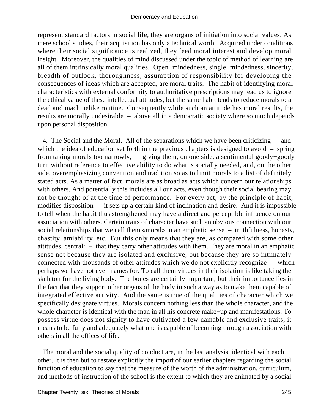represent standard factors in social life, they are organs of initiation into social values. As mere school studies, their acquisition has only a technical worth. Acquired under conditions where their social significance is realized, they feed moral interest and develop moral insight. Moreover, the qualities of mind discussed under the topic of method of learning are all of them intrinsically moral qualities. Open−mindedness, single−mindedness, sincerity, breadth of outlook, thoroughness, assumption of responsibility for developing the consequences of ideas which are accepted, are moral traits. The habit of identifying moral characteristics with external conformity to authoritative prescriptions may lead us to ignore the ethical value of these intellectual attitudes, but the same habit tends to reduce morals to a dead and machinelike routine. Consequently while such an attitude has moral results, the results are morally undesirable – above all in a democratic society where so much depends upon personal disposition.

 4. The Social and the Moral. All of the separations which we have been criticizing – and which the idea of education set forth in the previous chapters is designed to avoid – spring from taking morals too narrowly, – giving them, on one side, a sentimental goody−goody turn without reference to effective ability to do what is socially needed, and, on the other side, overemphasizing convention and tradition so as to limit morals to a list of definitely stated acts. As a matter of fact, morals are as broad as acts which concern our relationships with others. And potentially this includes all our acts, even though their social bearing may not be thought of at the time of performance. For every act, by the principle of habit, modifies disposition – it sets up a certain kind of inclination and desire. And it is impossible to tell when the habit thus strengthened may have a direct and perceptible influence on our association with others. Certain traits of character have such an obvious connection with our social relationships that we call them «moral» in an emphatic sense – truthfulness, honesty, chastity, amiability, etc. But this only means that they are, as compared with some other attitudes, central: – that they carry other attitudes with them. They are moral in an emphatic sense not because they are isolated and exclusive, but because they are so intimately connected with thousands of other attitudes which we do not explicitly recognize – which perhaps we have not even names for. To call them virtues in their isolation is like taking the skeleton for the living body. The bones are certainly important, but their importance lies in the fact that they support other organs of the body in such a way as to make them capable of integrated effective activity. And the same is true of the qualities of character which we specifically designate virtues. Morals concern nothing less than the whole character, and the whole character is identical with the man in all his concrete make−up and manifestations. To possess virtue does not signify to have cultivated a few namable and exclusive traits; it means to be fully and adequately what one is capable of becoming through association with others in all the offices of life.

 The moral and the social quality of conduct are, in the last analysis, identical with each other. It is then but to restate explicitly the import of our earlier chapters regarding the social function of education to say that the measure of the worth of the administration, curriculum, and methods of instruction of the school is the extent to which they are animated by a social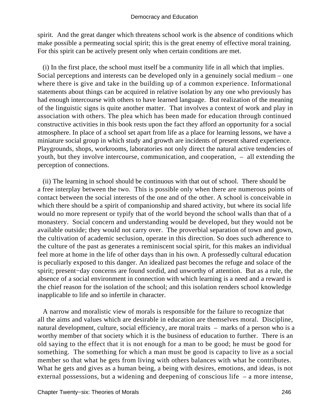spirit. And the great danger which threatens school work is the absence of conditions which make possible a permeating social spirit; this is the great enemy of effective moral training. For this spirit can be actively present only when certain conditions are met.

 (i) In the first place, the school must itself be a community life in all which that implies. Social perceptions and interests can be developed only in a genuinely social medium – one where there is give and take in the building up of a common experience. Informational statements about things can be acquired in relative isolation by any one who previously has had enough intercourse with others to have learned language. But realization of the meaning of the linguistic signs is quite another matter. That involves a context of work and play in association with others. The plea which has been made for education through continued constructive activities in this book rests upon the fact they afford an opportunity for a social atmosphere. In place of a school set apart from life as a place for learning lessons, we have a miniature social group in which study and growth are incidents of present shared experience. Playgrounds, shops, workrooms, laboratories not only direct the natural active tendencies of youth, but they involve intercourse, communication, and cooperation, – all extending the perception of connections.

 (ii) The learning in school should be continuous with that out of school. There should be a free interplay between the two. This is possible only when there are numerous points of contact between the social interests of the one and of the other. A school is conceivable in which there should be a spirit of companionship and shared activity, but where its social life would no more represent or typify that of the world beyond the school walls than that of a monastery. Social concern and understanding would be developed, but they would not be available outside; they would not carry over. The proverbial separation of town and gown, the cultivation of academic seclusion, operate in this direction. So does such adherence to the culture of the past as generates a reminiscent social spirit, for this makes an individual feel more at home in the life of other days than in his own. A professedly cultural education is peculiarly exposed to this danger. An idealized past becomes the refuge and solace of the spirit; present−day concerns are found sordid, and unworthy of attention. But as a rule, the absence of a social environment in connection with which learning is a need and a reward is the chief reason for the isolation of the school; and this isolation renders school knowledge inapplicable to life and so infertile in character.

 A narrow and moralistic view of morals is responsible for the failure to recognize that all the aims and values which are desirable in education are themselves moral. Discipline, natural development, culture, social efficiency, are moral traits – marks of a person who is a worthy member of that society which it is the business of education to further. There is an old saying to the effect that it is not enough for a man to be good; he must be good for something. The something for which a man must be good is capacity to live as a social member so that what he gets from living with others balances with what he contributes. What he gets and gives as a human being, a being with desires, emotions, and ideas, is not external possessions, but a widening and deepening of conscious life – a more intense,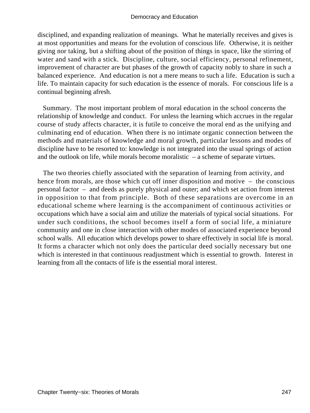disciplined, and expanding realization of meanings. What he materially receives and gives is at most opportunities and means for the evolution of conscious life. Otherwise, it is neither giving nor taking, but a shifting about of the position of things in space, like the stirring of water and sand with a stick. Discipline, culture, social efficiency, personal refinement, improvement of character are but phases of the growth of capacity nobly to share in such a balanced experience. And education is not a mere means to such a life. Education is such a life. To maintain capacity for such education is the essence of morals. For conscious life is a continual beginning afresh.

 Summary. The most important problem of moral education in the school concerns the relationship of knowledge and conduct. For unless the learning which accrues in the regular course of study affects character, it is futile to conceive the moral end as the unifying and culminating end of education. When there is no intimate organic connection between the methods and materials of knowledge and moral growth, particular lessons and modes of discipline have to be resorted to: knowledge is not integrated into the usual springs of action and the outlook on life, while morals become moralistic – a scheme of separate virtues.

 The two theories chiefly associated with the separation of learning from activity, and hence from morals, are those which cut off inner disposition and motive – the conscious personal factor – and deeds as purely physical and outer; and which set action from interest in opposition to that from principle. Both of these separations are overcome in an educational scheme where learning is the accompaniment of continuous activities or occupations which have a social aim and utilize the materials of typical social situations. For under such conditions, the school becomes itself a form of social life, a miniature community and one in close interaction with other modes of associated experience beyond school walls. All education which develops power to share effectively in social life is moral. It forms a character which not only does the particular deed socially necessary but one which is interested in that continuous readjustment which is essential to growth. Interest in learning from all the contacts of life is the essential moral interest.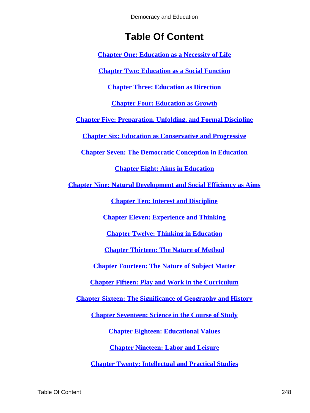# **Table Of Content**

**[Chapter One: Education as a Necessity of Life](#page-3-0)**

**[Chapter Two: Education as a Social Function](#page-10-0)**

**[Chapter Three: Education as Direction](#page-19-0)**

**[Chapter Four: Education as Growth](#page-31-0)**

**[Chapter Five: Preparation, Unfolding, and Formal Discipline](#page-40-0)**

**[Chapter Six: Education as Conservative and Progressive](#page-51-0)**

**[Chapter Seven: The Democratic Conception in Education](#page-59-0)**

**[Chapter Eight: Aims in Education](#page-72-0)**

**[Chapter Nine: Natural Development and Social Efficiency as Aims](#page-80-0)**

**[Chapter Ten: Interest and Discipline](#page-89-0)**

**[Chapter Eleven: Experience and Thinking](#page-99-0)**

**[Chapter Twelve: Thinking in Education](#page-108-0)**

**[Chapter Thirteen: The Nature of Method](#page-116-0)**

**[Chapter Fourteen: The Nature of Subject Matter](#page-127-0)**

**[Chapter Fifteen: Play and Work in the Curriculum](#page-136-0)**

**[Chapter Sixteen: The Significance of Geography and History](#page-145-0)**

**[Chapter Seventeen: Science in the Course of Study](#page-153-0)**

**[Chapter Eighteen: Educational Values](#page-161-0)**

**[Chapter Nineteen: Labor and Leisure](#page-174-0)**

**[Chapter Twenty: Intellectual and Practical Studies](#page-182-0)**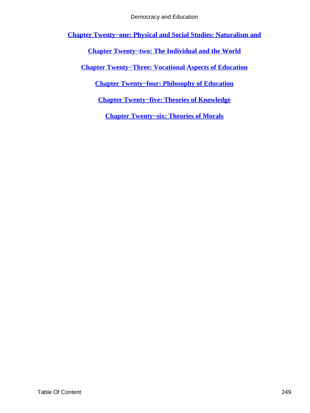<span id="page-249-0"></span>**[Chapter Twenty−one: Physical and Social Studies: Naturalism and](#page-192-0)**

**[Chapter Twenty−two: The Individual and the World](#page-202-0)**

**[Chapter Twenty−Three: Vocational Aspects of Education](#page-212-0)**

**[Chapter Twenty−four: Philosophy of Education](#page-222-0)**

**[Chapter Twenty−five: Theories of Knowledge](#page-229-0)**

**[Chapter Twenty−six: Theories of Morals](#page-238-0)**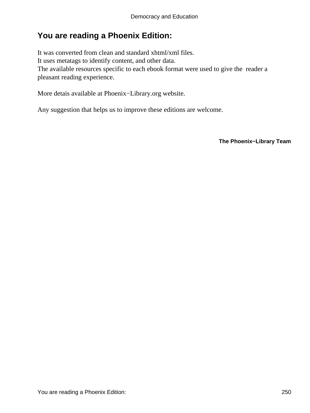## **You are reading a Phoenix Edition:**

It was converted from clean and standard xhtml/xml files. It uses metatags to identify content, and other data. The available resources specific to each ebook format were used to give the reader a pleasant reading experience.

More detais available at Phoenix−Library.org website.

Any suggestion that helps us to improve these editions are welcome.

**The Phoenix−Library Team**